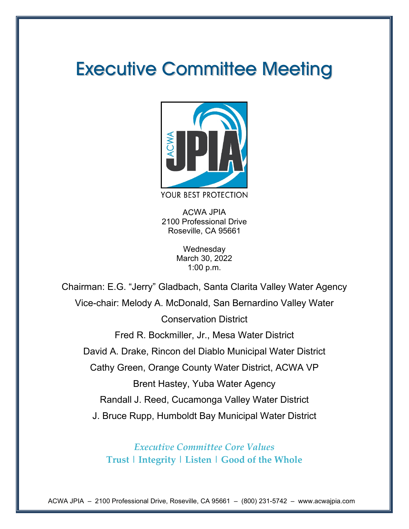# Executive Committee Meeting



ACWA JPIA 2100 Professional Drive Roseville, CA 95661

> **Wednesday** March 30, 2022 1:00 p.m.

Chairman: E.G. "Jerry" Gladbach, Santa Clarita Valley Water Agency Vice-chair: Melody A. McDonald, San Bernardino Valley Water Conservation District Fred R. Bockmiller, Jr., Mesa Water District David A. Drake, Rincon del Diablo Municipal Water District Cathy Green, Orange County Water District, ACWA VP Brent Hastey, Yuba Water Agency Randall J. Reed, Cucamonga Valley Water District J. Bruce Rupp, Humboldt Bay Municipal Water District

> *Executive Committee Core Values* **Trust | Integrity | Listen | Good of the Whole**

ACWA JPIA – 2100 Professional Drive, Roseville, CA 95661 – (800) 231-5742 – www.acwajpia.com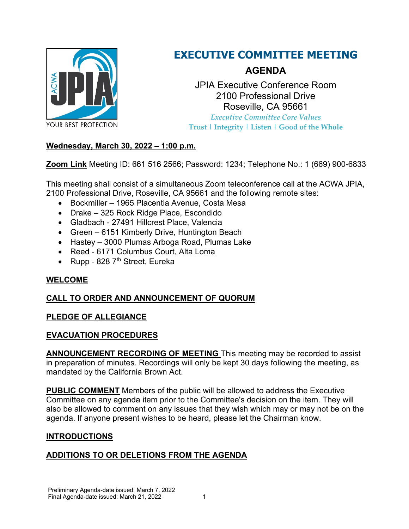

### **EXECUTIVE COMMITTEE MEETING**

### **AGENDA**

JPIA Executive Conference Room 2100 Professional Drive Roseville, CA 95661 *Executive Committee Core Values* **Trust | Integrity | Listen | Good of the Whole**

#### **Wednesday, March 30, 2022 – 1:00 p.m.**

**[Zoom Link](https://us02web.zoom.us/j/6615162566?pwd=azhrRU1uR3ZrZVRLd0EyakthWHQ4dz09)** Meeting ID: 661 516 2566; Password: 1234; Telephone No.: 1 (669) 900-6833

This meeting shall consist of a simultaneous Zoom teleconference call at the ACWA JPIA, 2100 Professional Drive, Roseville, CA 95661 and the following remote sites:

- Bockmiller 1965 Placentia Avenue, Costa Mesa
- Drake 325 Rock Ridge Place, Escondido
- Gladbach 27491 Hillcrest Place, Valencia
- Green 6151 Kimberly Drive, Huntington Beach
- Hastey 3000 Plumas Arboga Road, Plumas Lake
- Reed 6171 Columbus Court, Alta Loma
- Rupp 828  $7<sup>th</sup>$  Street, Eureka

#### **WELCOME**

#### **CALL TO ORDER AND ANNOUNCEMENT OF QUORUM**

#### **PLEDGE OF ALLEGIANCE**

#### **EVACUATION PROCEDURES**

**ANNOUNCEMENT RECORDING OF MEETING** This meeting may be recorded to assist in preparation of minutes. Recordings will only be kept 30 days following the meeting, as mandated by the California Brown Act.

**PUBLIC COMMENT** Members of the public will be allowed to address the Executive Committee on any agenda item prior to the Committee's decision on the item. They will also be allowed to comment on any issues that they wish which may or may not be on the agenda. If anyone present wishes to be heard, please let the Chairman know.

#### **INTRODUCTIONS**

#### **ADDITIONS TO OR DELETIONS FROM THE AGENDA**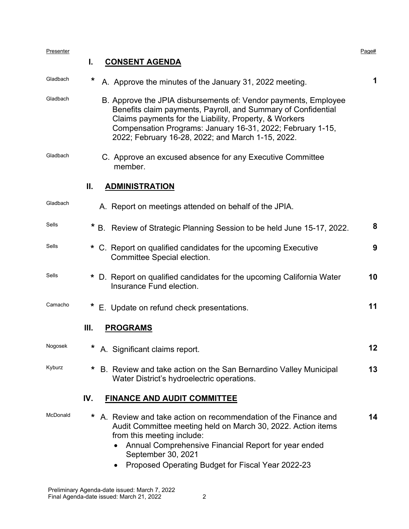| Presenter |         |                                                                                                                                                                                                                                                                                                               | Page# |
|-----------|---------|---------------------------------------------------------------------------------------------------------------------------------------------------------------------------------------------------------------------------------------------------------------------------------------------------------------|-------|
|           | I.      | <b>CONSENT AGENDA</b>                                                                                                                                                                                                                                                                                         |       |
| Gladbach  | *       | A. Approve the minutes of the January 31, 2022 meeting.                                                                                                                                                                                                                                                       | 1     |
| Gladbach  |         | B. Approve the JPIA disbursements of: Vendor payments, Employee<br>Benefits claim payments, Payroll, and Summary of Confidential<br>Claims payments for the Liability, Property, & Workers<br>Compensation Programs: January 16-31, 2022; February 1-15,<br>2022; February 16-28, 2022; and March 1-15, 2022. |       |
| Gladbach  |         | C. Approve an excused absence for any Executive Committee<br>member.                                                                                                                                                                                                                                          |       |
|           | Ш.      | <b>ADMINISTRATION</b>                                                                                                                                                                                                                                                                                         |       |
| Gladbach  |         | A. Report on meetings attended on behalf of the JPIA.                                                                                                                                                                                                                                                         |       |
| Sells     |         | B. Review of Strategic Planning Session to be held June 15-17, 2022.                                                                                                                                                                                                                                          | 8     |
| Sells     | *       | C. Report on qualified candidates for the upcoming Executive<br>Committee Special election.                                                                                                                                                                                                                   | 9     |
| Sells     | *       | D. Report on qualified candidates for the upcoming California Water<br>Insurance Fund election.                                                                                                                                                                                                               | 10    |
| Camacho   | $\star$ | E. Update on refund check presentations.                                                                                                                                                                                                                                                                      | 11    |
|           | III.    | <b>PROGRAMS</b>                                                                                                                                                                                                                                                                                               |       |
| Nogosek   | *       | A. Significant claims report.                                                                                                                                                                                                                                                                                 | 12    |
| Kyburz    | *       | B. Review and take action on the San Bernardino Valley Municipal<br>Water District's hydroelectric operations.                                                                                                                                                                                                | 13    |
|           | IV.     | <b>FINANCE AND AUDIT COMMITTEE</b>                                                                                                                                                                                                                                                                            |       |
| McDonald  | *       | A. Review and take action on recommendation of the Finance and<br>Audit Committee meeting held on March 30, 2022. Action items<br>from this meeting include:<br>Annual Comprehensive Financial Report for year ended<br>September 30, 2021<br>Proposed Operating Budget for Fiscal Year 2022-23               | 14    |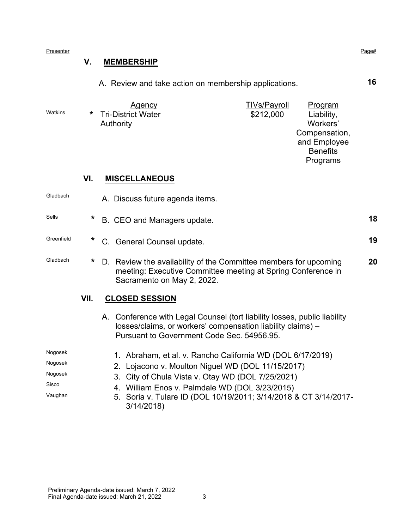Presenter Presenter Page# Page Presenter Page Presenter Page Presenter Page Presenter Page Presenter Page Presenter

#### **V. MEMBERSHIP**

A. Review and take action on membership applications. **16**

|         | <b>Agency</b>        | <b>TIVs/Payroll</b> | <b>Program</b>  |
|---------|----------------------|---------------------|-----------------|
| Watkins | * Tri-District Water | \$212,000           | Liability,      |
|         | Authority            |                     | Workers'        |
|         |                      |                     | Compensation,   |
|         |                      |                     | and Employee    |
|         |                      |                     | <b>Benefits</b> |
|         |                      |                     | Programs        |
|         |                      |                     |                 |

#### **VI. MISCELLANEOUS**

| Gladbach   |         | A. Discuss future agenda items.                                                                                                                                                        |    |
|------------|---------|----------------------------------------------------------------------------------------------------------------------------------------------------------------------------------------|----|
| Sells      | *       | B. CEO and Managers update.                                                                                                                                                            | 18 |
| Greenfield | *       | C. General Counsel update.                                                                                                                                                             | 19 |
| Gladbach   | $\star$ | D. Review the availability of the Committee members for upcoming<br>meeting: Executive Committee meeting at Spring Conference in<br>Sacramento on May 2, 2022.                         | 20 |
|            | VII.    | <b>CLOSED SESSION</b>                                                                                                                                                                  |    |
|            |         | A. Conference with Legal Counsel (tort liability losses, public liability<br>losses/claims, or workers' compensation liability claims) –<br>Pursuant to Government Code Sec. 54956.95. |    |
| Nogosek    |         | 1. Abraham, et al. v. Rancho California WD (DOL 6/17/2019)                                                                                                                             |    |
| Nogosek    |         | 2. Lojacono v. Moulton Niguel WD (DOL 11/15/2017)                                                                                                                                      |    |
| Nogosek    |         | 3. City of Chula Vista v. Otay WD (DOL 7/25/2021)                                                                                                                                      |    |
| Sisco      |         | 4. William Enos v. Palmdale WD (DOL 3/23/2015)                                                                                                                                         |    |

<sup>Vaughan</sup> 5. Soria v. Tulare ID (DOL 10/19/2011; 3/14/2018 & CT 3/14/2017-3/14/2018)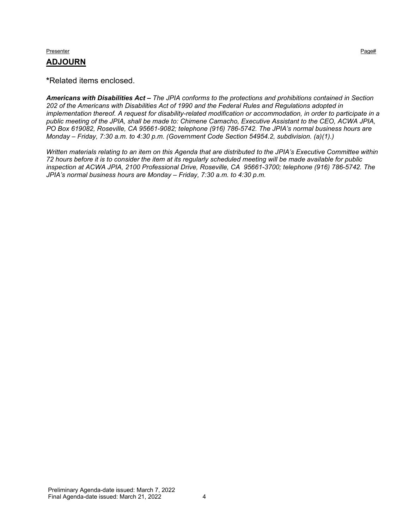#### Presenter Presenter Page# Page Presenter Page Presenter Page Presenter Page Presenter Page Presenter Page Presenter **ADJOURN**

**\***Related items enclosed.

*Americans with Disabilities Act – The JPIA conforms to the protections and prohibitions contained in Section 202 of the Americans with Disabilities Act of 1990 and the Federal Rules and Regulations adopted in implementation thereof. A request for disability-related modification or accommodation, in order to participate in a public meeting of the JPIA, shall be made to: Chimene Camacho, Executive Assistant to the CEO, ACWA JPIA, PO Box 619082, Roseville, CA 95661-9082; telephone (916) 786-5742. The JPIA's normal business hours are Monday – Friday, 7:30 a.m. to 4:30 p.m. (Government Code Section 54954.2, subdivision. (a)(1).)*

*Written materials relating to an item on this Agenda that are distributed to the JPIA's Executive Committee within 72 hours before it is to consider the item at its regularly scheduled meeting will be made available for public inspection at ACWA JPIA, 2100 Professional Drive, Roseville, CA 95661-3700; telephone (916) 786-5742. The JPIA's normal business hours are Monday – Friday, 7:30 a.m. to 4:30 p.m.*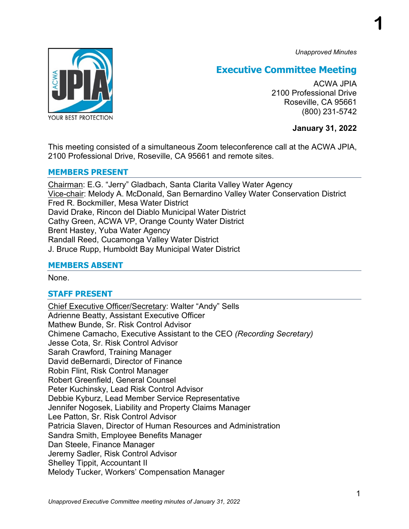*Unapproved Minutes*

**1**



### **Executive Committee Meeting**

ACWA JPIA 2100 Professional Drive Roseville, CA 95661 (800) 231-5742

**January 31, 2022**

This meeting consisted of a simultaneous Zoom teleconference call at the ACWA JPIA, 2100 Professional Drive, Roseville, CA 95661 and remote sites.

#### **MEMBERS PRESENT**

Chairman: E.G. "Jerry" Gladbach, Santa Clarita Valley Water Agency Vice-chair: Melody A. McDonald, San Bernardino Valley Water Conservation District Fred R. Bockmiller, Mesa Water District David Drake, Rincon del Diablo Municipal Water District Cathy Green, ACWA VP, Orange County Water District Brent Hastey, Yuba Water Agency Randall Reed, Cucamonga Valley Water District J. Bruce Rupp, Humboldt Bay Municipal Water District

#### **MEMBERS ABSENT**

None.

#### **STAFF PRESENT**

Chief Executive Officer/Secretary: Walter "Andy" Sells Adrienne Beatty, Assistant Executive Officer Mathew Bunde, Sr. Risk Control Advisor Chimene Camacho, Executive Assistant to the CEO *(Recording Secretary)* Jesse Cota, Sr. Risk Control Advisor Sarah Crawford, Training Manager David deBernardi, Director of Finance Robin Flint, Risk Control Manager Robert Greenfield, General Counsel Peter Kuchinsky, Lead Risk Control Advisor Debbie Kyburz, Lead Member Service Representative Jennifer Nogosek, Liability and Property Claims Manager Lee Patton, Sr. Risk Control Advisor Patricia Slaven, Director of Human Resources and Administration Sandra Smith, Employee Benefits Manager Dan Steele, Finance Manager Jeremy Sadler, Risk Control Advisor Shelley Tippit, Accountant II Melody Tucker, Workers' Compensation Manager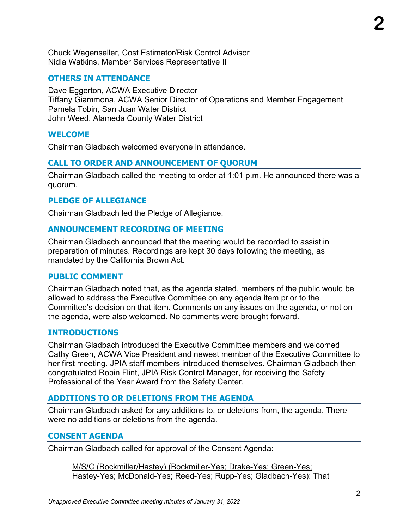Chuck Wagenseller, Cost Estimator/Risk Control Advisor

Nidia Watkins, Member Services Representative II

#### **OTHERS IN ATTENDANCE**

Dave Eggerton, ACWA Executive Director Tiffany Giammona, ACWA Senior Director of Operations and Member Engagement Pamela Tobin, San Juan Water District John Weed, Alameda County Water District

#### **WELCOME**

Chairman Gladbach welcomed everyone in attendance.

#### **CALL TO ORDER AND ANNOUNCEMENT OF QUORUM**

Chairman Gladbach called the meeting to order at 1:01 p.m. He announced there was a quorum.

#### **PLEDGE OF ALLEGIANCE**

Chairman Gladbach led the Pledge of Allegiance.

#### **ANNOUNCEMENT RECORDING OF MEETING**

Chairman Gladbach announced that the meeting would be recorded to assist in preparation of minutes. Recordings are kept 30 days following the meeting, as mandated by the California Brown Act.

#### **PUBLIC COMMENT**

Chairman Gladbach noted that, as the agenda stated, members of the public would be allowed to address the Executive Committee on any agenda item prior to the Committee's decision on that item. Comments on any issues on the agenda, or not on the agenda, were also welcomed. No comments were brought forward.

#### **INTRODUCTIONS**

Chairman Gladbach introduced the Executive Committee members and welcomed Cathy Green, ACWA Vice President and newest member of the Executive Committee to her first meeting. JPIA staff members introduced themselves. Chairman Gladbach then congratulated Robin Flint, JPIA Risk Control Manager, for receiving the Safety Professional of the Year Award from the Safety Center.

#### **ADDITIONS TO OR DELETIONS FROM THE AGENDA**

Chairman Gladbach asked for any additions to, or deletions from, the agenda. There were no additions or deletions from the agenda.

#### **CONSENT AGENDA**

Chairman Gladbach called for approval of the Consent Agenda:

M/S/C (Bockmiller/Hastey) (Bockmiller-Yes; Drake-Yes; Green-Yes; Hastey-Yes; McDonald-Yes; Reed-Yes; Rupp-Yes; Gladbach-Yes): That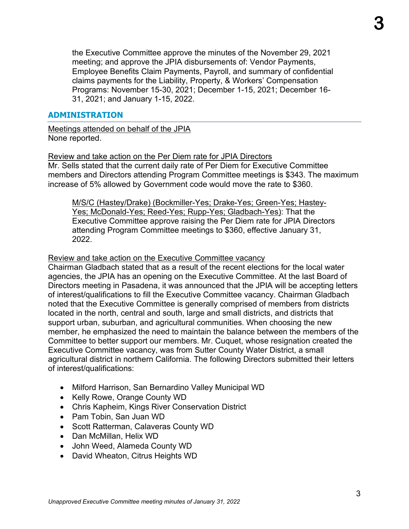the Executive Committee approve the minutes of the November 29, 2021 meeting; and approve the JPIA disbursements of: Vendor Payments, Employee Benefits Claim Payments, Payroll, and summary of confidential claims payments for the Liability, Property, & Workers' Compensation Programs: November 15-30, 2021; December 1-15, 2021; December 16- 31, 2021; and January 1-15, 2022.

#### **ADMINISTRATION**

Meetings attended on behalf of the JPIA None reported.

Review and take action on the Per Diem rate for JPIA Directors Mr. Sells stated that the current daily rate of Per Diem for Executive Committee members and Directors attending Program Committee meetings is \$343. The maximum increase of 5% allowed by Government code would move the rate to \$360.

M/S/C (Hastey/Drake) (Bockmiller-Yes; Drake-Yes; Green-Yes; Hastey-Yes; McDonald-Yes; Reed-Yes; Rupp-Yes; Gladbach-Yes): That the Executive Committee approve raising the Per Diem rate for JPIA Directors attending Program Committee meetings to \$360, effective January 31, 2022.

#### Review and take action on the Executive Committee vacancy

Chairman Gladbach stated that as a result of the recent elections for the local water agencies, the JPIA has an opening on the Executive Committee. At the last Board of Directors meeting in Pasadena, it was announced that the JPIA will be accepting letters of interest/qualifications to fill the Executive Committee vacancy. Chairman Gladbach noted that the Executive Committee is generally comprised of members from districts located in the north, central and south, large and small districts, and districts that support urban, suburban, and agricultural communities. When choosing the new member, he emphasized the need to maintain the balance between the members of the Committee to better support our members. Mr. Cuquet, whose resignation created the Executive Committee vacancy, was from Sutter County Water District, a small agricultural district in northern California. The following Directors submitted their letters of interest/qualifications:

- Milford Harrison, San Bernardino Valley Municipal WD
- Kelly Rowe, Orange County WD
- Chris Kapheim, Kings River Conservation District
- Pam Tobin, San Juan WD
- Scott Ratterman, Calaveras County WD
- Dan McMillan, Helix WD
- John Weed, Alameda County WD
- David Wheaton, Citrus Heights WD

**3**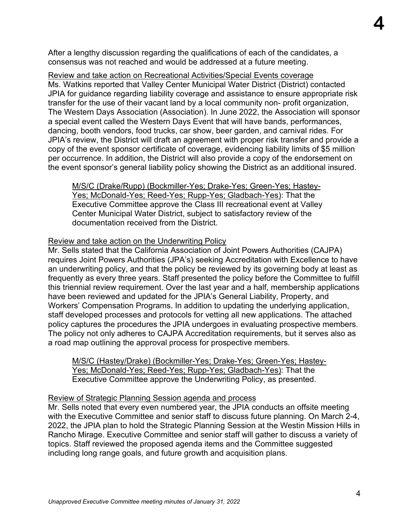After a lengthy discussion regarding the qualifications of each of the candidates, a consensus was not reached and would be addressed at a future meeting.

Review and take action on Recreational Activities/Special Events coverage

Ms. Watkins reported that Valley Center Municipal Water District (District) contacted JPIA for guidance regarding liability coverage and assistance to ensure appropriate risk transfer for the use of their vacant land by a local community non- profit organization, The Western Days Association (Association). In June 2022, the Association will sponsor a special event called the Western Days Event that will have bands, performances, dancing, booth vendors, food trucks, car show, beer garden, and carnival rides. For JPIA's review, the District will draft an agreement with proper risk transfer and provide a copy of the event sponsor certificate of coverage, evidencing liability limits of \$5 million per occurrence. In addition, the District will also provide a copy of the endorsement on the event sponsor's general liability policy showing the District as an additional insured.

M/S/C (Drake/Rupp) (Bockmiller-Yes; Drake-Yes; Green-Yes; Hastey-Yes; McDonald-Yes; Reed-Yes; Rupp-Yes; Gladbach-Yes): That the Executive Committee approve the Class III recreational event at Valley Center Municipal Water District, subject to satisfactory review of the documentation received from the District.

#### Review and take action on the Underwriting Policy

Mr. Sells stated that the California Association of Joint Powers Authorities (CAJPA) requires Joint Powers Authorities (JPA's) seeking Accreditation with Excellence to have an underwriting policy, and that the policy be reviewed by its governing body at least as frequently as every three years. Staff presented the policy before the Committee to fulfill this triennial review requirement. Over the last year and a half, membership applications have been reviewed and updated for the JPIA's General Liability, Property, and Workers' Compensation Programs. In addition to updating the underlying application, staff developed processes and protocols for vetting all new applications. The attached policy captures the procedures the JPIA undergoes in evaluating prospective members. The policy not only adheres to CAJPA Accreditation requirements, but it serves also as a road map outlining the approval process for prospective members.

M/S/C (Hastey/Drake) (Bockmiller-Yes; Drake-Yes; Green-Yes; Hastey-Yes; McDonald-Yes; Reed-Yes; Rupp-Yes; Gladbach-Yes): That the Executive Committee approve the Underwriting Policy, as presented.

#### Review of Strategic Planning Session agenda and process

Mr. Sells noted that every even numbered year, the JPIA conducts an offsite meeting with the Executive Committee and senior staff to discuss future planning. On March 2-4, 2022, the JPIA plan to hold the Strategic Planning Session at the Westin Mission Hills in Rancho Mirage. Executive Committee and senior staff will gather to discuss a variety of topics. Staff reviewed the proposed agenda items and the Committee suggested including long range goals, and future growth and acquisition plans.

**4**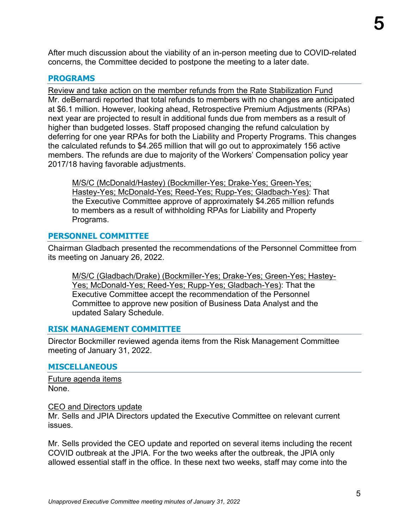After much discussion about the viability of an in-person meeting due to COVID-related concerns, the Committee decided to postpone the meeting to a later date.

#### **PROGRAMS**

Review and take action on the member refunds from the Rate Stabilization Fund Mr. deBernardi reported that total refunds to members with no changes are anticipated at \$6.1 million. However, looking ahead, Retrospective Premium Adjustments (RPAs) next year are projected to result in additional funds due from members as a result of higher than budgeted losses. Staff proposed changing the refund calculation by deferring for one year RPAs for both the Liability and Property Programs. This changes the calculated refunds to \$4.265 million that will go out to approximately 156 active members. The refunds are due to majority of the Workers' Compensation policy year 2017/18 having favorable adjustments.

M/S/C (McDonald/Hastey) (Bockmiller-Yes; Drake-Yes; Green-Yes; Hastey-Yes; McDonald-Yes; Reed-Yes; Rupp-Yes; Gladbach-Yes): That the Executive Committee approve of approximately \$4.265 million refunds to members as a result of withholding RPAs for Liability and Property Programs.

#### **PERSONNEL COMMITTEE**

Chairman Gladbach presented the recommendations of the Personnel Committee from its meeting on January 26, 2022.

M/S/C (Gladbach/Drake) (Bockmiller-Yes; Drake-Yes; Green-Yes; Hastey-Yes; McDonald-Yes; Reed-Yes; Rupp-Yes; Gladbach-Yes): That the Executive Committee accept the recommendation of the Personnel Committee to approve new position of Business Data Analyst and the updated Salary Schedule.

#### **RISK MANAGEMENT COMMITTEE**

Director Bockmiller reviewed agenda items from the Risk Management Committee meeting of January 31, 2022.

#### **MISCELLANEOUS**

Future agenda items None.

#### CEO and Directors update

Mr. Sells and JPIA Directors updated the Executive Committee on relevant current issues.

Mr. Sells provided the CEO update and reported on several items including the recent COVID outbreak at the JPIA. For the two weeks after the outbreak, the JPIA only allowed essential staff in the office. In these next two weeks, staff may come into the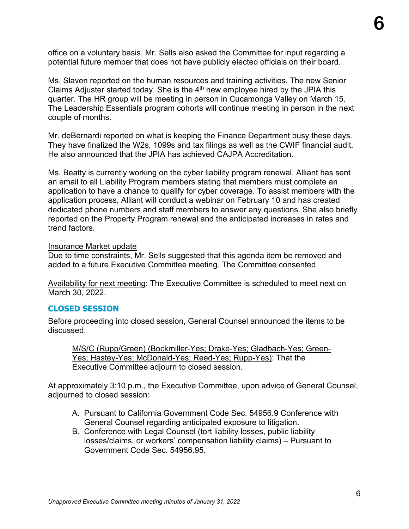office on a voluntary basis. Mr. Sells also asked the Committee for input regarding a potential future member that does not have publicly elected officials on their board.

Ms. Slaven reported on the human resources and training activities. The new Senior Claims Adjuster started today. She is the 4th new employee hired by the JPIA this quarter. The HR group will be meeting in person in Cucamonga Valley on March 15. The Leadership Essentials program cohorts will continue meeting in person in the next couple of months.

Mr. deBernardi reported on what is keeping the Finance Department busy these days. They have finalized the W2s, 1099s and tax filings as well as the CWIF financial audit. He also announced that the JPIA has achieved CAJPA Accreditation.

Ms. Beatty is currently working on the cyber liability program renewal. Alliant has sent an email to all Liability Program members stating that members must complete an application to have a chance to qualify for cyber coverage. To assist members with the application process, Alliant will conduct a webinar on February 10 and has created dedicated phone numbers and staff members to answer any questions. She also briefly reported on the Property Program renewal and the anticipated increases in rates and trend factors.

#### Insurance Market update

Due to time constraints, Mr. Sells suggested that this agenda item be removed and added to a future Executive Committee meeting. The Committee consented.

Availability for next meeting: The Executive Committee is scheduled to meet next on March 30, 2022.

#### **CLOSED SESSION**

Before proceeding into closed session, General Counsel announced the items to be discussed.

M/S/C (Rupp/Green) (Bockmiller-Yes; Drake-Yes; Gladbach-Yes; Green-Yes; Hastey-Yes; McDonald-Yes; Reed-Yes; Rupp-Yes): That the Executive Committee adjourn to closed session.

At approximately 3:10 p.m., the Executive Committee, upon advice of General Counsel, adjourned to closed session:

- A. Pursuant to California Government Code Sec. 54956.9 Conference with General Counsel regarding anticipated exposure to litigation.
- B. Conference with Legal Counsel (tort liability losses, public liability losses/claims, or workers' compensation liability claims) – Pursuant to Government Code Sec. 54956.95.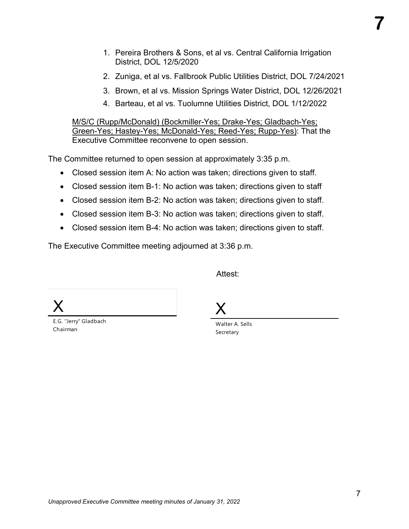- 1. Pereira Brothers & Sons, et al vs. Central California Irrigation District, DOL 12/5/2020
- 2. Zuniga, et al vs. Fallbrook Public Utilities District, DOL 7/24/2021
- 3. Brown, et al vs. Mission Springs Water District, DOL 12/26/2021
- 4. Barteau, et al vs. Tuolumne Utilities District, DOL 1/12/2022

M/S/C (Rupp/McDonald) (Bockmiller-Yes; Drake-Yes; Gladbach-Yes; Green-Yes; Hastey-Yes; McDonald-Yes; Reed-Yes; Rupp-Yes): That the Executive Committee reconvene to open session.

The Committee returned to open session at approximately 3:35 p.m.

- Closed session item A: No action was taken; directions given to staff.
- Closed session item B-1: No action was taken; directions given to staff
- Closed session item B-2: No action was taken; directions given to staff.
- Closed session item B-3: No action was taken; directions given to staff.
- Closed session item B-4: No action was taken; directions given to staff.

The Executive Committee meeting adjourned at 3:36 p.m.

Attest:

X

E.G. "Jerry" Gladbach Chairman

X

Walter A. Sells Secretary

**7**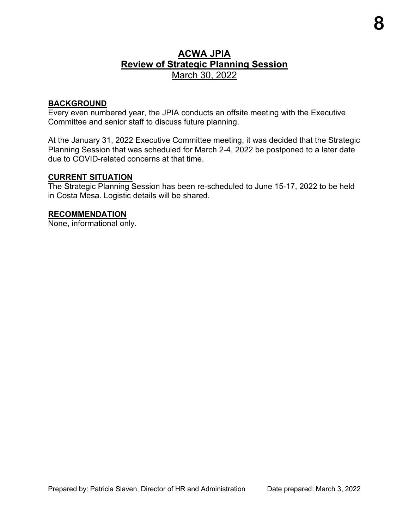#### **ACWA JPIA Review of Strategic Planning Session** March 30, 2022

#### **BACKGROUND**

Every even numbered year, the JPIA conducts an offsite meeting with the Executive Committee and senior staff to discuss future planning.

At the January 31, 2022 Executive Committee meeting, it was decided that the Strategic Planning Session that was scheduled for March 2-4, 2022 be postponed to a later date due to COVID-related concerns at that time.

#### **CURRENT SITUATION**

The Strategic Planning Session has been re-scheduled to June 15-17, 2022 to be held in Costa Mesa. Logistic details will be shared.

#### **RECOMMENDATION**

None, informational only.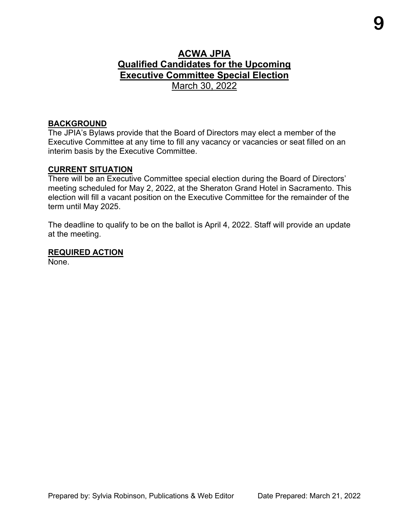#### **ACWA JPIA Qualified Candidates for the Upcoming Executive Committee Special Election** March 30, 2022

#### **BACKGROUND**

The JPIA's Bylaws provide that the Board of Directors may elect a member of the Executive Committee at any time to fill any vacancy or vacancies or seat filled on an interim basis by the Executive Committee.

#### **CURRENT SITUATION**

There will be an Executive Committee special election during the Board of Directors' meeting scheduled for May 2, 2022, at the Sheraton Grand Hotel in Sacramento. This election will fill a vacant position on the Executive Committee for the remainder of the term until May 2025.

The deadline to qualify to be on the ballot is April 4, 2022. Staff will provide an update at the meeting.

#### **REQUIRED ACTION**

None.

**9**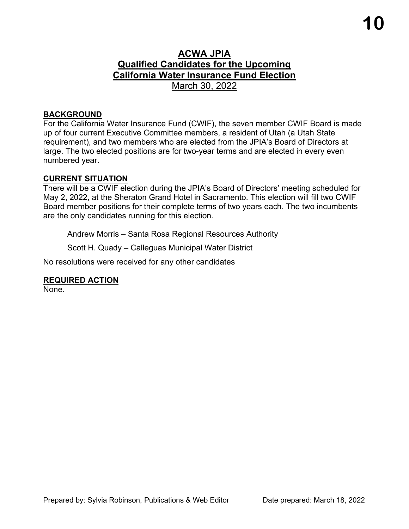#### **ACWA JPIA Qualified Candidates for the Upcoming California Water Insurance Fund Election** March 30, 2022

#### **BACKGROUND**

For the California Water Insurance Fund (CWIF), the seven member CWIF Board is made up of four current Executive Committee members, a resident of Utah (a Utah State requirement), and two members who are elected from the JPIA's Board of Directors at large. The two elected positions are for two-year terms and are elected in every even numbered year.

#### **CURRENT SITUATION**

There will be a CWIF election during the JPIA's Board of Directors' meeting scheduled for May 2, 2022, at the Sheraton Grand Hotel in Sacramento. This election will fill two CWIF Board member positions for their complete terms of two years each. The two incumbents are the only candidates running for this election.

Andrew Morris – Santa Rosa Regional Resources Authority

Scott H. Quady – Calleguas Municipal Water District

No resolutions were received for any other candidates

#### **REQUIRED ACTION**

None.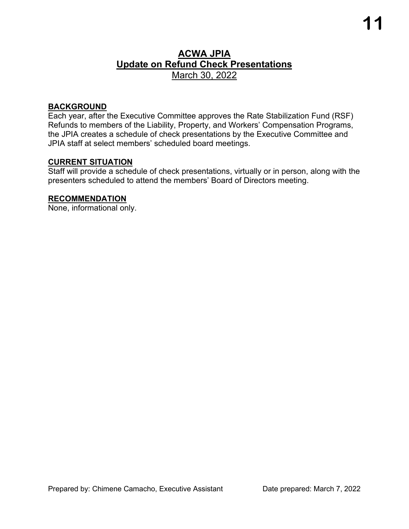### **ACWA JPIA Update on Refund Check Presentations** March 30, 2022

#### **BACKGROUND**

Each year, after the Executive Committee approves the Rate Stabilization Fund (RSF) Refunds to members of the Liability, Property, and Workers' Compensation Programs, the JPIA creates a schedule of check presentations by the Executive Committee and JPIA staff at select members' scheduled board meetings.

#### **CURRENT SITUATION**

Staff will provide a schedule of check presentations, virtually or in person, along with the presenters scheduled to attend the members' Board of Directors meeting.

#### **RECOMMENDATION**

None, informational only.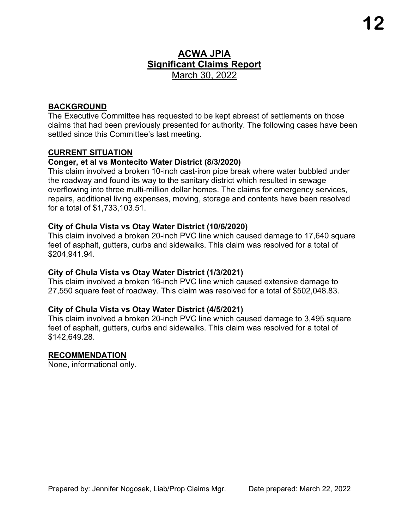### **ACWA JPIA Significant Claims Report** March 30, 2022

#### **BACKGROUND**

The Executive Committee has requested to be kept abreast of settlements on those claims that had been previously presented for authority. The following cases have been settled since this Committee's last meeting.

#### **CURRENT SITUATION**

#### **Conger, et al vs Montecito Water District (8/3/2020)**

This claim involved a broken 10-inch cast-iron pipe break where water bubbled under the roadway and found its way to the sanitary district which resulted in sewage overflowing into three multi-million dollar homes. The claims for emergency services, repairs, additional living expenses, moving, storage and contents have been resolved for a total of \$1,733,103.51.

#### **City of Chula Vista vs Otay Water District (10/6/2020)**

This claim involved a broken 20-inch PVC line which caused damage to 17,640 square feet of asphalt, gutters, curbs and sidewalks. This claim was resolved for a total of \$204,941.94.

#### **City of Chula Vista vs Otay Water District (1/3/2021)**

This claim involved a broken 16-inch PVC line which caused extensive damage to 27,550 square feet of roadway. This claim was resolved for a total of \$502,048.83.

#### **City of Chula Vista vs Otay Water District (4/5/2021)**

This claim involved a broken 20-inch PVC line which caused damage to 3,495 square feet of asphalt, gutters, curbs and sidewalks. This claim was resolved for a total of \$142,649.28.

#### **RECOMMENDATION**

None, informational only.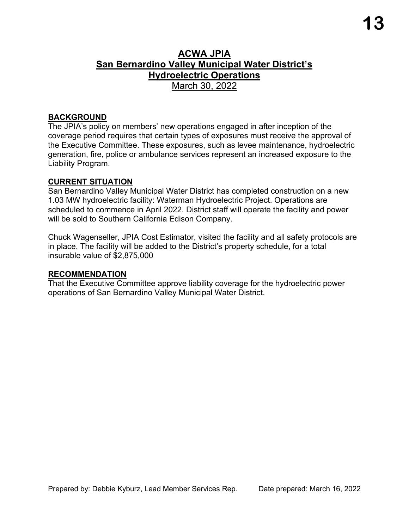#### **ACWA JPIA San Bernardino Valley Municipal Water District's Hydroelectric Operations** March 30, 2022

#### **BACKGROUND**

The JPIA's policy on members' new operations engaged in after inception of the coverage period requires that certain types of exposures must receive the approval of the Executive Committee. These exposures, such as levee maintenance, hydroelectric generation, fire, police or ambulance services represent an increased exposure to the Liability Program.

#### **CURRENT SITUATION**

San Bernardino Valley Municipal Water District has completed construction on a new 1.03 MW hydroelectric facility: Waterman Hydroelectric Project. Operations are scheduled to commence in April 2022. District staff will operate the facility and power will be sold to Southern California Edison Company.

Chuck Wagenseller, JPIA Cost Estimator, visited the facility and all safety protocols are in place. The facility will be added to the District's property schedule, for a total insurable value of \$2,875,000

#### **RECOMMENDATION**

That the Executive Committee approve liability coverage for the hydroelectric power operations of San Bernardino Valley Municipal Water District.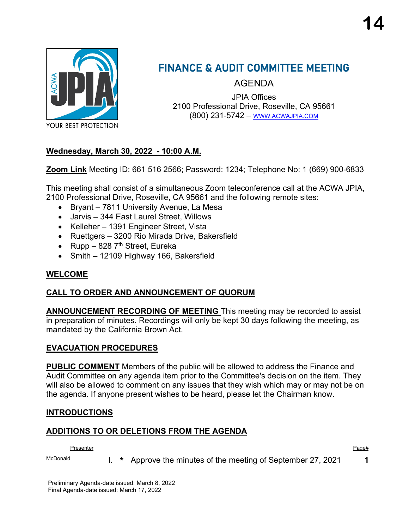

## FINANCE & AUDIT COMMITTEE MEETING

AGENDA

JPIA Offices 2100 Professional Drive, Roseville, CA 95661 (800) 231-5742 – [WWW.ACWAJPIA.COM](http://www.acwajpia.com/)

#### **Wednesday, March 30, 2022 - 10:00 A.M.**

**Zoom Link** Meeting ID: 661 516 2566; Password: 1234; Telephone No: 1 (669) 900-6833

This meeting shall consist of a simultaneous Zoom teleconference call at the ACWA JPIA, 2100 Professional Drive, Roseville, CA 95661 and the following remote sites:

- Bryant 7811 University Avenue, La Mesa
- Jarvis 344 East Laurel Street, Willows
- Kelleher 1391 Engineer Street, Vista
- Ruettgers 3200 Rio Mirada Drive, Bakersfield
- Rupp 828  $7<sup>th</sup>$  Street, Eureka
- Smith 12109 Highway 166, Bakersfield

#### **WELCOME**

#### **CALL TO ORDER AND ANNOUNCEMENT OF QUORUM**

**ANNOUNCEMENT RECORDING OF MEETING** This meeting may be recorded to assist in preparation of minutes. Recordings will only be kept 30 days following the meeting, as mandated by the California Brown Act.

#### **EVACUATION PROCEDURES**

**PUBLIC COMMENT** Members of the public will be allowed to address the Finance and Audit Committee on any agenda item prior to the Committee's decision on the item. They will also be allowed to comment on any issues that they wish which may or may not be on the agenda. If anyone present wishes to be heard, please let the Chairman know.

#### **INTRODUCTIONS**

#### **ADDITIONS TO OR DELETIONS FROM THE AGENDA**

Presenter Page# Page Presenter Page Page Presenter Page Page Presenter Page Page P

McDonald **I. \*** Approve the minutes of the meeting of September 27, 2021 **1** 

Preliminary Agenda-date issued: March 8, 2022 Final Agenda-date issued: March 17, 2022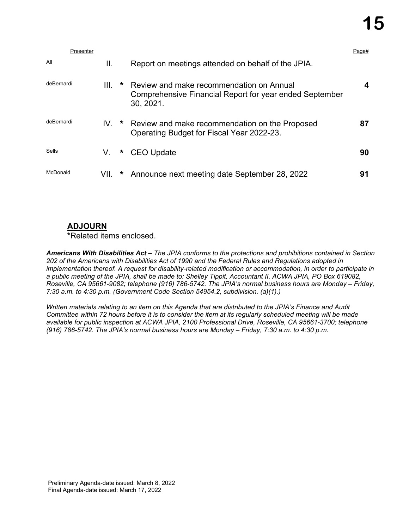|            | Presenter |      |         |                                                                                                                  | Page# |
|------------|-----------|------|---------|------------------------------------------------------------------------------------------------------------------|-------|
| All        |           | Ш.   |         | Report on meetings attended on behalf of the JPIA.                                                               |       |
| deBernardi |           | III. | $\star$ | Review and make recommendation on Annual<br>Comprehensive Financial Report for year ended September<br>30, 2021. | 4     |
| deBernardi |           | IV.  |         | * Review and make recommendation on the Proposed<br>Operating Budget for Fiscal Year 2022-23.                    | 87    |
| Sells      |           | V.   |         | * CEO Update                                                                                                     | 90    |
| McDonald   |           | VII. | $\star$ | Announce next meeting date September 28, 2022                                                                    | 91    |

#### **ADJOURN**

**\***Related items enclosed.

*Americans With Disabilities Act – The JPIA conforms to the protections and prohibitions contained in Section 202 of the Americans with Disabilities Act of 1990 and the Federal Rules and Regulations adopted in implementation thereof. A request for disability-related modification or accommodation, in order to participate in a public meeting of the JPIA, shall be made to: Shelley Tippit, Accountant II, ACWA JPIA, PO Box 619082, Roseville, CA 95661-9082; telephone (916) 786-5742. The JPIA's normal business hours are Monday – Friday, 7:30 a.m. to 4:30 p.m. (Government Code Section 54954.2, subdivision. (a)(1).)*

*Written materials relating to an item on this Agenda that are distributed to the JPIA's Finance and Audit Committee within 72 hours before it is to consider the item at its regularly scheduled meeting will be made available for public inspection at ACWA JPIA, 2100 Professional Drive, Roseville, CA 95661-3700; telephone (916) 786-5742. The JPIA's normal business hours are Monday – Friday, 7:30 a.m. to 4:30 p.m.*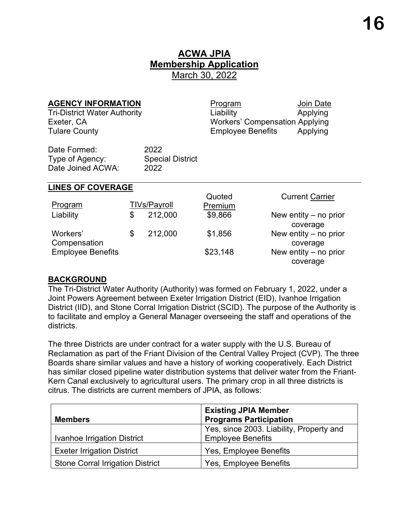### **ACWA JPIA Membership Application** March 30, 2022

**AGENCY INFORMATION** Program Discover Program Tri-District Water Authority **Applying** Liability **Applying** Exeter, CA Workers' Compensation Applying Tulare County Employee Benefits Applying

Date Formed: 2022 Type of Agency: Special District Date Joined ACWA: 2022

#### **LINES OF COVERAGE**

|                          |    |                     | Quoted   | <b>Current Carrier</b>  |
|--------------------------|----|---------------------|----------|-------------------------|
| Program                  |    | <b>TIVs/Payroll</b> | Premium  |                         |
| Liability                | S  | 212,000             | \$9,866  | New entity $-$ no prior |
|                          |    |                     |          | coverage                |
| Workers'                 | \$ | 212,000             | \$1,856  | New entity $-$ no prior |
| Compensation             |    |                     |          | coverage                |
| <b>Employee Benefits</b> |    |                     | \$23,148 | New entity $-$ no prior |
|                          |    |                     |          | coverage                |

#### **BACKGROUND**

The Tri-District Water Authority (Authority) was formed on February 1, 2022, under a Joint Powers Agreement between Exeter Irrigation District (EID), Ivanhoe Irrigation District (IID), and Stone Corral Irrigation District (SCID). The purpose of the Authority is to facilitate and employ a General Manager overseeing the staff and operations of the districts.

The three Districts are under contract for a water supply with the U.S. Bureau of Reclamation as part of the Friant Division of the Central Valley Project (CVP). The three Boards share similar values and have a history of working cooperatively. Each District has similar closed pipeline water distribution systems that deliver water from the Friant-Kern Canal exclusively to agricultural users. The primary crop in all three districts is citrus. The districts are current members of JPIA, as follows:

|                                         | <b>Existing JPIA Member</b>              |
|-----------------------------------------|------------------------------------------|
| <b>Members</b>                          | <b>Programs Participation</b>            |
|                                         | Yes, since 2003. Liability, Property and |
| Ivanhoe Irrigation District             | <b>Employee Benefits</b>                 |
| <b>Exeter Irrigation District</b>       | Yes, Employee Benefits                   |
| <b>Stone Corral Irrigation District</b> | Yes, Employee Benefits                   |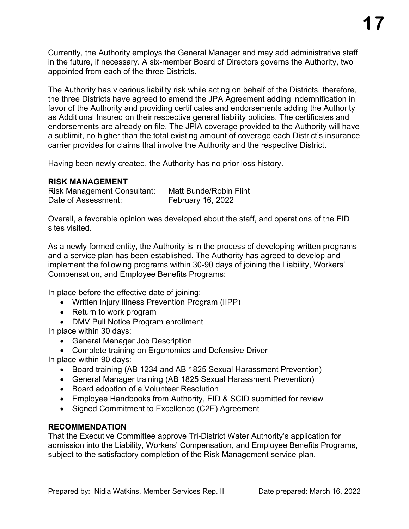Currently, the Authority employs the General Manager and may add administrative staff in the future, if necessary. A six-member Board of Directors governs the Authority, two appointed from each of the three Districts.

The Authority has vicarious liability risk while acting on behalf of the Districts, therefore, the three Districts have agreed to amend the JPA Agreement adding indemnification in favor of the Authority and providing certificates and endorsements adding the Authority as Additional Insured on their respective general liability policies. The certificates and endorsements are already on file. The JPIA coverage provided to the Authority will have a sublimit, no higher than the total existing amount of coverage each District's insurance carrier provides for claims that involve the Authority and the respective District.

Having been newly created, the Authority has no prior loss history.

#### **RISK MANAGEMENT**

| <b>Risk Management Consultant:</b> | <b>Matt Bunde/Robin Flint</b> |
|------------------------------------|-------------------------------|
| Date of Assessment:                | February 16, 2022             |

Overall, a favorable opinion was developed about the staff, and operations of the EID sites visited.

As a newly formed entity, the Authority is in the process of developing written programs and a service plan has been established. The Authority has agreed to develop and implement the following programs within 30-90 days of joining the Liability, Workers' Compensation, and Employee Benefits Programs:

In place before the effective date of joining:

- Written Injury Illness Prevention Program (IIPP)
- Return to work program
- DMV Pull Notice Program enrollment

In place within 30 days:

- General Manager Job Description
- Complete training on Ergonomics and Defensive Driver

In place within 90 days:

- Board training (AB 1234 and AB 1825 Sexual Harassment Prevention)
- General Manager training (AB 1825 Sexual Harassment Prevention)
- Board adoption of a Volunteer Resolution
- Employee Handbooks from Authority, EID & SCID submitted for review
- Signed Commitment to Excellence (C2E) Agreement

#### **RECOMMENDATION**

That the Executive Committee approve Tri-District Water Authority's application for admission into the Liability, Workers' Compensation, and Employee Benefits Programs, subject to the satisfactory completion of the Risk Management service plan.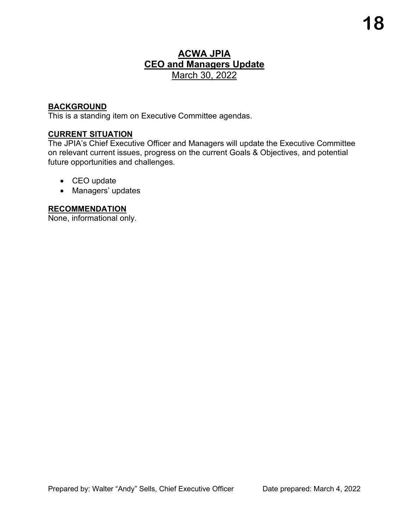### **ACWA JPIA CEO and Managers Update** March 30, 2022

#### **BACKGROUND**

This is a standing item on Executive Committee agendas.

#### **CURRENT SITUATION**

The JPIA's Chief Executive Officer and Managers will update the Executive Committee on relevant current issues, progress on the current Goals & Objectives, and potential future opportunities and challenges.

- CEO update
- Managers' updates

#### **RECOMMENDATION**

None, informational only.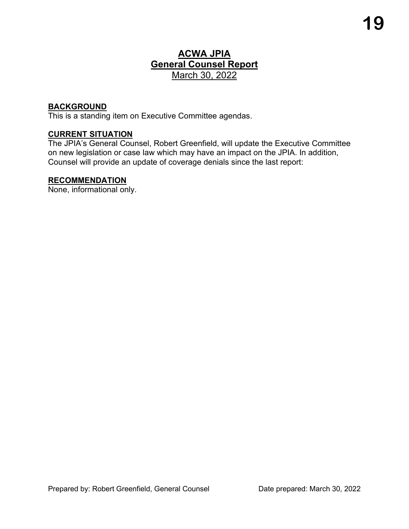### **ACWA JPIA General Counsel Report** March 30, 2022

#### **BACKGROUND**

This is a standing item on Executive Committee agendas.

#### **CURRENT SITUATION**

The JPIA's General Counsel, Robert Greenfield, will update the Executive Committee on new legislation or case law which may have an impact on the JPIA. In addition, Counsel will provide an update of coverage denials since the last report:

#### **RECOMMENDATION**

None, informational only.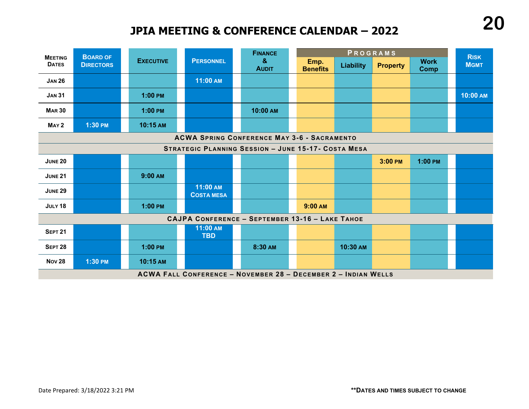### **JPIA MEETING & CONFERENCE CALENDAR – 2022**

| <b>MEETING</b>     | <b>BOARD OF</b>                                                       |                  |                               | <b>FINANCE</b>                                             |                         |                  | PROGRAMS        |                            | <b>RISK</b> |  |
|--------------------|-----------------------------------------------------------------------|------------------|-------------------------------|------------------------------------------------------------|-------------------------|------------------|-----------------|----------------------------|-------------|--|
| <b>DATES</b>       | <b>DIRECTORS</b>                                                      | <b>EXECUTIVE</b> | <b>PERSONNEL</b>              | $\mathbf{g}$<br><b>AUDIT</b>                               | Emp.<br><b>Benefits</b> | <b>Liability</b> | <b>Property</b> | <b>Work</b><br><b>Comp</b> | <b>MGMT</b> |  |
| <b>JAN 26</b>      |                                                                       |                  | 11:00 AM                      |                                                            |                         |                  |                 |                            |             |  |
| <b>JAN 31</b>      |                                                                       | $1:00$ PM        |                               |                                                            |                         |                  |                 |                            | 10:00 AM    |  |
| <b>MAR 30</b>      |                                                                       | $1:00$ PM        |                               | 10:00 AM                                                   |                         |                  |                 |                            |             |  |
| MAY <sub>2</sub>   | 1:30 PM                                                               | 10:15 AM         |                               |                                                            |                         |                  |                 |                            |             |  |
|                    | <b>ACWA SPRING CONFERENCE MAY 3-6 - SACRAMENTO</b>                    |                  |                               |                                                            |                         |                  |                 |                            |             |  |
|                    |                                                                       |                  |                               | <b>STRATEGIC PLANNING SESSION - JUNE 15-17- COSTA MESA</b> |                         |                  |                 |                            |             |  |
| <b>JUNE 20</b>     |                                                                       |                  |                               |                                                            |                         |                  | 3:00 PM         | $1:00$ PM                  |             |  |
| <b>JUNE 21</b>     |                                                                       | 9:00 AM          |                               |                                                            |                         |                  |                 |                            |             |  |
| <b>JUNE 29</b>     |                                                                       |                  | 11:00 AM<br><b>COSTA MESA</b> |                                                            |                         |                  |                 |                            |             |  |
| JULY 18            |                                                                       | $1:00$ PM        |                               |                                                            | 9:00 AM                 |                  |                 |                            |             |  |
|                    |                                                                       |                  |                               | CAJPA CONFERENCE - SEPTEMBER 13-16 - LAKE TAHOE            |                         |                  |                 |                            |             |  |
| <b>SEPT 21</b>     |                                                                       |                  | 11:00 AM<br><b>TBD</b>        |                                                            |                         |                  |                 |                            |             |  |
| SEPT <sub>28</sub> |                                                                       | $1:00$ PM        |                               | 8:30 AM                                                    |                         | 10:30 AM         |                 |                            |             |  |
| <b>Nov 28</b>      | 1:30 PM                                                               | 10:15 AM         |                               |                                                            |                         |                  |                 |                            |             |  |
|                    | <b>ACWA FALL CONFERENCE - NOVEMBER 28 - DECEMBER 2 - INDIAN WELLS</b> |                  |                               |                                                            |                         |                  |                 |                            |             |  |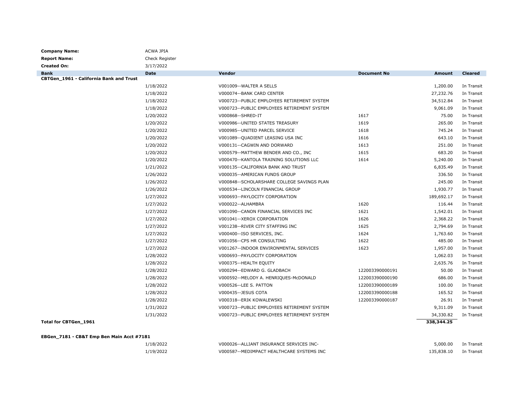| <b>Company Name:</b>                      | <b>ACWA JPIA</b> |                                             |                    |            |                |
|-------------------------------------------|------------------|---------------------------------------------|--------------------|------------|----------------|
| <b>Report Name:</b>                       | Check Register   |                                             |                    |            |                |
| <b>Created On:</b>                        | 3/17/2022        |                                             |                    |            |                |
| <b>Bank</b>                               | <b>Date</b>      | Vendor                                      | <b>Document No</b> | Amount     | <b>Cleared</b> |
| CBTGen_1961 - California Bank and Trust   |                  |                                             |                    |            |                |
|                                           | 1/18/2022        | V001009 -- WALTER A SELLS                   |                    | 1,200.00   | In Transit     |
|                                           | 1/18/2022        | V000074--BANK CARD CENTER                   |                    | 27,232.76  | In Transit     |
|                                           | 1/18/2022        | V000723--PUBLIC EMPLOYEES RETIREMENT SYSTEM |                    | 34,512.84  | In Transit     |
|                                           | 1/18/2022        | V000723--PUBLIC EMPLOYEES RETIREMENT SYSTEM |                    | 9,061.09   | In Transit     |
|                                           | 1/20/2022        | V000868--SHRED-IT                           | 1617               | 75.00      | In Transit     |
|                                           | 1/20/2022        | V000986--UNITED STATES TREASURY             | 1619               | 265.00     | In Transit     |
|                                           | 1/20/2022        | V000985--UNITED PARCEL SERVICE              | 1618               | 745.24     | In Transit     |
|                                           | 1/20/2022        | V001089--QUADIENT LEASING USA INC           | 1616               | 643.10     | In Transit     |
|                                           | 1/20/2022        | V000131--CAGWIN AND DORWARD                 | 1613               | 251.00     | In Transit     |
|                                           | 1/20/2022        | V000579--MATTHEW BENDER AND CO., INC        | 1615               | 683.20     | In Transit     |
|                                           | 1/20/2022        | V000470--KANTOLA TRAINING SOLUTIONS LLC     | 1614               | 5,240.00   | In Transit     |
|                                           | 1/21/2022        | V000135--CALIFORNIA BANK AND TRUST          |                    | 6,835.49   | In Transit     |
|                                           | 1/26/2022        | V000035--AMERICAN FUNDS GROUP               |                    | 336.50     | In Transit     |
|                                           | 1/26/2022        | V000848--SCHOLARSHARE COLLEGE SAVINGS PLAN  |                    | 245.00     | In Transit     |
|                                           | 1/26/2022        | V000534--LINCOLN FINANCIAL GROUP            |                    | 1,930.77   | In Transit     |
|                                           | 1/27/2022        | V000693--PAYLOCITY CORPORATION              |                    | 189,692.17 | In Transit     |
|                                           | 1/27/2022        | V000022 -- ALHAMBRA                         | 1620               | 116.44     | In Transit     |
|                                           | 1/27/2022        | V001090--CANON FINANCIAL SERVICES INC       | 1621               | 1,542.01   | In Transit     |
|                                           | 1/27/2022        | V001041--XEROX CORPORATION                  | 1626               | 2,368.22   | In Transit     |
|                                           | 1/27/2022        | V001238--RIVER CITY STAFFING INC            | 1625               | 2,794.69   | In Transit     |
|                                           | 1/27/2022        | V000400 -- ISO SERVICES, INC.               | 1624               | 1,763.60   | In Transit     |
|                                           | 1/27/2022        | V001056--CPS HR CONSULTING                  | 1622               | 485.00     | In Transit     |
|                                           | 1/27/2022        | V001267--INDOOR ENVIRONMENTAL SERVICES      | 1623               | 1,957.00   | In Transit     |
|                                           | 1/28/2022        | V000693--PAYLOCITY CORPORATION              |                    | 1,062.03   | In Transit     |
|                                           | 1/28/2022        | V000375 -- HEALTH EQUITY                    |                    | 2,635.76   | In Transit     |
|                                           | 1/28/2022        | V000294--EDWARD G. GLADBACH                 | 122003390000191    | 50.00      | In Transit     |
|                                           | 1/28/2022        | V000592--MELODY A. HENRIQUES-McDONALD       | 122003390000190    | 686.00     | In Transit     |
|                                           | 1/28/2022        | V000526 -- LEE S. PATTON                    | 122003390000189    | 100.00     | In Transit     |
|                                           | 1/28/2022        | V000435 -- JESUS COTA                       | 122003390000188    | 165.52     | In Transit     |
|                                           | 1/28/2022        | V000318 -- ERIK KOWALEWSKI                  | 122003390000187    | 26.91      | In Transit     |
|                                           | 1/31/2022        | V000723--PUBLIC EMPLOYEES RETIREMENT SYSTEM |                    | 9,311.09   | In Transit     |
|                                           | 1/31/2022        | V000723--PUBLIC EMPLOYEES RETIREMENT SYSTEM |                    | 34,330.82  | In Transit     |
| Total for CBTGen_1961                     |                  |                                             |                    | 338,344.25 |                |
| EBGen_7181 - CB&T Emp Ben Main Acct #7181 |                  |                                             |                    |            |                |
|                                           | 1/18/2022        | V000026--ALLIANT INSURANCE SERVICES INC-    |                    | 5,000.00   | In Transit     |
|                                           | 1/19/2022        | V000587--MEDIMPACT HEALTHCARE SYSTEMS INC   |                    | 135,838.10 | In Transit     |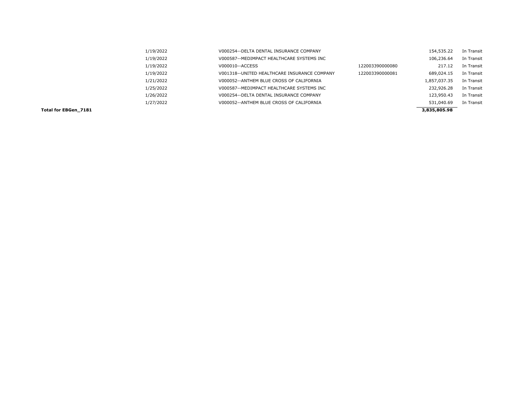| Total for EBGen 7181 |           |                                              |                 | 3,835,805.98 |            |
|----------------------|-----------|----------------------------------------------|-----------------|--------------|------------|
|                      | 1/27/2022 | V000052--ANTHEM BLUE CROSS OF CALIFORNIA     |                 | 531,040.69   | In Transit |
|                      | 1/26/2022 | V000254--DELTA DENTAL INSURANCE COMPANY      |                 | 123,950.43   | In Transit |
|                      | 1/25/2022 | V000587--MEDIMPACT HEALTHCARE SYSTEMS INC    |                 | 232,926.28   | In Transit |
|                      | 1/21/2022 | V000052--ANTHEM BLUE CROSS OF CALIFORNIA     |                 | 1,857,037.35 | In Transit |
|                      | 1/19/2022 | V001318--UNITED HEALTHCARE INSURANCE COMPANY | 122003390000081 | 689,024.15   | In Transit |
|                      | 1/19/2022 | V000010--ACCESS                              | 122003390000080 | 217.12       | In Transit |
|                      | 1/19/2022 | V000587--MEDIMPACT HEALTHCARE SYSTEMS INC    |                 | 106,236.64   | In Transit |
|                      | 1/19/2022 | V000254--DELTA DENTAL INSURANCE COMPANY      |                 | 154,535.22   | In Transit |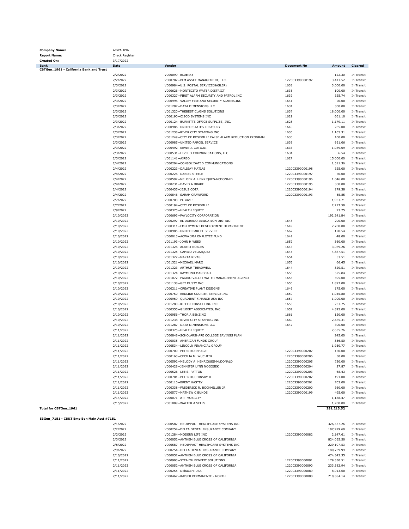| <b>Report Name:</b>                       | Check Register         |                                                                |                                    |                        |                          |
|-------------------------------------------|------------------------|----------------------------------------------------------------|------------------------------------|------------------------|--------------------------|
| <b>Created On:</b>                        | 3/17/2022              |                                                                |                                    |                        |                          |
| <b>Bank</b>                               | Date                   | Vendor                                                         | <b>Document No</b>                 | Amount                 | <b>Cleared</b>           |
| CBTGen_1961 - California Bank and Trust   |                        |                                                                |                                    |                        |                          |
|                                           | 2/2/2022               | V000099 -- BLUEPAY                                             |                                    | 122.30                 | In Transit               |
|                                           | 2/2/2022               | V000702--PFM ASSET MANAGEMENT, LLC.                            | 122003390000192                    | 3,413.52               | In Transit               |
|                                           | 2/3/2022               | V000984--U.S. POSTAL SERVICE(HASLER)                           | 1638                               | 3,000.00               | In Transit               |
|                                           |                        | V000626--MONTECITO WATER DISTRICT                              | 1635                               | 100.00                 |                          |
|                                           | 2/3/2022               |                                                                |                                    |                        | In Transit               |
|                                           | 2/3/2022               | V000327 -- FIRST ALARM SECURITY AND PATROL INC                 | 1632                               | 325.74                 | In Transit               |
|                                           | 2/3/2022               | V000996 -- VALLEY FIRE AND SECURITY ALARMS, INC                | 1641                               | 70.00                  | In Transit               |
|                                           | 2/3/2022               | V001287 -- DATA DIMENSIONS LLC                                 | 1631                               | 300.00                 | In Transit               |
|                                           | 2/3/2022               | V001320--THEBEST CLAIMS SOLUTIONS                              | 1637                               | 18,000.00              | In Transit               |
|                                           | 2/3/2022               | V000190 -- CISCO SYSTEMS INC                                   | 1629                               | 661.10                 | In Transit               |
|                                           |                        |                                                                |                                    |                        |                          |
|                                           | 2/3/2022               | V000124 -- BURKETTS OFFICE SUPPLIES, INC.                      | 1628                               | 1,179.11               | In Transit               |
|                                           | 2/3/2022               | V000986--UNITED STATES TREASURY                                | 1640                               | 265.00                 | In Transit               |
|                                           | 2/3/2022               | V001238 -- RIVER CITY STAFFING INC                             | 1636                               | 1,165.31               | In Transit               |
|                                           | 2/3/2022               | V001249--CITY OF ROSEVILLE FALSE ALARM REDUCTION PROGRAM       | 1630                               | 100.00                 | In Transit               |
|                                           | 2/3/2022               | V000985 -- UNITED PARCEL SERVICE                               | 1639                               | 951.06                 | In Transit               |
|                                           |                        |                                                                |                                    |                        |                          |
|                                           | 2/3/2022               | V000492 -- KEVIN J. CUTIGNI                                    | 1633                               | 1,089.09               | In Transit               |
|                                           | 2/3/2022               | V000531--LEVEL 3 COMMUNICATIONS, LLC                           | 1634                               | 6.54                   | In Transit               |
|                                           | 2/3/2022               | V001141 -- AIRBO                                               | 1627                               | 15,000.00              | In Transit               |
|                                           | 2/4/2022               | V000204--CONSOLIDATED COMMUNICATIONS                           |                                    | 1,511.36               | In Transit               |
|                                           | 2/4/2022               | V000223--DALISAY MATIAS                                        | 122003390000198                    | 325.00                 | In Transit               |
|                                           | 2/4/2022               | V000226 -- DANIEL STEELE                                       | 122003390000197                    | 50.00                  | In Transit               |
|                                           |                        |                                                                |                                    |                        |                          |
|                                           | 2/4/2022               | V000592--MELODY A. HENRIQUES-McDONALD                          | 122003390000196                    | 1,046.00               | In Transit               |
|                                           | 2/4/2022               | V000231 -- DAVID A DRAKE                                       | 122003390000195                    | 360.00                 | In Transit               |
|                                           | 2/4/2022               | V000435 -- JESUS COTA                                          | 122003390000194                    | 179.38                 | In Transit               |
|                                           | 2/4/2022               | V000846 -- SARAH CRAWFORD                                      | 122003390000193                    | 55.85                  | In Transit               |
|                                           | 2/7/2022               | V000703--PG and E                                              |                                    | 1,953.71               | In Transit               |
|                                           |                        |                                                                |                                    |                        |                          |
|                                           | 2/7/2022               | V000194 -- CITY OF ROSEVILLE                                   |                                    | 2,217.58               | In Transit               |
|                                           | 2/9/2022               | V000375 -- HEALTH EQUITY                                       |                                    | 73.75                  | In Transit               |
|                                           | 2/10/2022              | V000693--PAYLOCITY CORPORATION                                 |                                    | 192,241.84             | In Transit               |
|                                           | 2/10/2022              | V000297--EL DORADO IRRIGATION DISTRICT                         | 1648                               | 200.00                 | In Transit               |
|                                           | 2/10/2022              | V000311--EMPLOYMENT DEVELOPMENT DEPARTMENT                     | 1649                               | 2,700.00               | In Transit               |
|                                           |                        |                                                                |                                    |                        |                          |
|                                           | 2/10/2022              | V000985--UNITED PARCEL SERVICE                                 | 1662                               | 120.54                 | In Transit               |
|                                           | 2/10/2022              | V000013--ACWA JPIA EMPLOYEE FUND                               | 1642                               | 48.00                  | In Transit               |
|                                           | 2/10/2022              | V001193--JOHN H WEED                                           | 1652                               | 360.00                 | In Transit               |
|                                           | 2/10/2022              | V001326 -- ALBERT ROBLES                                       | 1643                               | 3,069.26               | In Transit               |
|                                           | 2/10/2022              | V001325 -- CAMILO VELAZQUEZ                                    | 1645                               | 4,887.51               | In Transit               |
|                                           |                        |                                                                |                                    |                        |                          |
|                                           | 2/10/2022              | V001322 -- MARTA RIVAS                                         | 1654                               | 53.51                  | In Transit               |
|                                           | 2/10/2022              | V001321 -- MICHAEL MARO                                        | 1655                               | 66.45                  | In Transit               |
|                                           | 2/10/2022              | V001323--ARTHUR TREADWELL                                      | 1644                               | 320.51                 | In Transit               |
|                                           | 2/10/2022              | V001324--RAYMOND MARSHALL                                      | 1658                               | 575.84                 | In Transit               |
|                                           | 2/10/2022              | V001072--PAJARO VALLEY WATER MANAGEMENT AGENCY                 | 1656                               | 595.00                 | In Transit               |
|                                           |                        | V001138--GET DUSTY INC                                         |                                    |                        |                          |
|                                           | 2/10/2022              |                                                                | 1650                               | 1,897.00               | In Transit               |
|                                           | 2/10/2022              | V000211 -- CREATIVE PLANT DESIGNS                              | 1646                               | 175.00                 | In Transit               |
|                                           | 2/10/2022              | V000750 -- REDLINE COURIER SERVICE INC                         | 1659                               | 1,045.80               | In Transit               |
|                                           | 2/10/2022              | V000969--QUADIENT FINANCE USA INC                              | 1657                               | 1,000.00               | In Transit               |
|                                           | 2/10/2022              | V001280--KIEFER CONSULTING INC                                 | 1653                               | 233.75                 | In Transit               |
|                                           | 2/10/2022              | V000355--GILBERT ASSOCIATES, INC.                              | 1651                               | 4,895.00               | In Transit               |
|                                           |                        |                                                                |                                    |                        |                          |
|                                           | 2/10/2022              | V000956--THOR A BENZING                                        | 1661                               | 120.00                 | In Transit               |
|                                           | 2/10/2022              | V001238 -- RIVER CITY STAFFING INC                             | 1660                               | 2,485.31               | In Transit               |
|                                           | 2/10/2022              | V001287--DATA DIMENSIONS LLC                                   | 1647                               | 300.00                 | In Transit               |
|                                           | 2/11/2022              | V000375 -- HEALTH EQUITY                                       |                                    | 2,635.76               | In Transit               |
|                                           | 2/11/2022              | V000848--SCHOLARSHARE COLLEGE SAVINGS PLAN                     |                                    | 245.00                 | In Transit               |
|                                           | 2/11/2022              |                                                                |                                    |                        |                          |
|                                           |                        | V000035 -- AMERICAN FUNDS GROUP                                |                                    | 336.50                 | In Transit               |
|                                           | 2/11/2022              | V000534 -- LINCOLN FINANCIAL GROUP                             |                                    | 1,930.77               | In Transit               |
|                                           | 2/11/2022              | V000700 -- PETER KORFHAGE                                      | 122003390000207                    | 150.00                 | In Transit               |
|                                           | 2/11/2022              | V000163 -- CECILIA M. WUCHTER                                  | 122003390000206                    | 50.00                  | In Transit               |
|                                           | 2/11/2022              | V000592--MELODY A. HENRIQUES-McDONALD                          | 122003390000205                    | 720.00                 | In Transit               |
|                                           |                        |                                                                |                                    |                        |                          |
|                                           | 2/11/2022              | V000428--JENNIFER LYNN NOGOSEK                                 | 122003390000204                    | 27.87                  | In Transit               |
|                                           | 2/11/2022              | V000526 -- LEE S. PATTON                                       | 122003390000203                    | 68.43                  | In Transit               |
|                                           | 2/11/2022              | V000701 -- PETER KUCHINSKY II                                  | 122003390000202                    | 191.00                 | In Transit               |
|                                           | 2/11/2022              | V000110 -- BRENT HASTEY                                        | 122003390000201                    | 703.00                 | In Transit               |
|                                           | 2/11/2022              | V000338 -- FREDERICK R. BOCKMILLER JR                          | 122003390000200                    | 360.00                 | In Transit               |
|                                           |                        |                                                                |                                    |                        |                          |
|                                           | 2/11/2022              | V000577--MATHEW C BUNDE                                        | 122003390000199                    | 495.00                 | In Transit               |
|                                           | 2/14/2022              | V000071 -- ATT MOBILITY                                        |                                    | 1,188.47               | In Transit               |
|                                           | 2/15/2022              | V001009 -- WALTER A SELLS                                      |                                    | 1,200.00               | In Transit               |
| Total for CBTGen_1961                     |                        |                                                                |                                    | 281,213.52             |                          |
| EBGen_7181 - CB&T Emp Ben Main Acct #7181 |                        |                                                                |                                    |                        |                          |
|                                           |                        |                                                                |                                    |                        |                          |
|                                           | 2/1/2022               | V000587--MEDIMPACT HEALTHCARE SYSTEMS INC                      |                                    | 326,537.26             | In Transit               |
|                                           | 2/2/2022               | V000254--DELTA DENTAL INSURANCE COMPANY                        |                                    | 187,979.68             | In Transit               |
|                                           | 2/2/2022               | V001284--MODERN LIFE INC                                       | 122003390000082                    | 2,147.61               | In Transit               |
|                                           | 2/3/2022               | V000052--ANTHEM BLUE CROSS OF CALIFORNIA                       |                                    | 824,055.50             | In Transit               |
|                                           |                        |                                                                |                                    |                        |                          |
|                                           | 2/8/2022               | V000587--MEDIMPACT HEALTHCARE SYSTEMS INC                      |                                    | 229,197.53             | In Transit               |
|                                           | 2/9/2022               | V000254--DELTA DENTAL INSURANCE COMPANY                        |                                    | 180,739.99             | In Transit               |
|                                           | 2/10/2022              | V000052--ANTHEM BLUE CROSS OF CALIFORNIA                       |                                    | 474,343.35             | In Transit               |
|                                           |                        |                                                                |                                    |                        | In Transit               |
|                                           | 2/11/2022              | V000903 -- STEALTH BENEFIT SOLUTIONS                           | 122003390000091                    | 179,330.51             |                          |
|                                           |                        |                                                                |                                    |                        |                          |
|                                           | 2/11/2022              | V000052--ANTHEM BLUE CROSS OF CALIFORNIA                       | 122003390000090                    | 233,582.94             | In Transit               |
|                                           | 2/11/2022<br>2/11/2022 | V000255 -- DeltaCare USA<br>V000467--KAISER PERMANENTE - NORTH | 122003390000089<br>122003390000088 | 8,913.60<br>710,384.14 | In Transit<br>In Transit |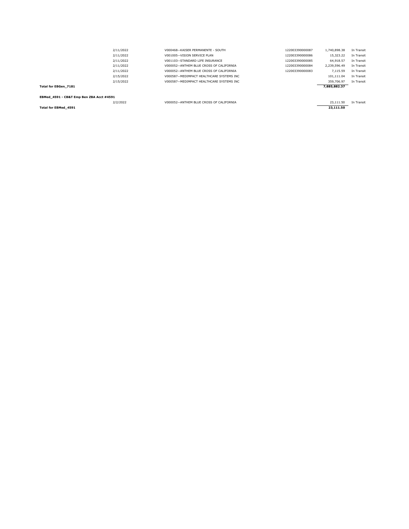| Total for EBGen 7181 |           |                                           |                 | 7.885.882.37 |            |
|----------------------|-----------|-------------------------------------------|-----------------|--------------|------------|
|                      | 2/15/2022 | V000587--MEDIMPACT HEALTHCARE SYSTEMS INC |                 | 359,706.97   | In Transit |
|                      | 2/15/2022 | V000587--MEDIMPACT HEALTHCARE SYSTEMS INC |                 | 101.111.04   | In Transit |
|                      | 2/11/2022 | V000052--ANTHEM BLUE CROSS OF CALIFORNIA  | 122003390000083 | 7.115.59     | In Transit |
|                      | 2/11/2022 | V000052--ANTHEM BLUE CROSS OF CALIFORNIA  | 122003390000084 | 2.239.596.49 | In Transit |
|                      | 2/11/2022 | V001103--STANDARD LIFE INSURANCE          | 122003390000085 | 64,918.57    | In Transit |
|                      | 2/11/2022 | V001005--VISION SERVICE PLAN              | 122003390000086 | 15,323,22    | In Transit |
|                      | 2/11/2022 | V000468--KAISER PERMANENTE - SOUTH        | 122003390000087 | 1,740,898.38 | In Transit |

**EBMed\_4591 - CB&T Emp Ben ZBA Acct #4591**

**Total for EBMed\_4591 23,111.50**

V000052--ANTHEM BLUE CROSS OF CALIFORNIA 23,111.50 In Transit 23,111.50 In Transit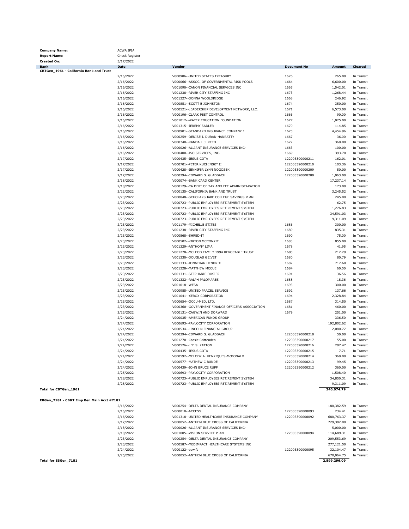| <b>Company Name:</b>                      | ACWA JPIA      |                                                                                      |                    |                        |                |
|-------------------------------------------|----------------|--------------------------------------------------------------------------------------|--------------------|------------------------|----------------|
| <b>Report Name:</b>                       | Check Register |                                                                                      |                    |                        |                |
| <b>Created On:</b>                        | 3/17/2022      |                                                                                      |                    |                        |                |
| <b>Bank</b>                               | Date           | Vendor                                                                               | <b>Document No</b> | <b>Amount</b>          | <b>Cleared</b> |
| CBTGen_1961 - California Bank and Trust   |                |                                                                                      |                    |                        |                |
|                                           | 2/16/2022      | V000986--UNITED STATES TREASURY                                                      | 1676               | 265.00                 | In Transit     |
|                                           | 2/16/2022      | V000066--ASSOC. OF GOVERNMENTAL RISK POOLS                                           | 1664               | 6,600.00               | In Transit     |
|                                           | 2/16/2022      | V001090 -- CANON FINANCIAL SERVICES INC                                              | 1665               | 1,542.01               | In Transit     |
|                                           | 2/16/2022      | V001238--RIVER CITY STAFFING INC                                                     | 1673               | 1,268.44               | In Transit     |
|                                           | 2/16/2022      | V001327--DONNA WOOLDRIDGE                                                            | 1668               | 246.92                 | In Transit     |
|                                           | 2/16/2022      | V000851--SCOTT B JOHNSTON                                                            | 1674               | 350.00                 | In Transit     |
|                                           | 2/16/2022      | V000521--LEADERSHIP DEVELOPMENT NETWORK, LLC.                                        | 1671               | 6,573.00               | In Transit     |
|                                           | 2/16/2022      | V000196 -- CLARK PEST CONTROL                                                        | 1666               | 90.00                  | In Transit     |
|                                           | 2/16/2022      | V001012--WATER EDUCATION FOUNDATION                                                  | 1677               | 1,025.00               | In Transit     |
|                                           | 2/16/2022      | V001315 -- JEREMY SADLER                                                             | 1670               | 114.85                 | In Transit     |
|                                           | 2/16/2022      | V000901--STANDARD INSURANCE COMPANY 1                                                | 1675               | 4,454.96               | In Transit     |
|                                           | 2/16/2022      | V000259--DENISE J. DURAN-HANRATTY                                                    | 1667               | 36.00                  | In Transit     |
|                                           | 2/16/2022      | V000740 -- RANDALL J. REED                                                           | 1672               | 360.00                 | In Transit     |
|                                           | 2/16/2022      | V000026--ALLIANT INSURANCE SERVICES INC-                                             | 1663               | 100.00                 | In Transit     |
|                                           | 2/16/2022      | V000400 -- ISO SERVICES, INC.                                                        | 1669               | 393.70                 | In Transit     |
|                                           | 2/17/2022      | V000435 -- JESUS COTA                                                                | 122003390000211    | 162.01                 | In Transit     |
|                                           | 2/17/2022      | V000701 -- PETER KUCHINSKY II                                                        | 122003390000210    | 103.36                 | In Transit     |
|                                           | 2/17/2022      | V000428--JENNIFER LYNN NOGOSEK                                                       | 122003390000209    | 50.00                  | In Transit     |
|                                           | 2/17/2022      | V000294--EDWARD G. GLADBACH                                                          | 122003390000208    | 1,063.00               | In Transit     |
|                                           | 2/18/2022      | V000074 -- BANK CARD CENTER                                                          |                    | 17,237.14              | In Transit     |
|                                           | 2/18/2022      | V000129 -- CA DEPT OF TAX AND FEE ADMINISTARATION                                    |                    | 173.00                 | In Transit     |
|                                           | 2/22/2022      | V000135 -- CALIFORNIA BANK AND TRUST                                                 |                    | 3,245.52               | In Transit     |
|                                           | 2/23/2022      | V000848--SCHOLARSHARE COLLEGE SAVINGS PLAN                                           |                    | 245.00                 | In Transit     |
|                                           | 2/23/2022      | V000723--PUBLIC EMPLOYEES RETIREMENT SYSTEM                                          |                    | 62.75                  | In Transit     |
|                                           | 2/23/2022      | V000723--PUBLIC EMPLOYEES RETIREMENT SYSTEM                                          |                    | 1,276.83               | In Transit     |
|                                           |                |                                                                                      |                    |                        |                |
|                                           | 2/23/2022      | V000723--PUBLIC EMPLOYEES RETIREMENT SYSTEM                                          |                    | 34,591.03              | In Transit     |
|                                           | 2/23/2022      | V000723--PUBLIC EMPLOYEES RETIREMENT SYSTEM                                          |                    | 9,311.09               | In Transit     |
|                                           | 2/23/2022      | V001179--MICHELLE STITES                                                             | 1686               | 300.00                 | In Transit     |
|                                           | 2/23/2022      | V001238--RIVER CITY STAFFING INC                                                     | 1689               | 835.31                 | In Transit     |
|                                           | 2/23/2022      | V000868--SHRED-IT                                                                    | 1690               | 75.00                  | In Transit     |
|                                           | 2/23/2022      | V000502--KIRTON MCCONKIE                                                             | 1683               | 855.00                 | In Transit     |
|                                           | 2/23/2022      | V001329 -- ANTHONY LIMA                                                              | 1678               | 41.95                  | In Transit     |
|                                           | 2/23/2022      | V001278--MCLEOD FAMILY 1994 REVOCABLE TRUST                                          | 1685               | 212.29                 | In Transit     |
|                                           | 2/23/2022      | V001330--DOUGLAS GEIVET                                                              | 1680               | 80.79                  | In Transit     |
|                                           | 2/23/2022      | V001333--JONATHAN HENDRIX                                                            | 1682               | 717.60                 | In Transit     |
|                                           | 2/23/2022      | V001328--MATTHEW MCCUE                                                               | 1684               | 60.00                  | In Transit     |
|                                           | 2/23/2022      | V001331--STEPHANIE DOSIER                                                            | 1691               | 36.56                  | In Transit     |
|                                           | 2/23/2022      | V001332 -- RALPH PALOMARES                                                           | 1688               | 18.36                  | In Transit     |
|                                           | 2/23/2022      | V001018--WESA                                                                        | 1693               | 300.00                 | In Transit     |
|                                           | 2/23/2022      | V000985 -- UNITED PARCEL SERVICE                                                     | 1692               | 137.66                 | In Transit     |
|                                           | 2/23/2022      | V001041--XEROX CORPORATION                                                           | 1694               | 2,328.84               | In Transit     |
|                                           | 2/23/2022      | V000654--OCCU-MED, LTD.                                                              | 1687               | 314.50                 | In Transit     |
|                                           |                |                                                                                      |                    |                        |                |
|                                           | 2/23/2022      | V000360--GOVERNMENT FINANCE OFFICERS ASSOCIATION<br>V000131 -- CAGWIN AND DORWARD    | 1681               | 460.00                 | In Transit     |
|                                           | 2/23/2022      |                                                                                      | 1679               | 251.00                 | In Transit     |
|                                           | 2/24/2022      | V000035 -- AMERICAN FUNDS GROUP                                                      |                    | 336.50                 | In Transit     |
|                                           | 2/24/2022      | V000693--PAYLOCITY CORPORATION                                                       |                    | 192,802.62             | In Transit     |
|                                           | 2/24/2022      | V000534 -- LINCOLN FINANCIAL GROUP                                                   |                    | 2,080.77               | In Transit     |
|                                           | 2/24/2022      | V000294--EDWARD G. GLADBACH                                                          | 122003390000218    | 50.00                  | In Transit     |
|                                           | 2/24/2022      | V001270 -- Cassie Crittenden                                                         | 122003390000217    | 55.00                  | In Transit     |
|                                           | 2/24/2022      | V000526 -- LEE S. PATTON                                                             | 122003390000216    | 287.47                 | In Transit     |
|                                           | 2/24/2022      | V000435 -- JESUS COTA                                                                | 122003390000215    | 7.71                   | In Transit     |
|                                           | 2/24/2022      | V000592--MELODY A. HENRIQUES-McDONALD                                                | 122003390000214    | 360.00                 | In Transit     |
|                                           | 2/24/2022      | V000577--MATHEW C BUNDE                                                              | 122003390000213    | 99.45                  | In Transit     |
|                                           | 2/24/2022      | V000439--JOHN BRUCE RUPP                                                             | 122003390000212    | 360.00                 | In Transit     |
|                                           | 2/25/2022      | V000693--PAYLOCITY CORPORATION                                                       |                    | 1,508.40               | In Transit     |
|                                           | 2/28/2022      | V000723--PUBLIC EMPLOYEES RETIREMENT SYSTEM                                          |                    | 34,850.31              | In Transit     |
|                                           | 2/28/2022      | V000723--PUBLIC EMPLOYEES RETIREMENT SYSTEM                                          |                    | 9,311.09               | In Transit     |
| Total for CBTGen_1961                     |                |                                                                                      |                    | 340,074.79             |                |
|                                           |                |                                                                                      |                    |                        |                |
| EBGen_7181 - CB&T Emp Ben Main Acct #7181 |                |                                                                                      |                    |                        |                |
|                                           | 2/16/2022      | V000254--DELTA DENTAL INSURANCE COMPANY                                              |                    | 180,382.59             | In Transit     |
|                                           | 2/16/2022      | V000010 -- ACCESS                                                                    | 122003390000093    | 234.41                 | In Transit     |
|                                           | 2/16/2022      | V001318--UNITED HEALTHCARE INSURANCE COMPANY                                         | 122003390000092    | 680,763.37             | In Transit     |
|                                           |                |                                                                                      |                    |                        |                |
|                                           | 2/17/2022      | V000052--ANTHEM BLUE CROSS OF CALIFORNIA<br>V000026--ALLIANT INSURANCE SERVICES INC- |                    | 729,382.00<br>5,000.00 | In Transit     |
|                                           | 2/18/2022      |                                                                                      |                    |                        | In Transit     |
|                                           | 2/18/2022      | V001005 -- VISION SERVICE PLAN                                                       | 122003390000094    | 114,689.31             | In Transit     |
|                                           | 2/23/2022      | V000254--DELTA DENTAL INSURANCE COMPANY                                              |                    | 209,553.69             | In Transit     |
|                                           | 2/23/2022      | V000587--MEDIMPACT HEALTHCARE SYSTEMS INC                                            |                    | 277,121.50             | In Transit     |
|                                           | 2/24/2022      | V000122--bswift                                                                      | 122003390000095    | 32,104.47              | In Transit     |
|                                           | 2/25/2022      | V000052--ANTHEM BLUE CROSS OF CALIFORNIA                                             |                    | 670,064.75             | In Transit     |
| Total for EBGen_7181                      |                |                                                                                      |                    | 2,899,296.09           |                |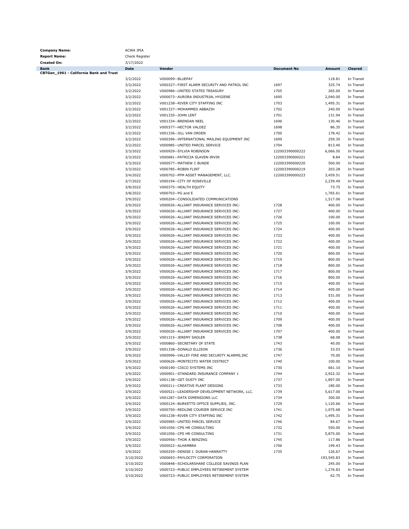| <b>Company Name:</b><br><b>Report Name:</b> | ACWA JPIA<br>Check Register |                                               |                    |               |                |
|---------------------------------------------|-----------------------------|-----------------------------------------------|--------------------|---------------|----------------|
|                                             |                             |                                               |                    |               |                |
| <b>Created On:</b><br><b>Bank</b>           | 3/17/2022<br><b>Date</b>    | Vendor                                        | <b>Document No</b> | <b>Amount</b> | <b>Cleared</b> |
| CBTGen_1961 - California Bank and Trust     |                             |                                               |                    |               |                |
|                                             | 3/2/2022                    | V000099 -- BLUEPAY                            |                    | 118.81        | In Transit     |
|                                             | 3/2/2022                    | V000327--FIRST ALARM SECURITY AND PATROL INC  | 1697               | 325.74        | In Transit     |
|                                             | 3/2/2022                    | V000986--UNITED STATES TREASURY               | 1705               | 265.00        | In Transit     |
|                                             | 3/2/2022                    | V000073--AURORA INDUSTRIAL HYGIENE            | 1695               | 2,040.00      | In Transit     |
|                                             | 3/2/2022                    | V001238--RIVER CITY STAFFING INC              | 1703               | 1,495.31      | In Transit     |
|                                             | 3/2/2022                    | V001337--MOHAMMED ABBAZIH                     | 1702               | 240.00        | In Transit     |
|                                             |                             |                                               |                    |               | In Transit     |
|                                             | 3/2/2022                    | V001335 -- JOHN LENT                          | 1701               | 131.94        |                |
|                                             | 3/2/2022                    | V001334 -- BRENDAN NEEL                       | 1696               | 130.46        | In Transit     |
|                                             | 3/2/2022                    | V000377--HECTOR VALDEZ                        | 1698               | 86.35         | In Transit     |
|                                             | 3/2/2022                    | V001336 -- JILL VAN ORDEN                     | 1700               | 178.42        | In Transit     |
|                                             | 3/2/2022                    | V000396--INTERNATIONAL MAILING EQUIPMENT INC  | 1699               | 259.30        | In Transit     |
|                                             | 3/2/2022                    | V000985 -- UNITED PARCEL SERVICE              | 1704               | 813.40        | In Transit     |
|                                             | 3/3/2022                    | V000929 -- SYLVIA ROBINSON                    | 122003390000222    | 6,066.50      | In Transit     |
|                                             | 3/3/2022                    | V000681--PATRICIA SLAVEN-IRVIN                | 122003390000221    | 8.84          | In Transit     |
|                                             | 3/3/2022                    | V000577--MATHEW C BUNDE                       | 122003390000220    | 500.00        | In Transit     |
|                                             | 3/3/2022                    | V000785 -- ROBIN FLINT                        | 122003390000219    | 203.28        | In Transit     |
|                                             | 3/4/2022                    | V000702--PFM ASSET MANAGEMENT, LLC.           | 122003390000223    | 3,459.51      | In Transit     |
|                                             | 3/7/2022                    | V000194 -- CITY OF ROSEVILLE                  |                    | 2,239.49      | In Transit     |
|                                             | 3/8/2022                    | V000375 -- HEALTH EQUITY                      |                    | 73.75         | In Transit     |
|                                             |                             | V000703--PG and E                             |                    |               |                |
|                                             | 3/8/2022                    |                                               |                    | 1,765.61      | In Transit     |
|                                             | 3/9/2022                    | V000204--CONSOLIDATED COMMUNICATIONS          |                    | 1,517.06      | In Transit     |
|                                             | 3/9/2022                    | V000026--ALLIANT INSURANCE SERVICES INC-      | 1728               | 400.00        | In Transit     |
|                                             | 3/9/2022                    | V000026--ALLIANT INSURANCE SERVICES INC-      | 1727               | 400.00        | In Transit     |
|                                             | 3/9/2022                    | V000026--ALLIANT INSURANCE SERVICES INC-      | 1726               | 100.00        | In Transit     |
|                                             | 3/9/2022                    | V000026--ALLIANT INSURANCE SERVICES INC-      | 1725               | 100.00        | In Transit     |
|                                             | 3/9/2022                    | V000026--ALLIANT INSURANCE SERVICES INC-      | 1724               | 400.00        | In Transit     |
|                                             | 3/9/2022                    | V000026--ALLIANT INSURANCE SERVICES INC-      | 1723               | 400.00        | In Transit     |
|                                             | 3/9/2022                    | V000026--ALLIANT INSURANCE SERVICES INC-      | 1722               | 400.00        | In Transit     |
|                                             | 3/9/2022                    | V000026--ALLIANT INSURANCE SERVICES INC-      | 1721               | 400.00        | In Transit     |
|                                             | 3/9/2022                    | V000026--ALLIANT INSURANCE SERVICES INC-      | 1720               | 800.00        | In Transit     |
|                                             | 3/9/2022                    | V000026--ALLIANT INSURANCE SERVICES INC-      | 1719               | 800.00        | In Transit     |
|                                             |                             | V000026--ALLIANT INSURANCE SERVICES INC-      | 1718               | 800.00        | In Transit     |
|                                             | 3/9/2022                    |                                               |                    |               |                |
|                                             | 3/9/2022                    | V000026--ALLIANT INSURANCE SERVICES INC-      | 1717               | 800.00        | In Transit     |
|                                             | 3/9/2022                    | V000026--ALLIANT INSURANCE SERVICES INC-      | 1716               | 800.00        | In Transit     |
|                                             | 3/9/2022                    | V000026--ALLIANT INSURANCE SERVICES INC-      | 1715               | 400.00        | In Transit     |
|                                             | 3/9/2022                    | V000026--ALLIANT INSURANCE SERVICES INC-      | 1714               | 400.00        | In Transit     |
|                                             | 3/9/2022                    | V000026--ALLIANT INSURANCE SERVICES INC-      | 1713               | 531.00        | In Transit     |
|                                             | 3/9/2022                    | V000026--ALLIANT INSURANCE SERVICES INC-      | 1712               | 400.00        | In Transit     |
|                                             | 3/9/2022                    | V000026--ALLIANT INSURANCE SERVICES INC-      | 1711               | 400.00        | In Transit     |
|                                             | 3/9/2022                    | V000026--ALLIANT INSURANCE SERVICES INC-      | 1710               | 400.00        | In Transit     |
|                                             | 3/9/2022                    | V000026--ALLIANT INSURANCE SERVICES INC-      | 1709               | 400.00        | In Transit     |
|                                             | 3/9/2022                    | V000026--ALLIANT INSURANCE SERVICES INC-      | 1708               | 400.00        | In Transit     |
|                                             | 3/9/2022                    | V000026--ALLIANT INSURANCE SERVICES INC-      | 1707               | 400.00        | In Transit     |
|                                             |                             |                                               |                    |               |                |
|                                             | 3/9/2022                    | V001315 -- JEREMY SADLER                      | 1738               | 68.08         | In Transit     |
|                                             | 3/9/2022                    | V000860--SECRETARY OF STATE                   | 1743               | 40.00         | In Transit     |
|                                             | 3/9/2022                    | V001338--DONALD ELLISON                       | 1736               | 33.03         | In Transit     |
|                                             | 3/9/2022                    | V000996--VALLEY FIRE AND SECURITY ALARMS, INC | 1747               | 70.00         | In Transit     |
|                                             | 3/9/2022                    | V000626--MONTECITO WATER DISTRICT             | 1740               | 100.00        | In Transit     |
|                                             | 3/9/2022                    | V000190 -- CISCO SYSTEMS INC                  | 1730               | 661.10        | In Transit     |
|                                             | 3/9/2022                    | V000901--STANDARD INSURANCE COMPANY 1         | 1744               | 2,922.32      | In Transit     |
|                                             | 3/9/2022                    | V001138--GET DUSTY INC                        | 1737               | 1,897.00      | In Transit     |
|                                             | 3/9/2022                    | V000211 -- CREATIVE PLANT DESIGNS             | 1733               | 180.00        | In Transit     |
|                                             | 3/9/2022                    | V000521--LEADERSHIP DEVELOPMENT NETWORK, LLC. | 1739               | 5,617.00      | In Transit     |
|                                             | 3/9/2022                    | V001287--DATA DIMENSIONS LLC                  | 1734               | 300.00        | In Transit     |
|                                             | 3/9/2022                    | V000124--BURKETTS OFFICE SUPPLIES, INC.       | 1729               | 1,120.66      | In Transit     |
|                                             |                             |                                               |                    |               |                |
|                                             | 3/9/2022                    | V000750 -- REDLINE COURIER SERVICE INC        | 1741               | 1,075.68      | In Transit     |
|                                             | 3/9/2022                    | V001238--RIVER CITY STAFFING INC              | 1742               | 1,495.31      | In Transit     |
|                                             | 3/9/2022                    | V000985--UNITED PARCEL SERVICE                | 1746               | 84.67         | In Transit     |
|                                             | 3/9/2022                    | V001056--CPS HR CONSULTING                    | 1732               | 550.00        | In Transit     |
|                                             | 3/9/2022                    | V001056--CPS HR CONSULTING                    | 1731               | 5,875.00      | In Transit     |
|                                             | 3/9/2022                    | V000956--THOR A BENZING                       | 1745               | 117.86        | In Transit     |
|                                             | 3/9/2022                    | V000022 -- ALHAMBRA                           | 1706               | 199.43        | In Transit     |
|                                             | 3/9/2022                    | V000259--DENISE J. DURAN-HANRATTY             | 1735               | 126.67        | In Transit     |
|                                             |                             |                                               |                    |               |                |
|                                             | 3/10/2022                   | V000693--PAYLOCITY CORPORATION                |                    | 193,545.83    | In Transit     |
|                                             | 3/10/2022                   | V000848--SCHOLARSHARE COLLEGE SAVINGS PLAN    |                    | 245.00        | In Transit     |
|                                             | 3/10/2022                   | V000723--PUBLIC EMPLOYEES RETIREMENT SYSTEM   |                    | 1,276.83      | In Transit     |
|                                             | 3/10/2022                   | V000723--PUBLIC EMPLOYEES RETIREMENT SYSTEM   |                    | 62.75         | In Transit     |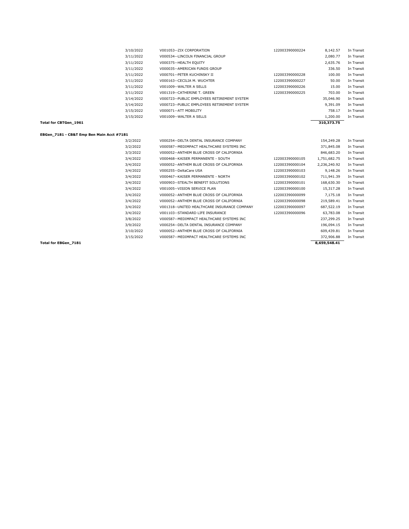|                                           | 3/10/2022 | V001053 -- ZIX CORPORATION                  | 122003390000224 | 8,142.57     | In Transit |
|-------------------------------------------|-----------|---------------------------------------------|-----------------|--------------|------------|
|                                           | 3/11/2022 | V000534--LINCOLN FINANCIAL GROUP            |                 | 2,080.77     | In Transit |
|                                           | 3/11/2022 | V000375 -- HEALTH EQUITY                    |                 | 2,635.76     | In Transit |
|                                           | 3/11/2022 | V000035--AMERICAN FUNDS GROUP               |                 | 336.50       | In Transit |
|                                           | 3/11/2022 | V000701--PETER KUCHINSKY II                 | 122003390000228 | 100.00       | In Transit |
|                                           | 3/11/2022 | V000163--CECILIA M. WUCHTER                 | 122003390000227 | 50.00        | In Transit |
|                                           | 3/11/2022 | V001009 -- WALTER A SELLS                   | 122003390000226 | 15.00        | In Transit |
|                                           | 3/11/2022 | V001319--CATHERINE T. GREEN                 | 122003390000225 | 703.00       | In Transit |
|                                           | 3/14/2022 | V000723--PUBLIC EMPLOYEES RETIREMENT SYSTEM |                 | 35,046.90    | In Transit |
|                                           | 3/14/2022 | V000723--PUBLIC EMPLOYEES RETIREMENT SYSTEM |                 | 9,391.09     | In Transit |
|                                           | 3/15/2022 | V000071--ATT MOBILITY                       |                 | 758.17       | In Transit |
|                                           | 3/15/2022 | V001009 -- WALTER A SELLS                   |                 | 1,200.00     | In Transit |
| Total for CBTGen_1961                     |           |                                             |                 | 310,373.75   |            |
|                                           |           |                                             |                 |              |            |
|                                           |           |                                             |                 |              |            |
| EBGen_7181 - CB&T Emp Ben Main Acct #7181 |           |                                             |                 |              |            |
|                                           | 3/2/2022  | V000254--DELTA DENTAL INSURANCE COMPANY     |                 | 154,249.28   | In Transit |
|                                           | 3/2/2022  | V000587--MEDIMPACT HEALTHCARE SYSTEMS INC   |                 | 371,845.08   | In Transit |
|                                           | 3/3/2022  | V000052--ANTHEM BLUE CROSS OF CALIFORNIA    |                 | 846,683.20   | In Transit |
|                                           | 3/4/2022  | V000468--KAISER PERMANENTE - SOUTH          | 122003390000105 | 1,751,682.75 | In Transit |
|                                           | 3/4/2022  | V000052--ANTHEM BLUE CROSS OF CALIFORNIA    | 122003390000104 | 2,236,240.92 | In Transit |
|                                           | 3/4/2022  | V000255 -- DeltaCare USA                    | 122003390000103 | 9.148.26     | In Transit |
|                                           | 3/4/2022  | V000467--KAISER PERMANENTE - NORTH          | 122003390000102 | 711,941.39   | In Transit |
|                                           | 3/4/2022  | V000903--STEALTH BENEFIT SOLUTIONS          | 122003390000101 | 168,630.30   | In Transit |
|                                           | 3/4/2022  | V001005--VISION SERVICE PLAN                | 122003390000100 | 15,317.28    | In Transit |
|                                           | 3/4/2022  | V000052--ANTHEM BLUE CROSS OF CALIFORNIA    | 122003390000099 | 7,175.18     | In Transit |

3/15/2022 V000587--MEDIMPACT HEALTHCARE SYSTEMS INC

3/4/2022 V001318--UNITED HEALTHCARE INSURANCE COMPANY 122003390000097 687,522.19 In Transit 3/4/2022 V001103--STANDARD LIFE INSURANCE 122003390000096 63,783.08 In Transit 3/8/2022 V000587--MEDIMPACT HEALTHCARE SYSTEMS INC 237,299.25 In Transit 3/9/2022 V000254--DELTA DENTAL INSURANCE COMPANY 196,094.15 In Transit 3/10/2022 V000052--ANTHEM BLUE CROSS OF CALIFORNIA 609,439.81 In Transit 609,439.81 In Transit 3/15/2022 V000587--MEDIMPACT HEALTHCARE SYSTEMS INC 372,906.88 In Transit 3/15/2022

Total for EBGen\_7181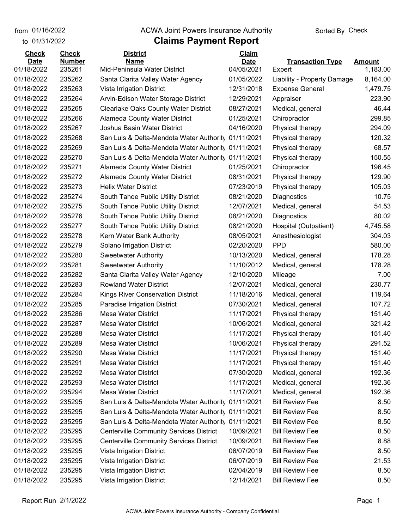from 01/16/2022

to 01/31/2022

#### **Claims Payment Report** from 01/16/2022 **The COVA Solic Act Act Authority** Sorted By Check

| <b>Check</b>              | <b>Check</b>            | <b>District</b><br><b>Name</b>                      | <b>Claim</b>              |                                   |                           |
|---------------------------|-------------------------|-----------------------------------------------------|---------------------------|-----------------------------------|---------------------------|
| <b>Date</b><br>01/18/2022 | <b>Number</b><br>235261 | Mid-Peninsula Water District                        | <b>Date</b><br>04/05/2021 | <b>Transaction Type</b><br>Expert | <b>Amount</b><br>1,183.00 |
| 01/18/2022                | 235262                  | Santa Clarita Valley Water Agency                   | 01/05/2022                | Liability - Property Damage       | 8,164.00                  |
| 01/18/2022                | 235263                  | Vista Irrigation District                           | 12/31/2018                | <b>Expense General</b>            | 1,479.75                  |
| 01/18/2022                | 235264                  | Arvin-Edison Water Storage District                 | 12/29/2021                | Appraiser                         | 223.90                    |
| 01/18/2022                | 235265                  | <b>Clearlake Oaks County Water District</b>         | 08/27/2021                | Medical, general                  | 46.44                     |
| 01/18/2022                | 235266                  | Alameda County Water District                       | 01/25/2021                | Chiropractor                      | 299.85                    |
| 01/18/2022                | 235267                  | Joshua Basin Water District                         | 04/16/2020                | Physical therapy                  | 294.09                    |
| 01/18/2022                | 235268                  | San Luis & Delta-Mendota Water Authority            | 01/11/2021                | Physical therapy                  | 120.32                    |
| 01/18/2022                | 235269                  | San Luis & Delta-Mendota Water Authority 01/11/2021 |                           | Physical therapy                  | 68.57                     |
| 01/18/2022                | 235270                  | San Luis & Delta-Mendota Water Authority            | 01/11/2021                | Physical therapy                  | 150.55                    |
| 01/18/2022                | 235271                  | <b>Alameda County Water District</b>                | 01/25/2021                | Chiropractor                      | 196.45                    |
| 01/18/2022                | 235272                  | Alameda County Water District                       | 08/31/2021                | Physical therapy                  | 129.90                    |
| 01/18/2022                | 235273                  | <b>Helix Water District</b>                         | 07/23/2019                | Physical therapy                  | 105.03                    |
| 01/18/2022                | 235274                  | South Tahoe Public Utility District                 | 08/21/2020                | Diagnostics                       | 10.75                     |
| 01/18/2022                | 235275                  | South Tahoe Public Utility District                 | 12/07/2021                | Medical, general                  | 54.53                     |
| 01/18/2022                | 235276                  | South Tahoe Public Utility District                 | 08/21/2020                | Diagnostics                       | 80.02                     |
| 01/18/2022                | 235277                  | South Tahoe Public Utility District                 | 08/21/2020                | Hospital (Outpatient)             | 4,745.58                  |
| 01/18/2022                | 235278                  | Kern Water Bank Authority                           | 08/05/2021                | Anesthesiologist                  | 304.03                    |
| 01/18/2022                | 235279                  | Solano Irrigation District                          | 02/20/2020                | <b>PPD</b>                        | 580.00                    |
| 01/18/2022                | 235280                  | <b>Sweetwater Authority</b>                         | 10/13/2020                | Medical, general                  | 178.28                    |
| 01/18/2022                | 235281                  | <b>Sweetwater Authority</b>                         | 11/10/2012                | Medical, general                  | 178.28                    |
| 01/18/2022                | 235282                  | Santa Clarita Valley Water Agency                   | 12/10/2020                | Mileage                           | 7.00                      |
| 01/18/2022                | 235283                  | <b>Rowland Water District</b>                       | 12/07/2021                | Medical, general                  | 230.77                    |
| 01/18/2022                | 235284                  | Kings River Conservation District                   | 11/18/2016                | Medical, general                  | 119.64                    |
| 01/18/2022                | 235285                  | Paradise Irrigation District                        | 07/30/2021                | Medical, general                  | 107.72                    |
| 01/18/2022                | 235286                  | <b>Mesa Water District</b>                          | 11/17/2021                | Physical therapy                  | 151.40                    |
| 01/18/2022                | 235287                  | <b>Mesa Water District</b>                          | 10/06/2021                | Medical, general                  | 321.42                    |
| 01/18/2022                | 235288                  | <b>Mesa Water District</b>                          | 11/17/2021                | Physical therapy                  | 151.40                    |
| 01/18/2022                | 235289                  | Mesa Water District                                 | 10/06/2021                | Physical therapy                  | 291.52                    |
| 01/18/2022                | 235290                  | <b>Mesa Water District</b>                          | 11/17/2021                | Physical therapy                  | 151.40                    |
| 01/18/2022                | 235291                  | Mesa Water District                                 | 11/17/2021                | Physical therapy                  | 151.40                    |
| 01/18/2022                | 235292                  | <b>Mesa Water District</b>                          | 07/30/2020                | Medical, general                  | 192.36                    |
| 01/18/2022                | 235293                  | <b>Mesa Water District</b>                          | 11/17/2021                | Medical, general                  | 192.36                    |
| 01/18/2022                | 235294                  | <b>Mesa Water District</b>                          | 11/17/2021                | Medical, general                  | 192.36                    |
| 01/18/2022                | 235295                  | San Luis & Delta-Mendota Water Authority            | 01/11/2021                | <b>Bill Review Fee</b>            | 8.50                      |
| 01/18/2022                | 235295                  | San Luis & Delta-Mendota Water Authorit, 01/11/2021 |                           | <b>Bill Review Fee</b>            | 8.50                      |
| 01/18/2022                | 235295                  | San Luis & Delta-Mendota Water Authority 01/11/2021 |                           | <b>Bill Review Fee</b>            | 8.50                      |
| 01/18/2022                | 235295                  | <b>Centerville Community Services District</b>      | 10/09/2021                | <b>Bill Review Fee</b>            | 8.50                      |
| 01/18/2022                | 235295                  | <b>Centerville Community Services District</b>      | 10/09/2021                | <b>Bill Review Fee</b>            | 8.88                      |
| 01/18/2022                | 235295                  | Vista Irrigation District                           | 06/07/2019                | <b>Bill Review Fee</b>            | 8.50                      |
| 01/18/2022                | 235295                  | Vista Irrigation District                           | 06/07/2019                | <b>Bill Review Fee</b>            | 21.53                     |
| 01/18/2022                | 235295                  | Vista Irrigation District                           | 02/04/2019                | <b>Bill Review Fee</b>            | 8.50                      |
| 01/18/2022                | 235295                  | Vista Irrigation District                           | 12/14/2021                | <b>Bill Review Fee</b>            | 8.50                      |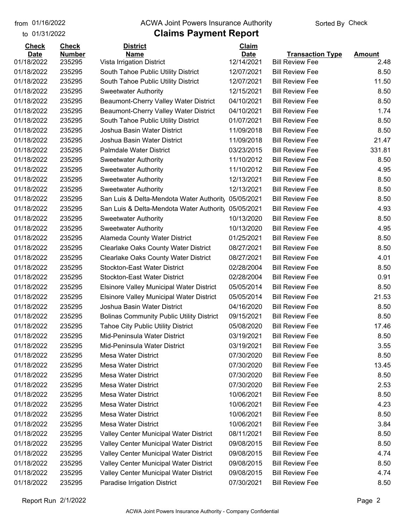to 01/31/2022 01/16/2022

#### from 01/16/2022 **The COVA Solic Act Act Authority** Sorted By Check

### **Claims Payment Report**

| <b>Check</b> | <b>Check</b>  | <b>District</b>                                  | Claim       |                         |               |
|--------------|---------------|--------------------------------------------------|-------------|-------------------------|---------------|
| <b>Date</b>  | <b>Number</b> | <b>Name</b>                                      | <b>Date</b> | <b>Transaction Type</b> | <b>Amount</b> |
| 01/18/2022   | 235295        | Vista Irrigation District                        | 12/14/2021  | <b>Bill Review Fee</b>  | 2.48          |
| 01/18/2022   | 235295        | South Tahoe Public Utility District              | 12/07/2021  | <b>Bill Review Fee</b>  | 8.50          |
| 01/18/2022   | 235295        | South Tahoe Public Utility District              | 12/07/2021  | <b>Bill Review Fee</b>  | 11.50         |
| 01/18/2022   | 235295        | <b>Sweetwater Authority</b>                      | 12/15/2021  | <b>Bill Review Fee</b>  | 8.50          |
| 01/18/2022   | 235295        | Beaumont-Cherry Valley Water District            | 04/10/2021  | <b>Bill Review Fee</b>  | 8.50          |
| 01/18/2022   | 235295        | Beaumont-Cherry Valley Water District            | 04/10/2021  | <b>Bill Review Fee</b>  | 1.74          |
| 01/18/2022   | 235295        | South Tahoe Public Utility District              | 01/07/2021  | <b>Bill Review Fee</b>  | 8.50          |
| 01/18/2022   | 235295        | Joshua Basin Water District                      | 11/09/2018  | <b>Bill Review Fee</b>  | 8.50          |
| 01/18/2022   | 235295        | Joshua Basin Water District                      | 11/09/2018  | <b>Bill Review Fee</b>  | 21.47         |
| 01/18/2022   | 235295        | <b>Palmdale Water District</b>                   | 03/23/2015  | <b>Bill Review Fee</b>  | 331.81        |
| 01/18/2022   | 235295        | <b>Sweetwater Authority</b>                      | 11/10/2012  | <b>Bill Review Fee</b>  | 8.50          |
| 01/18/2022   | 235295        | <b>Sweetwater Authority</b>                      | 11/10/2012  | <b>Bill Review Fee</b>  | 4.95          |
| 01/18/2022   | 235295        | <b>Sweetwater Authority</b>                      | 12/13/2021  | <b>Bill Review Fee</b>  | 8.50          |
| 01/18/2022   | 235295        | <b>Sweetwater Authority</b>                      | 12/13/2021  | <b>Bill Review Fee</b>  | 8.50          |
| 01/18/2022   | 235295        | San Luis & Delta-Mendota Water Authority         | 05/05/2021  | <b>Bill Review Fee</b>  | 8.50          |
| 01/18/2022   | 235295        | San Luis & Delta-Mendota Water Authority         | 05/05/2021  | <b>Bill Review Fee</b>  | 4.93          |
| 01/18/2022   | 235295        | <b>Sweetwater Authority</b>                      | 10/13/2020  | <b>Bill Review Fee</b>  | 8.50          |
| 01/18/2022   | 235295        | <b>Sweetwater Authority</b>                      | 10/13/2020  | <b>Bill Review Fee</b>  | 4.95          |
| 01/18/2022   | 235295        | Alameda County Water District                    | 01/25/2021  | <b>Bill Review Fee</b>  | 8.50          |
| 01/18/2022   | 235295        | <b>Clearlake Oaks County Water District</b>      | 08/27/2021  | <b>Bill Review Fee</b>  | 8.50          |
| 01/18/2022   | 235295        | <b>Clearlake Oaks County Water District</b>      | 08/27/2021  | <b>Bill Review Fee</b>  | 4.01          |
| 01/18/2022   | 235295        | <b>Stockton-East Water District</b>              | 02/28/2004  | <b>Bill Review Fee</b>  | 8.50          |
| 01/18/2022   | 235295        | <b>Stockton-East Water District</b>              | 02/28/2004  | <b>Bill Review Fee</b>  | 0.91          |
| 01/18/2022   | 235295        | Elsinore Valley Municipal Water District         | 05/05/2014  | <b>Bill Review Fee</b>  | 8.50          |
| 01/18/2022   | 235295        | <b>Elsinore Valley Municipal Water District</b>  | 05/05/2014  | <b>Bill Review Fee</b>  | 21.53         |
| 01/18/2022   | 235295        | Joshua Basin Water District                      | 04/16/2020  | <b>Bill Review Fee</b>  | 8.50          |
| 01/18/2022   | 235295        | <b>Bolinas Community Public Utility District</b> | 09/15/2021  | <b>Bill Review Fee</b>  | 8.50          |
| 01/18/2022   | 235295        | <b>Tahoe City Public Utility District</b>        | 05/08/2020  | <b>Bill Review Fee</b>  | 17.46         |
| 01/18/2022   | 235295        | Mid-Peninsula Water District                     | 03/19/2021  | <b>Bill Review Fee</b>  | 8.50          |
| 01/18/2022   | 235295        | Mid-Peninsula Water District                     | 03/19/2021  | <b>Bill Review Fee</b>  | 3.55          |
| 01/18/2022   | 235295        | <b>Mesa Water District</b>                       | 07/30/2020  | <b>Bill Review Fee</b>  | 8.50          |
| 01/18/2022   | 235295        | Mesa Water District                              | 07/30/2020  | <b>Bill Review Fee</b>  | 13.45         |
| 01/18/2022   | 235295        | Mesa Water District                              | 07/30/2020  | <b>Bill Review Fee</b>  | 8.50          |
| 01/18/2022   | 235295        | Mesa Water District                              | 07/30/2020  | <b>Bill Review Fee</b>  | 2.53          |
| 01/18/2022   | 235295        | <b>Mesa Water District</b>                       | 10/06/2021  | <b>Bill Review Fee</b>  | 8.50          |
| 01/18/2022   | 235295        | <b>Mesa Water District</b>                       | 10/06/2021  | <b>Bill Review Fee</b>  | 4.23          |
| 01/18/2022   | 235295        | Mesa Water District                              | 10/06/2021  | <b>Bill Review Fee</b>  | 8.50          |
| 01/18/2022   | 235295        | <b>Mesa Water District</b>                       | 10/06/2021  | <b>Bill Review Fee</b>  | 3.84          |
| 01/18/2022   | 235295        | Valley Center Municipal Water District           | 08/11/2021  | <b>Bill Review Fee</b>  | 8.50          |
| 01/18/2022   | 235295        | Valley Center Municipal Water District           | 09/08/2015  | <b>Bill Review Fee</b>  | 8.50          |
| 01/18/2022   | 235295        | Valley Center Municipal Water District           | 09/08/2015  | <b>Bill Review Fee</b>  | 4.74          |
| 01/18/2022   | 235295        | Valley Center Municipal Water District           | 09/08/2015  | <b>Bill Review Fee</b>  | 8.50          |
| 01/18/2022   | 235295        | Valley Center Municipal Water District           | 09/08/2015  | <b>Bill Review Fee</b>  | 4.74          |
| 01/18/2022   | 235295        | Paradise Irrigation District                     | 07/30/2021  | <b>Bill Review Fee</b>  | 8.50          |
|              |               |                                                  |             |                         |               |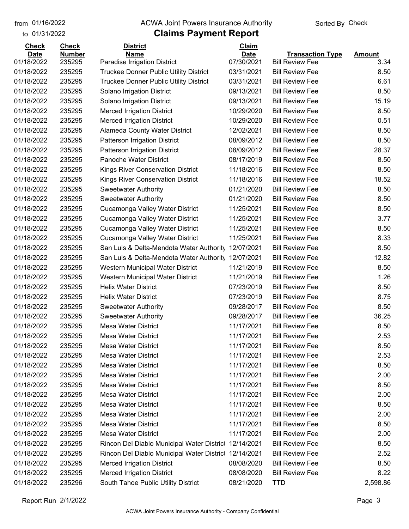to 01/31/2022 01/16/2022

#### from 01/16/2022 **The COVA Solic Act Act Authority** Sorted By Check

### **Claims Payment Report**

| <b>Check</b> | <b>Check</b>  | <b>District</b>                               | Claim       |                         |               |
|--------------|---------------|-----------------------------------------------|-------------|-------------------------|---------------|
| <b>Date</b>  | <b>Number</b> | <b>Name</b>                                   | <b>Date</b> | <b>Transaction Type</b> | <b>Amount</b> |
| 01/18/2022   | 235295        | Paradise Irrigation District                  | 07/30/2021  | <b>Bill Review Fee</b>  | 3.34          |
| 01/18/2022   | 235295        | Truckee Donner Public Utility District        | 03/31/2021  | <b>Bill Review Fee</b>  | 8.50          |
| 01/18/2022   | 235295        | <b>Truckee Donner Public Utility District</b> | 03/31/2021  | <b>Bill Review Fee</b>  | 6.61          |
| 01/18/2022   | 235295        | Solano Irrigation District                    | 09/13/2021  | <b>Bill Review Fee</b>  | 8.50          |
| 01/18/2022   | 235295        | Solano Irrigation District                    | 09/13/2021  | <b>Bill Review Fee</b>  | 15.19         |
| 01/18/2022   | 235295        | <b>Merced Irrigation District</b>             | 10/29/2020  | <b>Bill Review Fee</b>  | 8.50          |
| 01/18/2022   | 235295        | <b>Merced Irrigation District</b>             | 10/29/2020  | <b>Bill Review Fee</b>  | 0.51          |
| 01/18/2022   | 235295        | Alameda County Water District                 | 12/02/2021  | <b>Bill Review Fee</b>  | 8.50          |
| 01/18/2022   | 235295        | Patterson Irrigation District                 | 08/09/2012  | <b>Bill Review Fee</b>  | 8.50          |
| 01/18/2022   | 235295        | Patterson Irrigation District                 | 08/09/2012  | <b>Bill Review Fee</b>  | 28.37         |
| 01/18/2022   | 235295        | Panoche Water District                        | 08/17/2019  | <b>Bill Review Fee</b>  | 8.50          |
| 01/18/2022   | 235295        | Kings River Conservation District             | 11/18/2016  | <b>Bill Review Fee</b>  | 8.50          |
| 01/18/2022   | 235295        | Kings River Conservation District             | 11/18/2016  | <b>Bill Review Fee</b>  | 18.52         |
| 01/18/2022   | 235295        | <b>Sweetwater Authority</b>                   | 01/21/2020  | <b>Bill Review Fee</b>  | 8.50          |
| 01/18/2022   | 235295        | <b>Sweetwater Authority</b>                   | 01/21/2020  | <b>Bill Review Fee</b>  | 8.50          |
| 01/18/2022   | 235295        | Cucamonga Valley Water District               | 11/25/2021  | <b>Bill Review Fee</b>  | 8.50          |
| 01/18/2022   | 235295        | Cucamonga Valley Water District               | 11/25/2021  | <b>Bill Review Fee</b>  | 3.77          |
| 01/18/2022   | 235295        | Cucamonga Valley Water District               | 11/25/2021  | <b>Bill Review Fee</b>  | 8.50          |
| 01/18/2022   | 235295        | Cucamonga Valley Water District               | 11/25/2021  | <b>Bill Review Fee</b>  | 8.33          |
| 01/18/2022   | 235295        | San Luis & Delta-Mendota Water Authority      | 12/07/2021  | <b>Bill Review Fee</b>  | 8.50          |
| 01/18/2022   | 235295        | San Luis & Delta-Mendota Water Authority      | 12/07/2021  | <b>Bill Review Fee</b>  | 12.82         |
| 01/18/2022   | 235295        | Western Municipal Water District              | 11/21/2019  | <b>Bill Review Fee</b>  | 8.50          |
| 01/18/2022   | 235295        | Western Municipal Water District              | 11/21/2019  | <b>Bill Review Fee</b>  | 1.26          |
| 01/18/2022   | 235295        | <b>Helix Water District</b>                   | 07/23/2019  | <b>Bill Review Fee</b>  | 8.50          |
| 01/18/2022   | 235295        | <b>Helix Water District</b>                   | 07/23/2019  | <b>Bill Review Fee</b>  | 8.75          |
| 01/18/2022   | 235295        | <b>Sweetwater Authority</b>                   | 09/28/2017  | <b>Bill Review Fee</b>  | 8.50          |
| 01/18/2022   | 235295        | <b>Sweetwater Authority</b>                   | 09/28/2017  | <b>Bill Review Fee</b>  | 36.25         |
| 01/18/2022   | 235295        | <b>Mesa Water District</b>                    | 11/17/2021  | <b>Bill Review Fee</b>  | 8.50          |
| 01/18/2022   | 235295        | Mesa Water District                           | 11/17/2021  | <b>Bill Review Fee</b>  | 2.53          |
| 01/18/2022   | 235295        | Mesa Water District                           | 11/17/2021  | <b>Bill Review Fee</b>  | 8.50          |
| 01/18/2022   | 235295        | <b>Mesa Water District</b>                    | 11/17/2021  | <b>Bill Review Fee</b>  | 2.53          |
| 01/18/2022   | 235295        | <b>Mesa Water District</b>                    | 11/17/2021  | <b>Bill Review Fee</b>  | 8.50          |
| 01/18/2022   | 235295        | <b>Mesa Water District</b>                    | 11/17/2021  | <b>Bill Review Fee</b>  | 2.00          |
| 01/18/2022   | 235295        | Mesa Water District                           | 11/17/2021  | <b>Bill Review Fee</b>  | 8.50          |
| 01/18/2022   | 235295        | <b>Mesa Water District</b>                    | 11/17/2021  | <b>Bill Review Fee</b>  | 2.00          |
| 01/18/2022   | 235295        | <b>Mesa Water District</b>                    | 11/17/2021  | <b>Bill Review Fee</b>  | 8.50          |
| 01/18/2022   | 235295        | <b>Mesa Water District</b>                    | 11/17/2021  | <b>Bill Review Fee</b>  | 2.00          |
| 01/18/2022   | 235295        | Mesa Water District                           | 11/17/2021  | <b>Bill Review Fee</b>  | 8.50          |
| 01/18/2022   | 235295        | <b>Mesa Water District</b>                    | 11/17/2021  | <b>Bill Review Fee</b>  | 2.00          |
| 01/18/2022   | 235295        | Rincon Del Diablo Municipal Water District    | 12/14/2021  | <b>Bill Review Fee</b>  | 8.50          |
| 01/18/2022   | 235295        | Rincon Del Diablo Municipal Water District    | 12/14/2021  | <b>Bill Review Fee</b>  | 2.52          |
| 01/18/2022   | 235295        | <b>Merced Irrigation District</b>             | 08/08/2020  | <b>Bill Review Fee</b>  | 8.50          |
| 01/18/2022   | 235295        | <b>Merced Irrigation District</b>             | 08/08/2020  | <b>Bill Review Fee</b>  | 8.22          |
| 01/18/2022   | 235296        | South Tahoe Public Utility District           | 08/21/2020  | <b>TTD</b>              | 2,598.86      |
|              |               |                                               |             |                         |               |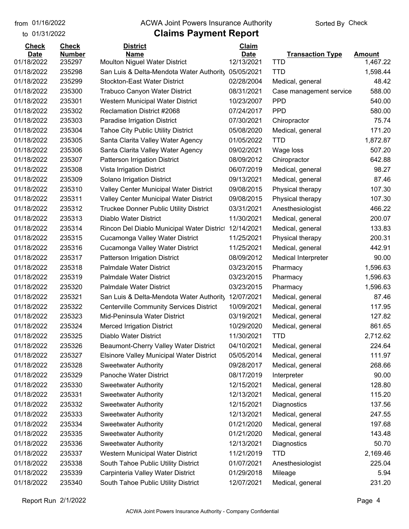to 01/31/2022 01/16/2022

#### from 01/16/2022 **The COVA Solic Act Act Authority** Sorted By Check

### **Claims Payment Report**

| <b>Check</b> | <b>Check</b>  | <b>District</b>                                 | Claim       |                            |               |
|--------------|---------------|-------------------------------------------------|-------------|----------------------------|---------------|
| <b>Date</b>  | <b>Number</b> | <b>Name</b>                                     | <b>Date</b> | <b>Transaction Type</b>    | <b>Amount</b> |
| 01/18/2022   | 235297        | Moulton Niguel Water District                   | 12/13/2021  | <b>TTD</b>                 | 1,467.22      |
| 01/18/2022   | 235298        | San Luis & Delta-Mendota Water Authority        | 05/05/2021  | <b>TTD</b>                 | 1,598.44      |
| 01/18/2022   | 235299        | <b>Stockton-East Water District</b>             | 02/28/2004  | Medical, general           | 48.42         |
| 01/18/2022   | 235300        | <b>Trabuco Canyon Water District</b>            | 08/31/2021  | Case management service    | 588.00        |
| 01/18/2022   | 235301        | Western Municipal Water District                | 10/23/2007  | <b>PPD</b>                 | 540.00        |
| 01/18/2022   | 235302        | <b>Reclamation District #2068</b>               | 07/24/2017  | <b>PPD</b>                 | 580.00        |
| 01/18/2022   | 235303        | Paradise Irrigation District                    | 07/30/2021  | Chiropractor               | 75.74         |
| 01/18/2022   | 235304        | <b>Tahoe City Public Utility District</b>       | 05/08/2020  | Medical, general           | 171.20        |
| 01/18/2022   | 235305        | Santa Clarita Valley Water Agency               | 01/05/2022  | <b>TTD</b>                 | 1,872.87      |
| 01/18/2022   | 235306        | Santa Clarita Valley Water Agency               | 09/02/2021  | Wage loss                  | 507.20        |
| 01/18/2022   | 235307        | Patterson Irrigation District                   | 08/09/2012  | Chiropractor               | 642.88        |
| 01/18/2022   | 235308        | Vista Irrigation District                       | 06/07/2019  | Medical, general           | 98.27         |
| 01/18/2022   | 235309        | Solano Irrigation District                      | 09/13/2021  | Medical, general           | 87.46         |
| 01/18/2022   | 235310        | Valley Center Municipal Water District          | 09/08/2015  | Physical therapy           | 107.30        |
| 01/18/2022   | 235311        | Valley Center Municipal Water District          | 09/08/2015  | Physical therapy           | 107.30        |
| 01/18/2022   | 235312        | Truckee Donner Public Utility District          | 03/31/2021  | Anesthesiologist           | 466.22        |
| 01/18/2022   | 235313        | Diablo Water District                           | 11/30/2021  | Medical, general           | 200.07        |
| 01/18/2022   | 235314        | Rincon Del Diablo Municipal Water District      | 12/14/2021  | Medical, general           | 133.83        |
| 01/18/2022   | 235315        | Cucamonga Valley Water District                 | 11/25/2021  | Physical therapy           | 200.31        |
| 01/18/2022   | 235316        | Cucamonga Valley Water District                 | 11/25/2021  | Medical, general           | 442.91        |
| 01/18/2022   | 235317        | Patterson Irrigation District                   | 08/09/2012  | <b>Medical Interpreter</b> | 90.00         |
| 01/18/2022   | 235318        | <b>Palmdale Water District</b>                  | 03/23/2015  | Pharmacy                   | 1,596.63      |
| 01/18/2022   | 235319        | Palmdale Water District                         | 03/23/2015  | Pharmacy                   | 1,596.63      |
| 01/18/2022   | 235320        | <b>Palmdale Water District</b>                  | 03/23/2015  | Pharmacy                   | 1,596.63      |
| 01/18/2022   | 235321        | San Luis & Delta-Mendota Water Authority        | 12/07/2021  | Medical, general           | 87.46         |
| 01/18/2022   | 235322        | <b>Centerville Community Services District</b>  | 10/09/2021  | Medical, general           | 117.95        |
| 01/18/2022   | 235323        | Mid-Peninsula Water District                    | 03/19/2021  | Medical, general           | 127.82        |
| 01/18/2022   | 235324        | <b>Merced Irrigation District</b>               | 10/29/2020  | Medical, general           | 861.65        |
| 01/18/2022   | 235325        | Diablo Water District                           | 11/30/2021  | <b>TTD</b>                 | 2,712.62      |
| 01/18/2022   | 235326        | Beaumont-Cherry Valley Water District           | 04/10/2021  | Medical, general           | 224.64        |
| 01/18/2022   | 235327        | <b>Elsinore Valley Municipal Water District</b> | 05/05/2014  | Medical, general           | 111.97        |
| 01/18/2022   | 235328        | <b>Sweetwater Authority</b>                     | 09/28/2017  | Medical, general           | 268.66        |
| 01/18/2022   | 235329        | Panoche Water District                          | 08/17/2019  | Interpreter                | 90.00         |
| 01/18/2022   | 235330        | <b>Sweetwater Authority</b>                     | 12/15/2021  | Medical, general           | 128.80        |
| 01/18/2022   | 235331        | <b>Sweetwater Authority</b>                     | 12/13/2021  | Medical, general           | 115.20        |
| 01/18/2022   | 235332        | <b>Sweetwater Authority</b>                     | 12/15/2021  | Diagnostics                | 137.56        |
| 01/18/2022   | 235333        | <b>Sweetwater Authority</b>                     | 12/13/2021  | Medical, general           | 247.55        |
| 01/18/2022   | 235334        | <b>Sweetwater Authority</b>                     | 01/21/2020  | Medical, general           | 197.68        |
| 01/18/2022   | 235335        | <b>Sweetwater Authority</b>                     | 01/21/2020  | Medical, general           | 143.48        |
| 01/18/2022   | 235336        | <b>Sweetwater Authority</b>                     | 12/13/2021  | Diagnostics                | 50.70         |
| 01/18/2022   | 235337        | Western Municipal Water District                | 11/21/2019  | <b>TTD</b>                 | 2,169.46      |
| 01/18/2022   | 235338        | South Tahoe Public Utility District             | 01/07/2021  | Anesthesiologist           | 225.04        |
| 01/18/2022   | 235339        | Carpinteria Valley Water District               | 01/29/2018  | Mileage                    | 5.94          |
| 01/18/2022   | 235340        | South Tahoe Public Utility District             | 12/07/2021  | Medical, general           | 231.20        |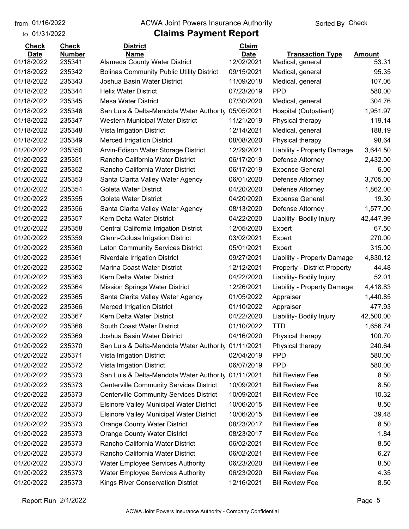#### from 01/16/2022 **The COVA Solic Act Act Authority** Sorted By Check

| <b>Check</b> | <b>Check</b>  | <b>District</b>                                  | Claim       |                                     |           |
|--------------|---------------|--------------------------------------------------|-------------|-------------------------------------|-----------|
| <b>Date</b>  | <b>Number</b> | <b>Name</b>                                      | <b>Date</b> | <b>Transaction Type</b>             | Amount    |
| 01/18/2022   | 235341        | Alameda County Water District                    | 12/02/2021  | Medical, general                    | 53.31     |
| 01/18/2022   | 235342        | <b>Bolinas Community Public Utility District</b> | 09/15/2021  | Medical, general                    | 95.35     |
| 01/18/2022   | 235343        | Joshua Basin Water District                      | 11/09/2018  | Medical, general                    | 107.06    |
| 01/18/2022   | 235344        | <b>Helix Water District</b>                      | 07/23/2019  | <b>PPD</b>                          | 580.00    |
| 01/18/2022   | 235345        | <b>Mesa Water District</b>                       | 07/30/2020  | Medical, general                    | 304.76    |
| 01/18/2022   | 235346        | San Luis & Delta-Mendota Water Authority         | 05/05/2021  | Hospital (Outpatient)               | 1,951.97  |
| 01/18/2022   | 235347        | Western Municipal Water District                 | 11/21/2019  | Physical therapy                    | 119.14    |
| 01/18/2022   | 235348        | Vista Irrigation District                        | 12/14/2021  | Medical, general                    | 188.19    |
| 01/18/2022   | 235349        | <b>Merced Irrigation District</b>                | 08/08/2020  | Physical therapy                    | 98.64     |
| 01/20/2022   | 235350        | Arvin-Edison Water Storage District              | 12/29/2021  | Liability - Property Damage         | 3,644.50  |
| 01/20/2022   | 235351        | Rancho California Water District                 | 06/17/2019  | Defense Attorney                    | 2,432.00  |
| 01/20/2022   | 235352        | Rancho California Water District                 | 06/17/2019  | <b>Expense General</b>              | 6.00      |
| 01/20/2022   | 235353        | Santa Clarita Valley Water Agency                | 06/01/2020  | Defense Attorney                    | 3,705.00  |
| 01/20/2022   | 235354        | <b>Goleta Water District</b>                     | 04/20/2020  | Defense Attorney                    | 1,862.00  |
| 01/20/2022   | 235355        | <b>Goleta Water District</b>                     | 04/20/2020  | <b>Expense General</b>              | 19.30     |
| 01/20/2022   | 235356        | Santa Clarita Valley Water Agency                | 08/13/2020  | Defense Attorney                    | 1,577.00  |
| 01/20/2022   | 235357        | Kern Delta Water District                        | 04/22/2020  | Liability- Bodily Injury            | 42,447.99 |
| 01/20/2022   | 235358        | Central California Irrigation District           | 12/05/2020  | Expert                              | 67.50     |
| 01/20/2022   | 235359        | Glenn-Colusa Irrigation District                 | 03/02/2021  | Expert                              | 270.00    |
| 01/20/2022   | 235360        | <b>Laton Community Services District</b>         | 05/01/2021  | Expert                              | 315.00    |
| 01/20/2022   | 235361        | <b>Riverdale Irrigation District</b>             | 09/27/2021  | Liability - Property Damage         | 4,830.12  |
| 01/20/2022   | 235362        | Marina Coast Water District                      | 12/12/2021  | <b>Property - District Property</b> | 44.48     |
| 01/20/2022   | 235363        | Kern Delta Water District                        | 04/22/2020  | Liability- Bodily Injury            | 52.01     |
| 01/20/2022   | 235364        | <b>Mission Springs Water District</b>            | 12/26/2021  | Liability - Property Damage         | 4,418.83  |
| 01/20/2022   | 235365        | Santa Clarita Valley Water Agency                | 01/05/2022  | Appraiser                           | 1,440.85  |
| 01/20/2022   | 235366        | <b>Merced Irrigation District</b>                | 01/10/2022  | Appraiser                           | 477.93    |
| 01/20/2022   | 235367        | Kern Delta Water District                        | 04/22/2020  | Liability- Bodily Injury            | 42,500.00 |
| 01/20/2022   | 235368        | South Coast Water District                       | 01/10/2022  | TTD                                 | 1,656.74  |
| 01/20/2022   | 235369        | Joshua Basin Water District                      | 04/16/2020  | Physical therapy                    | 100.70    |
| 01/20/2022   | 235370        | San Luis & Delta-Mendota Water Authority         | 01/11/2021  | Physical therapy                    | 240.64    |
| 01/20/2022   | 235371        | Vista Irrigation District                        | 02/04/2019  | <b>PPD</b>                          | 580.00    |
| 01/20/2022   | 235372        | Vista Irrigation District                        | 06/07/2019  | <b>PPD</b>                          | 580.00    |
| 01/20/2022   | 235373        | San Luis & Delta-Mendota Water Authority         | 01/11/2021  | <b>Bill Review Fee</b>              | 8.50      |
| 01/20/2022   | 235373        | <b>Centerville Community Services District</b>   | 10/09/2021  | <b>Bill Review Fee</b>              | 8.50      |
| 01/20/2022   | 235373        | <b>Centerville Community Services District</b>   | 10/09/2021  | <b>Bill Review Fee</b>              | 10.32     |
| 01/20/2022   | 235373        | Elsinore Valley Municipal Water District         | 10/06/2015  | <b>Bill Review Fee</b>              | 8.50      |
| 01/20/2022   | 235373        |                                                  | 10/06/2015  | <b>Bill Review Fee</b>              | 39.48     |
| 01/20/2022   | 235373        | <b>Elsinore Valley Municipal Water District</b>  |             |                                     |           |
|              |               | Orange County Water District                     | 08/23/2017  | <b>Bill Review Fee</b>              | 8.50      |
| 01/20/2022   | 235373        | <b>Orange County Water District</b>              | 08/23/2017  | <b>Bill Review Fee</b>              | 1.84      |
| 01/20/2022   | 235373        | Rancho California Water District                 | 06/02/2021  | <b>Bill Review Fee</b>              | 8.50      |
| 01/20/2022   | 235373        | Rancho California Water District                 | 06/02/2021  | <b>Bill Review Fee</b>              | 6.27      |
| 01/20/2022   | 235373        | <b>Water Employee Services Authority</b>         | 06/23/2020  | <b>Bill Review Fee</b>              | 8.50      |
| 01/20/2022   | 235373        | <b>Water Employee Services Authority</b>         | 06/23/2020  | <b>Bill Review Fee</b>              | 4.35      |
| 01/20/2022   | 235373        | Kings River Conservation District                | 12/16/2021  | <b>Bill Review Fee</b>              | 8.50      |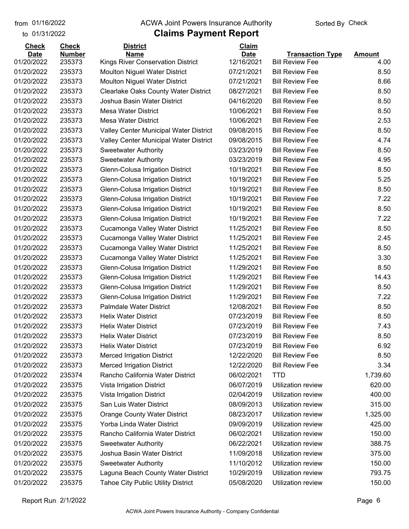#### from 01/16/2022 **The COVA Solic Act Act Authority** Sorted By Check

| <b>Check</b> | <b>Check</b>  | <b>District</b>                             | Claim       |                           |               |
|--------------|---------------|---------------------------------------------|-------------|---------------------------|---------------|
| <b>Date</b>  | <b>Number</b> | <b>Name</b>                                 | <b>Date</b> | <b>Transaction Type</b>   | <b>Amount</b> |
| 01/20/2022   | 235373        | Kings River Conservation District           | 12/16/2021  | <b>Bill Review Fee</b>    | 4.00          |
| 01/20/2022   | 235373        | <b>Moulton Niguel Water District</b>        | 07/21/2021  | <b>Bill Review Fee</b>    | 8.50          |
| 01/20/2022   | 235373        | <b>Moulton Niguel Water District</b>        | 07/21/2021  | <b>Bill Review Fee</b>    | 8.66          |
| 01/20/2022   | 235373        | <b>Clearlake Oaks County Water District</b> | 08/27/2021  | <b>Bill Review Fee</b>    | 8.50          |
| 01/20/2022   | 235373        | Joshua Basin Water District                 | 04/16/2020  | <b>Bill Review Fee</b>    | 8.50          |
| 01/20/2022   | 235373        | <b>Mesa Water District</b>                  | 10/06/2021  | <b>Bill Review Fee</b>    | 8.50          |
| 01/20/2022   | 235373        | <b>Mesa Water District</b>                  | 10/06/2021  | <b>Bill Review Fee</b>    | 2.53          |
| 01/20/2022   | 235373        | Valley Center Municipal Water District      | 09/08/2015  | <b>Bill Review Fee</b>    | 8.50          |
| 01/20/2022   | 235373        | Valley Center Municipal Water District      | 09/08/2015  | <b>Bill Review Fee</b>    | 4.74          |
| 01/20/2022   | 235373        | <b>Sweetwater Authority</b>                 | 03/23/2019  | <b>Bill Review Fee</b>    | 8.50          |
| 01/20/2022   | 235373        | <b>Sweetwater Authority</b>                 | 03/23/2019  | <b>Bill Review Fee</b>    | 4.95          |
| 01/20/2022   | 235373        | Glenn-Colusa Irrigation District            | 10/19/2021  | <b>Bill Review Fee</b>    | 8.50          |
| 01/20/2022   | 235373        | Glenn-Colusa Irrigation District            | 10/19/2021  | <b>Bill Review Fee</b>    | 5.25          |
| 01/20/2022   | 235373        | Glenn-Colusa Irrigation District            | 10/19/2021  | <b>Bill Review Fee</b>    | 8.50          |
| 01/20/2022   | 235373        | Glenn-Colusa Irrigation District            | 10/19/2021  | <b>Bill Review Fee</b>    | 7.22          |
| 01/20/2022   | 235373        | Glenn-Colusa Irrigation District            | 10/19/2021  | <b>Bill Review Fee</b>    | 8.50          |
| 01/20/2022   | 235373        | Glenn-Colusa Irrigation District            | 10/19/2021  | <b>Bill Review Fee</b>    | 7.22          |
| 01/20/2022   | 235373        | Cucamonga Valley Water District             | 11/25/2021  | <b>Bill Review Fee</b>    | 8.50          |
| 01/20/2022   | 235373        | Cucamonga Valley Water District             | 11/25/2021  | <b>Bill Review Fee</b>    | 2.45          |
| 01/20/2022   | 235373        | Cucamonga Valley Water District             | 11/25/2021  | <b>Bill Review Fee</b>    | 8.50          |
| 01/20/2022   | 235373        | Cucamonga Valley Water District             | 11/25/2021  | <b>Bill Review Fee</b>    | 3.30          |
| 01/20/2022   | 235373        | Glenn-Colusa Irrigation District            | 11/29/2021  | <b>Bill Review Fee</b>    | 8.50          |
| 01/20/2022   | 235373        | Glenn-Colusa Irrigation District            | 11/29/2021  | <b>Bill Review Fee</b>    | 14.43         |
| 01/20/2022   | 235373        | Glenn-Colusa Irrigation District            | 11/29/2021  | <b>Bill Review Fee</b>    | 8.50          |
| 01/20/2022   | 235373        | Glenn-Colusa Irrigation District            | 11/29/2021  | <b>Bill Review Fee</b>    | 7.22          |
| 01/20/2022   | 235373        | <b>Palmdale Water District</b>              | 12/08/2021  | <b>Bill Review Fee</b>    | 8.50          |
| 01/20/2022   | 235373        | <b>Helix Water District</b>                 | 07/23/2019  | <b>Bill Review Fee</b>    | 8.50          |
| 01/20/2022   | 235373        | <b>Helix Water District</b>                 | 07/23/2019  | <b>Bill Review Fee</b>    | 7.43          |
| 01/20/2022   | 235373        | <b>Helix Water District</b>                 | 07/23/2019  | <b>Bill Review Fee</b>    | 8.50          |
| 01/20/2022   | 235373        | <b>Helix Water District</b>                 | 07/23/2019  | <b>Bill Review Fee</b>    | 6.92          |
| 01/20/2022   | 235373        | <b>Merced Irrigation District</b>           | 12/22/2020  | <b>Bill Review Fee</b>    | 8.50          |
| 01/20/2022   | 235373        | <b>Merced Irrigation District</b>           | 12/22/2020  | <b>Bill Review Fee</b>    | 3.34          |
| 01/20/2022   | 235374        | Rancho California Water District            | 06/02/2021  | <b>TTD</b>                | 1,739.60      |
| 01/20/2022   | 235375        | Vista Irrigation District                   | 06/07/2019  | <b>Utilization review</b> | 620.00        |
| 01/20/2022   | 235375        | Vista Irrigation District                   | 02/04/2019  | Utilization review        | 400.00        |
| 01/20/2022   | 235375        | San Luis Water District                     | 08/09/2013  | Utilization review        | 315.00        |
| 01/20/2022   | 235375        | <b>Orange County Water District</b>         | 08/23/2017  | Utilization review        | 1,325.00      |
| 01/20/2022   | 235375        | Yorba Linda Water District                  | 09/09/2019  | Utilization review        | 425.00        |
| 01/20/2022   | 235375        | Rancho California Water District            | 06/02/2021  | Utilization review        | 150.00        |
| 01/20/2022   | 235375        | <b>Sweetwater Authority</b>                 | 06/22/2021  | Utilization review        | 388.75        |
| 01/20/2022   | 235375        | Joshua Basin Water District                 | 11/09/2018  | Utilization review        | 375.00        |
| 01/20/2022   | 235375        | <b>Sweetwater Authority</b>                 | 11/10/2012  | Utilization review        | 150.00        |
| 01/20/2022   | 235375        | Laguna Beach County Water District          | 10/29/2019  | Utilization review        | 793.75        |
| 01/20/2022   | 235375        | <b>Tahoe City Public Utility District</b>   | 05/08/2020  | Utilization review        | 150.00        |
|              |               |                                             |             |                           |               |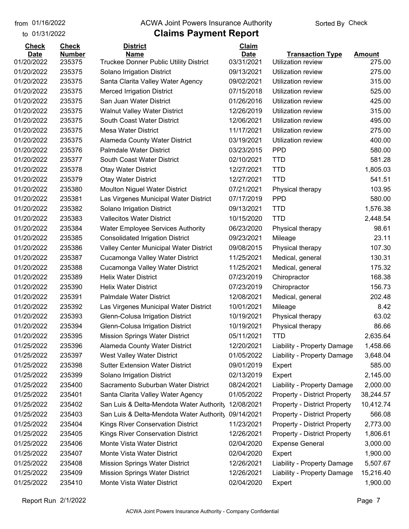#### from 01/16/2022 **The COVA Solic Act Act Authority** Sorted By Check

| <b>Check</b>              | <b>Check</b>            | <b>District</b>                                       | Claim                     |                                               |                  |
|---------------------------|-------------------------|-------------------------------------------------------|---------------------------|-----------------------------------------------|------------------|
| <b>Date</b><br>01/20/2022 | <b>Number</b><br>235375 | <b>Name</b><br>Truckee Donner Public Utility District | <b>Date</b><br>03/31/2021 | <b>Transaction Type</b><br>Utilization review | Amount<br>275.00 |
| 01/20/2022                | 235375                  | Solano Irrigation District                            | 09/13/2021                | <b>Utilization review</b>                     | 275.00           |
| 01/20/2022                | 235375                  | Santa Clarita Valley Water Agency                     | 09/02/2021                | Utilization review                            | 315.00           |
| 01/20/2022                | 235375                  | <b>Merced Irrigation District</b>                     | 07/15/2018                | Utilization review                            | 525.00           |
| 01/20/2022                | 235375                  | San Juan Water District                               | 01/26/2016                | Utilization review                            | 425.00           |
| 01/20/2022                | 235375                  | <b>Walnut Valley Water District</b>                   | 12/26/2019                | Utilization review                            | 315.00           |
| 01/20/2022                | 235375                  | South Coast Water District                            | 12/06/2021                | Utilization review                            | 495.00           |
| 01/20/2022                | 235375                  | <b>Mesa Water District</b>                            | 11/17/2021                | Utilization review                            | 275.00           |
| 01/20/2022                | 235375                  | Alameda County Water District                         | 03/19/2021                | Utilization review                            | 400.00           |
| 01/20/2022                | 235376                  | <b>Palmdale Water District</b>                        | 03/23/2015                | <b>PPD</b>                                    | 580.00           |
| 01/20/2022                | 235377                  | South Coast Water District                            | 02/10/2021                | <b>TTD</b>                                    | 581.28           |
| 01/20/2022                | 235378                  | <b>Otay Water District</b>                            | 12/27/2021                | <b>TTD</b>                                    | 1,805.03         |
| 01/20/2022                | 235379                  | <b>Otay Water District</b>                            | 12/27/2021                | <b>TTD</b>                                    | 541.51           |
| 01/20/2022                | 235380                  | <b>Moulton Niguel Water District</b>                  | 07/21/2021                | Physical therapy                              | 103.95           |
| 01/20/2022                | 235381                  | Las Virgenes Municipal Water District                 | 07/17/2019                | <b>PPD</b>                                    | 580.00           |
| 01/20/2022                | 235382                  | Solano Irrigation District                            | 09/13/2021                | <b>TTD</b>                                    | 1,576.38         |
| 01/20/2022                | 235383                  | <b>Vallecitos Water District</b>                      | 10/15/2020                | <b>TTD</b>                                    | 2,448.54         |
| 01/20/2022                | 235384                  | <b>Water Employee Services Authority</b>              | 06/23/2020                | Physical therapy                              | 98.61            |
| 01/20/2022                | 235385                  | <b>Consolidated Irrigation District</b>               | 09/23/2021                | Mileage                                       | 23.11            |
| 01/20/2022                | 235386                  | Valley Center Municipal Water District                | 09/08/2015                | Physical therapy                              | 107.30           |
| 01/20/2022                | 235387                  | Cucamonga Valley Water District                       | 11/25/2021                | Medical, general                              | 130.31           |
| 01/20/2022                | 235388                  | Cucamonga Valley Water District                       | 11/25/2021                | Medical, general                              | 175.32           |
| 01/20/2022                | 235389                  | <b>Helix Water District</b>                           | 07/23/2019                | Chiropractor                                  | 168.38           |
| 01/20/2022                | 235390                  | <b>Helix Water District</b>                           | 07/23/2019                | Chiropractor                                  | 156.73           |
| 01/20/2022                | 235391                  | <b>Palmdale Water District</b>                        | 12/08/2021                | Medical, general                              | 202.48           |
| 01/20/2022                | 235392                  | Las Virgenes Municipal Water District                 | 10/01/2021                | Mileage                                       | 8.42             |
| 01/20/2022                | 235393                  | Glenn-Colusa Irrigation District                      | 10/19/2021                | Physical therapy                              | 63.02            |
| 01/20/2022                | 235394                  | <b>Glenn-Colusa Irrigation District</b>               | 10/19/2021                | Physical therapy                              | 86.66            |
| 01/20/2022                | 235395                  | <b>Mission Springs Water District</b>                 | 05/11/2021                | <b>TTD</b>                                    | 2,635.64         |
| 01/25/2022                | 235396                  | <b>Alameda County Water District</b>                  | 12/20/2021                | Liability - Property Damage                   | 1,458.66         |
| 01/25/2022                | 235397                  | West Valley Water District                            | 01/05/2022                | Liability - Property Damage                   | 3,648.04         |
| 01/25/2022                | 235398                  | <b>Sutter Extension Water District</b>                | 09/01/2019                | Expert                                        | 585.00           |
| 01/25/2022                | 235399                  | Solano Irrigation District                            | 02/13/2019                | Expert                                        | 2,145.00         |
| 01/25/2022                | 235400                  | Sacramento Suburban Water District                    | 08/24/2021                | Liability - Property Damage                   | 2,000.00         |
| 01/25/2022                | 235401                  | Santa Clarita Valley Water Agency                     | 01/05/2022                | <b>Property - District Property</b>           | 38,244.57        |
| 01/25/2022                | 235402                  | San Luis & Delta-Mendota Water Authority              | 12/08/2021                | <b>Property - District Property</b>           | 10,412.74        |
| 01/25/2022                | 235403                  | San Luis & Delta-Mendota Water Authority              | 09/14/2021                | <b>Property - District Property</b>           | 566.08           |
| 01/25/2022                | 235404                  | Kings River Conservation District                     | 11/23/2021                | <b>Property - District Property</b>           | 2,773.00         |
| 01/25/2022                | 235405                  | Kings River Conservation District                     | 12/26/2021                | <b>Property - District Property</b>           | 1,806.61         |
| 01/25/2022                | 235406                  | Monte Vista Water District                            | 02/04/2020                | <b>Expense General</b>                        | 3,000.00         |
| 01/25/2022                | 235407                  | Monte Vista Water District                            | 02/04/2020                | Expert                                        | 1,900.00         |
| 01/25/2022                | 235408                  | <b>Mission Springs Water District</b>                 | 12/26/2021                | Liability - Property Damage                   | 5,507.67         |
| 01/25/2022                | 235409                  | <b>Mission Springs Water District</b>                 | 12/26/2021                | Liability - Property Damage                   | 15,216.40        |
| 01/25/2022                | 235410                  | Monte Vista Water District                            | 02/04/2020                | Expert                                        | 1,900.00         |
|                           |                         |                                                       |                           |                                               |                  |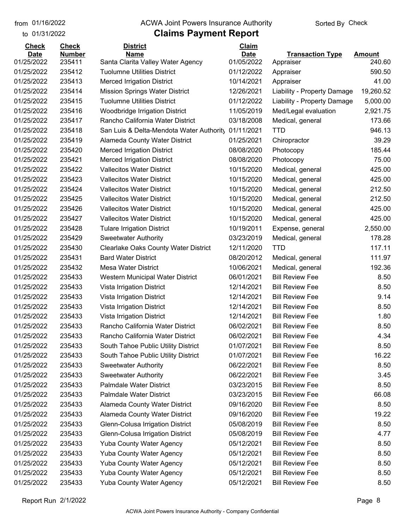#### from 01/16/2022 **The COVA Solic Act Act Authority** Sorted By Check

| <b>Check</b> | <b>Check</b>  | <b>District</b>                             | Claim       |                             |               |
|--------------|---------------|---------------------------------------------|-------------|-----------------------------|---------------|
| <b>Date</b>  | <b>Number</b> | <b>Name</b>                                 | <b>Date</b> | <b>Transaction Type</b>     | <b>Amount</b> |
| 01/25/2022   | 235411        | Santa Clarita Valley Water Agency           | 01/05/2022  | Appraiser                   | 240.60        |
| 01/25/2022   | 235412        | <b>Tuolumne Utilities District</b>          | 01/12/2022  | Appraiser                   | 590.50        |
| 01/25/2022   | 235413        | <b>Merced Irrigation District</b>           | 10/14/2021  | Appraiser                   | 41.00         |
| 01/25/2022   | 235414        | <b>Mission Springs Water District</b>       | 12/26/2021  | Liability - Property Damage | 19,260.52     |
| 01/25/2022   | 235415        | <b>Tuolumne Utilities District</b>          | 01/12/2022  | Liability - Property Damage | 5,000.00      |
| 01/25/2022   | 235416        | <b>Woodbridge Irrigation District</b>       | 11/05/2019  | Med/Legal evaluation        | 2,921.75      |
| 01/25/2022   | 235417        | Rancho California Water District            | 03/18/2008  | Medical, general            | 173.66        |
| 01/25/2022   | 235418        | San Luis & Delta-Mendota Water Authority    | 01/11/2021  | <b>TTD</b>                  | 946.13        |
| 01/25/2022   | 235419        | <b>Alameda County Water District</b>        | 01/25/2021  | Chiropractor                | 39.29         |
| 01/25/2022   | 235420        | <b>Merced Irrigation District</b>           | 08/08/2020  | Photocopy                   | 185.44        |
| 01/25/2022   | 235421        | <b>Merced Irrigation District</b>           | 08/08/2020  | Photocopy                   | 75.00         |
| 01/25/2022   | 235422        | <b>Vallecitos Water District</b>            | 10/15/2020  | Medical, general            | 425.00        |
| 01/25/2022   | 235423        | <b>Vallecitos Water District</b>            | 10/15/2020  | Medical, general            | 425.00        |
| 01/25/2022   | 235424        | <b>Vallecitos Water District</b>            | 10/15/2020  | Medical, general            | 212.50        |
| 01/25/2022   | 235425        | <b>Vallecitos Water District</b>            | 10/15/2020  | Medical, general            | 212.50        |
| 01/25/2022   | 235426        | <b>Vallecitos Water District</b>            | 10/15/2020  | Medical, general            | 425.00        |
| 01/25/2022   | 235427        | <b>Vallecitos Water District</b>            | 10/15/2020  | Medical, general            | 425.00        |
| 01/25/2022   | 235428        | <b>Tulare Irrigation District</b>           | 10/19/2011  | Expense, general            | 2,550.00      |
| 01/25/2022   | 235429        | <b>Sweetwater Authority</b>                 | 03/23/2019  | Medical, general            | 178.28        |
| 01/25/2022   | 235430        | <b>Clearlake Oaks County Water District</b> | 12/11/2020  | <b>TTD</b>                  | 117.11        |
| 01/25/2022   | 235431        | <b>Bard Water District</b>                  | 08/20/2012  | Medical, general            | 111.97        |
| 01/25/2022   | 235432        | <b>Mesa Water District</b>                  | 10/06/2021  | Medical, general            | 192.36        |
| 01/25/2022   | 235433        | Western Municipal Water District            | 06/01/2021  | <b>Bill Review Fee</b>      | 8.50          |
| 01/25/2022   | 235433        | Vista Irrigation District                   | 12/14/2021  | <b>Bill Review Fee</b>      | 8.50          |
| 01/25/2022   | 235433        | Vista Irrigation District                   | 12/14/2021  | <b>Bill Review Fee</b>      | 9.14          |
| 01/25/2022   | 235433        | Vista Irrigation District                   | 12/14/2021  | <b>Bill Review Fee</b>      | 8.50          |
| 01/25/2022   | 235433        | Vista Irrigation District                   | 12/14/2021  | <b>Bill Review Fee</b>      | 1.80          |
| 01/25/2022   | 235433        | Rancho California Water District            | 06/02/2021  | <b>Bill Review Fee</b>      | 8.50          |
| 01/25/2022   | 235433        | Rancho California Water District            | 06/02/2021  | <b>Bill Review Fee</b>      | 4.34          |
| 01/25/2022   | 235433        | South Tahoe Public Utility District         | 01/07/2021  | <b>Bill Review Fee</b>      | 8.50          |
| 01/25/2022   | 235433        | South Tahoe Public Utility District         | 01/07/2021  | <b>Bill Review Fee</b>      | 16.22         |
| 01/25/2022   | 235433        | <b>Sweetwater Authority</b>                 | 06/22/2021  | <b>Bill Review Fee</b>      | 8.50          |
| 01/25/2022   | 235433        | <b>Sweetwater Authority</b>                 | 06/22/2021  | <b>Bill Review Fee</b>      | 3.45          |
| 01/25/2022   | 235433        | <b>Palmdale Water District</b>              | 03/23/2015  | <b>Bill Review Fee</b>      | 8.50          |
| 01/25/2022   | 235433        | <b>Palmdale Water District</b>              | 03/23/2015  | <b>Bill Review Fee</b>      | 66.08         |
| 01/25/2022   | 235433        | <b>Alameda County Water District</b>        | 09/16/2020  | <b>Bill Review Fee</b>      | 8.50          |
| 01/25/2022   | 235433        | Alameda County Water District               | 09/16/2020  | <b>Bill Review Fee</b>      | 19.22         |
| 01/25/2022   | 235433        | Glenn-Colusa Irrigation District            | 05/08/2019  | <b>Bill Review Fee</b>      | 8.50          |
| 01/25/2022   | 235433        | Glenn-Colusa Irrigation District            | 05/08/2019  | <b>Bill Review Fee</b>      | 4.77          |
| 01/25/2022   | 235433        | <b>Yuba County Water Agency</b>             | 05/12/2021  | <b>Bill Review Fee</b>      | 8.50          |
| 01/25/2022   | 235433        | <b>Yuba County Water Agency</b>             | 05/12/2021  | <b>Bill Review Fee</b>      | 8.50          |
| 01/25/2022   | 235433        | <b>Yuba County Water Agency</b>             | 05/12/2021  | <b>Bill Review Fee</b>      | 8.50          |
| 01/25/2022   | 235433        | <b>Yuba County Water Agency</b>             | 05/12/2021  | <b>Bill Review Fee</b>      | 8.50          |
| 01/25/2022   | 235433        | Yuba County Water Agency                    | 05/12/2021  | <b>Bill Review Fee</b>      | 8.50          |
|              |               |                                             |             |                             |               |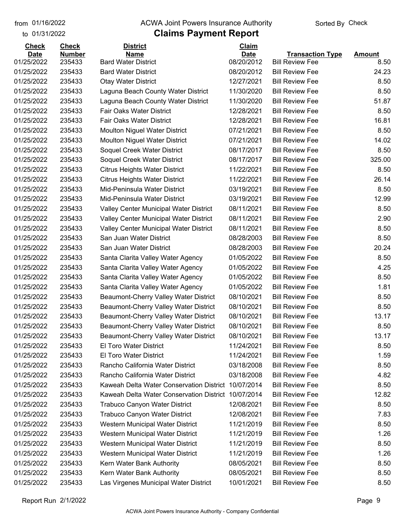#### from 01/16/2022 **The COVA Solic Act Act Authority** Sorted By Check

| <b>Check</b>             | <b>Check</b>     | <b>District</b>                                          | Claim                    |                                                  |               |
|--------------------------|------------------|----------------------------------------------------------|--------------------------|--------------------------------------------------|---------------|
| <b>Date</b>              | <b>Number</b>    | <b>Name</b>                                              | <b>Date</b>              | <b>Transaction Type</b>                          | <b>Amount</b> |
| 01/25/2022<br>01/25/2022 | 235433<br>235433 | <b>Bard Water District</b><br><b>Bard Water District</b> | 08/20/2012<br>08/20/2012 | <b>Bill Review Fee</b><br><b>Bill Review Fee</b> | 8.50<br>24.23 |
|                          |                  |                                                          | 12/27/2021               | <b>Bill Review Fee</b>                           |               |
| 01/25/2022               | 235433           | <b>Otay Water District</b>                               |                          |                                                  | 8.50          |
| 01/25/2022               | 235433           | Laguna Beach County Water District                       | 11/30/2020               | <b>Bill Review Fee</b>                           | 8.50          |
| 01/25/2022               | 235433           | Laguna Beach County Water District                       | 11/30/2020               | <b>Bill Review Fee</b>                           | 51.87         |
| 01/25/2022               | 235433           | <b>Fair Oaks Water District</b>                          | 12/28/2021               | <b>Bill Review Fee</b>                           | 8.50          |
| 01/25/2022               | 235433           | Fair Oaks Water District                                 | 12/28/2021               | <b>Bill Review Fee</b>                           | 16.81         |
| 01/25/2022               | 235433           | <b>Moulton Niguel Water District</b>                     | 07/21/2021               | <b>Bill Review Fee</b>                           | 8.50          |
| 01/25/2022               | 235433           | <b>Moulton Niguel Water District</b>                     | 07/21/2021               | <b>Bill Review Fee</b>                           | 14.02         |
| 01/25/2022               | 235433           | Soquel Creek Water District                              | 08/17/2017               | <b>Bill Review Fee</b>                           | 8.50          |
| 01/25/2022               | 235433           | Soquel Creek Water District                              | 08/17/2017               | <b>Bill Review Fee</b>                           | 325.00        |
| 01/25/2022               | 235433           | <b>Citrus Heights Water District</b>                     | 11/22/2021               | <b>Bill Review Fee</b>                           | 8.50          |
| 01/25/2022               | 235433           | <b>Citrus Heights Water District</b>                     | 11/22/2021               | <b>Bill Review Fee</b>                           | 26.14         |
| 01/25/2022               | 235433           | Mid-Peninsula Water District                             | 03/19/2021               | <b>Bill Review Fee</b>                           | 8.50          |
| 01/25/2022               | 235433           | Mid-Peninsula Water District                             | 03/19/2021               | <b>Bill Review Fee</b>                           | 12.99         |
| 01/25/2022               | 235433           | Valley Center Municipal Water District                   | 08/11/2021               | <b>Bill Review Fee</b>                           | 8.50          |
| 01/25/2022               | 235433           | Valley Center Municipal Water District                   | 08/11/2021               | <b>Bill Review Fee</b>                           | 2.90          |
| 01/25/2022               | 235433           | Valley Center Municipal Water District                   | 08/11/2021               | <b>Bill Review Fee</b>                           | 8.50          |
| 01/25/2022               | 235433           | San Juan Water District                                  | 08/28/2003               | <b>Bill Review Fee</b>                           | 8.50          |
| 01/25/2022               | 235433           | San Juan Water District                                  | 08/28/2003               | <b>Bill Review Fee</b>                           | 20.24         |
| 01/25/2022               | 235433           | Santa Clarita Valley Water Agency                        | 01/05/2022               | <b>Bill Review Fee</b>                           | 8.50          |
| 01/25/2022               | 235433           | Santa Clarita Valley Water Agency                        | 01/05/2022               | <b>Bill Review Fee</b>                           | 4.25          |
| 01/25/2022               | 235433           | Santa Clarita Valley Water Agency                        | 01/05/2022               | <b>Bill Review Fee</b>                           | 8.50          |
| 01/25/2022               | 235433           | Santa Clarita Valley Water Agency                        | 01/05/2022               | <b>Bill Review Fee</b>                           | 1.81          |
| 01/25/2022               | 235433           | Beaumont-Cherry Valley Water District                    | 08/10/2021               | <b>Bill Review Fee</b>                           | 8.50          |
| 01/25/2022               | 235433           | Beaumont-Cherry Valley Water District                    | 08/10/2021               | <b>Bill Review Fee</b>                           | 8.50          |
| 01/25/2022               | 235433           | Beaumont-Cherry Valley Water District                    | 08/10/2021               | <b>Bill Review Fee</b>                           | 13.17         |
| 01/25/2022               | 235433           | Beaumont-Cherry Valley Water District                    | 08/10/2021               | <b>Bill Review Fee</b>                           | 8.50          |
| 01/25/2022               | 235433           | Beaumont-Cherry Valley Water District                    | 08/10/2021               | <b>Bill Review Fee</b>                           | 13.17         |
| 01/25/2022               | 235433           | El Toro Water District                                   | 11/24/2021               | <b>Bill Review Fee</b>                           | 8.50          |
| 01/25/2022               | 235433           | <b>El Toro Water District</b>                            | 11/24/2021               | <b>Bill Review Fee</b>                           | 1.59          |
| 01/25/2022               | 235433           | Rancho California Water District                         | 03/18/2008               | <b>Bill Review Fee</b>                           | 8.50          |
| 01/25/2022               | 235433           | Rancho California Water District                         | 03/18/2008               | <b>Bill Review Fee</b>                           | 4.82          |
| 01/25/2022               | 235433           | Kaweah Delta Water Conservation District                 | 10/07/2014               | <b>Bill Review Fee</b>                           | 8.50          |
| 01/25/2022               | 235433           | Kaweah Delta Water Conservation District                 | 10/07/2014               | <b>Bill Review Fee</b>                           | 12.82         |
| 01/25/2022               | 235433           | <b>Trabuco Canyon Water District</b>                     | 12/08/2021               | <b>Bill Review Fee</b>                           | 8.50          |
| 01/25/2022               | 235433           | <b>Trabuco Canyon Water District</b>                     | 12/08/2021               | <b>Bill Review Fee</b>                           | 7.83          |
| 01/25/2022               | 235433           | Western Municipal Water District                         | 11/21/2019               | <b>Bill Review Fee</b>                           | 8.50          |
| 01/25/2022               | 235433           | Western Municipal Water District                         | 11/21/2019               | <b>Bill Review Fee</b>                           | 1.26          |
| 01/25/2022               | 235433           | Western Municipal Water District                         | 11/21/2019               | <b>Bill Review Fee</b>                           | 8.50          |
| 01/25/2022               | 235433           | Western Municipal Water District                         | 11/21/2019               | <b>Bill Review Fee</b>                           | 1.26          |
| 01/25/2022               | 235433           | Kern Water Bank Authority                                | 08/05/2021               | <b>Bill Review Fee</b>                           | 8.50          |
| 01/25/2022               | 235433           | Kern Water Bank Authority                                | 08/05/2021               | <b>Bill Review Fee</b>                           | 8.50          |
| 01/25/2022               | 235433           | Las Virgenes Municipal Water District                    | 10/01/2021               | <b>Bill Review Fee</b>                           | 8.50          |
|                          |                  |                                                          |                          |                                                  |               |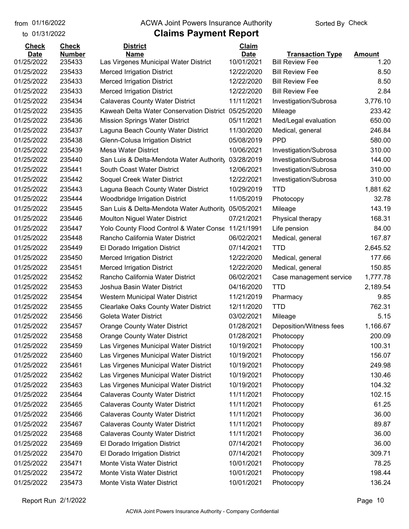#### from 01/16/2022 **The COVA Solic Act Act Authority** Sorted By Check

| <b>Check</b> | <b>Check</b>  | <b>District</b>                                     | Claim       |                         |               |
|--------------|---------------|-----------------------------------------------------|-------------|-------------------------|---------------|
| <b>Date</b>  | <b>Number</b> | <b>Name</b>                                         | <b>Date</b> | <b>Transaction Type</b> | <b>Amount</b> |
| 01/25/2022   | 235433        | Las Virgenes Municipal Water District               | 10/01/2021  | <b>Bill Review Fee</b>  | 1.20          |
| 01/25/2022   | 235433        | <b>Merced Irrigation District</b>                   | 12/22/2020  | <b>Bill Review Fee</b>  | 8.50          |
| 01/25/2022   | 235433        | <b>Merced Irrigation District</b>                   | 12/22/2020  | <b>Bill Review Fee</b>  | 8.50          |
| 01/25/2022   | 235433        | <b>Merced Irrigation District</b>                   | 12/22/2020  | <b>Bill Review Fee</b>  | 2.84          |
| 01/25/2022   | 235434        | <b>Calaveras County Water District</b>              | 11/11/2021  | Investigation/Subrosa   | 3,776.10      |
| 01/25/2022   | 235435        | Kaweah Delta Water Conservation District 05/25/2020 |             | Mileage                 | 233.42        |
| 01/25/2022   | 235436        | <b>Mission Springs Water District</b>               | 05/11/2021  | Med/Legal evaluation    | 650.00        |
| 01/25/2022   | 235437        | Laguna Beach County Water District                  | 11/30/2020  | Medical, general        | 246.84        |
| 01/25/2022   | 235438        | Glenn-Colusa Irrigation District                    | 05/08/2019  | <b>PPD</b>              | 580.00        |
| 01/25/2022   | 235439        | <b>Mesa Water District</b>                          | 10/06/2021  | Investigation/Subrosa   | 310.00        |
| 01/25/2022   | 235440        | San Luis & Delta-Mendota Water Authority            | 03/28/2019  | Investigation/Subrosa   | 144.00        |
| 01/25/2022   | 235441        | South Coast Water District                          | 12/06/2021  | Investigation/Subrosa   | 310.00        |
| 01/25/2022   | 235442        | Soquel Creek Water District                         | 12/22/2021  | Investigation/Subrosa   | 310.00        |
| 01/25/2022   | 235443        | Laguna Beach County Water District                  | 10/29/2019  | <b>TTD</b>              | 1,881.62      |
| 01/25/2022   | 235444        | <b>Woodbridge Irrigation District</b>               | 11/05/2019  | Photocopy               | 32.78         |
| 01/25/2022   | 235445        | San Luis & Delta-Mendota Water Authority            | 05/05/2021  | Mileage                 | 143.19        |
| 01/25/2022   | 235446        | <b>Moulton Niguel Water District</b>                | 07/21/2021  | Physical therapy        | 168.31        |
| 01/25/2022   | 235447        | Yolo County Flood Control & Water Conse             | 11/21/1991  | Life pension            | 84.00         |
| 01/25/2022   | 235448        | Rancho California Water District                    | 06/02/2021  | Medical, general        | 167.87        |
| 01/25/2022   | 235449        | El Dorado Irrigation District                       | 07/14/2021  | <b>TTD</b>              | 2,645.52      |
| 01/25/2022   | 235450        | <b>Merced Irrigation District</b>                   | 12/22/2020  | Medical, general        | 177.66        |
| 01/25/2022   | 235451        | <b>Merced Irrigation District</b>                   | 12/22/2020  | Medical, general        | 150.85        |
| 01/25/2022   | 235452        | Rancho California Water District                    | 06/02/2021  | Case management service | 1,777.78      |
| 01/25/2022   | 235453        | Joshua Basin Water District                         | 04/16/2020  | <b>TTD</b>              | 2,189.54      |
| 01/25/2022   | 235454        | Western Municipal Water District                    | 11/21/2019  | Pharmacy                | 9.85          |
| 01/25/2022   | 235455        | <b>Clearlake Oaks County Water District</b>         | 12/11/2020  | <b>TTD</b>              | 762.31        |
| 01/25/2022   | 235456        | Goleta Water District                               | 03/02/2021  | Mileage                 | 5.15          |
| 01/25/2022   | 235457        | <b>Orange County Water District</b>                 | 01/28/2021  | Deposition/Witness fees | 1,166.67      |
| 01/25/2022   | 235458        | <b>Orange County Water District</b>                 | 01/28/2021  | Photocopy               | 200.09        |
| 01/25/2022   | 235459        | Las Virgenes Municipal Water District               | 10/19/2021  | Photocopy               | 100.31        |
| 01/25/2022   | 235460        | Las Virgenes Municipal Water District               | 10/19/2021  | Photocopy               | 156.07        |
| 01/25/2022   | 235461        | Las Virgenes Municipal Water District               | 10/19/2021  | Photocopy               | 249.98        |
| 01/25/2022   | 235462        | Las Virgenes Municipal Water District               | 10/19/2021  | Photocopy               | 130.46        |
| 01/25/2022   | 235463        | Las Virgenes Municipal Water District               | 10/19/2021  | Photocopy               | 104.32        |
| 01/25/2022   | 235464        | <b>Calaveras County Water District</b>              | 11/11/2021  | Photocopy               | 102.15        |
| 01/25/2022   | 235465        | <b>Calaveras County Water District</b>              | 11/11/2021  | Photocopy               | 61.25         |
| 01/25/2022   | 235466        | <b>Calaveras County Water District</b>              | 11/11/2021  | Photocopy               | 36.00         |
| 01/25/2022   | 235467        | <b>Calaveras County Water District</b>              | 11/11/2021  | Photocopy               | 89.87         |
| 01/25/2022   | 235468        | <b>Calaveras County Water District</b>              | 11/11/2021  | Photocopy               | 36.00         |
| 01/25/2022   | 235469        | El Dorado Irrigation District                       | 07/14/2021  | Photocopy               | 36.00         |
| 01/25/2022   | 235470        | El Dorado Irrigation District                       | 07/14/2021  | Photocopy               | 309.71        |
| 01/25/2022   | 235471        | Monte Vista Water District                          | 10/01/2021  | Photocopy               | 78.25         |
| 01/25/2022   | 235472        | Monte Vista Water District                          | 10/01/2021  | Photocopy               | 198.44        |
| 01/25/2022   | 235473        | Monte Vista Water District                          | 10/01/2021  | Photocopy               | 136.24        |
|              |               |                                                     |             |                         |               |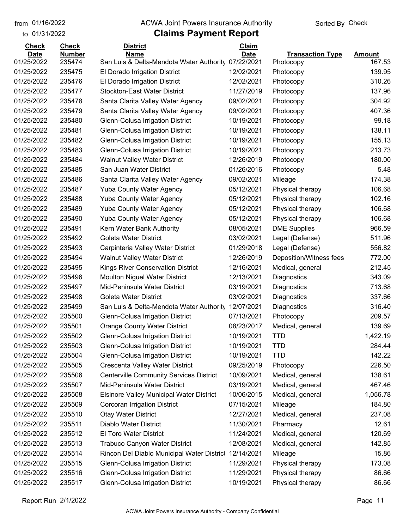#### from 01/16/2022 **The COVA Solic Act Act Authority** Sorted By Check

### **Claims Payment Report**

| <b>Check</b> | <b>Check</b>  | <b>District</b>                                     | Claim       |                         |          |
|--------------|---------------|-----------------------------------------------------|-------------|-------------------------|----------|
| <b>Date</b>  | <b>Number</b> | <b>Name</b>                                         | <b>Date</b> | <b>Transaction Type</b> | Amount   |
| 01/25/2022   | 235474        | San Luis & Delta-Mendota Water Authority            | 07/22/2021  | Photocopy               | 167.53   |
| 01/25/2022   | 235475        | El Dorado Irrigation District                       | 12/02/2021  | Photocopy               | 139.95   |
| 01/25/2022   | 235476        | El Dorado Irrigation District                       | 12/02/2021  | Photocopy               | 310.26   |
| 01/25/2022   | 235477        | <b>Stockton-East Water District</b>                 | 11/27/2019  | Photocopy               | 137.96   |
| 01/25/2022   | 235478        | Santa Clarita Valley Water Agency                   | 09/02/2021  | Photocopy               | 304.92   |
| 01/25/2022   | 235479        | Santa Clarita Valley Water Agency                   | 09/02/2021  | Photocopy               | 407.36   |
| 01/25/2022   | 235480        | Glenn-Colusa Irrigation District                    | 10/19/2021  | Photocopy               | 99.18    |
| 01/25/2022   | 235481        | Glenn-Colusa Irrigation District                    | 10/19/2021  | Photocopy               | 138.11   |
| 01/25/2022   | 235482        | Glenn-Colusa Irrigation District                    | 10/19/2021  | Photocopy               | 155.13   |
| 01/25/2022   | 235483        | Glenn-Colusa Irrigation District                    | 10/19/2021  | Photocopy               | 213.73   |
| 01/25/2022   | 235484        | <b>Walnut Valley Water District</b>                 | 12/26/2019  | Photocopy               | 180.00   |
| 01/25/2022   | 235485        | San Juan Water District                             | 01/26/2016  | Photocopy               | 5.48     |
| 01/25/2022   | 235486        | Santa Clarita Valley Water Agency                   | 09/02/2021  | Mileage                 | 174.38   |
| 01/25/2022   | 235487        | <b>Yuba County Water Agency</b>                     | 05/12/2021  | Physical therapy        | 106.68   |
| 01/25/2022   | 235488        | <b>Yuba County Water Agency</b>                     | 05/12/2021  | Physical therapy        | 102.16   |
| 01/25/2022   | 235489        | <b>Yuba County Water Agency</b>                     | 05/12/2021  | Physical therapy        | 106.68   |
| 01/25/2022   | 235490        | <b>Yuba County Water Agency</b>                     | 05/12/2021  | Physical therapy        | 106.68   |
| 01/25/2022   | 235491        | Kern Water Bank Authority                           | 08/05/2021  | <b>DME Supplies</b>     | 966.59   |
| 01/25/2022   | 235492        | Goleta Water District                               | 03/02/2021  | Legal (Defense)         | 511.96   |
| 01/25/2022   | 235493        | Carpinteria Valley Water District                   | 01/29/2018  | Legal (Defense)         | 556.82   |
| 01/25/2022   | 235494        | <b>Walnut Valley Water District</b>                 | 12/26/2019  | Deposition/Witness fees | 772.00   |
| 01/25/2022   | 235495        | Kings River Conservation District                   | 12/16/2021  | Medical, general        | 212.45   |
| 01/25/2022   | 235496        | <b>Moulton Niguel Water District</b>                | 12/13/2021  | Diagnostics             | 343.09   |
| 01/25/2022   | 235497        | Mid-Peninsula Water District                        | 03/19/2021  | Diagnostics             | 713.68   |
| 01/25/2022   | 235498        | Goleta Water District                               | 03/02/2021  | Diagnostics             | 337.66   |
| 01/25/2022   | 235499        | San Luis & Delta-Mendota Water Authority            | 12/07/2021  | Diagnostics             | 316.40   |
| 01/25/2022   | 235500        | Glenn-Colusa Irrigation District                    | 07/13/2021  | Photocopy               | 209.57   |
| 01/25/2022   | 235501        | <b>Orange County Water District</b>                 | 08/23/2017  | Medical, general        | 139.69   |
| 01/25/2022   | 235502        | Glenn-Colusa Irrigation District                    | 10/19/2021  | <b>TTD</b>              | 1,422.19 |
| 01/25/2022   | 235503        | Glenn-Colusa Irrigation District                    | 10/19/2021  | <b>TTD</b>              | 284.44   |
| 01/25/2022   | 235504        | Glenn-Colusa Irrigation District                    | 10/19/2021  | <b>TTD</b>              | 142.22   |
| 01/25/2022   | 235505        | Crescenta Valley Water District                     | 09/25/2019  | Photocopy               | 226.50   |
| 01/25/2022   | 235506        | <b>Centerville Community Services District</b>      | 10/09/2021  | Medical, general        | 138.61   |
| 01/25/2022   | 235507        | Mid-Peninsula Water District                        | 03/19/2021  | Medical, general        | 467.46   |
| 01/25/2022   | 235508        | <b>Elsinore Valley Municipal Water District</b>     | 10/06/2015  | Medical, general        | 1,056.78 |
| 01/25/2022   | 235509        | <b>Corcoran Irrigation District</b>                 | 07/15/2021  | Mileage                 | 184.80   |
| 01/25/2022   | 235510        |                                                     | 12/27/2021  |                         | 237.08   |
| 01/25/2022   |               | <b>Otay Water District</b><br>Diablo Water District |             | Medical, general        | 12.61    |
|              | 235511        |                                                     | 11/30/2021  | Pharmacy                |          |
| 01/25/2022   | 235512        | El Toro Water District                              | 11/24/2021  | Medical, general        | 120.69   |
| 01/25/2022   | 235513        | <b>Trabuco Canyon Water District</b>                | 12/08/2021  | Medical, general        | 142.85   |
| 01/25/2022   | 235514        | Rincon Del Diablo Municipal Water District          | 12/14/2021  | Mileage                 | 15.86    |
| 01/25/2022   | 235515        | Glenn-Colusa Irrigation District                    | 11/29/2021  | Physical therapy        | 173.08   |
| 01/25/2022   | 235516        | Glenn-Colusa Irrigation District                    | 11/29/2021  | Physical therapy        | 86.66    |
| 01/25/2022   | 235517        | Glenn-Colusa Irrigation District                    | 10/19/2021  | Physical therapy        | 86.66    |

Report Run 2/1/2022 **Page 11**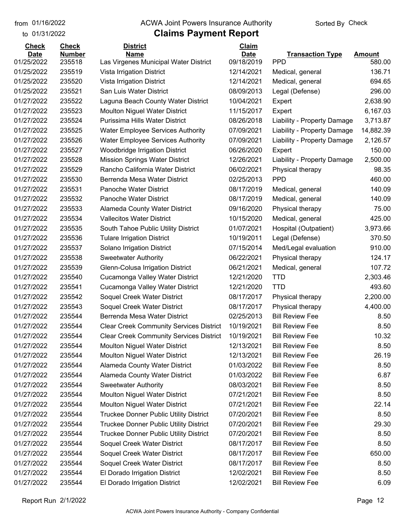#### from 01/16/2022 **The COVA Solic Act Act Authority** Sorted By Check

| <b>Check</b>              | <b>Check</b>            | <b>District</b>                                      | Claim                     |                                       |                         |
|---------------------------|-------------------------|------------------------------------------------------|---------------------------|---------------------------------------|-------------------------|
| <b>Date</b><br>01/25/2022 | <b>Number</b><br>235518 | <b>Name</b><br>Las Virgenes Municipal Water District | <b>Date</b><br>09/18/2019 | <b>Transaction Type</b><br><b>PPD</b> | <b>Amount</b><br>580.00 |
| 01/25/2022                | 235519                  | Vista Irrigation District                            | 12/14/2021                | Medical, general                      | 136.71                  |
| 01/25/2022                | 235520                  | Vista Irrigation District                            | 12/14/2021                |                                       | 694.65                  |
| 01/25/2022                | 235521                  | San Luis Water District                              | 08/09/2013                | Medical, general                      | 296.00                  |
| 01/27/2022                | 235522                  |                                                      |                           | Legal (Defense)                       | 2,638.90                |
|                           |                         | Laguna Beach County Water District                   | 10/04/2021                | Expert                                |                         |
| 01/27/2022                | 235523                  | <b>Moulton Niguel Water District</b>                 | 11/15/2017                | Expert                                | 6,167.03                |
| 01/27/2022                | 235524                  | Purissima Hills Water District                       | 08/26/2018                | Liability - Property Damage           | 3,713.87                |
| 01/27/2022                | 235525                  | <b>Water Employee Services Authority</b>             | 07/09/2021                | Liability - Property Damage           | 14,882.39               |
| 01/27/2022                | 235526                  | <b>Water Employee Services Authority</b>             | 07/09/2021                | Liability - Property Damage           | 2,126.57                |
| 01/27/2022                | 235527                  | Woodbridge Irrigation District                       | 06/26/2020                | Expert                                | 150.00                  |
| 01/27/2022                | 235528                  | <b>Mission Springs Water District</b>                | 12/26/2021                | Liability - Property Damage           | 2,500.00                |
| 01/27/2022                | 235529                  | Rancho California Water District                     | 06/02/2021                | Physical therapy                      | 98.35                   |
| 01/27/2022                | 235530                  | Berrenda Mesa Water District                         | 02/25/2013                | <b>PPD</b>                            | 460.00                  |
| 01/27/2022                | 235531                  | <b>Panoche Water District</b>                        | 08/17/2019                | Medical, general                      | 140.09                  |
| 01/27/2022                | 235532                  | <b>Panoche Water District</b>                        | 08/17/2019                | Medical, general                      | 140.09                  |
| 01/27/2022                | 235533                  | Alameda County Water District                        | 09/16/2020                | Physical therapy                      | 75.00                   |
| 01/27/2022                | 235534                  | <b>Vallecitos Water District</b>                     | 10/15/2020                | Medical, general                      | 425.00                  |
| 01/27/2022                | 235535                  | South Tahoe Public Utility District                  | 01/07/2021                | Hospital (Outpatient)                 | 3,973.66                |
| 01/27/2022                | 235536                  | <b>Tulare Irrigation District</b>                    | 10/19/2011                | Legal (Defense)                       | 370.50                  |
| 01/27/2022                | 235537                  | Solano Irrigation District                           | 07/15/2014                | Med/Legal evaluation                  | 910.00                  |
| 01/27/2022                | 235538                  | <b>Sweetwater Authority</b>                          | 06/22/2021                | Physical therapy                      | 124.17                  |
| 01/27/2022                | 235539                  | Glenn-Colusa Irrigation District                     | 06/21/2021                | Medical, general                      | 107.72                  |
| 01/27/2022                | 235540                  | Cucamonga Valley Water District                      | 12/21/2020                | <b>TTD</b>                            | 2,303.46                |
| 01/27/2022                | 235541                  | Cucamonga Valley Water District                      | 12/21/2020                | <b>TTD</b>                            | 493.60                  |
| 01/27/2022                | 235542                  | Soquel Creek Water District                          | 08/17/2017                | Physical therapy                      | 2,200.00                |
| 01/27/2022                | 235543                  | Soquel Creek Water District                          | 08/17/2017                | Physical therapy                      | 4,400.00                |
| 01/27/2022                | 235544                  | Berrenda Mesa Water District                         | 02/25/2013                | <b>Bill Review Fee</b>                | 8.50                    |
| 01/27/2022                | 235544                  | <b>Clear Creek Community Services District</b>       | 10/19/2021                | <b>Bill Review Fee</b>                | 8.50                    |
| 01/27/2022                | 235544                  | <b>Clear Creek Community Services District</b>       | 10/19/2021                | <b>Bill Review Fee</b>                | 10.32                   |
| 01/27/2022                | 235544                  | <b>Moulton Niguel Water District</b>                 | 12/13/2021                | <b>Bill Review Fee</b>                | 8.50                    |
| 01/27/2022                | 235544                  | <b>Moulton Niguel Water District</b>                 | 12/13/2021                | <b>Bill Review Fee</b>                | 26.19                   |
| 01/27/2022                | 235544                  | Alameda County Water District                        | 01/03/2022                | <b>Bill Review Fee</b>                | 8.50                    |
| 01/27/2022                | 235544                  | Alameda County Water District                        | 01/03/2022                | <b>Bill Review Fee</b>                | 6.87                    |
| 01/27/2022                | 235544                  | <b>Sweetwater Authority</b>                          | 08/03/2021                | <b>Bill Review Fee</b>                | 8.50                    |
| 01/27/2022                | 235544                  | <b>Moulton Niguel Water District</b>                 | 07/21/2021                | <b>Bill Review Fee</b>                | 8.50                    |
| 01/27/2022                | 235544                  | <b>Moulton Niguel Water District</b>                 | 07/21/2021                | <b>Bill Review Fee</b>                | 22.14                   |
| 01/27/2022                | 235544                  | <b>Truckee Donner Public Utility District</b>        | 07/20/2021                | <b>Bill Review Fee</b>                | 8.50                    |
| 01/27/2022                | 235544                  | <b>Truckee Donner Public Utility District</b>        | 07/20/2021                | <b>Bill Review Fee</b>                | 29.30                   |
| 01/27/2022                | 235544                  | <b>Truckee Donner Public Utility District</b>        | 07/20/2021                | <b>Bill Review Fee</b>                | 8.50                    |
| 01/27/2022                | 235544                  | Soquel Creek Water District                          | 08/17/2017                | <b>Bill Review Fee</b>                | 8.50                    |
| 01/27/2022                | 235544                  | Soquel Creek Water District                          | 08/17/2017                | <b>Bill Review Fee</b>                | 650.00                  |
| 01/27/2022                | 235544                  | Soquel Creek Water District                          | 08/17/2017                | <b>Bill Review Fee</b>                | 8.50                    |
| 01/27/2022                | 235544                  | El Dorado Irrigation District                        | 12/02/2021                | <b>Bill Review Fee</b>                | 8.50                    |
| 01/27/2022                | 235544                  | El Dorado Irrigation District                        | 12/02/2021                | <b>Bill Review Fee</b>                | 6.09                    |
|                           |                         |                                                      |                           |                                       |                         |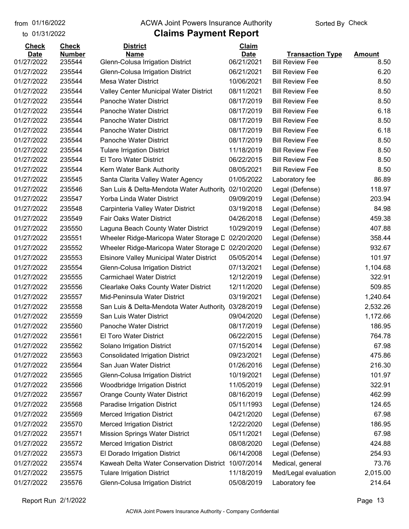#### from 01/16/2022 **The COVA Solic Act Act Authority** Sorted By Check

| <b>Check</b> | <b>Check</b>  | <b>District</b>                                 | Claim       |                         |               |
|--------------|---------------|-------------------------------------------------|-------------|-------------------------|---------------|
| <b>Date</b>  | <b>Number</b> | <b>Name</b>                                     | <b>Date</b> | <b>Transaction Type</b> | <b>Amount</b> |
| 01/27/2022   | 235544        | <b>Glenn-Colusa Irrigation District</b>         | 06/21/2021  | <b>Bill Review Fee</b>  | 8.50          |
| 01/27/2022   | 235544        | Glenn-Colusa Irrigation District                | 06/21/2021  | <b>Bill Review Fee</b>  | 6.20          |
| 01/27/2022   | 235544        | <b>Mesa Water District</b>                      | 10/06/2021  | <b>Bill Review Fee</b>  | 8.50          |
| 01/27/2022   | 235544        | Valley Center Municipal Water District          | 08/11/2021  | <b>Bill Review Fee</b>  | 8.50          |
| 01/27/2022   | 235544        | Panoche Water District                          | 08/17/2019  | <b>Bill Review Fee</b>  | 8.50          |
| 01/27/2022   | 235544        | Panoche Water District                          | 08/17/2019  | <b>Bill Review Fee</b>  | 6.18          |
| 01/27/2022   | 235544        | Panoche Water District                          | 08/17/2019  | <b>Bill Review Fee</b>  | 8.50          |
| 01/27/2022   | 235544        | Panoche Water District                          | 08/17/2019  | <b>Bill Review Fee</b>  | 6.18          |
| 01/27/2022   | 235544        | Panoche Water District                          | 08/17/2019  | <b>Bill Review Fee</b>  | 8.50          |
| 01/27/2022   | 235544        | <b>Tulare Irrigation District</b>               | 11/18/2019  | <b>Bill Review Fee</b>  | 8.50          |
| 01/27/2022   | 235544        | El Toro Water District                          | 06/22/2015  | <b>Bill Review Fee</b>  | 8.50          |
| 01/27/2022   | 235544        | Kern Water Bank Authority                       | 08/05/2021  | <b>Bill Review Fee</b>  | 8.50          |
| 01/27/2022   | 235545        | Santa Clarita Valley Water Agency               | 01/05/2022  | Laboratory fee          | 86.89         |
| 01/27/2022   | 235546        | San Luis & Delta-Mendota Water Authority        | 02/10/2020  | Legal (Defense)         | 118.97        |
| 01/27/2022   | 235547        | Yorba Linda Water District                      | 09/09/2019  | Legal (Defense)         | 203.94        |
| 01/27/2022   | 235548        | Carpinteria Valley Water District               | 03/19/2018  | Legal (Defense)         | 84.98         |
| 01/27/2022   | 235549        | Fair Oaks Water District                        | 04/26/2018  | Legal (Defense)         | 459.38        |
| 01/27/2022   | 235550        | Laguna Beach County Water District              | 10/29/2019  | Legal (Defense)         | 407.88        |
| 01/27/2022   | 235551        | Wheeler Ridge-Maricopa Water Storage D          | 02/20/2020  | Legal (Defense)         | 358.44        |
| 01/27/2022   | 235552        | Wheeler Ridge-Maricopa Water Storage D          | 02/20/2020  | Legal (Defense)         | 932.67        |
| 01/27/2022   | 235553        | <b>Elsinore Valley Municipal Water District</b> | 05/05/2014  | Legal (Defense)         | 101.97        |
| 01/27/2022   | 235554        | Glenn-Colusa Irrigation District                | 07/13/2021  | Legal (Defense)         | 1,104.68      |
| 01/27/2022   | 235555        | <b>Carmichael Water District</b>                | 12/12/2019  | Legal (Defense)         | 322.91        |
| 01/27/2022   | 235556        | <b>Clearlake Oaks County Water District</b>     | 12/11/2020  | Legal (Defense)         | 509.85        |
| 01/27/2022   | 235557        | Mid-Peninsula Water District                    | 03/19/2021  | Legal (Defense)         | 1,240.64      |
| 01/27/2022   | 235558        | San Luis & Delta-Mendota Water Authority        | 03/28/2019  | Legal (Defense)         | 2,532.26      |
| 01/27/2022   | 235559        | San Luis Water District                         | 09/04/2020  | Legal (Defense)         | 1,172.66      |
| 01/27/2022   | 235560        | Panoche Water District                          | 08/17/2019  | Legal (Defense)         | 186.95        |
| 01/27/2022   | 235561        | <b>El Toro Water District</b>                   | 06/22/2015  | Legal (Defense)         | 764.78        |
| 01/27/2022   | 235562        | Solano Irrigation District                      | 07/15/2014  | Legal (Defense)         | 67.98         |
| 01/27/2022   | 235563        | <b>Consolidated Irrigation District</b>         | 09/23/2021  | Legal (Defense)         | 475.86        |
| 01/27/2022   | 235564        | San Juan Water District                         | 01/26/2016  | Legal (Defense)         | 216.30        |
| 01/27/2022   | 235565        | Glenn-Colusa Irrigation District                | 10/19/2021  | Legal (Defense)         | 101.97        |
| 01/27/2022   | 235566        | <b>Woodbridge Irrigation District</b>           | 11/05/2019  | Legal (Defense)         | 322.91        |
| 01/27/2022   | 235567        | <b>Orange County Water District</b>             | 08/16/2019  | Legal (Defense)         | 462.99        |
| 01/27/2022   | 235568        | Paradise Irrigation District                    | 05/11/1993  | Legal (Defense)         | 124.65        |
| 01/27/2022   | 235569        | <b>Merced Irrigation District</b>               | 04/21/2020  | Legal (Defense)         | 67.98         |
| 01/27/2022   | 235570        | <b>Merced Irrigation District</b>               | 12/22/2020  | Legal (Defense)         | 186.95        |
| 01/27/2022   | 235571        | <b>Mission Springs Water District</b>           | 05/11/2021  | Legal (Defense)         | 67.98         |
| 01/27/2022   | 235572        | <b>Merced Irrigation District</b>               | 08/08/2020  | Legal (Defense)         | 424.88        |
| 01/27/2022   | 235573        | El Dorado Irrigation District                   | 06/14/2008  | Legal (Defense)         | 254.93        |
| 01/27/2022   | 235574        | Kaweah Delta Water Conservation District        | 10/07/2014  | Medical, general        | 73.76         |
| 01/27/2022   | 235575        | <b>Tulare Irrigation District</b>               | 11/18/2019  | Med/Legal evaluation    | 2,015.00      |
| 01/27/2022   | 235576        | Glenn-Colusa Irrigation District                | 05/08/2019  | Laboratory fee          | 214.64        |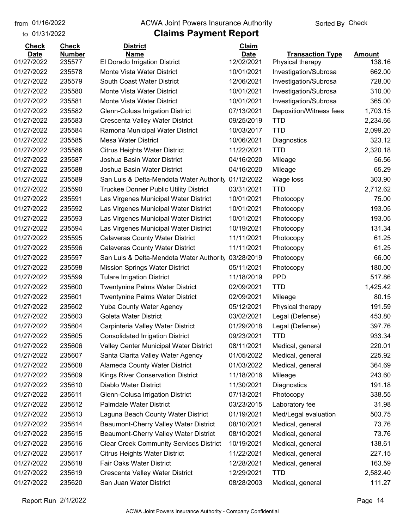01/16/2022

#### from 01/16/2022 **The COVA Solic Act Act Authority** Sorted By Check

#### to 01/31/2022

| <b>Date</b><br><b>Transaction Type</b><br><b>Amount</b><br>01/27/2022<br>12/02/2021<br>138.16<br>235577<br>El Dorado Irrigation District<br>Physical therapy<br>10/01/2021<br>662.00<br>01/27/2022<br>235578<br>Monte Vista Water District<br>Investigation/Subrosa<br>01/27/2022<br>235579<br>South Coast Water District<br>12/06/2021<br>728.00<br>Investigation/Subrosa<br>235580<br>10/01/2021<br>310.00<br>01/27/2022<br>Monte Vista Water District<br>Investigation/Subrosa<br>365.00<br>01/27/2022<br>235581<br>Monte Vista Water District<br>10/01/2021<br>Investigation/Subrosa<br>01/27/2022<br>235582<br>07/13/2021<br>Deposition/Witness fees<br>1,703.15<br>Glenn-Colusa Irrigation District<br>01/27/2022<br>235583<br>Crescenta Valley Water District<br>09/25/2019<br><b>TTD</b><br>2,234.66<br><b>TTD</b><br>01/27/2022<br>235584<br>10/03/2017<br>2,099.20<br>Ramona Municipal Water District<br>323.12<br>01/27/2022<br>235585<br><b>Mesa Water District</b><br>10/06/2021<br>Diagnostics<br><b>TTD</b><br>2,320.18<br>01/27/2022<br>235586<br>11/22/2021<br><b>Citrus Heights Water District</b><br>01/27/2022<br>235587<br>Joshua Basin Water District<br>04/16/2020<br>56.56<br>Mileage<br>65.29<br>01/27/2022<br>235588<br>Joshua Basin Water District<br>04/16/2020<br>Mileage<br>01/27/2022<br>235589<br>01/12/2022<br>303.90<br>San Luis & Delta-Mendota Water Authority<br>Wage loss<br>2,712.62<br>01/27/2022<br>235590<br>03/31/2021<br><b>TTD</b><br><b>Truckee Donner Public Utility District</b><br>01/27/2022<br>235591<br>Las Virgenes Municipal Water District<br>10/01/2021<br>75.00<br>Photocopy<br>193.05<br>01/27/2022<br>235592<br>Las Virgenes Municipal Water District<br>10/01/2021<br>Photocopy<br>193.05<br>01/27/2022<br>235593<br>10/01/2021<br>Las Virgenes Municipal Water District<br>Photocopy<br>01/27/2022<br>235594<br>10/19/2021<br>131.34<br>Las Virgenes Municipal Water District<br>Photocopy<br>61.25<br>01/27/2022<br>235595<br>11/11/2021<br><b>Calaveras County Water District</b><br>Photocopy<br>01/27/2022<br>235596<br><b>Calaveras County Water District</b><br>11/11/2021<br>61.25<br>Photocopy<br>66.00<br>01/27/2022<br>235597<br>03/28/2019<br>San Luis & Delta-Mendota Water Authority<br>Photocopy<br>235598<br>180.00<br>01/27/2022<br><b>Mission Springs Water District</b><br>05/11/2021<br>Photocopy<br>517.86<br>01/27/2022<br>235599<br>11/18/2019<br><b>PPD</b><br><b>Tulare Irrigation District</b><br>01/27/2022<br>235600<br><b>TTD</b><br>1,425.42<br><b>Twentynine Palms Water District</b><br>02/09/2021<br>01/27/2022<br>235601<br>02/09/2021<br>80.15<br><b>Twentynine Palms Water District</b><br>Mileage<br>01/27/2022<br>235602<br>Yuba County Water Agency<br>05/12/2021<br>191.59<br>Physical therapy<br>01/27/2022<br>235603<br><b>Goleta Water District</b><br>03/02/2021<br>Legal (Defense)<br>453.80<br>397.76<br>01/27/2022<br>235604<br>Carpinteria Valley Water District<br>01/29/2018<br>Legal (Defense)<br>933.34<br>01/27/2022<br><b>Consolidated Irrigation District</b><br>09/23/2021<br><b>TTD</b><br>235605<br>01/27/2022<br>235606<br>Valley Center Municipal Water District<br>08/11/2021<br>220.01<br>Medical, general<br>01/27/2022<br>235607<br>Santa Clarita Valley Water Agency<br>01/05/2022<br>225.92<br>Medical, general<br>01/27/2022<br>235608<br>Alameda County Water District<br>364.69<br>01/03/2022<br>Medical, general<br>01/27/2022<br>235609<br>Kings River Conservation District<br>243.60<br>11/18/2016<br>Mileage<br>01/27/2022<br>235610<br>Diablo Water District<br>11/30/2021<br>191.18<br>Diagnostics<br>01/27/2022<br>235611<br>Glenn-Colusa Irrigation District<br>07/13/2021<br>Photocopy<br>338.55<br>Palmdale Water District<br>01/27/2022<br>235612<br>03/23/2015<br>Laboratory fee<br>31.98<br>01/27/2022<br>235613<br>Laguna Beach County Water District<br>01/19/2021<br>Med/Legal evaluation<br>503.75<br>Beaumont-Cherry Valley Water District<br>08/10/2021<br>73.76<br>01/27/2022<br>235614<br>Medical, general<br>01/27/2022<br>235615<br>08/10/2021<br>73.76<br>Beaumont-Cherry Valley Water District<br>Medical, general<br>01/27/2022<br>235616<br><b>Clear Creek Community Services District</b><br>10/19/2021<br>138.61<br>Medical, general<br>01/27/2022<br>235617<br><b>Citrus Heights Water District</b><br>11/22/2021<br>Medical, general<br>227.15<br>Fair Oaks Water District<br>01/27/2022<br>235618<br>Medical, general<br>163.59<br>12/28/2021<br>01/27/2022<br>235619<br>Crescenta Valley Water District<br>12/29/2021<br><b>TTD</b><br>2,582.40<br>01/27/2022<br>235620<br>San Juan Water District<br>08/28/2003<br>Medical, general<br>111.27 | <b>Check</b> | <b>Check</b>  | <b>District</b> | <b>Claim</b> |  |
|-------------------------------------------------------------------------------------------------------------------------------------------------------------------------------------------------------------------------------------------------------------------------------------------------------------------------------------------------------------------------------------------------------------------------------------------------------------------------------------------------------------------------------------------------------------------------------------------------------------------------------------------------------------------------------------------------------------------------------------------------------------------------------------------------------------------------------------------------------------------------------------------------------------------------------------------------------------------------------------------------------------------------------------------------------------------------------------------------------------------------------------------------------------------------------------------------------------------------------------------------------------------------------------------------------------------------------------------------------------------------------------------------------------------------------------------------------------------------------------------------------------------------------------------------------------------------------------------------------------------------------------------------------------------------------------------------------------------------------------------------------------------------------------------------------------------------------------------------------------------------------------------------------------------------------------------------------------------------------------------------------------------------------------------------------------------------------------------------------------------------------------------------------------------------------------------------------------------------------------------------------------------------------------------------------------------------------------------------------------------------------------------------------------------------------------------------------------------------------------------------------------------------------------------------------------------------------------------------------------------------------------------------------------------------------------------------------------------------------------------------------------------------------------------------------------------------------------------------------------------------------------------------------------------------------------------------------------------------------------------------------------------------------------------------------------------------------------------------------------------------------------------------------------------------------------------------------------------------------------------------------------------------------------------------------------------------------------------------------------------------------------------------------------------------------------------------------------------------------------------------------------------------------------------------------------------------------------------------------------------------------------------------------------------------------------------------------------------------------------------------------------------------------------------------------------------------------------------------------------------------------------------------------------------------------------------------------------------------------------------------------------------------------------------------------------------------------------------------------------------------------------------------------------------------------------------------------------------------------------------------------------------------------------------------------------------------------------------------------------------------------------------------------------------------------------------------------------------------------------------------------------------------------------------------------------------------------------------------------------------------------------------------------------------------------------------------------------------|--------------|---------------|-----------------|--------------|--|
|                                                                                                                                                                                                                                                                                                                                                                                                                                                                                                                                                                                                                                                                                                                                                                                                                                                                                                                                                                                                                                                                                                                                                                                                                                                                                                                                                                                                                                                                                                                                                                                                                                                                                                                                                                                                                                                                                                                                                                                                                                                                                                                                                                                                                                                                                                                                                                                                                                                                                                                                                                                                                                                                                                                                                                                                                                                                                                                                                                                                                                                                                                                                                                                                                                                                                                                                                                                                                                                                                                                                                                                                                                                                                                                                                                                                                                                                                                                                                                                                                                                                                                                                                                                                                                                                                                                                                                                                                                                                                                                                                                                                                                                                                                                   | <b>Date</b>  | <b>Number</b> | <b>Name</b>     |              |  |
|                                                                                                                                                                                                                                                                                                                                                                                                                                                                                                                                                                                                                                                                                                                                                                                                                                                                                                                                                                                                                                                                                                                                                                                                                                                                                                                                                                                                                                                                                                                                                                                                                                                                                                                                                                                                                                                                                                                                                                                                                                                                                                                                                                                                                                                                                                                                                                                                                                                                                                                                                                                                                                                                                                                                                                                                                                                                                                                                                                                                                                                                                                                                                                                                                                                                                                                                                                                                                                                                                                                                                                                                                                                                                                                                                                                                                                                                                                                                                                                                                                                                                                                                                                                                                                                                                                                                                                                                                                                                                                                                                                                                                                                                                                                   |              |               |                 |              |  |
|                                                                                                                                                                                                                                                                                                                                                                                                                                                                                                                                                                                                                                                                                                                                                                                                                                                                                                                                                                                                                                                                                                                                                                                                                                                                                                                                                                                                                                                                                                                                                                                                                                                                                                                                                                                                                                                                                                                                                                                                                                                                                                                                                                                                                                                                                                                                                                                                                                                                                                                                                                                                                                                                                                                                                                                                                                                                                                                                                                                                                                                                                                                                                                                                                                                                                                                                                                                                                                                                                                                                                                                                                                                                                                                                                                                                                                                                                                                                                                                                                                                                                                                                                                                                                                                                                                                                                                                                                                                                                                                                                                                                                                                                                                                   |              |               |                 |              |  |
|                                                                                                                                                                                                                                                                                                                                                                                                                                                                                                                                                                                                                                                                                                                                                                                                                                                                                                                                                                                                                                                                                                                                                                                                                                                                                                                                                                                                                                                                                                                                                                                                                                                                                                                                                                                                                                                                                                                                                                                                                                                                                                                                                                                                                                                                                                                                                                                                                                                                                                                                                                                                                                                                                                                                                                                                                                                                                                                                                                                                                                                                                                                                                                                                                                                                                                                                                                                                                                                                                                                                                                                                                                                                                                                                                                                                                                                                                                                                                                                                                                                                                                                                                                                                                                                                                                                                                                                                                                                                                                                                                                                                                                                                                                                   |              |               |                 |              |  |
|                                                                                                                                                                                                                                                                                                                                                                                                                                                                                                                                                                                                                                                                                                                                                                                                                                                                                                                                                                                                                                                                                                                                                                                                                                                                                                                                                                                                                                                                                                                                                                                                                                                                                                                                                                                                                                                                                                                                                                                                                                                                                                                                                                                                                                                                                                                                                                                                                                                                                                                                                                                                                                                                                                                                                                                                                                                                                                                                                                                                                                                                                                                                                                                                                                                                                                                                                                                                                                                                                                                                                                                                                                                                                                                                                                                                                                                                                                                                                                                                                                                                                                                                                                                                                                                                                                                                                                                                                                                                                                                                                                                                                                                                                                                   |              |               |                 |              |  |
|                                                                                                                                                                                                                                                                                                                                                                                                                                                                                                                                                                                                                                                                                                                                                                                                                                                                                                                                                                                                                                                                                                                                                                                                                                                                                                                                                                                                                                                                                                                                                                                                                                                                                                                                                                                                                                                                                                                                                                                                                                                                                                                                                                                                                                                                                                                                                                                                                                                                                                                                                                                                                                                                                                                                                                                                                                                                                                                                                                                                                                                                                                                                                                                                                                                                                                                                                                                                                                                                                                                                                                                                                                                                                                                                                                                                                                                                                                                                                                                                                                                                                                                                                                                                                                                                                                                                                                                                                                                                                                                                                                                                                                                                                                                   |              |               |                 |              |  |
|                                                                                                                                                                                                                                                                                                                                                                                                                                                                                                                                                                                                                                                                                                                                                                                                                                                                                                                                                                                                                                                                                                                                                                                                                                                                                                                                                                                                                                                                                                                                                                                                                                                                                                                                                                                                                                                                                                                                                                                                                                                                                                                                                                                                                                                                                                                                                                                                                                                                                                                                                                                                                                                                                                                                                                                                                                                                                                                                                                                                                                                                                                                                                                                                                                                                                                                                                                                                                                                                                                                                                                                                                                                                                                                                                                                                                                                                                                                                                                                                                                                                                                                                                                                                                                                                                                                                                                                                                                                                                                                                                                                                                                                                                                                   |              |               |                 |              |  |
|                                                                                                                                                                                                                                                                                                                                                                                                                                                                                                                                                                                                                                                                                                                                                                                                                                                                                                                                                                                                                                                                                                                                                                                                                                                                                                                                                                                                                                                                                                                                                                                                                                                                                                                                                                                                                                                                                                                                                                                                                                                                                                                                                                                                                                                                                                                                                                                                                                                                                                                                                                                                                                                                                                                                                                                                                                                                                                                                                                                                                                                                                                                                                                                                                                                                                                                                                                                                                                                                                                                                                                                                                                                                                                                                                                                                                                                                                                                                                                                                                                                                                                                                                                                                                                                                                                                                                                                                                                                                                                                                                                                                                                                                                                                   |              |               |                 |              |  |
|                                                                                                                                                                                                                                                                                                                                                                                                                                                                                                                                                                                                                                                                                                                                                                                                                                                                                                                                                                                                                                                                                                                                                                                                                                                                                                                                                                                                                                                                                                                                                                                                                                                                                                                                                                                                                                                                                                                                                                                                                                                                                                                                                                                                                                                                                                                                                                                                                                                                                                                                                                                                                                                                                                                                                                                                                                                                                                                                                                                                                                                                                                                                                                                                                                                                                                                                                                                                                                                                                                                                                                                                                                                                                                                                                                                                                                                                                                                                                                                                                                                                                                                                                                                                                                                                                                                                                                                                                                                                                                                                                                                                                                                                                                                   |              |               |                 |              |  |
|                                                                                                                                                                                                                                                                                                                                                                                                                                                                                                                                                                                                                                                                                                                                                                                                                                                                                                                                                                                                                                                                                                                                                                                                                                                                                                                                                                                                                                                                                                                                                                                                                                                                                                                                                                                                                                                                                                                                                                                                                                                                                                                                                                                                                                                                                                                                                                                                                                                                                                                                                                                                                                                                                                                                                                                                                                                                                                                                                                                                                                                                                                                                                                                                                                                                                                                                                                                                                                                                                                                                                                                                                                                                                                                                                                                                                                                                                                                                                                                                                                                                                                                                                                                                                                                                                                                                                                                                                                                                                                                                                                                                                                                                                                                   |              |               |                 |              |  |
|                                                                                                                                                                                                                                                                                                                                                                                                                                                                                                                                                                                                                                                                                                                                                                                                                                                                                                                                                                                                                                                                                                                                                                                                                                                                                                                                                                                                                                                                                                                                                                                                                                                                                                                                                                                                                                                                                                                                                                                                                                                                                                                                                                                                                                                                                                                                                                                                                                                                                                                                                                                                                                                                                                                                                                                                                                                                                                                                                                                                                                                                                                                                                                                                                                                                                                                                                                                                                                                                                                                                                                                                                                                                                                                                                                                                                                                                                                                                                                                                                                                                                                                                                                                                                                                                                                                                                                                                                                                                                                                                                                                                                                                                                                                   |              |               |                 |              |  |
|                                                                                                                                                                                                                                                                                                                                                                                                                                                                                                                                                                                                                                                                                                                                                                                                                                                                                                                                                                                                                                                                                                                                                                                                                                                                                                                                                                                                                                                                                                                                                                                                                                                                                                                                                                                                                                                                                                                                                                                                                                                                                                                                                                                                                                                                                                                                                                                                                                                                                                                                                                                                                                                                                                                                                                                                                                                                                                                                                                                                                                                                                                                                                                                                                                                                                                                                                                                                                                                                                                                                                                                                                                                                                                                                                                                                                                                                                                                                                                                                                                                                                                                                                                                                                                                                                                                                                                                                                                                                                                                                                                                                                                                                                                                   |              |               |                 |              |  |
|                                                                                                                                                                                                                                                                                                                                                                                                                                                                                                                                                                                                                                                                                                                                                                                                                                                                                                                                                                                                                                                                                                                                                                                                                                                                                                                                                                                                                                                                                                                                                                                                                                                                                                                                                                                                                                                                                                                                                                                                                                                                                                                                                                                                                                                                                                                                                                                                                                                                                                                                                                                                                                                                                                                                                                                                                                                                                                                                                                                                                                                                                                                                                                                                                                                                                                                                                                                                                                                                                                                                                                                                                                                                                                                                                                                                                                                                                                                                                                                                                                                                                                                                                                                                                                                                                                                                                                                                                                                                                                                                                                                                                                                                                                                   |              |               |                 |              |  |
|                                                                                                                                                                                                                                                                                                                                                                                                                                                                                                                                                                                                                                                                                                                                                                                                                                                                                                                                                                                                                                                                                                                                                                                                                                                                                                                                                                                                                                                                                                                                                                                                                                                                                                                                                                                                                                                                                                                                                                                                                                                                                                                                                                                                                                                                                                                                                                                                                                                                                                                                                                                                                                                                                                                                                                                                                                                                                                                                                                                                                                                                                                                                                                                                                                                                                                                                                                                                                                                                                                                                                                                                                                                                                                                                                                                                                                                                                                                                                                                                                                                                                                                                                                                                                                                                                                                                                                                                                                                                                                                                                                                                                                                                                                                   |              |               |                 |              |  |
|                                                                                                                                                                                                                                                                                                                                                                                                                                                                                                                                                                                                                                                                                                                                                                                                                                                                                                                                                                                                                                                                                                                                                                                                                                                                                                                                                                                                                                                                                                                                                                                                                                                                                                                                                                                                                                                                                                                                                                                                                                                                                                                                                                                                                                                                                                                                                                                                                                                                                                                                                                                                                                                                                                                                                                                                                                                                                                                                                                                                                                                                                                                                                                                                                                                                                                                                                                                                                                                                                                                                                                                                                                                                                                                                                                                                                                                                                                                                                                                                                                                                                                                                                                                                                                                                                                                                                                                                                                                                                                                                                                                                                                                                                                                   |              |               |                 |              |  |
|                                                                                                                                                                                                                                                                                                                                                                                                                                                                                                                                                                                                                                                                                                                                                                                                                                                                                                                                                                                                                                                                                                                                                                                                                                                                                                                                                                                                                                                                                                                                                                                                                                                                                                                                                                                                                                                                                                                                                                                                                                                                                                                                                                                                                                                                                                                                                                                                                                                                                                                                                                                                                                                                                                                                                                                                                                                                                                                                                                                                                                                                                                                                                                                                                                                                                                                                                                                                                                                                                                                                                                                                                                                                                                                                                                                                                                                                                                                                                                                                                                                                                                                                                                                                                                                                                                                                                                                                                                                                                                                                                                                                                                                                                                                   |              |               |                 |              |  |
|                                                                                                                                                                                                                                                                                                                                                                                                                                                                                                                                                                                                                                                                                                                                                                                                                                                                                                                                                                                                                                                                                                                                                                                                                                                                                                                                                                                                                                                                                                                                                                                                                                                                                                                                                                                                                                                                                                                                                                                                                                                                                                                                                                                                                                                                                                                                                                                                                                                                                                                                                                                                                                                                                                                                                                                                                                                                                                                                                                                                                                                                                                                                                                                                                                                                                                                                                                                                                                                                                                                                                                                                                                                                                                                                                                                                                                                                                                                                                                                                                                                                                                                                                                                                                                                                                                                                                                                                                                                                                                                                                                                                                                                                                                                   |              |               |                 |              |  |
|                                                                                                                                                                                                                                                                                                                                                                                                                                                                                                                                                                                                                                                                                                                                                                                                                                                                                                                                                                                                                                                                                                                                                                                                                                                                                                                                                                                                                                                                                                                                                                                                                                                                                                                                                                                                                                                                                                                                                                                                                                                                                                                                                                                                                                                                                                                                                                                                                                                                                                                                                                                                                                                                                                                                                                                                                                                                                                                                                                                                                                                                                                                                                                                                                                                                                                                                                                                                                                                                                                                                                                                                                                                                                                                                                                                                                                                                                                                                                                                                                                                                                                                                                                                                                                                                                                                                                                                                                                                                                                                                                                                                                                                                                                                   |              |               |                 |              |  |
|                                                                                                                                                                                                                                                                                                                                                                                                                                                                                                                                                                                                                                                                                                                                                                                                                                                                                                                                                                                                                                                                                                                                                                                                                                                                                                                                                                                                                                                                                                                                                                                                                                                                                                                                                                                                                                                                                                                                                                                                                                                                                                                                                                                                                                                                                                                                                                                                                                                                                                                                                                                                                                                                                                                                                                                                                                                                                                                                                                                                                                                                                                                                                                                                                                                                                                                                                                                                                                                                                                                                                                                                                                                                                                                                                                                                                                                                                                                                                                                                                                                                                                                                                                                                                                                                                                                                                                                                                                                                                                                                                                                                                                                                                                                   |              |               |                 |              |  |
|                                                                                                                                                                                                                                                                                                                                                                                                                                                                                                                                                                                                                                                                                                                                                                                                                                                                                                                                                                                                                                                                                                                                                                                                                                                                                                                                                                                                                                                                                                                                                                                                                                                                                                                                                                                                                                                                                                                                                                                                                                                                                                                                                                                                                                                                                                                                                                                                                                                                                                                                                                                                                                                                                                                                                                                                                                                                                                                                                                                                                                                                                                                                                                                                                                                                                                                                                                                                                                                                                                                                                                                                                                                                                                                                                                                                                                                                                                                                                                                                                                                                                                                                                                                                                                                                                                                                                                                                                                                                                                                                                                                                                                                                                                                   |              |               |                 |              |  |
|                                                                                                                                                                                                                                                                                                                                                                                                                                                                                                                                                                                                                                                                                                                                                                                                                                                                                                                                                                                                                                                                                                                                                                                                                                                                                                                                                                                                                                                                                                                                                                                                                                                                                                                                                                                                                                                                                                                                                                                                                                                                                                                                                                                                                                                                                                                                                                                                                                                                                                                                                                                                                                                                                                                                                                                                                                                                                                                                                                                                                                                                                                                                                                                                                                                                                                                                                                                                                                                                                                                                                                                                                                                                                                                                                                                                                                                                                                                                                                                                                                                                                                                                                                                                                                                                                                                                                                                                                                                                                                                                                                                                                                                                                                                   |              |               |                 |              |  |
|                                                                                                                                                                                                                                                                                                                                                                                                                                                                                                                                                                                                                                                                                                                                                                                                                                                                                                                                                                                                                                                                                                                                                                                                                                                                                                                                                                                                                                                                                                                                                                                                                                                                                                                                                                                                                                                                                                                                                                                                                                                                                                                                                                                                                                                                                                                                                                                                                                                                                                                                                                                                                                                                                                                                                                                                                                                                                                                                                                                                                                                                                                                                                                                                                                                                                                                                                                                                                                                                                                                                                                                                                                                                                                                                                                                                                                                                                                                                                                                                                                                                                                                                                                                                                                                                                                                                                                                                                                                                                                                                                                                                                                                                                                                   |              |               |                 |              |  |
|                                                                                                                                                                                                                                                                                                                                                                                                                                                                                                                                                                                                                                                                                                                                                                                                                                                                                                                                                                                                                                                                                                                                                                                                                                                                                                                                                                                                                                                                                                                                                                                                                                                                                                                                                                                                                                                                                                                                                                                                                                                                                                                                                                                                                                                                                                                                                                                                                                                                                                                                                                                                                                                                                                                                                                                                                                                                                                                                                                                                                                                                                                                                                                                                                                                                                                                                                                                                                                                                                                                                                                                                                                                                                                                                                                                                                                                                                                                                                                                                                                                                                                                                                                                                                                                                                                                                                                                                                                                                                                                                                                                                                                                                                                                   |              |               |                 |              |  |
|                                                                                                                                                                                                                                                                                                                                                                                                                                                                                                                                                                                                                                                                                                                                                                                                                                                                                                                                                                                                                                                                                                                                                                                                                                                                                                                                                                                                                                                                                                                                                                                                                                                                                                                                                                                                                                                                                                                                                                                                                                                                                                                                                                                                                                                                                                                                                                                                                                                                                                                                                                                                                                                                                                                                                                                                                                                                                                                                                                                                                                                                                                                                                                                                                                                                                                                                                                                                                                                                                                                                                                                                                                                                                                                                                                                                                                                                                                                                                                                                                                                                                                                                                                                                                                                                                                                                                                                                                                                                                                                                                                                                                                                                                                                   |              |               |                 |              |  |
|                                                                                                                                                                                                                                                                                                                                                                                                                                                                                                                                                                                                                                                                                                                                                                                                                                                                                                                                                                                                                                                                                                                                                                                                                                                                                                                                                                                                                                                                                                                                                                                                                                                                                                                                                                                                                                                                                                                                                                                                                                                                                                                                                                                                                                                                                                                                                                                                                                                                                                                                                                                                                                                                                                                                                                                                                                                                                                                                                                                                                                                                                                                                                                                                                                                                                                                                                                                                                                                                                                                                                                                                                                                                                                                                                                                                                                                                                                                                                                                                                                                                                                                                                                                                                                                                                                                                                                                                                                                                                                                                                                                                                                                                                                                   |              |               |                 |              |  |
|                                                                                                                                                                                                                                                                                                                                                                                                                                                                                                                                                                                                                                                                                                                                                                                                                                                                                                                                                                                                                                                                                                                                                                                                                                                                                                                                                                                                                                                                                                                                                                                                                                                                                                                                                                                                                                                                                                                                                                                                                                                                                                                                                                                                                                                                                                                                                                                                                                                                                                                                                                                                                                                                                                                                                                                                                                                                                                                                                                                                                                                                                                                                                                                                                                                                                                                                                                                                                                                                                                                                                                                                                                                                                                                                                                                                                                                                                                                                                                                                                                                                                                                                                                                                                                                                                                                                                                                                                                                                                                                                                                                                                                                                                                                   |              |               |                 |              |  |
|                                                                                                                                                                                                                                                                                                                                                                                                                                                                                                                                                                                                                                                                                                                                                                                                                                                                                                                                                                                                                                                                                                                                                                                                                                                                                                                                                                                                                                                                                                                                                                                                                                                                                                                                                                                                                                                                                                                                                                                                                                                                                                                                                                                                                                                                                                                                                                                                                                                                                                                                                                                                                                                                                                                                                                                                                                                                                                                                                                                                                                                                                                                                                                                                                                                                                                                                                                                                                                                                                                                                                                                                                                                                                                                                                                                                                                                                                                                                                                                                                                                                                                                                                                                                                                                                                                                                                                                                                                                                                                                                                                                                                                                                                                                   |              |               |                 |              |  |
|                                                                                                                                                                                                                                                                                                                                                                                                                                                                                                                                                                                                                                                                                                                                                                                                                                                                                                                                                                                                                                                                                                                                                                                                                                                                                                                                                                                                                                                                                                                                                                                                                                                                                                                                                                                                                                                                                                                                                                                                                                                                                                                                                                                                                                                                                                                                                                                                                                                                                                                                                                                                                                                                                                                                                                                                                                                                                                                                                                                                                                                                                                                                                                                                                                                                                                                                                                                                                                                                                                                                                                                                                                                                                                                                                                                                                                                                                                                                                                                                                                                                                                                                                                                                                                                                                                                                                                                                                                                                                                                                                                                                                                                                                                                   |              |               |                 |              |  |
|                                                                                                                                                                                                                                                                                                                                                                                                                                                                                                                                                                                                                                                                                                                                                                                                                                                                                                                                                                                                                                                                                                                                                                                                                                                                                                                                                                                                                                                                                                                                                                                                                                                                                                                                                                                                                                                                                                                                                                                                                                                                                                                                                                                                                                                                                                                                                                                                                                                                                                                                                                                                                                                                                                                                                                                                                                                                                                                                                                                                                                                                                                                                                                                                                                                                                                                                                                                                                                                                                                                                                                                                                                                                                                                                                                                                                                                                                                                                                                                                                                                                                                                                                                                                                                                                                                                                                                                                                                                                                                                                                                                                                                                                                                                   |              |               |                 |              |  |
|                                                                                                                                                                                                                                                                                                                                                                                                                                                                                                                                                                                                                                                                                                                                                                                                                                                                                                                                                                                                                                                                                                                                                                                                                                                                                                                                                                                                                                                                                                                                                                                                                                                                                                                                                                                                                                                                                                                                                                                                                                                                                                                                                                                                                                                                                                                                                                                                                                                                                                                                                                                                                                                                                                                                                                                                                                                                                                                                                                                                                                                                                                                                                                                                                                                                                                                                                                                                                                                                                                                                                                                                                                                                                                                                                                                                                                                                                                                                                                                                                                                                                                                                                                                                                                                                                                                                                                                                                                                                                                                                                                                                                                                                                                                   |              |               |                 |              |  |
|                                                                                                                                                                                                                                                                                                                                                                                                                                                                                                                                                                                                                                                                                                                                                                                                                                                                                                                                                                                                                                                                                                                                                                                                                                                                                                                                                                                                                                                                                                                                                                                                                                                                                                                                                                                                                                                                                                                                                                                                                                                                                                                                                                                                                                                                                                                                                                                                                                                                                                                                                                                                                                                                                                                                                                                                                                                                                                                                                                                                                                                                                                                                                                                                                                                                                                                                                                                                                                                                                                                                                                                                                                                                                                                                                                                                                                                                                                                                                                                                                                                                                                                                                                                                                                                                                                                                                                                                                                                                                                                                                                                                                                                                                                                   |              |               |                 |              |  |
|                                                                                                                                                                                                                                                                                                                                                                                                                                                                                                                                                                                                                                                                                                                                                                                                                                                                                                                                                                                                                                                                                                                                                                                                                                                                                                                                                                                                                                                                                                                                                                                                                                                                                                                                                                                                                                                                                                                                                                                                                                                                                                                                                                                                                                                                                                                                                                                                                                                                                                                                                                                                                                                                                                                                                                                                                                                                                                                                                                                                                                                                                                                                                                                                                                                                                                                                                                                                                                                                                                                                                                                                                                                                                                                                                                                                                                                                                                                                                                                                                                                                                                                                                                                                                                                                                                                                                                                                                                                                                                                                                                                                                                                                                                                   |              |               |                 |              |  |
|                                                                                                                                                                                                                                                                                                                                                                                                                                                                                                                                                                                                                                                                                                                                                                                                                                                                                                                                                                                                                                                                                                                                                                                                                                                                                                                                                                                                                                                                                                                                                                                                                                                                                                                                                                                                                                                                                                                                                                                                                                                                                                                                                                                                                                                                                                                                                                                                                                                                                                                                                                                                                                                                                                                                                                                                                                                                                                                                                                                                                                                                                                                                                                                                                                                                                                                                                                                                                                                                                                                                                                                                                                                                                                                                                                                                                                                                                                                                                                                                                                                                                                                                                                                                                                                                                                                                                                                                                                                                                                                                                                                                                                                                                                                   |              |               |                 |              |  |
|                                                                                                                                                                                                                                                                                                                                                                                                                                                                                                                                                                                                                                                                                                                                                                                                                                                                                                                                                                                                                                                                                                                                                                                                                                                                                                                                                                                                                                                                                                                                                                                                                                                                                                                                                                                                                                                                                                                                                                                                                                                                                                                                                                                                                                                                                                                                                                                                                                                                                                                                                                                                                                                                                                                                                                                                                                                                                                                                                                                                                                                                                                                                                                                                                                                                                                                                                                                                                                                                                                                                                                                                                                                                                                                                                                                                                                                                                                                                                                                                                                                                                                                                                                                                                                                                                                                                                                                                                                                                                                                                                                                                                                                                                                                   |              |               |                 |              |  |
|                                                                                                                                                                                                                                                                                                                                                                                                                                                                                                                                                                                                                                                                                                                                                                                                                                                                                                                                                                                                                                                                                                                                                                                                                                                                                                                                                                                                                                                                                                                                                                                                                                                                                                                                                                                                                                                                                                                                                                                                                                                                                                                                                                                                                                                                                                                                                                                                                                                                                                                                                                                                                                                                                                                                                                                                                                                                                                                                                                                                                                                                                                                                                                                                                                                                                                                                                                                                                                                                                                                                                                                                                                                                                                                                                                                                                                                                                                                                                                                                                                                                                                                                                                                                                                                                                                                                                                                                                                                                                                                                                                                                                                                                                                                   |              |               |                 |              |  |
|                                                                                                                                                                                                                                                                                                                                                                                                                                                                                                                                                                                                                                                                                                                                                                                                                                                                                                                                                                                                                                                                                                                                                                                                                                                                                                                                                                                                                                                                                                                                                                                                                                                                                                                                                                                                                                                                                                                                                                                                                                                                                                                                                                                                                                                                                                                                                                                                                                                                                                                                                                                                                                                                                                                                                                                                                                                                                                                                                                                                                                                                                                                                                                                                                                                                                                                                                                                                                                                                                                                                                                                                                                                                                                                                                                                                                                                                                                                                                                                                                                                                                                                                                                                                                                                                                                                                                                                                                                                                                                                                                                                                                                                                                                                   |              |               |                 |              |  |
|                                                                                                                                                                                                                                                                                                                                                                                                                                                                                                                                                                                                                                                                                                                                                                                                                                                                                                                                                                                                                                                                                                                                                                                                                                                                                                                                                                                                                                                                                                                                                                                                                                                                                                                                                                                                                                                                                                                                                                                                                                                                                                                                                                                                                                                                                                                                                                                                                                                                                                                                                                                                                                                                                                                                                                                                                                                                                                                                                                                                                                                                                                                                                                                                                                                                                                                                                                                                                                                                                                                                                                                                                                                                                                                                                                                                                                                                                                                                                                                                                                                                                                                                                                                                                                                                                                                                                                                                                                                                                                                                                                                                                                                                                                                   |              |               |                 |              |  |
|                                                                                                                                                                                                                                                                                                                                                                                                                                                                                                                                                                                                                                                                                                                                                                                                                                                                                                                                                                                                                                                                                                                                                                                                                                                                                                                                                                                                                                                                                                                                                                                                                                                                                                                                                                                                                                                                                                                                                                                                                                                                                                                                                                                                                                                                                                                                                                                                                                                                                                                                                                                                                                                                                                                                                                                                                                                                                                                                                                                                                                                                                                                                                                                                                                                                                                                                                                                                                                                                                                                                                                                                                                                                                                                                                                                                                                                                                                                                                                                                                                                                                                                                                                                                                                                                                                                                                                                                                                                                                                                                                                                                                                                                                                                   |              |               |                 |              |  |
|                                                                                                                                                                                                                                                                                                                                                                                                                                                                                                                                                                                                                                                                                                                                                                                                                                                                                                                                                                                                                                                                                                                                                                                                                                                                                                                                                                                                                                                                                                                                                                                                                                                                                                                                                                                                                                                                                                                                                                                                                                                                                                                                                                                                                                                                                                                                                                                                                                                                                                                                                                                                                                                                                                                                                                                                                                                                                                                                                                                                                                                                                                                                                                                                                                                                                                                                                                                                                                                                                                                                                                                                                                                                                                                                                                                                                                                                                                                                                                                                                                                                                                                                                                                                                                                                                                                                                                                                                                                                                                                                                                                                                                                                                                                   |              |               |                 |              |  |
|                                                                                                                                                                                                                                                                                                                                                                                                                                                                                                                                                                                                                                                                                                                                                                                                                                                                                                                                                                                                                                                                                                                                                                                                                                                                                                                                                                                                                                                                                                                                                                                                                                                                                                                                                                                                                                                                                                                                                                                                                                                                                                                                                                                                                                                                                                                                                                                                                                                                                                                                                                                                                                                                                                                                                                                                                                                                                                                                                                                                                                                                                                                                                                                                                                                                                                                                                                                                                                                                                                                                                                                                                                                                                                                                                                                                                                                                                                                                                                                                                                                                                                                                                                                                                                                                                                                                                                                                                                                                                                                                                                                                                                                                                                                   |              |               |                 |              |  |
|                                                                                                                                                                                                                                                                                                                                                                                                                                                                                                                                                                                                                                                                                                                                                                                                                                                                                                                                                                                                                                                                                                                                                                                                                                                                                                                                                                                                                                                                                                                                                                                                                                                                                                                                                                                                                                                                                                                                                                                                                                                                                                                                                                                                                                                                                                                                                                                                                                                                                                                                                                                                                                                                                                                                                                                                                                                                                                                                                                                                                                                                                                                                                                                                                                                                                                                                                                                                                                                                                                                                                                                                                                                                                                                                                                                                                                                                                                                                                                                                                                                                                                                                                                                                                                                                                                                                                                                                                                                                                                                                                                                                                                                                                                                   |              |               |                 |              |  |
|                                                                                                                                                                                                                                                                                                                                                                                                                                                                                                                                                                                                                                                                                                                                                                                                                                                                                                                                                                                                                                                                                                                                                                                                                                                                                                                                                                                                                                                                                                                                                                                                                                                                                                                                                                                                                                                                                                                                                                                                                                                                                                                                                                                                                                                                                                                                                                                                                                                                                                                                                                                                                                                                                                                                                                                                                                                                                                                                                                                                                                                                                                                                                                                                                                                                                                                                                                                                                                                                                                                                                                                                                                                                                                                                                                                                                                                                                                                                                                                                                                                                                                                                                                                                                                                                                                                                                                                                                                                                                                                                                                                                                                                                                                                   |              |               |                 |              |  |
|                                                                                                                                                                                                                                                                                                                                                                                                                                                                                                                                                                                                                                                                                                                                                                                                                                                                                                                                                                                                                                                                                                                                                                                                                                                                                                                                                                                                                                                                                                                                                                                                                                                                                                                                                                                                                                                                                                                                                                                                                                                                                                                                                                                                                                                                                                                                                                                                                                                                                                                                                                                                                                                                                                                                                                                                                                                                                                                                                                                                                                                                                                                                                                                                                                                                                                                                                                                                                                                                                                                                                                                                                                                                                                                                                                                                                                                                                                                                                                                                                                                                                                                                                                                                                                                                                                                                                                                                                                                                                                                                                                                                                                                                                                                   |              |               |                 |              |  |
|                                                                                                                                                                                                                                                                                                                                                                                                                                                                                                                                                                                                                                                                                                                                                                                                                                                                                                                                                                                                                                                                                                                                                                                                                                                                                                                                                                                                                                                                                                                                                                                                                                                                                                                                                                                                                                                                                                                                                                                                                                                                                                                                                                                                                                                                                                                                                                                                                                                                                                                                                                                                                                                                                                                                                                                                                                                                                                                                                                                                                                                                                                                                                                                                                                                                                                                                                                                                                                                                                                                                                                                                                                                                                                                                                                                                                                                                                                                                                                                                                                                                                                                                                                                                                                                                                                                                                                                                                                                                                                                                                                                                                                                                                                                   |              |               |                 |              |  |
|                                                                                                                                                                                                                                                                                                                                                                                                                                                                                                                                                                                                                                                                                                                                                                                                                                                                                                                                                                                                                                                                                                                                                                                                                                                                                                                                                                                                                                                                                                                                                                                                                                                                                                                                                                                                                                                                                                                                                                                                                                                                                                                                                                                                                                                                                                                                                                                                                                                                                                                                                                                                                                                                                                                                                                                                                                                                                                                                                                                                                                                                                                                                                                                                                                                                                                                                                                                                                                                                                                                                                                                                                                                                                                                                                                                                                                                                                                                                                                                                                                                                                                                                                                                                                                                                                                                                                                                                                                                                                                                                                                                                                                                                                                                   |              |               |                 |              |  |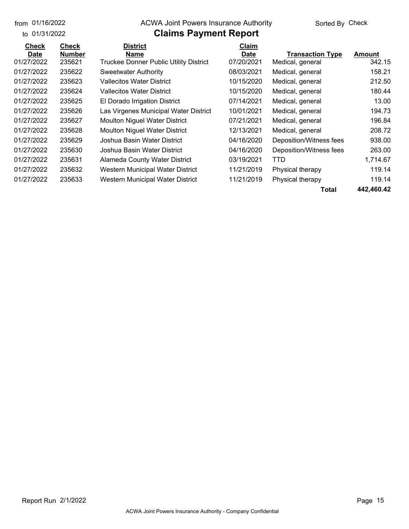#### from 01/16/2022 **The COVA Solic Act Act Authority** Sorted By Check

### **Claims Payment Report**

| <b>Check</b> | <b>Check</b>  | <b>District</b>                               | Claim       |                         |            |
|--------------|---------------|-----------------------------------------------|-------------|-------------------------|------------|
| <b>Date</b>  | <b>Number</b> | Name                                          | <b>Date</b> | <b>Transaction Type</b> | Amount     |
| 01/27/2022   | 235621        | <b>Truckee Donner Public Utility District</b> | 07/20/2021  | Medical, general        | 342.15     |
| 01/27/2022   | 235622        | Sweetwater Authority                          | 08/03/2021  | Medical, general        | 158.21     |
| 01/27/2022   | 235623        | <b>Vallecitos Water District</b>              | 10/15/2020  | Medical, general        | 212.50     |
| 01/27/2022   | 235624        | <b>Vallecitos Water District</b>              | 10/15/2020  | Medical, general        | 180.44     |
| 01/27/2022   | 235625        | El Dorado Irrigation District                 | 07/14/2021  | Medical, general        | 13.00      |
| 01/27/2022   | 235626        | Las Virgenes Municipal Water District         | 10/01/2021  | Medical, general        | 194.73     |
| 01/27/2022   | 235627        | <b>Moulton Niguel Water District</b>          | 07/21/2021  | Medical, general        | 196.84     |
| 01/27/2022   | 235628        | <b>Moulton Niguel Water District</b>          | 12/13/2021  | Medical, general        | 208.72     |
| 01/27/2022   | 235629        | Joshua Basin Water District                   | 04/16/2020  | Deposition/Witness fees | 938.00     |
| 01/27/2022   | 235630        | Joshua Basin Water District                   | 04/16/2020  | Deposition/Witness fees | 263.00     |
| 01/27/2022   | 235631        | Alameda County Water District                 | 03/19/2021  | TTD                     | 1,714.67   |
| 01/27/2022   | 235632        | Western Municipal Water District              | 11/21/2019  | Physical therapy        | 119.14     |
| 01/27/2022   | 235633        | Western Municipal Water District              | 11/21/2019  | Physical therapy        | 119.14     |
|              |               |                                               |             |                         | ,,, ,,, ,, |

**Total 442,460.42**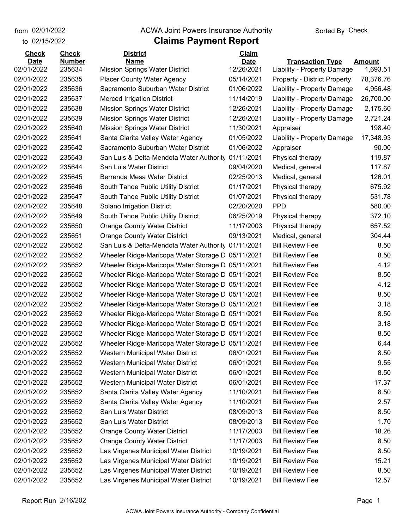from 02/01/2022

### **Claims Payment Report** from 02/01/2022 **The COVA Solic Act Act Authority** Check

| to 02/15/2022 |               | <b>Claims Payment Report</b>                      |              |                                     |               |
|---------------|---------------|---------------------------------------------------|--------------|-------------------------------------|---------------|
| <b>Check</b>  | <b>Check</b>  | <b>District</b>                                   | <b>Claim</b> |                                     |               |
| <b>Date</b>   | <b>Number</b> | <b>Name</b>                                       | <b>Date</b>  | <b>Transaction Type</b>             | <b>Amount</b> |
| 02/01/2022    | 235634        | <b>Mission Springs Water District</b>             | 12/26/2021   | Liability - Property Damage         | 1,693.51      |
| 02/01/2022    | 235635        | <b>Placer County Water Agency</b>                 | 05/14/2021   | <b>Property - District Property</b> | 78,376.76     |
| 02/01/2022    | 235636        | Sacramento Suburban Water District                | 01/06/2022   | Liability - Property Damage         | 4,956.48      |
| 02/01/2022    | 235637        | <b>Merced Irrigation District</b>                 | 11/14/2019   | Liability - Property Damage         | 26,700.00     |
| 02/01/2022    | 235638        | Mission Springs Water District                    | 12/26/2021   | Liability - Property Damage         | 2,175.60      |
| 02/01/2022    | 235639        | Mission Springs Water District                    | 12/26/2021   | Liability - Property Damage         | 2,721.24      |
| 02/01/2022    | 235640        | <b>Mission Springs Water District</b>             | 11/30/2021   | Appraiser                           | 198.40        |
| 02/01/2022    | 235641        | Santa Clarita Valley Water Agency                 | 01/05/2022   | Liability - Property Damage         | 17,348.93     |
| 02/01/2022    | 235642        | Sacramento Suburban Water District                | 01/06/2022   | Appraiser                           | 90.00         |
| 02/01/2022    | 235643        | San Luis & Delta-Mendota Water Authority          | 01/11/2021   | Physical therapy                    | 119.87        |
| 02/01/2022    | 235644        | San Luis Water District                           | 09/04/2020   | Medical, general                    | 117.87        |
| 02/01/2022    | 235645        | Berrenda Mesa Water District                      | 02/25/2013   | Medical, general                    | 126.01        |
| 02/01/2022    | 235646        | South Tahoe Public Utility District               | 01/17/2021   | Physical therapy                    | 675.92        |
| 02/01/2022    | 235647        | South Tahoe Public Utility District               | 01/07/2021   | Physical therapy                    | 531.78        |
| 02/01/2022    | 235648        | Solano Irrigation District                        | 02/20/2020   | <b>PPD</b>                          | 580.00        |
| 02/01/2022    | 235649        | South Tahoe Public Utility District               | 06/25/2019   | Physical therapy                    | 372.10        |
| 02/01/2022    | 235650        | <b>Orange County Water District</b>               | 11/17/2003   | Physical therapy                    | 657.52        |
| 02/01/2022    | 235651        | <b>Orange County Water District</b>               | 09/13/2021   | Medical, general                    | 304.44        |
| 02/01/2022    | 235652        | San Luis & Delta-Mendota Water Authority          | 01/11/2021   | <b>Bill Review Fee</b>              | 8.50          |
| 02/01/2022    | 235652        | Wheeler Ridge-Maricopa Water Storage C 05/11/2021 |              | <b>Bill Review Fee</b>              | 8.50          |
| 02/01/2022    | 235652        | Wheeler Ridge-Maricopa Water Storage L 05/11/2021 |              | <b>Bill Review Fee</b>              | 4.12          |
| 02/01/2022    | 235652        | Wheeler Ridge-Maricopa Water Storage L 05/11/2021 |              | <b>Bill Review Fee</b>              | 8.50          |
| 02/01/2022    | 235652        | Wheeler Ridge-Maricopa Water Storage L 05/11/2021 |              | <b>Bill Review Fee</b>              | 4.12          |
| 02/01/2022    | 235652        | Wheeler Ridge-Maricopa Water Storage L 05/11/2021 |              | <b>Bill Review Fee</b>              | 8.50          |
| 02/01/2022    | 235652        | Wheeler Ridge-Maricopa Water Storage L 05/11/2021 |              | <b>Bill Review Fee</b>              | 3.18          |
| 02/01/2022    | 235652        | Wheeler Ridge-Maricopa Water Storage L 05/11/2021 |              | <b>Bill Review Fee</b>              | 8.50          |
| 02/01/2022    | 235652        | Wheeler Ridge-Maricopa Water Storage L 05/11/2021 |              | <b>Bill Review Fee</b>              | 3.18          |
| 02/01/2022    | 235652        | Wheeler Ridge-Maricopa Water Storage C 05/11/2021 |              | <b>Bill Review Fee</b>              | 8.50          |
| 02/01/2022    | 235652        | Wheeler Ridge-Maricopa Water Storage D            | 05/11/2021   | <b>Bill Review Fee</b>              | 6.44          |
| 02/01/2022    | 235652        | Western Municipal Water District                  | 06/01/2021   | <b>Bill Review Fee</b>              | 8.50          |
| 02/01/2022    | 235652        | Western Municipal Water District                  | 06/01/2021   | <b>Bill Review Fee</b>              | 9.55          |
| 02/01/2022    | 235652        | Western Municipal Water District                  | 06/01/2021   | <b>Bill Review Fee</b>              | 8.50          |
| 02/01/2022    | 235652        | Western Municipal Water District                  | 06/01/2021   | <b>Bill Review Fee</b>              | 17.37         |
| 02/01/2022    | 235652        | Santa Clarita Valley Water Agency                 | 11/10/2021   | <b>Bill Review Fee</b>              | 8.50          |
| 02/01/2022    | 235652        | Santa Clarita Valley Water Agency                 | 11/10/2021   | <b>Bill Review Fee</b>              | 2.57          |
| 02/01/2022    | 235652        | San Luis Water District                           | 08/09/2013   | <b>Bill Review Fee</b>              | 8.50          |
| 02/01/2022    | 235652        | San Luis Water District                           | 08/09/2013   | <b>Bill Review Fee</b>              | 1.70          |
| 02/01/2022    | 235652        | <b>Orange County Water District</b>               | 11/17/2003   | <b>Bill Review Fee</b>              | 18.26         |
| 02/01/2022    | 235652        | <b>Orange County Water District</b>               | 11/17/2003   | <b>Bill Review Fee</b>              | 8.50          |
| 02/01/2022    | 235652        | Las Virgenes Municipal Water District             | 10/19/2021   | <b>Bill Review Fee</b>              | 8.50          |
| 02/01/2022    | 235652        | Las Virgenes Municipal Water District             | 10/19/2021   | <b>Bill Review Fee</b>              | 15.21         |
| 02/01/2022    | 235652        | Las Virgenes Municipal Water District             | 10/19/2021   | <b>Bill Review Fee</b>              | 8.50          |
| 02/01/2022    | 235652        | Las Virgenes Municipal Water District             | 10/19/2021   | <b>Bill Review Fee</b>              | 12.57         |
|               |               |                                                   |              |                                     |               |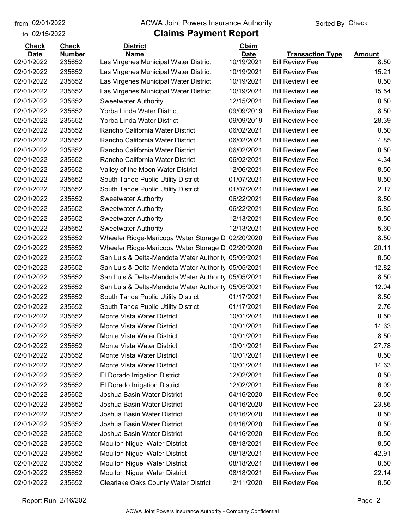to 02/15/2022

#### from 02/01/2022 **The COVA Solic Act Act Authority** Sorted By Check

| <b>Check</b>              | <b>Check</b>            | <b>District</b>                                      | Claim                     |                                                   |                       |
|---------------------------|-------------------------|------------------------------------------------------|---------------------------|---------------------------------------------------|-----------------------|
| <b>Date</b><br>02/01/2022 | <b>Number</b><br>235652 | <b>Name</b><br>Las Virgenes Municipal Water District | <b>Date</b><br>10/19/2021 | <b>Transaction Type</b><br><b>Bill Review Fee</b> | <b>Amount</b><br>8.50 |
| 02/01/2022                | 235652                  | Las Virgenes Municipal Water District                | 10/19/2021                | <b>Bill Review Fee</b>                            | 15.21                 |
| 02/01/2022                | 235652                  | Las Virgenes Municipal Water District                | 10/19/2021                | <b>Bill Review Fee</b>                            | 8.50                  |
| 02/01/2022                | 235652                  | Las Virgenes Municipal Water District                | 10/19/2021                | <b>Bill Review Fee</b>                            | 15.54                 |
| 02/01/2022                | 235652                  | <b>Sweetwater Authority</b>                          | 12/15/2021                | <b>Bill Review Fee</b>                            | 8.50                  |
| 02/01/2022                | 235652                  | Yorba Linda Water District                           | 09/09/2019                | <b>Bill Review Fee</b>                            | 8.50                  |
| 02/01/2022                | 235652                  | Yorba Linda Water District                           | 09/09/2019                | <b>Bill Review Fee</b>                            | 28.39                 |
| 02/01/2022                | 235652                  | Rancho California Water District                     | 06/02/2021                | <b>Bill Review Fee</b>                            | 8.50                  |
| 02/01/2022                | 235652                  | Rancho California Water District                     | 06/02/2021                | <b>Bill Review Fee</b>                            | 4.85                  |
| 02/01/2022                | 235652                  | Rancho California Water District                     | 06/02/2021                | <b>Bill Review Fee</b>                            | 8.50                  |
| 02/01/2022                | 235652                  | Rancho California Water District                     | 06/02/2021                | <b>Bill Review Fee</b>                            | 4.34                  |
| 02/01/2022                | 235652                  | Valley of the Moon Water District                    | 12/06/2021                | <b>Bill Review Fee</b>                            | 8.50                  |
| 02/01/2022                | 235652                  | South Tahoe Public Utility District                  | 01/07/2021                | <b>Bill Review Fee</b>                            | 8.50                  |
| 02/01/2022                | 235652                  | South Tahoe Public Utility District                  | 01/07/2021                | <b>Bill Review Fee</b>                            | 2.17                  |
| 02/01/2022                | 235652                  | <b>Sweetwater Authority</b>                          | 06/22/2021                | <b>Bill Review Fee</b>                            | 8.50                  |
| 02/01/2022                | 235652                  | <b>Sweetwater Authority</b>                          | 06/22/2021                | <b>Bill Review Fee</b>                            | 5.85                  |
| 02/01/2022                | 235652                  | <b>Sweetwater Authority</b>                          | 12/13/2021                | <b>Bill Review Fee</b>                            | 8.50                  |
| 02/01/2022                | 235652                  | <b>Sweetwater Authority</b>                          | 12/13/2021                | <b>Bill Review Fee</b>                            | 5.60                  |
| 02/01/2022                | 235652                  | Wheeler Ridge-Maricopa Water Storage D               | 02/20/2020                | <b>Bill Review Fee</b>                            | 8.50                  |
| 02/01/2022                | 235652                  | Wheeler Ridge-Maricopa Water Storage D               | 02/20/2020                | <b>Bill Review Fee</b>                            | 20.11                 |
| 02/01/2022                | 235652                  | San Luis & Delta-Mendota Water Authority 05/05/2021  |                           | <b>Bill Review Fee</b>                            | 8.50                  |
| 02/01/2022                | 235652                  | San Luis & Delta-Mendota Water Authorit, 05/05/2021  |                           | <b>Bill Review Fee</b>                            | 12.82                 |
| 02/01/2022                | 235652                  | San Luis & Delta-Mendota Water Authority 05/05/2021  |                           | <b>Bill Review Fee</b>                            | 8.50                  |
| 02/01/2022                | 235652                  | San Luis & Delta-Mendota Water Authorit, 05/05/2021  |                           | <b>Bill Review Fee</b>                            | 12.04                 |
| 02/01/2022                | 235652                  | South Tahoe Public Utility District                  | 01/17/2021                | <b>Bill Review Fee</b>                            | 8.50                  |
| 02/01/2022                | 235652                  | South Tahoe Public Utility District                  | 01/17/2021                | <b>Bill Review Fee</b>                            | 2.76                  |
| 02/01/2022                | 235652                  | Monte Vista Water District                           | 10/01/2021                | <b>Bill Review Fee</b>                            | 8.50                  |
| 02/01/2022                | 235652                  | Monte Vista Water District                           | 10/01/2021                | <b>Bill Review Fee</b>                            | 14.63                 |
| 02/01/2022                | 235652                  | Monte Vista Water District                           | 10/01/2021                | <b>Bill Review Fee</b>                            | 8.50                  |
| 02/01/2022                | 235652                  | Monte Vista Water District                           | 10/01/2021                | <b>Bill Review Fee</b>                            | 27.78                 |
| 02/01/2022                | 235652                  | Monte Vista Water District                           | 10/01/2021                | <b>Bill Review Fee</b>                            | 8.50                  |
| 02/01/2022                | 235652                  | Monte Vista Water District                           | 10/01/2021                | <b>Bill Review Fee</b>                            | 14.63                 |
| 02/01/2022                | 235652                  | El Dorado Irrigation District                        | 12/02/2021                | <b>Bill Review Fee</b>                            | 8.50                  |
| 02/01/2022                | 235652                  | El Dorado Irrigation District                        | 12/02/2021                | <b>Bill Review Fee</b>                            | 6.09                  |
| 02/01/2022                | 235652                  | Joshua Basin Water District                          | 04/16/2020                | <b>Bill Review Fee</b>                            | 8.50                  |
| 02/01/2022                | 235652                  | Joshua Basin Water District                          | 04/16/2020                | <b>Bill Review Fee</b>                            | 23.86                 |
| 02/01/2022                | 235652                  | Joshua Basin Water District                          | 04/16/2020                | <b>Bill Review Fee</b>                            | 8.50                  |
| 02/01/2022                | 235652                  | Joshua Basin Water District                          | 04/16/2020                | <b>Bill Review Fee</b>                            | 8.50                  |
| 02/01/2022                | 235652                  | Joshua Basin Water District                          | 04/16/2020                | <b>Bill Review Fee</b>                            | 8.50                  |
| 02/01/2022                | 235652                  | Moulton Niguel Water District                        | 08/18/2021                | <b>Bill Review Fee</b>                            | 8.50                  |
| 02/01/2022                | 235652                  | <b>Moulton Niguel Water District</b>                 | 08/18/2021                | <b>Bill Review Fee</b>                            | 42.91                 |
| 02/01/2022                | 235652                  | <b>Moulton Niguel Water District</b>                 | 08/18/2021                | <b>Bill Review Fee</b>                            | 8.50                  |
| 02/01/2022                | 235652                  | <b>Moulton Niguel Water District</b>                 | 08/18/2021                | <b>Bill Review Fee</b>                            | 22.14                 |
| 02/01/2022                | 235652                  | <b>Clearlake Oaks County Water District</b>          | 12/11/2020                | <b>Bill Review Fee</b>                            | 8.50                  |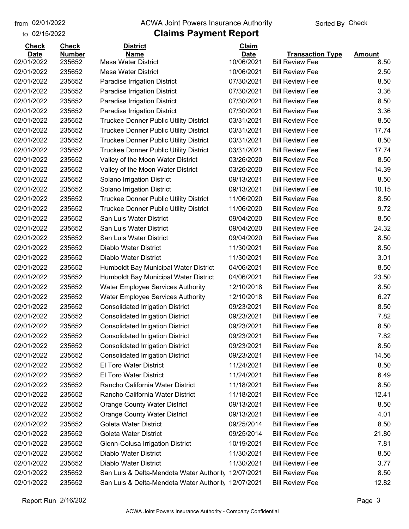to 02/15/2022 02/01/2022

#### from 02/01/2022 **The COVA Solic Act Act Authority** Sorted By Check

| <b>Check</b> | <b>Check</b>  | <b>District</b>                               | <b>Claim</b> |                         |               |
|--------------|---------------|-----------------------------------------------|--------------|-------------------------|---------------|
| <b>Date</b>  | <b>Number</b> | Name                                          | <b>Date</b>  | <b>Transaction Type</b> | <b>Amount</b> |
| 02/01/2022   | 235652        | <b>Mesa Water District</b>                    | 10/06/2021   | <b>Bill Review Fee</b>  | 8.50          |
| 02/01/2022   | 235652        | <b>Mesa Water District</b>                    | 10/06/2021   | <b>Bill Review Fee</b>  | 2.50          |
| 02/01/2022   | 235652        | Paradise Irrigation District                  | 07/30/2021   | <b>Bill Review Fee</b>  | 8.50          |
| 02/01/2022   | 235652        | Paradise Irrigation District                  | 07/30/2021   | <b>Bill Review Fee</b>  | 3.36          |
| 02/01/2022   | 235652        | Paradise Irrigation District                  | 07/30/2021   | <b>Bill Review Fee</b>  | 8.50          |
| 02/01/2022   | 235652        | Paradise Irrigation District                  | 07/30/2021   | <b>Bill Review Fee</b>  | 3.36          |
| 02/01/2022   | 235652        | <b>Truckee Donner Public Utility District</b> | 03/31/2021   | <b>Bill Review Fee</b>  | 8.50          |
| 02/01/2022   | 235652        | <b>Truckee Donner Public Utility District</b> | 03/31/2021   | <b>Bill Review Fee</b>  | 17.74         |
| 02/01/2022   | 235652        | <b>Truckee Donner Public Utility District</b> | 03/31/2021   | <b>Bill Review Fee</b>  | 8.50          |
| 02/01/2022   | 235652        | <b>Truckee Donner Public Utility District</b> | 03/31/2021   | <b>Bill Review Fee</b>  | 17.74         |
| 02/01/2022   | 235652        | Valley of the Moon Water District             | 03/26/2020   | <b>Bill Review Fee</b>  | 8.50          |
| 02/01/2022   | 235652        | Valley of the Moon Water District             | 03/26/2020   | <b>Bill Review Fee</b>  | 14.39         |
| 02/01/2022   | 235652        | Solano Irrigation District                    | 09/13/2021   | <b>Bill Review Fee</b>  | 8.50          |
| 02/01/2022   | 235652        | Solano Irrigation District                    | 09/13/2021   | <b>Bill Review Fee</b>  | 10.15         |
| 02/01/2022   | 235652        | <b>Truckee Donner Public Utility District</b> | 11/06/2020   | <b>Bill Review Fee</b>  | 8.50          |
| 02/01/2022   | 235652        | <b>Truckee Donner Public Utility District</b> | 11/06/2020   | <b>Bill Review Fee</b>  | 9.72          |
| 02/01/2022   | 235652        | San Luis Water District                       | 09/04/2020   | <b>Bill Review Fee</b>  | 8.50          |
| 02/01/2022   | 235652        | San Luis Water District                       | 09/04/2020   | <b>Bill Review Fee</b>  | 24.32         |
| 02/01/2022   | 235652        | San Luis Water District                       | 09/04/2020   | <b>Bill Review Fee</b>  | 8.50          |
| 02/01/2022   | 235652        | Diablo Water District                         | 11/30/2021   | <b>Bill Review Fee</b>  | 8.50          |
| 02/01/2022   | 235652        | Diablo Water District                         | 11/30/2021   | <b>Bill Review Fee</b>  | 3.01          |
| 02/01/2022   | 235652        | Humboldt Bay Municipal Water District         | 04/06/2021   | <b>Bill Review Fee</b>  | 8.50          |
| 02/01/2022   | 235652        | Humboldt Bay Municipal Water District         | 04/06/2021   | <b>Bill Review Fee</b>  | 23.50         |
| 02/01/2022   | 235652        | <b>Water Employee Services Authority</b>      | 12/10/2018   | <b>Bill Review Fee</b>  | 8.50          |
| 02/01/2022   | 235652        | <b>Water Employee Services Authority</b>      | 12/10/2018   | <b>Bill Review Fee</b>  | 6.27          |
| 02/01/2022   | 235652        | <b>Consolidated Irrigation District</b>       | 09/23/2021   | <b>Bill Review Fee</b>  | 8.50          |
| 02/01/2022   | 235652        | <b>Consolidated Irrigation District</b>       | 09/23/2021   | <b>Bill Review Fee</b>  | 7.82          |
| 02/01/2022   | 235652        | <b>Consolidated Irrigation District</b>       | 09/23/2021   | <b>Bill Review Fee</b>  | 8.50          |
| 02/01/2022   | 235652        | <b>Consolidated Irrigation District</b>       | 09/23/2021   | <b>Bill Review Fee</b>  | 7.82          |
| 02/01/2022   | 235652        | <b>Consolidated Irrigation District</b>       | 09/23/2021   | <b>Bill Review Fee</b>  | 8.50          |
| 02/01/2022   | 235652        | <b>Consolidated Irrigation District</b>       | 09/23/2021   | <b>Bill Review Fee</b>  | 14.56         |
| 02/01/2022   | 235652        | <b>El Toro Water District</b>                 | 11/24/2021   | <b>Bill Review Fee</b>  | 8.50          |
| 02/01/2022   | 235652        | El Toro Water District                        | 11/24/2021   | <b>Bill Review Fee</b>  | 6.49          |
| 02/01/2022   | 235652        | Rancho California Water District              | 11/18/2021   | <b>Bill Review Fee</b>  | 8.50          |
| 02/01/2022   | 235652        | Rancho California Water District              | 11/18/2021   | <b>Bill Review Fee</b>  | 12.41         |
| 02/01/2022   | 235652        | <b>Orange County Water District</b>           | 09/13/2021   | <b>Bill Review Fee</b>  | 8.50          |
| 02/01/2022   | 235652        | <b>Orange County Water District</b>           | 09/13/2021   | <b>Bill Review Fee</b>  | 4.01          |
| 02/01/2022   | 235652        | Goleta Water District                         | 09/25/2014   | <b>Bill Review Fee</b>  | 8.50          |
| 02/01/2022   | 235652        | Goleta Water District                         | 09/25/2014   | <b>Bill Review Fee</b>  | 21.80         |
| 02/01/2022   | 235652        | Glenn-Colusa Irrigation District              | 10/19/2021   | <b>Bill Review Fee</b>  | 7.81          |
| 02/01/2022   | 235652        | Diablo Water District                         | 11/30/2021   | <b>Bill Review Fee</b>  | 8.50          |
| 02/01/2022   | 235652        | Diablo Water District                         | 11/30/2021   | <b>Bill Review Fee</b>  | 3.77          |
| 02/01/2022   | 235652        | San Luis & Delta-Mendota Water Authority      | 12/07/2021   | <b>Bill Review Fee</b>  | 8.50          |
| 02/01/2022   | 235652        | San Luis & Delta-Mendota Water Authority      | 12/07/2021   | <b>Bill Review Fee</b>  | 12.82         |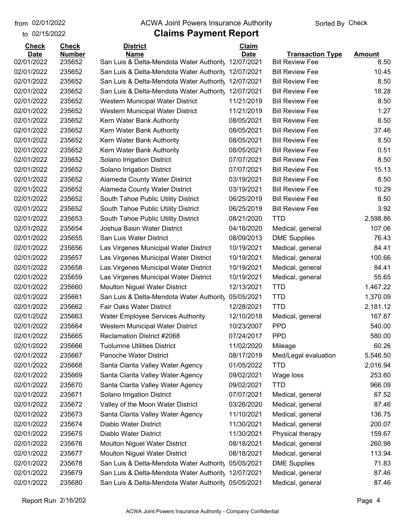to 02/15/2022

#### from 02/01/2022 **The COVA Solic Act Act Authority** Sorted By Check

| <b>Check</b> | <b>Check</b>  | <b>District</b>                                     | Claim       |                         |               |
|--------------|---------------|-----------------------------------------------------|-------------|-------------------------|---------------|
| <b>Date</b>  | <b>Number</b> | <b>Name</b>                                         | <b>Date</b> | <b>Transaction Type</b> | <b>Amount</b> |
| 02/01/2022   | 235652        | San Luis & Delta-Mendota Water Authority            | 12/07/2021  | <b>Bill Review Fee</b>  | 8.50          |
| 02/01/2022   | 235652        | San Luis & Delta-Mendota Water Authority            | 12/07/2021  | <b>Bill Review Fee</b>  | 10.45         |
| 02/01/2022   | 235652        | San Luis & Delta-Mendota Water Authority            | 12/07/2021  | <b>Bill Review Fee</b>  | 8.50          |
| 02/01/2022   | 235652        | San Luis & Delta-Mendota Water Authority            | 12/07/2021  | <b>Bill Review Fee</b>  | 18.28         |
| 02/01/2022   | 235652        | Western Municipal Water District                    | 11/21/2019  | <b>Bill Review Fee</b>  | 8.50          |
| 02/01/2022   | 235652        | Western Municipal Water District                    | 11/21/2019  | <b>Bill Review Fee</b>  | 1.27          |
| 02/01/2022   | 235652        | Kern Water Bank Authority                           | 08/05/2021  | <b>Bill Review Fee</b>  | 8.50          |
| 02/01/2022   | 235652        | Kern Water Bank Authority                           | 08/05/2021  | <b>Bill Review Fee</b>  | 37.46         |
| 02/01/2022   | 235652        | Kern Water Bank Authority                           | 08/05/2021  | <b>Bill Review Fee</b>  | 8.50          |
| 02/01/2022   | 235652        | Kern Water Bank Authority                           | 08/05/2021  | <b>Bill Review Fee</b>  | 0.51          |
| 02/01/2022   | 235652        | Solano Irrigation District                          | 07/07/2021  | <b>Bill Review Fee</b>  | 8.50          |
| 02/01/2022   | 235652        | Solano Irrigation District                          | 07/07/2021  | <b>Bill Review Fee</b>  | 15.13         |
| 02/01/2022   | 235652        | <b>Alameda County Water District</b>                | 03/19/2021  | <b>Bill Review Fee</b>  | 8.50          |
| 02/01/2022   | 235652        | Alameda County Water District                       | 03/19/2021  | <b>Bill Review Fee</b>  | 10.29         |
| 02/01/2022   | 235652        | South Tahoe Public Utility District                 | 06/25/2019  | <b>Bill Review Fee</b>  | 8.50          |
| 02/01/2022   | 235652        | South Tahoe Public Utility District                 | 06/25/2019  | <b>Bill Review Fee</b>  | 3.92          |
| 02/01/2022   | 235653        | South Tahoe Public Utility District                 | 08/21/2020  | <b>TTD</b>              | 2,598.86      |
| 02/01/2022   | 235654        | Joshua Basin Water District                         | 04/16/2020  | Medical, general        | 107.06        |
| 02/01/2022   | 235655        | San Luis Water District                             | 08/09/2013  | <b>DME Supplies</b>     | 76.43         |
| 02/01/2022   | 235656        | Las Virgenes Municipal Water District               | 10/19/2021  | Medical, general        | 84.41         |
| 02/01/2022   | 235657        | Las Virgenes Municipal Water District               | 10/19/2021  | Medical, general        | 100.66        |
| 02/01/2022   | 235658        | Las Virgenes Municipal Water District               | 10/19/2021  | Medical, general        | 84.41         |
| 02/01/2022   | 235659        | Las Virgenes Municipal Water District               | 10/19/2021  | Medical, general        | 55.65         |
| 02/01/2022   | 235660        | <b>Moulton Niguel Water District</b>                | 12/13/2021  | <b>TTD</b>              | 1,467.22      |
| 02/01/2022   | 235661        | San Luis & Delta-Mendota Water Authority            | 05/05/2021  | <b>TTD</b>              | 1,370.09      |
| 02/01/2022   | 235662        | Fair Oaks Water District                            | 12/28/2021  | <b>TTD</b>              | 2,181.12      |
| 02/01/2022   | 235663        | <b>Water Employee Services Authority</b>            | 12/10/2018  | Medical, general        | 167.87        |
| 02/01/2022   | 235664        | Western Municipal Water District                    | 10/23/2007  | <b>PPD</b>              | 540.00        |
| 02/01/2022   | 235665        | Reclamation District #2068                          | 07/24/2017  | <b>PPD</b>              | 580.00        |
| 02/01/2022   | 235666        | <b>Tuolumne Utilities District</b>                  | 11/02/2020  | Mileage                 | 60.26         |
| 02/01/2022   | 235667        | Panoche Water District                              | 08/17/2019  | Med/Legal evaluation    | 5,546.50      |
| 02/01/2022   | 235668        | Santa Clarita Valley Water Agency                   | 01/05/2022  | <b>TTD</b>              | 2,016.94      |
| 02/01/2022   | 235669        | Santa Clarita Valley Water Agency                   | 09/02/2021  | Wage loss               | 253.60        |
| 02/01/2022   | 235670        | Santa Clarita Valley Water Agency                   | 09/02/2021  | <b>TTD</b>              | 966.09        |
| 02/01/2022   | 235671        | Solano Irrigation District                          | 07/07/2021  | Medical, general        | 67.52         |
| 02/01/2022   | 235672        | Valley of the Moon Water District                   | 03/26/2020  | Medical, general        | 87.46         |
| 02/01/2022   | 235673        | Santa Clarita Valley Water Agency                   | 11/10/2021  | Medical, general        | 136.75        |
| 02/01/2022   | 235674        | Diablo Water District                               | 11/30/2021  | Medical, general        | 200.07        |
| 02/01/2022   | 235675        | Diablo Water District                               | 11/30/2021  | Physical therapy        | 159.67        |
| 02/01/2022   | 235676        | <b>Moulton Niguel Water District</b>                | 08/18/2021  | Medical, general        | 260.98        |
| 02/01/2022   | 235677        | <b>Moulton Niguel Water District</b>                | 08/18/2021  | Medical, general        | 113.94        |
| 02/01/2022   | 235678        | San Luis & Delta-Mendota Water Authority            | 05/05/2021  | <b>DME Supplies</b>     | 71.83         |
| 02/01/2022   | 235679        | San Luis & Delta-Mendota Water Authority            | 12/07/2021  | Medical, general        | 87.46         |
| 02/01/2022   | 235680        | San Luis & Delta-Mendota Water Authority 05/05/2021 |             | Medical, general        | 87.46         |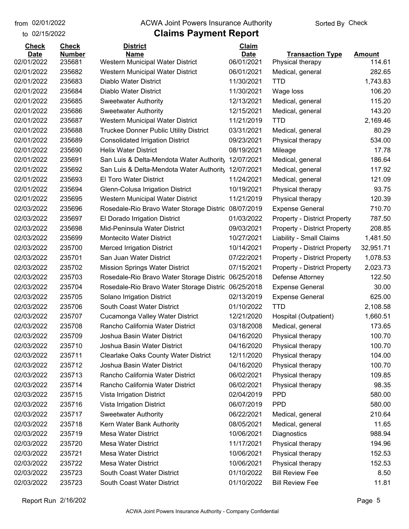to 02/15/2022

#### from 02/01/2022 **The COVA Solic Act Act Authority** Sorted By Check

| <b>Check</b> | <b>Check</b>  | <b>District</b>                                     | <b>Claim</b> |                                     |               |
|--------------|---------------|-----------------------------------------------------|--------------|-------------------------------------|---------------|
| <b>Date</b>  | <b>Number</b> | <b>Name</b>                                         | <b>Date</b>  | <b>Transaction Type</b>             | <b>Amount</b> |
| 02/01/2022   | 235681        | Western Municipal Water District                    | 06/01/2021   | Physical therapy                    | 114.61        |
| 02/01/2022   | 235682        | Western Municipal Water District                    | 06/01/2021   | Medical, general                    | 282.65        |
| 02/01/2022   | 235683        | Diablo Water District                               | 11/30/2021   | <b>TTD</b>                          | 1,743.83      |
| 02/01/2022   | 235684        | Diablo Water District                               | 11/30/2021   | Wage loss                           | 106.20        |
| 02/01/2022   | 235685        | <b>Sweetwater Authority</b>                         | 12/13/2021   | Medical, general                    | 115.20        |
| 02/01/2022   | 235686        | <b>Sweetwater Authority</b>                         | 12/15/2021   | Medical, general                    | 143.20        |
| 02/01/2022   | 235687        | Western Municipal Water District                    | 11/21/2019   | <b>TTD</b>                          | 2,169.46      |
| 02/01/2022   | 235688        | <b>Truckee Donner Public Utility District</b>       | 03/31/2021   | Medical, general                    | 80.29         |
| 02/01/2022   | 235689        | <b>Consolidated Irrigation District</b>             | 09/23/2021   | Physical therapy                    | 534.00        |
| 02/01/2022   | 235690        | <b>Helix Water District</b>                         | 08/19/2021   | Mileage                             | 17.78         |
| 02/01/2022   | 235691        | San Luis & Delta-Mendota Water Authority            | 12/07/2021   | Medical, general                    | 186.64        |
| 02/01/2022   | 235692        | San Luis & Delta-Mendota Water Authority            | 12/07/2021   | Medical, general                    | 117.92        |
| 02/01/2022   | 235693        | <b>El Toro Water District</b>                       | 11/24/2021   | Medical, general                    | 121.09        |
| 02/01/2022   | 235694        | Glenn-Colusa Irrigation District                    | 10/19/2021   | Physical therapy                    | 93.75         |
| 02/01/2022   | 235695        | Western Municipal Water District                    | 11/21/2019   | Physical therapy                    | 120.39        |
| 02/03/2022   | 235696        | Rosedale-Rio Bravo Water Storage Distric 08/07/2019 |              | <b>Expense General</b>              | 710.70        |
| 02/03/2022   | 235697        | El Dorado Irrigation District                       | 01/03/2022   | <b>Property - District Property</b> | 787.50        |
| 02/03/2022   | 235698        | Mid-Peninsula Water District                        | 09/03/2021   | <b>Property - District Property</b> | 208.85        |
| 02/03/2022   | 235699        | <b>Montecito Water District</b>                     | 10/27/2021   | Liability - Small Claims            | 1,481.50      |
| 02/03/2022   | 235700        | <b>Merced Irrigation District</b>                   | 10/14/2021   | <b>Property - District Property</b> | 32,951.71     |
| 02/03/2022   | 235701        | San Juan Water District                             | 07/22/2021   | <b>Property - District Property</b> | 1,078.53      |
| 02/03/2022   | 235702        | <b>Mission Springs Water District</b>               | 07/15/2021   | <b>Property - District Property</b> | 2,023.73      |
| 02/03/2022   | 235703        | Rosedale-Rio Bravo Water Storage Distric 06/25/2018 |              | Defense Attorney                    | 122.50        |
| 02/03/2022   | 235704        | Rosedale-Rio Bravo Water Storage Distric            | 06/25/2018   | <b>Expense General</b>              | 30.00         |
| 02/03/2022   | 235705        | Solano Irrigation District                          | 02/13/2019   | <b>Expense General</b>              | 625.00        |
| 02/03/2022   | 235706        | South Coast Water District                          | 01/10/2022   | <b>TTD</b>                          | 2,108.58      |
| 02/03/2022   | 235707        | Cucamonga Valley Water District                     | 12/21/2020   | Hospital (Outpatient)               | 1,660.51      |
| 02/03/2022   | 235708        | Rancho California Water District                    | 03/18/2008   | Medical, general                    | 173.65        |
| 02/03/2022   | 235709        | Joshua Basin Water District                         | 04/16/2020   | Physical therapy                    | 100.70        |
| 02/03/2022   | 235710        | Joshua Basin Water District                         | 04/16/2020   | Physical therapy                    | 100.70        |
| 02/03/2022   | 235711        | <b>Clearlake Oaks County Water District</b>         | 12/11/2020   | Physical therapy                    | 104.00        |
| 02/03/2022   | 235712        | Joshua Basin Water District                         | 04/16/2020   | Physical therapy                    | 100.70        |
| 02/03/2022   | 235713        | Rancho California Water District                    | 06/02/2021   | Physical therapy                    | 109.85        |
| 02/03/2022   | 235714        | Rancho California Water District                    | 06/02/2021   | Physical therapy                    | 98.35         |
| 02/03/2022   | 235715        | Vista Irrigation District                           | 02/04/2019   | <b>PPD</b>                          | 580.00        |
| 02/03/2022   | 235716        | Vista Irrigation District                           | 06/07/2019   | <b>PPD</b>                          | 580.00        |
| 02/03/2022   | 235717        | <b>Sweetwater Authority</b>                         | 06/22/2021   | Medical, general                    | 210.64        |
| 02/03/2022   | 235718        | Kern Water Bank Authority                           | 08/05/2021   | Medical, general                    | 11.65         |
| 02/03/2022   | 235719        | <b>Mesa Water District</b>                          | 10/06/2021   | Diagnostics                         | 988.94        |
| 02/03/2022   | 235720        | <b>Mesa Water District</b>                          | 11/17/2021   | Physical therapy                    | 194.96        |
| 02/03/2022   | 235721        | <b>Mesa Water District</b>                          | 10/06/2021   | Physical therapy                    | 152.53        |
| 02/03/2022   | 235722        | <b>Mesa Water District</b>                          | 10/06/2021   | Physical therapy                    | 152.53        |
| 02/03/2022   | 235723        | South Coast Water District                          | 01/10/2022   | <b>Bill Review Fee</b>              | 8.50          |
| 02/03/2022   | 235723        | South Coast Water District                          | 01/10/2022   | <b>Bill Review Fee</b>              | 11.81         |
|              |               |                                                     |              |                                     |               |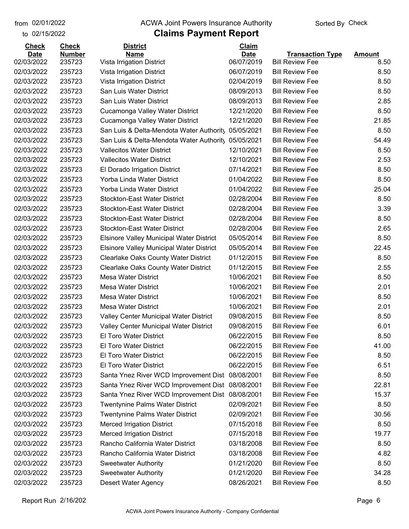to 02/15/2022

#### from 02/01/2022 **The COVA Solic Act Act Authority** Sorted By Check

|  |  |  | s Payment Report |  |
|--|--|--|------------------|--|
|  |  |  |                  |  |

| <b>Check</b> | <b>Check</b>  | <b>District</b>                                     | Claim       |                         |               |
|--------------|---------------|-----------------------------------------------------|-------------|-------------------------|---------------|
| <b>Date</b>  | <b>Number</b> | <b>Name</b>                                         | <b>Date</b> | <b>Transaction Type</b> | <b>Amount</b> |
| 02/03/2022   | 235723        | Vista Irrigation District                           | 06/07/2019  | <b>Bill Review Fee</b>  | 8.50          |
| 02/03/2022   | 235723        | Vista Irrigation District                           | 06/07/2019  | <b>Bill Review Fee</b>  | 8.50          |
| 02/03/2022   | 235723        | Vista Irrigation District                           | 02/04/2019  | <b>Bill Review Fee</b>  | 8.50          |
| 02/03/2022   | 235723        | San Luis Water District                             | 08/09/2013  | <b>Bill Review Fee</b>  | 8.50          |
| 02/03/2022   | 235723        | San Luis Water District                             | 08/09/2013  | <b>Bill Review Fee</b>  | 2.85          |
| 02/03/2022   | 235723        | Cucamonga Valley Water District                     | 12/21/2020  | <b>Bill Review Fee</b>  | 8.50          |
| 02/03/2022   | 235723        | Cucamonga Valley Water District                     | 12/21/2020  | <b>Bill Review Fee</b>  | 21.85         |
| 02/03/2022   | 235723        | San Luis & Delta-Mendota Water Authority            | 05/05/2021  | <b>Bill Review Fee</b>  | 8.50          |
| 02/03/2022   | 235723        | San Luis & Delta-Mendota Water Authorit, 05/05/2021 |             | <b>Bill Review Fee</b>  | 54.49         |
| 02/03/2022   | 235723        | <b>Vallecitos Water District</b>                    | 12/10/2021  | <b>Bill Review Fee</b>  | 8.50          |
| 02/03/2022   | 235723        | <b>Vallecitos Water District</b>                    | 12/10/2021  | <b>Bill Review Fee</b>  | 2.53          |
| 02/03/2022   | 235723        | El Dorado Irrigation District                       | 07/14/2021  | <b>Bill Review Fee</b>  | 8.50          |
| 02/03/2022   | 235723        | Yorba Linda Water District                          | 01/04/2022  | <b>Bill Review Fee</b>  | 8.50          |
| 02/03/2022   | 235723        | Yorba Linda Water District                          | 01/04/2022  | <b>Bill Review Fee</b>  | 25.04         |
| 02/03/2022   | 235723        | <b>Stockton-East Water District</b>                 | 02/28/2004  | <b>Bill Review Fee</b>  | 8.50          |
| 02/03/2022   | 235723        | <b>Stockton-East Water District</b>                 | 02/28/2004  | <b>Bill Review Fee</b>  | 3.39          |
| 02/03/2022   | 235723        | <b>Stockton-East Water District</b>                 | 02/28/2004  | <b>Bill Review Fee</b>  | 8.50          |
| 02/03/2022   | 235723        | <b>Stockton-East Water District</b>                 | 02/28/2004  | <b>Bill Review Fee</b>  | 2.65          |
| 02/03/2022   | 235723        | <b>Elsinore Valley Municipal Water District</b>     | 05/05/2014  | <b>Bill Review Fee</b>  | 8.50          |
| 02/03/2022   | 235723        | <b>Elsinore Valley Municipal Water District</b>     | 05/05/2014  | <b>Bill Review Fee</b>  | 22.45         |
| 02/03/2022   | 235723        | <b>Clearlake Oaks County Water District</b>         | 01/12/2015  | <b>Bill Review Fee</b>  | 8.50          |
| 02/03/2022   | 235723        | <b>Clearlake Oaks County Water District</b>         | 01/12/2015  | <b>Bill Review Fee</b>  | 2.55          |
| 02/03/2022   | 235723        | <b>Mesa Water District</b>                          | 10/06/2021  | <b>Bill Review Fee</b>  | 8.50          |
| 02/03/2022   | 235723        | <b>Mesa Water District</b>                          | 10/06/2021  | <b>Bill Review Fee</b>  | 2.01          |
| 02/03/2022   | 235723        | <b>Mesa Water District</b>                          | 10/06/2021  | <b>Bill Review Fee</b>  | 8.50          |
| 02/03/2022   | 235723        | <b>Mesa Water District</b>                          | 10/06/2021  | <b>Bill Review Fee</b>  | 2.01          |
| 02/03/2022   | 235723        | Valley Center Municipal Water District              | 09/08/2015  | <b>Bill Review Fee</b>  | 8.50          |
| 02/03/2022   | 235723        | Valley Center Municipal Water District              | 09/08/2015  | <b>Bill Review Fee</b>  | 6.01          |
| 02/03/2022   | 235723        | El Toro Water District                              | 06/22/2015  | <b>Bill Review Fee</b>  | 8.50          |
| 02/03/2022   | 235723        | <b>El Toro Water District</b>                       | 06/22/2015  | <b>Bill Review Fee</b>  | 41.00         |
| 02/03/2022   | 235723        | El Toro Water District                              | 06/22/2015  | <b>Bill Review Fee</b>  | 8.50          |
| 02/03/2022   | 235723        | <b>El Toro Water District</b>                       | 06/22/2015  | <b>Bill Review Fee</b>  | 6.51          |
| 02/03/2022   | 235723        | Santa Ynez River WCD Improvement Dist               | 08/08/2001  | <b>Bill Review Fee</b>  | 8.50          |
| 02/03/2022   | 235723        | Santa Ynez River WCD Improvement Dist               | 08/08/2001  | <b>Bill Review Fee</b>  | 22.81         |
| 02/03/2022   | 235723        | Santa Ynez River WCD Improvement Dist               | 08/08/2001  | <b>Bill Review Fee</b>  | 15.37         |
| 02/03/2022   | 235723        | <b>Twentynine Palms Water District</b>              | 02/09/2021  | <b>Bill Review Fee</b>  | 8.50          |
| 02/03/2022   | 235723        | <b>Twentynine Palms Water District</b>              | 02/09/2021  | <b>Bill Review Fee</b>  | 30.56         |
| 02/03/2022   | 235723        |                                                     | 07/15/2018  | <b>Bill Review Fee</b>  | 8.50          |
|              |               | <b>Merced Irrigation District</b>                   |             | <b>Bill Review Fee</b>  | 19.77         |
| 02/03/2022   | 235723        | <b>Merced Irrigation District</b>                   | 07/15/2018  |                         |               |
| 02/03/2022   | 235723        | Rancho California Water District                    | 03/18/2008  | <b>Bill Review Fee</b>  | 8.50          |
| 02/03/2022   | 235723        | Rancho California Water District                    | 03/18/2008  | <b>Bill Review Fee</b>  | 4.82          |
| 02/03/2022   | 235723        | <b>Sweetwater Authority</b>                         | 01/21/2020  | <b>Bill Review Fee</b>  | 8.50          |
| 02/03/2022   | 235723        | <b>Sweetwater Authority</b>                         | 01/21/2020  | <b>Bill Review Fee</b>  | 34.28         |
| 02/03/2022   | 235723        | Desert Water Agency                                 | 08/26/2021  | <b>Bill Review Fee</b>  | 8.50          |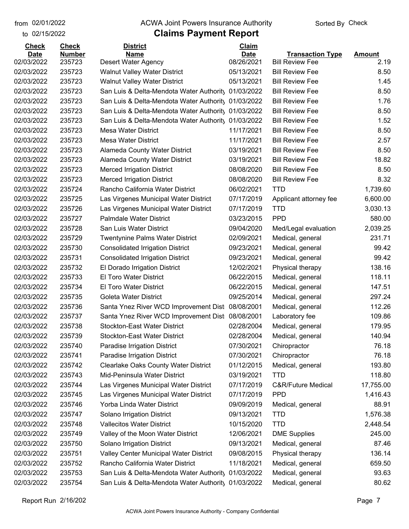to 02/15/2022

#### from 02/01/2022 **The COVA Solic Act Act Authority** Sorted By Check

| <b>Check</b> | <b>Check</b>  | <b>District</b>                                                            | <b>Claim</b> |                               |               |
|--------------|---------------|----------------------------------------------------------------------------|--------------|-------------------------------|---------------|
| <b>Date</b>  | <b>Number</b> | <b>Name</b>                                                                | <b>Date</b>  | <b>Transaction Type</b>       | <b>Amount</b> |
| 02/03/2022   | 235723        | <b>Desert Water Agency</b>                                                 | 08/26/2021   | <b>Bill Review Fee</b>        | 2.19          |
| 02/03/2022   | 235723        | <b>Walnut Valley Water District</b>                                        | 05/13/2021   | <b>Bill Review Fee</b>        | 8.50          |
| 02/03/2022   | 235723        | <b>Walnut Valley Water District</b>                                        | 05/13/2021   | <b>Bill Review Fee</b>        | 1.45          |
| 02/03/2022   | 235723        | San Luis & Delta-Mendota Water Authority                                   | 01/03/2022   | <b>Bill Review Fee</b>        | 8.50          |
| 02/03/2022   | 235723        | San Luis & Delta-Mendota Water Authority 01/03/2022                        |              | <b>Bill Review Fee</b>        | 1.76          |
| 02/03/2022   | 235723        | San Luis & Delta-Mendota Water Authority                                   | 01/03/2022   | <b>Bill Review Fee</b>        | 8.50          |
| 02/03/2022   | 235723        | San Luis & Delta-Mendota Water Authority                                   | 01/03/2022   | <b>Bill Review Fee</b>        | 1.52          |
| 02/03/2022   | 235723        | <b>Mesa Water District</b>                                                 | 11/17/2021   | <b>Bill Review Fee</b>        | 8.50          |
| 02/03/2022   | 235723        | <b>Mesa Water District</b>                                                 | 11/17/2021   | <b>Bill Review Fee</b>        | 2.57          |
| 02/03/2022   | 235723        | Alameda County Water District                                              | 03/19/2021   | <b>Bill Review Fee</b>        | 8.50          |
| 02/03/2022   | 235723        | Alameda County Water District                                              | 03/19/2021   | <b>Bill Review Fee</b>        | 18.82         |
| 02/03/2022   | 235723        | <b>Merced Irrigation District</b>                                          | 08/08/2020   | <b>Bill Review Fee</b>        | 8.50          |
| 02/03/2022   | 235723        | <b>Merced Irrigation District</b>                                          | 08/08/2020   | <b>Bill Review Fee</b>        | 8.32          |
| 02/03/2022   | 235724        | Rancho California Water District                                           | 06/02/2021   | <b>TTD</b>                    | 1,739.60      |
| 02/03/2022   | 235725        | Las Virgenes Municipal Water District                                      | 07/17/2019   | Applicant attorney fee        | 6,600.00      |
| 02/03/2022   | 235726        | Las Virgenes Municipal Water District                                      | 07/17/2019   | <b>TTD</b>                    | 3,030.13      |
| 02/03/2022   | 235727        | <b>Palmdale Water District</b>                                             | 03/23/2015   | <b>PPD</b>                    | 580.00        |
| 02/03/2022   | 235728        | San Luis Water District                                                    | 09/04/2020   | Med/Legal evaluation          | 2,039.25      |
| 02/03/2022   | 235729        | Twentynine Palms Water District                                            | 02/09/2021   | Medical, general              | 231.71        |
| 02/03/2022   | 235730        | <b>Consolidated Irrigation District</b>                                    | 09/23/2021   | Medical, general              | 99.42         |
| 02/03/2022   | 235731        | <b>Consolidated Irrigation District</b>                                    | 09/23/2021   | Medical, general              | 99.42         |
| 02/03/2022   | 235732        | El Dorado Irrigation District                                              | 12/02/2021   | Physical therapy              | 138.16        |
| 02/03/2022   | 235733        | El Toro Water District                                                     | 06/22/2015   | Medical, general              | 118.11        |
| 02/03/2022   | 235734        | El Toro Water District                                                     | 06/22/2015   | Medical, general              | 147.51        |
| 02/03/2022   | 235735        | Goleta Water District                                                      | 09/25/2014   | Medical, general              | 297.24        |
| 02/03/2022   | 235736        | Santa Ynez River WCD Improvement Dist                                      | 08/08/2001   | Medical, general              | 112.26        |
| 02/03/2022   | 235737        | Santa Ynez River WCD Improvement Dist 08/08/2001                           |              | Laboratory fee                | 109.86        |
| 02/03/2022   | 235738        | <b>Stockton-East Water District</b>                                        | 02/28/2004   | Medical, general              | 179.95        |
| 02/03/2022   | 235739        | <b>Stockton-East Water District</b>                                        | 02/28/2004   | Medical, general              | 140.94        |
| 02/03/2022   | 235740        | Paradise Irrigation District                                               | 07/30/2021   | Chiropractor                  | 76.18         |
| 02/03/2022   | 235741        | Paradise Irrigation District                                               | 07/30/2021   | Chiropractor                  | 76.18         |
| 02/03/2022   | 235742        | <b>Clearlake Oaks County Water District</b>                                | 01/12/2015   | Medical, general              | 193.80        |
| 02/03/2022   | 235743        | Mid-Peninsula Water District                                               | 03/19/2021   | <b>TTD</b>                    | 118.80        |
| 02/03/2022   | 235744        | Las Virgenes Municipal Water District                                      | 07/17/2019   | <b>C&amp;R/Future Medical</b> | 17,755.00     |
| 02/03/2022   | 235745        | Las Virgenes Municipal Water District                                      | 07/17/2019   | <b>PPD</b>                    | 1,416.43      |
| 02/03/2022   | 235746        | Yorba Linda Water District                                                 | 09/09/2019   | Medical, general              | 88.91         |
| 02/03/2022   | 235747        | Solano Irrigation District                                                 | 09/13/2021   | <b>TTD</b>                    | 1,576.38      |
| 02/03/2022   | 235748        | <b>Vallecitos Water District</b>                                           | 10/15/2020   | <b>TTD</b>                    | 2,448.54      |
| 02/03/2022   | 235749        | Valley of the Moon Water District                                          | 12/06/2021   | <b>DME Supplies</b>           | 245.00        |
| 02/03/2022   | 235750        | Solano Irrigation District                                                 | 09/13/2021   | Medical, general              | 87.46         |
| 02/03/2022   | 235751        |                                                                            | 09/08/2015   |                               | 136.14        |
| 02/03/2022   |               | Valley Center Municipal Water District<br>Rancho California Water District | 11/18/2021   | Physical therapy              | 659.50        |
|              | 235752        |                                                                            |              | Medical, general              |               |
| 02/03/2022   | 235753        | San Luis & Delta-Mendota Water Authority                                   | 01/03/2022   | Medical, general              | 93.63         |
| 02/03/2022   | 235754        | San Luis & Delta-Mendota Water Authority 01/03/2022                        |              | Medical, general              | 80.62         |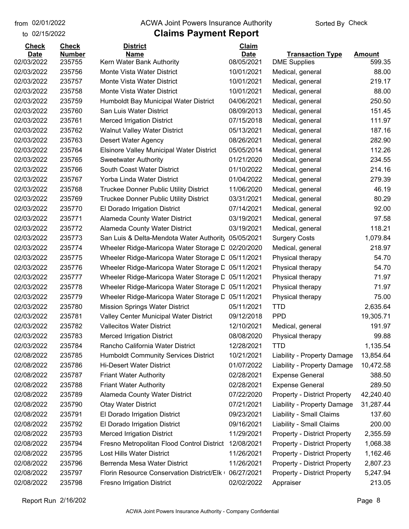#### from 02/01/2022 **The COVA Solic Act Act Authority** Sorted By Check

#### to 02/15/2022

| <b>Check</b> | <b>Check</b>  | <b>District</b>                                   | Claim       |                                     |               |
|--------------|---------------|---------------------------------------------------|-------------|-------------------------------------|---------------|
| <b>Date</b>  | <b>Number</b> | <b>Name</b>                                       | <b>Date</b> | <b>Transaction Type</b>             | <b>Amount</b> |
| 02/03/2022   | 235755        | Kern Water Bank Authority                         | 08/05/2021  | <b>DME Supplies</b>                 | 599.35        |
| 02/03/2022   | 235756        | Monte Vista Water District                        | 10/01/2021  | Medical, general                    | 88.00         |
| 02/03/2022   | 235757        | Monte Vista Water District                        | 10/01/2021  | Medical, general                    | 219.17        |
| 02/03/2022   | 235758        | Monte Vista Water District                        | 10/01/2021  | Medical, general                    | 88.00         |
| 02/03/2022   | 235759        | Humboldt Bay Municipal Water District             | 04/06/2021  | Medical, general                    | 250.50        |
| 02/03/2022   | 235760        | San Luis Water District                           | 08/09/2013  | Medical, general                    | 151.45        |
| 02/03/2022   | 235761        | <b>Merced Irrigation District</b>                 | 07/15/2018  | Medical, general                    | 111.97        |
| 02/03/2022   | 235762        | <b>Walnut Valley Water District</b>               | 05/13/2021  | Medical, general                    | 187.16        |
| 02/03/2022   | 235763        | Desert Water Agency                               | 08/26/2021  | Medical, general                    | 282.90        |
| 02/03/2022   | 235764        | <b>Elsinore Valley Municipal Water District</b>   | 05/05/2014  | Medical, general                    | 112.26        |
| 02/03/2022   | 235765        | <b>Sweetwater Authority</b>                       | 01/21/2020  | Medical, general                    | 234.55        |
| 02/03/2022   | 235766        | South Coast Water District                        | 01/10/2022  | Medical, general                    | 214.16        |
| 02/03/2022   | 235767        | Yorba Linda Water District                        | 01/04/2022  | Medical, general                    | 279.39        |
| 02/03/2022   | 235768        | Truckee Donner Public Utility District            | 11/06/2020  | Medical, general                    | 46.19         |
| 02/03/2022   | 235769        | <b>Truckee Donner Public Utility District</b>     | 03/31/2021  | Medical, general                    | 80.29         |
| 02/03/2022   | 235770        | El Dorado Irrigation District                     | 07/14/2021  | Medical, general                    | 92.00         |
| 02/03/2022   | 235771        | <b>Alameda County Water District</b>              | 03/19/2021  | Medical, general                    | 97.58         |
| 02/03/2022   | 235772        | <b>Alameda County Water District</b>              | 03/19/2021  | Medical, general                    | 118.21        |
| 02/03/2022   | 235773        | San Luis & Delta-Mendota Water Authority          | 05/05/2021  | <b>Surgery Costs</b>                | 1,079.84      |
| 02/03/2022   | 235774        | Wheeler Ridge-Maricopa Water Storage D            | 02/20/2020  | Medical, general                    | 218.97        |
| 02/03/2022   | 235775        | Wheeler Ridge-Maricopa Water Storage D            | 05/11/2021  | Physical therapy                    | 54.70         |
| 02/03/2022   | 235776        | Wheeler Ridge-Maricopa Water Storage D            | 05/11/2021  | Physical therapy                    | 54.70         |
| 02/03/2022   | 235777        | Wheeler Ridge-Maricopa Water Storage C 05/11/2021 |             | Physical therapy                    | 71.97         |
| 02/03/2022   | 235778        | Wheeler Ridge-Maricopa Water Storage D            | 05/11/2021  | Physical therapy                    | 71.97         |
| 02/03/2022   | 235779        | Wheeler Ridge-Maricopa Water Storage D            | 05/11/2021  | Physical therapy                    | 75.00         |
| 02/03/2022   | 235780        | <b>Mission Springs Water District</b>             | 05/11/2021  | <b>TTD</b>                          | 2,635.64      |
| 02/03/2022   | 235781        | Valley Center Municipal Water District            | 09/12/2018  | <b>PPD</b>                          | 19,305.71     |
| 02/03/2022   | 235782        | <b>Vallecitos Water District</b>                  | 12/10/2021  | Medical, general                    | 191.97        |
| 02/03/2022   | 235783        | <b>Merced Irrigation District</b>                 | 08/08/2020  | Physical therapy                    | 99.88         |
| 02/03/2022   | 235784        | Rancho California Water District                  | 12/28/2021  | <b>TTD</b>                          | 1,135.54      |
| 02/08/2022   | 235785        | <b>Humboldt Community Services District</b>       | 10/21/2021  | Liability - Property Damage         | 13,854.64     |
| 02/08/2022   | 235786        | <b>Hi-Desert Water District</b>                   | 01/07/2022  | Liability - Property Damage         | 10,472.58     |
| 02/08/2022   | 235787        | <b>Friant Water Authority</b>                     | 02/28/2021  | <b>Expense General</b>              | 388.50        |
| 02/08/2022   | 235788        | <b>Friant Water Authority</b>                     | 02/28/2021  | <b>Expense General</b>              | 289.50        |
| 02/08/2022   | 235789        | Alameda County Water District                     | 07/22/2020  | <b>Property - District Property</b> | 42,240.40     |
| 02/08/2022   | 235790        | <b>Otay Water District</b>                        | 07/21/2021  | Liability - Property Damage         | 31,287.44     |
| 02/08/2022   | 235791        | El Dorado Irrigation District                     | 09/23/2021  | Liability - Small Claims            | 137.60        |
| 02/08/2022   | 235792        | El Dorado Irrigation District                     | 09/16/2021  | Liability - Small Claims            | 200.00        |
| 02/08/2022   | 235793        | <b>Merced Irrigation District</b>                 | 11/29/2021  | <b>Property - District Property</b> | 2,355.59      |
| 02/08/2022   | 235794        | Fresno Metropolitan Flood Control District        | 12/08/2021  | <b>Property - District Property</b> | 1,068.38      |
| 02/08/2022   | 235795        | Lost Hills Water District                         | 11/26/2021  | <b>Property - District Property</b> | 1,162.46      |
| 02/08/2022   | 235796        | Berrenda Mesa Water District                      | 11/26/2021  | <b>Property - District Property</b> | 2,807.23      |
| 02/08/2022   | 235797        | Florin Resource Conservation District/Elk         | 06/27/2021  | <b>Property - District Property</b> | 5,247.94      |
| 02/08/2022   | 235798        | <b>Fresno Irrigation District</b>                 | 02/02/2022  | Appraiser                           | 213.05        |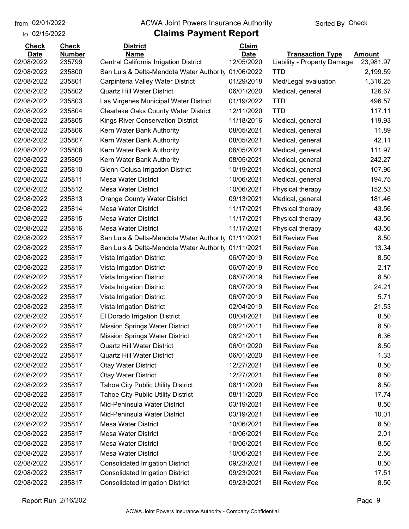to 02/15/2022

#### from 02/01/2022 **The COVA Solic Act Act Authority** Sorted By Check

| <b>Check</b> | <b>Check</b>  | <b>District</b>                                     | <b>Claim</b> |                             |           |
|--------------|---------------|-----------------------------------------------------|--------------|-----------------------------|-----------|
| <b>Date</b>  | <b>Number</b> | <b>Name</b>                                         | <b>Date</b>  | <b>Transaction Type</b>     | Amount    |
| 02/08/2022   | 235799        | Central California Irrigation District              | 12/05/2020   | Liability - Property Damage | 23,981.97 |
| 02/08/2022   | 235800        | San Luis & Delta-Mendota Water Authority            | 01/06/2022   | <b>TTD</b>                  | 2,199.59  |
| 02/08/2022   | 235801        | Carpinteria Valley Water District                   | 01/29/2018   | Med/Legal evaluation        | 1,316.25  |
| 02/08/2022   | 235802        | <b>Quartz Hill Water District</b>                   | 06/01/2020   | Medical, general            | 126.67    |
| 02/08/2022   | 235803        | Las Virgenes Municipal Water District               | 01/19/2022   | <b>TTD</b>                  | 496.57    |
| 02/08/2022   | 235804        | <b>Clearlake Oaks County Water District</b>         | 12/11/2020   | <b>TTD</b>                  | 117.11    |
| 02/08/2022   | 235805        | <b>Kings River Conservation District</b>            | 11/18/2016   | Medical, general            | 119.93    |
| 02/08/2022   | 235806        | Kern Water Bank Authority                           | 08/05/2021   | Medical, general            | 11.89     |
| 02/08/2022   | 235807        | Kern Water Bank Authority                           | 08/05/2021   | Medical, general            | 42.11     |
| 02/08/2022   | 235808        | Kern Water Bank Authority                           | 08/05/2021   | Medical, general            | 111.97    |
| 02/08/2022   | 235809        | Kern Water Bank Authority                           | 08/05/2021   | Medical, general            | 242.27    |
| 02/08/2022   | 235810        | Glenn-Colusa Irrigation District                    | 10/19/2021   | Medical, general            | 107.96    |
| 02/08/2022   | 235811        | <b>Mesa Water District</b>                          | 10/06/2021   | Medical, general            | 194.75    |
| 02/08/2022   | 235812        | <b>Mesa Water District</b>                          | 10/06/2021   | Physical therapy            | 152.53    |
| 02/08/2022   | 235813        | <b>Orange County Water District</b>                 | 09/13/2021   | Medical, general            | 181.46    |
| 02/08/2022   | 235814        | <b>Mesa Water District</b>                          | 11/17/2021   | Physical therapy            | 43.56     |
| 02/08/2022   | 235815        | <b>Mesa Water District</b>                          | 11/17/2021   | Physical therapy            | 43.56     |
| 02/08/2022   | 235816        | <b>Mesa Water District</b>                          | 11/17/2021   | Physical therapy            | 43.56     |
| 02/08/2022   | 235817        | San Luis & Delta-Mendota Water Authority            | 01/11/2021   | <b>Bill Review Fee</b>      | 8.50      |
| 02/08/2022   | 235817        | San Luis & Delta-Mendota Water Authority 01/11/2021 |              | <b>Bill Review Fee</b>      | 13.34     |
| 02/08/2022   | 235817        | Vista Irrigation District                           | 06/07/2019   | <b>Bill Review Fee</b>      | 8.50      |
| 02/08/2022   | 235817        | Vista Irrigation District                           | 06/07/2019   | <b>Bill Review Fee</b>      | 2.17      |
| 02/08/2022   | 235817        | Vista Irrigation District                           | 06/07/2019   | <b>Bill Review Fee</b>      | 8.50      |
| 02/08/2022   | 235817        | Vista Irrigation District                           | 06/07/2019   | <b>Bill Review Fee</b>      | 24.21     |
| 02/08/2022   | 235817        | Vista Irrigation District                           | 06/07/2019   | <b>Bill Review Fee</b>      | 5.71      |
| 02/08/2022   | 235817        | Vista Irrigation District                           | 02/04/2019   | <b>Bill Review Fee</b>      | 21.53     |
| 02/08/2022   | 235817        | El Dorado Irrigation District                       | 08/04/2021   | <b>Bill Review Fee</b>      | 8.50      |
| 02/08/2022   | 235817        | <b>Mission Springs Water District</b>               | 08/21/2011   | <b>Bill Review Fee</b>      | 8.50      |
| 02/08/2022   | 235817        | <b>Mission Springs Water District</b>               | 08/21/2011   | <b>Bill Review Fee</b>      | 6.36      |
| 02/08/2022   | 235817        | <b>Quartz Hill Water District</b>                   | 06/01/2020   | <b>Bill Review Fee</b>      | 8.50      |
| 02/08/2022   | 235817        | Quartz Hill Water District                          | 06/01/2020   | <b>Bill Review Fee</b>      | 1.33      |
| 02/08/2022   | 235817        | <b>Otay Water District</b>                          | 12/27/2021   | <b>Bill Review Fee</b>      | 8.50      |
| 02/08/2022   | 235817        | <b>Otay Water District</b>                          | 12/27/2021   | <b>Bill Review Fee</b>      | 8.50      |
| 02/08/2022   | 235817        | <b>Tahoe City Public Utility District</b>           | 08/11/2020   | <b>Bill Review Fee</b>      | 8.50      |
| 02/08/2022   | 235817        | <b>Tahoe City Public Utility District</b>           | 08/11/2020   | <b>Bill Review Fee</b>      | 17.74     |
| 02/08/2022   | 235817        | Mid-Peninsula Water District                        | 03/19/2021   | <b>Bill Review Fee</b>      | 8.50      |
| 02/08/2022   | 235817        | Mid-Peninsula Water District                        | 03/19/2021   | <b>Bill Review Fee</b>      | 10.01     |
| 02/08/2022   | 235817        | <b>Mesa Water District</b>                          | 10/06/2021   | <b>Bill Review Fee</b>      | 8.50      |
| 02/08/2022   | 235817        | <b>Mesa Water District</b>                          | 10/06/2021   | <b>Bill Review Fee</b>      | 2.01      |
| 02/08/2022   | 235817        | <b>Mesa Water District</b>                          | 10/06/2021   | <b>Bill Review Fee</b>      | 8.50      |
| 02/08/2022   | 235817        | <b>Mesa Water District</b>                          | 10/06/2021   | <b>Bill Review Fee</b>      | 2.56      |
| 02/08/2022   | 235817        | <b>Consolidated Irrigation District</b>             | 09/23/2021   | <b>Bill Review Fee</b>      | 8.50      |
| 02/08/2022   | 235817        | <b>Consolidated Irrigation District</b>             | 09/23/2021   | <b>Bill Review Fee</b>      | 17.51     |
| 02/08/2022   | 235817        | <b>Consolidated Irrigation District</b>             | 09/23/2021   | <b>Bill Review Fee</b>      | 8.50      |
|              |               |                                                     |              |                             |           |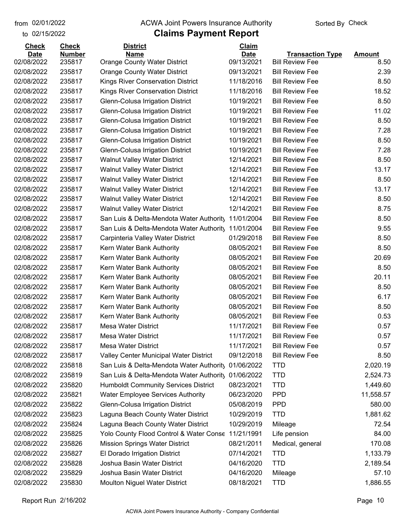#### from 02/01/2022 **The COVA Solic Act Act Authority** Sorted By Check

#### to 02/15/2022

| <b>Check</b> | <b>Check</b>  | <b>District</b>                             | Claim       |                         |               |
|--------------|---------------|---------------------------------------------|-------------|-------------------------|---------------|
| <b>Date</b>  | <b>Number</b> | <b>Name</b>                                 | <b>Date</b> | <b>Transaction Type</b> | <b>Amount</b> |
| 02/08/2022   | 235817        | <b>Orange County Water District</b>         | 09/13/2021  | <b>Bill Review Fee</b>  | 8.50          |
| 02/08/2022   | 235817        | <b>Orange County Water District</b>         | 09/13/2021  | <b>Bill Review Fee</b>  | 2.39          |
| 02/08/2022   | 235817        | <b>Kings River Conservation District</b>    | 11/18/2016  | <b>Bill Review Fee</b>  | 8.50          |
| 02/08/2022   | 235817        | <b>Kings River Conservation District</b>    | 11/18/2016  | <b>Bill Review Fee</b>  | 18.52         |
| 02/08/2022   | 235817        | Glenn-Colusa Irrigation District            | 10/19/2021  | <b>Bill Review Fee</b>  | 8.50          |
| 02/08/2022   | 235817        | Glenn-Colusa Irrigation District            | 10/19/2021  | <b>Bill Review Fee</b>  | 11.02         |
| 02/08/2022   | 235817        | Glenn-Colusa Irrigation District            | 10/19/2021  | <b>Bill Review Fee</b>  | 8.50          |
| 02/08/2022   | 235817        | Glenn-Colusa Irrigation District            | 10/19/2021  | <b>Bill Review Fee</b>  | 7.28          |
| 02/08/2022   | 235817        | Glenn-Colusa Irrigation District            | 10/19/2021  | <b>Bill Review Fee</b>  | 8.50          |
| 02/08/2022   | 235817        | Glenn-Colusa Irrigation District            | 10/19/2021  | <b>Bill Review Fee</b>  | 7.28          |
| 02/08/2022   | 235817        | <b>Walnut Valley Water District</b>         | 12/14/2021  | <b>Bill Review Fee</b>  | 8.50          |
| 02/08/2022   | 235817        | <b>Walnut Valley Water District</b>         | 12/14/2021  | <b>Bill Review Fee</b>  | 13.17         |
| 02/08/2022   | 235817        | <b>Walnut Valley Water District</b>         | 12/14/2021  | <b>Bill Review Fee</b>  | 8.50          |
| 02/08/2022   | 235817        | <b>Walnut Valley Water District</b>         | 12/14/2021  | <b>Bill Review Fee</b>  | 13.17         |
| 02/08/2022   | 235817        | <b>Walnut Valley Water District</b>         | 12/14/2021  | <b>Bill Review Fee</b>  | 8.50          |
| 02/08/2022   | 235817        | <b>Walnut Valley Water District</b>         | 12/14/2021  | <b>Bill Review Fee</b>  | 8.75          |
| 02/08/2022   | 235817        | San Luis & Delta-Mendota Water Authority    | 11/01/2004  | <b>Bill Review Fee</b>  | 8.50          |
| 02/08/2022   | 235817        | San Luis & Delta-Mendota Water Authority    | 11/01/2004  | <b>Bill Review Fee</b>  | 9.55          |
| 02/08/2022   | 235817        | Carpinteria Valley Water District           | 01/29/2018  | <b>Bill Review Fee</b>  | 8.50          |
| 02/08/2022   | 235817        | Kern Water Bank Authority                   | 08/05/2021  | <b>Bill Review Fee</b>  | 8.50          |
| 02/08/2022   | 235817        | Kern Water Bank Authority                   | 08/05/2021  | <b>Bill Review Fee</b>  | 20.69         |
| 02/08/2022   | 235817        | Kern Water Bank Authority                   | 08/05/2021  | <b>Bill Review Fee</b>  | 8.50          |
| 02/08/2022   | 235817        | Kern Water Bank Authority                   | 08/05/2021  | <b>Bill Review Fee</b>  | 20.11         |
| 02/08/2022   | 235817        | Kern Water Bank Authority                   | 08/05/2021  | <b>Bill Review Fee</b>  | 8.50          |
| 02/08/2022   | 235817        | Kern Water Bank Authority                   | 08/05/2021  | <b>Bill Review Fee</b>  | 6.17          |
| 02/08/2022   | 235817        | Kern Water Bank Authority                   | 08/05/2021  | <b>Bill Review Fee</b>  | 8.50          |
| 02/08/2022   | 235817        | Kern Water Bank Authority                   | 08/05/2021  | <b>Bill Review Fee</b>  | 0.53          |
| 02/08/2022   | 235817        | <b>Mesa Water District</b>                  | 11/17/2021  | <b>Bill Review Fee</b>  | 0.57          |
| 02/08/2022   | 235817        | <b>Mesa Water District</b>                  | 11/17/2021  | <b>Bill Review Fee</b>  | 0.57          |
| 02/08/2022   | 235817        | Mesa Water District                         | 11/17/2021  | <b>Bill Review Fee</b>  | 0.57          |
| 02/08/2022   | 235817        | Valley Center Municipal Water District      | 09/12/2018  | <b>Bill Review Fee</b>  | 8.50          |
| 02/08/2022   | 235818        | San Luis & Delta-Mendota Water Authority    | 01/06/2022  | <b>TTD</b>              | 2,020.19      |
| 02/08/2022   | 235819        | San Luis & Delta-Mendota Water Authority    | 01/06/2022  | <b>TTD</b>              | 2,524.73      |
| 02/08/2022   | 235820        | <b>Humboldt Community Services District</b> | 08/23/2021  | <b>TTD</b>              | 1,449.60      |
| 02/08/2022   | 235821        | <b>Water Employee Services Authority</b>    | 06/23/2020  | <b>PPD</b>              | 11,558.57     |
| 02/08/2022   | 235822        | Glenn-Colusa Irrigation District            | 05/08/2019  | <b>PPD</b>              | 580.00        |
| 02/08/2022   | 235823        | Laguna Beach County Water District          | 10/29/2019  | <b>TTD</b>              | 1,881.62      |
| 02/08/2022   | 235824        | Laguna Beach County Water District          | 10/29/2019  | Mileage                 | 72.54         |
| 02/08/2022   | 235825        | Yolo County Flood Control & Water Conse     | 11/21/1991  | Life pension            | 84.00         |
| 02/08/2022   | 235826        | <b>Mission Springs Water District</b>       | 08/21/2011  | Medical, general        | 170.08        |
| 02/08/2022   | 235827        | El Dorado Irrigation District               | 07/14/2021  | <b>TTD</b>              | 1,133.79      |
| 02/08/2022   | 235828        | Joshua Basin Water District                 | 04/16/2020  | <b>TTD</b>              | 2,189.54      |
| 02/08/2022   | 235829        | Joshua Basin Water District                 | 04/16/2020  | Mileage                 | 57.10         |
| 02/08/2022   | 235830        | Moulton Niguel Water District               | 08/18/2021  | <b>TTD</b>              | 1,886.55      |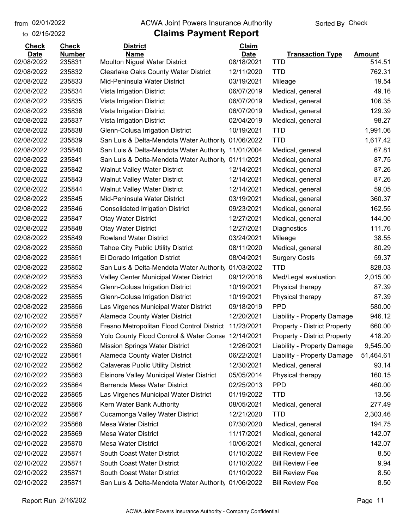to 02/15/2022

#### from 02/01/2022 **The COVA Solic Act Act Authority** Sorted By Check

| <b>Check</b> | <b>Check</b>  | <b>District</b>                                    | <b>Claim</b> |                                     |               |
|--------------|---------------|----------------------------------------------------|--------------|-------------------------------------|---------------|
| <b>Date</b>  | <b>Number</b> | <b>Name</b>                                        | <b>Date</b>  | <b>Transaction Type</b>             | <b>Amount</b> |
| 02/08/2022   | 235831        | <b>Moulton Niguel Water District</b>               | 08/18/2021   | TTD                                 | 514.51        |
| 02/08/2022   | 235832        | <b>Clearlake Oaks County Water District</b>        | 12/11/2020   | <b>TTD</b>                          | 762.31        |
| 02/08/2022   | 235833        | Mid-Peninsula Water District                       | 03/19/2021   | Mileage                             | 19.54         |
| 02/08/2022   | 235834        | Vista Irrigation District                          | 06/07/2019   | Medical, general                    | 49.16         |
| 02/08/2022   | 235835        | Vista Irrigation District                          | 06/07/2019   | Medical, general                    | 106.35        |
| 02/08/2022   | 235836        | Vista Irrigation District                          | 06/07/2019   | Medical, general                    | 129.39        |
| 02/08/2022   | 235837        | Vista Irrigation District                          | 02/04/2019   | Medical, general                    | 98.27         |
| 02/08/2022   | 235838        | Glenn-Colusa Irrigation District                   | 10/19/2021   | <b>TTD</b>                          | 1,991.06      |
| 02/08/2022   | 235839        | San Luis & Delta-Mendota Water Authority           | 01/06/2022   | <b>TTD</b>                          | 1,617.42      |
| 02/08/2022   | 235840        | San Luis & Delta-Mendota Water Authority           | 11/01/2004   | Medical, general                    | 67.81         |
| 02/08/2022   | 235841        | San Luis & Delta-Mendota Water Authority           | 01/11/2021   | Medical, general                    | 87.75         |
| 02/08/2022   | 235842        | <b>Walnut Valley Water District</b>                | 12/14/2021   | Medical, general                    | 87.26         |
| 02/08/2022   | 235843        | <b>Walnut Valley Water District</b>                | 12/14/2021   | Medical, general                    | 87.26         |
| 02/08/2022   | 235844        | <b>Walnut Valley Water District</b>                | 12/14/2021   | Medical, general                    | 59.05         |
| 02/08/2022   | 235845        | Mid-Peninsula Water District                       | 03/19/2021   | Medical, general                    | 360.37        |
| 02/08/2022   | 235846        | <b>Consolidated Irrigation District</b>            | 09/23/2021   | Medical, general                    | 162.55        |
| 02/08/2022   | 235847        | <b>Otay Water District</b>                         | 12/27/2021   | Medical, general                    | 144.00        |
| 02/08/2022   | 235848        | <b>Otay Water District</b>                         | 12/27/2021   | Diagnostics                         | 111.76        |
| 02/08/2022   | 235849        | <b>Rowland Water District</b>                      | 03/24/2021   | Mileage                             | 38.55         |
| 02/08/2022   | 235850        | <b>Tahoe City Public Utility District</b>          | 08/11/2020   | Medical, general                    | 80.29         |
| 02/08/2022   | 235851        | El Dorado Irrigation District                      | 08/04/2021   | <b>Surgery Costs</b>                | 59.37         |
| 02/08/2022   | 235852        | San Luis & Delta-Mendota Water Authority           | 01/03/2022   | <b>TTD</b>                          | 828.03        |
| 02/08/2022   | 235853        | Valley Center Municipal Water District             | 09/12/2018   | Med/Legal evaluation                | 2,015.00      |
| 02/08/2022   | 235854        | Glenn-Colusa Irrigation District                   | 10/19/2021   | Physical therapy                    | 87.39         |
| 02/08/2022   | 235855        | Glenn-Colusa Irrigation District                   | 10/19/2021   | Physical therapy                    | 87.39         |
| 02/08/2022   | 235856        | Las Virgenes Municipal Water District              | 09/18/2019   | <b>PPD</b>                          | 580.00        |
| 02/10/2022   | 235857        | Alameda County Water District                      | 12/20/2021   | Liability - Property Damage         | 946.12        |
| 02/10/2022   | 235858        | Fresno Metropolitan Flood Control District         | 11/23/2021   | <b>Property - District Property</b> | 660.00        |
| 02/10/2022   | 235859        | Yolo County Flood Control & Water Conse 12/14/2021 |              | <b>Property - District Property</b> | 418.20        |
| 02/10/2022   | 235860        | <b>Mission Springs Water District</b>              | 12/26/2021   | Liability - Property Damage         | 9,545.00      |
| 02/10/2022   | 235861        | Alameda County Water District                      | 06/22/2021   | Liability - Property Damage         | 51,464.61     |
| 02/10/2022   | 235862        | <b>Calaveras Public Utility District</b>           | 12/30/2021   | Medical, general                    | 93.14         |
| 02/10/2022   | 235863        | <b>Elsinore Valley Municipal Water District</b>    | 05/05/2014   | Physical therapy                    | 160.15        |
| 02/10/2022   | 235864        | Berrenda Mesa Water District                       | 02/25/2013   | <b>PPD</b>                          | 460.00        |
| 02/10/2022   | 235865        | Las Virgenes Municipal Water District              | 01/19/2022   | <b>TTD</b>                          | 13.56         |
| 02/10/2022   | 235866        | Kern Water Bank Authority                          | 08/05/2021   | Medical, general                    | 277.49        |
| 02/10/2022   | 235867        | Cucamonga Valley Water District                    | 12/21/2020   | <b>TTD</b>                          | 2,303.46      |
| 02/10/2022   | 235868        | Mesa Water District                                | 07/30/2020   | Medical, general                    | 194.75        |
| 02/10/2022   | 235869        | <b>Mesa Water District</b>                         | 11/17/2021   | Medical, general                    | 142.07        |
| 02/10/2022   | 235870        | <b>Mesa Water District</b>                         | 10/06/2021   | Medical, general                    | 142.07        |
| 02/10/2022   | 235871        | South Coast Water District                         | 01/10/2022   | <b>Bill Review Fee</b>              | 8.50          |
| 02/10/2022   | 235871        | South Coast Water District                         | 01/10/2022   | <b>Bill Review Fee</b>              | 9.94          |
| 02/10/2022   | 235871        | South Coast Water District                         | 01/10/2022   | <b>Bill Review Fee</b>              | 8.50          |
| 02/10/2022   | 235871        | San Luis & Delta-Mendota Water Authority           | 01/06/2022   | <b>Bill Review Fee</b>              | 8.50          |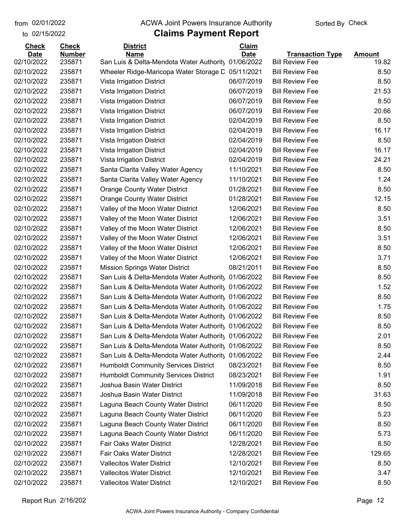to 02/15/2022

#### from 02/01/2022 **The COVA Solic Act Act Authority** Sorted By Check

| <b>Check</b> | <b>Check</b>  | <b>District</b>                                     | Claim       |                         |               |
|--------------|---------------|-----------------------------------------------------|-------------|-------------------------|---------------|
| <b>Date</b>  | <b>Number</b> | <b>Name</b>                                         | <b>Date</b> | <b>Transaction Type</b> | <b>Amount</b> |
| 02/10/2022   | 235871        | San Luis & Delta-Mendota Water Authority            | 01/06/2022  | <b>Bill Review Fee</b>  | 19.82         |
| 02/10/2022   | 235871        | Wheeler Ridge-Maricopa Water Storage D              | 05/11/2021  | <b>Bill Review Fee</b>  | 8.50          |
| 02/10/2022   | 235871        | Vista Irrigation District                           | 06/07/2019  | <b>Bill Review Fee</b>  | 8.50          |
| 02/10/2022   | 235871        | Vista Irrigation District                           | 06/07/2019  | <b>Bill Review Fee</b>  | 21.53         |
| 02/10/2022   | 235871        | Vista Irrigation District                           | 06/07/2019  | <b>Bill Review Fee</b>  | 8.50          |
| 02/10/2022   | 235871        | Vista Irrigation District                           | 06/07/2019  | <b>Bill Review Fee</b>  | 20.66         |
| 02/10/2022   | 235871        | Vista Irrigation District                           | 02/04/2019  | <b>Bill Review Fee</b>  | 8.50          |
| 02/10/2022   | 235871        | Vista Irrigation District                           | 02/04/2019  | <b>Bill Review Fee</b>  | 16.17         |
| 02/10/2022   | 235871        | Vista Irrigation District                           | 02/04/2019  | <b>Bill Review Fee</b>  | 8.50          |
| 02/10/2022   | 235871        | Vista Irrigation District                           | 02/04/2019  | <b>Bill Review Fee</b>  | 16.17         |
| 02/10/2022   | 235871        | Vista Irrigation District                           | 02/04/2019  | <b>Bill Review Fee</b>  | 24.21         |
| 02/10/2022   | 235871        | Santa Clarita Valley Water Agency                   | 11/10/2021  | <b>Bill Review Fee</b>  | 8.50          |
| 02/10/2022   | 235871        | Santa Clarita Valley Water Agency                   | 11/10/2021  | <b>Bill Review Fee</b>  | 1.24          |
| 02/10/2022   | 235871        | <b>Orange County Water District</b>                 | 01/28/2021  | <b>Bill Review Fee</b>  | 8.50          |
| 02/10/2022   | 235871        | <b>Orange County Water District</b>                 | 01/28/2021  | <b>Bill Review Fee</b>  | 12.15         |
| 02/10/2022   | 235871        | Valley of the Moon Water District                   | 12/06/2021  | <b>Bill Review Fee</b>  | 8.50          |
| 02/10/2022   | 235871        | Valley of the Moon Water District                   | 12/06/2021  | <b>Bill Review Fee</b>  | 3.51          |
| 02/10/2022   | 235871        | Valley of the Moon Water District                   | 12/06/2021  | <b>Bill Review Fee</b>  | 8.50          |
| 02/10/2022   | 235871        | Valley of the Moon Water District                   | 12/06/2021  | <b>Bill Review Fee</b>  | 3.51          |
| 02/10/2022   | 235871        | Valley of the Moon Water District                   | 12/06/2021  | <b>Bill Review Fee</b>  | 8.50          |
| 02/10/2022   | 235871        | Valley of the Moon Water District                   | 12/06/2021  | <b>Bill Review Fee</b>  | 3.71          |
| 02/10/2022   | 235871        | Mission Springs Water District                      | 08/21/2011  | <b>Bill Review Fee</b>  | 8.50          |
| 02/10/2022   | 235871        | San Luis & Delta-Mendota Water Authority            | 01/06/2022  | <b>Bill Review Fee</b>  | 8.50          |
| 02/10/2022   | 235871        | San Luis & Delta-Mendota Water Authority 01/06/2022 |             | <b>Bill Review Fee</b>  | 1.52          |
| 02/10/2022   | 235871        | San Luis & Delta-Mendota Water Authorit, 01/06/2022 |             | <b>Bill Review Fee</b>  | 8.50          |
| 02/10/2022   | 235871        | San Luis & Delta-Mendota Water Authority 01/06/2022 |             | <b>Bill Review Fee</b>  | 1.75          |
| 02/10/2022   | 235871        | San Luis & Delta-Mendota Water Authority 01/06/2022 |             | <b>Bill Review Fee</b>  | 8.50          |
| 02/10/2022   | 235871        | San Luis & Delta-Mendota Water Authority 01/06/2022 |             | <b>Bill Review Fee</b>  | 8.50          |
| 02/10/2022   | 235871        | San Luis & Delta-Mendota Water Authorit 01/06/2022  |             | <b>Bill Review Fee</b>  | 2.01          |
| 02/10/2022   | 235871        | San Luis & Delta-Mendota Water Authority            | 01/06/2022  | <b>Bill Review Fee</b>  | 8.50          |
| 02/10/2022   | 235871        | San Luis & Delta-Mendota Water Authority            | 01/06/2022  | <b>Bill Review Fee</b>  | 2.44          |
| 02/10/2022   | 235871        | <b>Humboldt Community Services District</b>         | 08/23/2021  | <b>Bill Review Fee</b>  | 8.50          |
| 02/10/2022   | 235871        | <b>Humboldt Community Services District</b>         | 08/23/2021  | <b>Bill Review Fee</b>  | 1.91          |
| 02/10/2022   | 235871        | Joshua Basin Water District                         | 11/09/2018  | <b>Bill Review Fee</b>  | 8.50          |
| 02/10/2022   | 235871        | Joshua Basin Water District                         | 11/09/2018  | <b>Bill Review Fee</b>  | 31.63         |
| 02/10/2022   | 235871        | Laguna Beach County Water District                  | 06/11/2020  | <b>Bill Review Fee</b>  | 8.50          |
| 02/10/2022   | 235871        | Laguna Beach County Water District                  | 06/11/2020  | <b>Bill Review Fee</b>  | 5.23          |
| 02/10/2022   | 235871        | Laguna Beach County Water District                  | 06/11/2020  | <b>Bill Review Fee</b>  | 8.50          |
| 02/10/2022   | 235871        | Laguna Beach County Water District                  | 06/11/2020  | <b>Bill Review Fee</b>  | 5.73          |
| 02/10/2022   | 235871        | Fair Oaks Water District                            | 12/28/2021  | <b>Bill Review Fee</b>  | 8.50          |
| 02/10/2022   | 235871        | Fair Oaks Water District                            | 12/28/2021  | <b>Bill Review Fee</b>  | 129.65        |
| 02/10/2022   | 235871        | <b>Vallecitos Water District</b>                    | 12/10/2021  | <b>Bill Review Fee</b>  | 8.50          |
| 02/10/2022   | 235871        | <b>Vallecitos Water District</b>                    | 12/10/2021  | <b>Bill Review Fee</b>  | 3.47          |
| 02/10/2022   | 235871        | <b>Vallecitos Water District</b>                    | 12/10/2021  | <b>Bill Review Fee</b>  | 8.50          |
|              |               |                                                     |             |                         |               |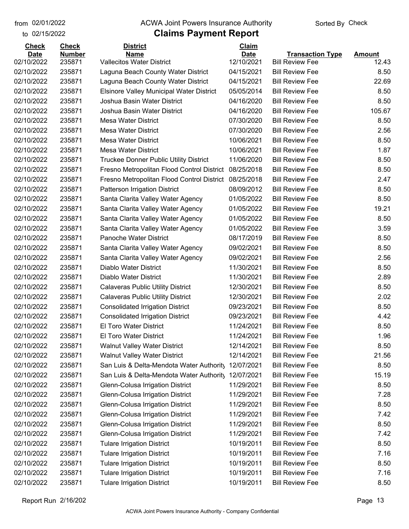to 02/15/2022

#### from 02/01/2022 **The COVA Solic Act Act Authority** Sorted By Check

| <b>Check</b> | <b>Check</b>  | <b>District</b>                                 | Claim       |                         |               |
|--------------|---------------|-------------------------------------------------|-------------|-------------------------|---------------|
| <b>Date</b>  | <b>Number</b> | <b>Name</b>                                     | <b>Date</b> | <b>Transaction Type</b> | <b>Amount</b> |
| 02/10/2022   | 235871        | <b>Vallecitos Water District</b>                | 12/10/2021  | <b>Bill Review Fee</b>  | 12.43         |
| 02/10/2022   | 235871        | Laguna Beach County Water District              | 04/15/2021  | <b>Bill Review Fee</b>  | 8.50          |
| 02/10/2022   | 235871        | Laguna Beach County Water District              | 04/15/2021  | <b>Bill Review Fee</b>  | 22.69         |
| 02/10/2022   | 235871        | <b>Elsinore Valley Municipal Water District</b> | 05/05/2014  | <b>Bill Review Fee</b>  | 8.50          |
| 02/10/2022   | 235871        | Joshua Basin Water District                     | 04/16/2020  | <b>Bill Review Fee</b>  | 8.50          |
| 02/10/2022   | 235871        | Joshua Basin Water District                     | 04/16/2020  | <b>Bill Review Fee</b>  | 105.67        |
| 02/10/2022   | 235871        | <b>Mesa Water District</b>                      | 07/30/2020  | <b>Bill Review Fee</b>  | 8.50          |
| 02/10/2022   | 235871        | <b>Mesa Water District</b>                      | 07/30/2020  | <b>Bill Review Fee</b>  | 2.56          |
| 02/10/2022   | 235871        | <b>Mesa Water District</b>                      | 10/06/2021  | <b>Bill Review Fee</b>  | 8.50          |
| 02/10/2022   | 235871        | <b>Mesa Water District</b>                      | 10/06/2021  | <b>Bill Review Fee</b>  | 1.87          |
| 02/10/2022   | 235871        | Truckee Donner Public Utility District          | 11/06/2020  | <b>Bill Review Fee</b>  | 8.50          |
| 02/10/2022   | 235871        | Fresno Metropolitan Flood Control District      | 08/25/2018  | <b>Bill Review Fee</b>  | 8.50          |
| 02/10/2022   | 235871        | Fresno Metropolitan Flood Control District      | 08/25/2018  | <b>Bill Review Fee</b>  | 2.47          |
| 02/10/2022   | 235871        | <b>Patterson Irrigation District</b>            | 08/09/2012  | <b>Bill Review Fee</b>  | 8.50          |
| 02/10/2022   | 235871        | Santa Clarita Valley Water Agency               | 01/05/2022  | <b>Bill Review Fee</b>  | 8.50          |
| 02/10/2022   | 235871        | Santa Clarita Valley Water Agency               | 01/05/2022  | <b>Bill Review Fee</b>  | 19.21         |
| 02/10/2022   | 235871        | Santa Clarita Valley Water Agency               | 01/05/2022  | <b>Bill Review Fee</b>  | 8.50          |
| 02/10/2022   | 235871        | Santa Clarita Valley Water Agency               | 01/05/2022  | <b>Bill Review Fee</b>  | 3.59          |
| 02/10/2022   | 235871        | <b>Panoche Water District</b>                   | 08/17/2019  | <b>Bill Review Fee</b>  | 8.50          |
| 02/10/2022   | 235871        | Santa Clarita Valley Water Agency               | 09/02/2021  | <b>Bill Review Fee</b>  | 8.50          |
| 02/10/2022   | 235871        | Santa Clarita Valley Water Agency               | 09/02/2021  | <b>Bill Review Fee</b>  | 2.56          |
| 02/10/2022   | 235871        | Diablo Water District                           | 11/30/2021  | <b>Bill Review Fee</b>  | 8.50          |
| 02/10/2022   | 235871        | Diablo Water District                           | 11/30/2021  | <b>Bill Review Fee</b>  | 2.89          |
| 02/10/2022   | 235871        | <b>Calaveras Public Utility District</b>        | 12/30/2021  | <b>Bill Review Fee</b>  | 8.50          |
| 02/10/2022   | 235871        | <b>Calaveras Public Utility District</b>        | 12/30/2021  | <b>Bill Review Fee</b>  | 2.02          |
| 02/10/2022   | 235871        | <b>Consolidated Irrigation District</b>         | 09/23/2021  | <b>Bill Review Fee</b>  | 8.50          |
| 02/10/2022   | 235871        | <b>Consolidated Irrigation District</b>         | 09/23/2021  | <b>Bill Review Fee</b>  | 4.42          |
| 02/10/2022   | 235871        | El Toro Water District                          | 11/24/2021  | <b>Bill Review Fee</b>  | 8.50          |
| 02/10/2022   | 235871        | <b>El Toro Water District</b>                   | 11/24/2021  | <b>Bill Review Fee</b>  | 1.96          |
| 02/10/2022   | 235871        | <b>Walnut Valley Water District</b>             | 12/14/2021  | <b>Bill Review Fee</b>  | 8.50          |
| 02/10/2022   | 235871        | <b>Walnut Valley Water District</b>             | 12/14/2021  | <b>Bill Review Fee</b>  | 21.56         |
| 02/10/2022   | 235871        | San Luis & Delta-Mendota Water Authority        | 12/07/2021  | <b>Bill Review Fee</b>  | 8.50          |
| 02/10/2022   | 235871        | San Luis & Delta-Mendota Water Authority        | 12/07/2021  | <b>Bill Review Fee</b>  | 15.19         |
| 02/10/2022   | 235871        | Glenn-Colusa Irrigation District                | 11/29/2021  | <b>Bill Review Fee</b>  | 8.50          |
| 02/10/2022   | 235871        | Glenn-Colusa Irrigation District                | 11/29/2021  | <b>Bill Review Fee</b>  | 7.28          |
| 02/10/2022   | 235871        | Glenn-Colusa Irrigation District                | 11/29/2021  | <b>Bill Review Fee</b>  | 8.50          |
| 02/10/2022   | 235871        | Glenn-Colusa Irrigation District                | 11/29/2021  | <b>Bill Review Fee</b>  | 7.42          |
| 02/10/2022   | 235871        | Glenn-Colusa Irrigation District                | 11/29/2021  | <b>Bill Review Fee</b>  | 8.50          |
| 02/10/2022   | 235871        | Glenn-Colusa Irrigation District                | 11/29/2021  | <b>Bill Review Fee</b>  | 7.42          |
| 02/10/2022   | 235871        | <b>Tulare Irrigation District</b>               | 10/19/2011  | <b>Bill Review Fee</b>  | 8.50          |
| 02/10/2022   | 235871        | <b>Tulare Irrigation District</b>               | 10/19/2011  | <b>Bill Review Fee</b>  | 7.16          |
| 02/10/2022   | 235871        | <b>Tulare Irrigation District</b>               | 10/19/2011  | <b>Bill Review Fee</b>  | 8.50          |
| 02/10/2022   | 235871        | <b>Tulare Irrigation District</b>               | 10/19/2011  | <b>Bill Review Fee</b>  | 7.16          |
| 02/10/2022   | 235871        | <b>Tulare Irrigation District</b>               | 10/19/2011  | <b>Bill Review Fee</b>  | 8.50          |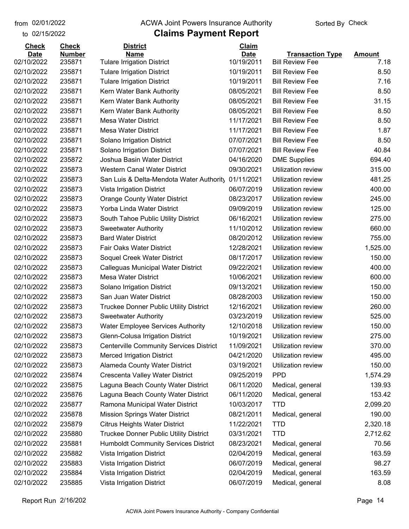#### from 02/01/2022 **The COVA Solic Act Act Authority** Sorted By Check

#### to 02/15/2022

### **Claims Payment Report**

| <b>Check</b> | <b>Check</b>  | <b>District</b>                                | Claim       |                           |               |
|--------------|---------------|------------------------------------------------|-------------|---------------------------|---------------|
| <b>Date</b>  | <b>Number</b> | <b>Name</b>                                    | <b>Date</b> | <b>Transaction Type</b>   | <b>Amount</b> |
| 02/10/2022   | 235871        | <b>Tulare Irrigation District</b>              | 10/19/2011  | <b>Bill Review Fee</b>    | 7.18          |
| 02/10/2022   | 235871        | <b>Tulare Irrigation District</b>              | 10/19/2011  | <b>Bill Review Fee</b>    | 8.50          |
| 02/10/2022   | 235871        | <b>Tulare Irrigation District</b>              | 10/19/2011  | <b>Bill Review Fee</b>    | 7.16          |
| 02/10/2022   | 235871        | Kern Water Bank Authority                      | 08/05/2021  | <b>Bill Review Fee</b>    | 8.50          |
| 02/10/2022   | 235871        | Kern Water Bank Authority                      | 08/05/2021  | <b>Bill Review Fee</b>    | 31.15         |
| 02/10/2022   | 235871        | Kern Water Bank Authority                      | 08/05/2021  | <b>Bill Review Fee</b>    | 8.50          |
| 02/10/2022   | 235871        | <b>Mesa Water District</b>                     | 11/17/2021  | <b>Bill Review Fee</b>    | 8.50          |
| 02/10/2022   | 235871        | <b>Mesa Water District</b>                     | 11/17/2021  | <b>Bill Review Fee</b>    | 1.87          |
| 02/10/2022   | 235871        | Solano Irrigation District                     | 07/07/2021  | <b>Bill Review Fee</b>    | 8.50          |
| 02/10/2022   | 235871        | Solano Irrigation District                     | 07/07/2021  | <b>Bill Review Fee</b>    | 40.84         |
| 02/10/2022   | 235872        | Joshua Basin Water District                    | 04/16/2020  | <b>DME Supplies</b>       | 694.40        |
| 02/10/2022   | 235873        | <b>Western Canal Water District</b>            | 09/30/2021  | Utilization review        | 315.00        |
| 02/10/2022   | 235873        | San Luis & Delta-Mendota Water Authority       | 01/11/2021  | Utilization review        | 481.25        |
| 02/10/2022   | 235873        | Vista Irrigation District                      | 06/07/2019  | Utilization review        | 400.00        |
| 02/10/2022   | 235873        | <b>Orange County Water District</b>            | 08/23/2017  | <b>Utilization review</b> | 245.00        |
| 02/10/2022   | 235873        | Yorba Linda Water District                     | 09/09/2019  | Utilization review        | 125.00        |
| 02/10/2022   | 235873        | South Tahoe Public Utility District            | 06/16/2021  | Utilization review        | 275.00        |
| 02/10/2022   | 235873        | <b>Sweetwater Authority</b>                    | 11/10/2012  | Utilization review        | 660.00        |
| 02/10/2022   | 235873        | <b>Bard Water District</b>                     | 08/20/2012  | Utilization review        | 755.00        |
| 02/10/2022   | 235873        | Fair Oaks Water District                       | 12/28/2021  | Utilization review        | 1,525.00      |
| 02/10/2022   | 235873        | Soquel Creek Water District                    | 08/17/2017  | Utilization review        | 150.00        |
| 02/10/2022   | 235873        | Calleguas Municipal Water District             | 09/22/2021  | Utilization review        | 400.00        |
| 02/10/2022   | 235873        | <b>Mesa Water District</b>                     | 10/06/2021  | Utilization review        | 600.00        |
| 02/10/2022   | 235873        | Solano Irrigation District                     | 09/13/2021  | Utilization review        | 150.00        |
| 02/10/2022   | 235873        | San Juan Water District                        | 08/28/2003  | Utilization review        | 150.00        |
| 02/10/2022   | 235873        | <b>Truckee Donner Public Utility District</b>  | 12/16/2021  | Utilization review        | 260.00        |
| 02/10/2022   | 235873        | <b>Sweetwater Authority</b>                    | 03/23/2019  | Utilization review        | 525.00        |
| 02/10/2022   | 235873        | <b>Water Employee Services Authority</b>       | 12/10/2018  | Utilization review        | 150.00        |
| 02/10/2022   | 235873        | Glenn-Colusa Irrigation District               | 10/19/2021  | Utilization review        | 275.00        |
| 02/10/2022   | 235873        | <b>Centerville Community Services District</b> | 11/09/2021  | Utilization review        | 370.00        |
| 02/10/2022   | 235873        | <b>Merced Irrigation District</b>              | 04/21/2020  | <b>Utilization review</b> | 495.00        |
| 02/10/2022   | 235873        | Alameda County Water District                  | 03/19/2021  | Utilization review        | 150.00        |
| 02/10/2022   | 235874        | Crescenta Valley Water District                | 09/25/2019  | <b>PPD</b>                | 1,574.29      |
| 02/10/2022   | 235875        | Laguna Beach County Water District             | 06/11/2020  | Medical, general          | 139.93        |
| 02/10/2022   | 235876        | Laguna Beach County Water District             | 06/11/2020  | Medical, general          | 153.42        |
| 02/10/2022   | 235877        | Ramona Municipal Water District                | 10/03/2017  | <b>TTD</b>                | 2,099.20      |
| 02/10/2022   | 235878        | <b>Mission Springs Water District</b>          | 08/21/2011  | Medical, general          | 190.00        |
| 02/10/2022   | 235879        | <b>Citrus Heights Water District</b>           | 11/22/2021  | <b>TTD</b>                | 2,320.18      |
| 02/10/2022   | 235880        | Truckee Donner Public Utility District         | 03/31/2021  | <b>TTD</b>                | 2,712.62      |
| 02/10/2022   | 235881        | <b>Humboldt Community Services District</b>    | 08/23/2021  | Medical, general          | 70.56         |
| 02/10/2022   | 235882        | Vista Irrigation District                      | 02/04/2019  | Medical, general          | 163.59        |
| 02/10/2022   | 235883        | Vista Irrigation District                      | 06/07/2019  | Medical, general          | 98.27         |
| 02/10/2022   | 235884        | Vista Irrigation District                      | 02/04/2019  | Medical, general          | 163.59        |
| 02/10/2022   | 235885        | Vista Irrigation District                      | 06/07/2019  | Medical, general          | 8.08          |
|              |               |                                                |             |                           |               |

Report Run 2/16/202 Page 14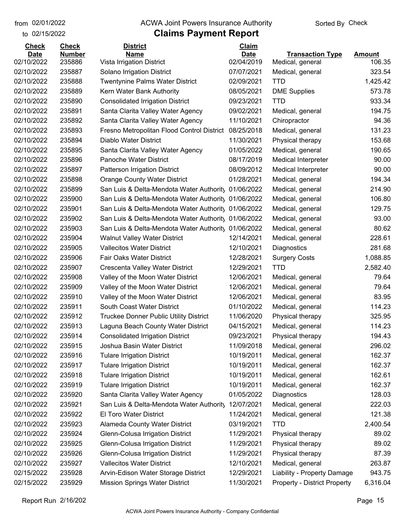to 02/15/2022 02/01/2022

#### from 02/01/2022 **The COVA Solic Act Act Authority** Sorted By Check

| <b>Check</b> | <b>Check</b>  | <b>District</b>                            | Claim       |                                     |               |
|--------------|---------------|--------------------------------------------|-------------|-------------------------------------|---------------|
| <b>Date</b>  | <b>Number</b> | <b>Name</b>                                | <b>Date</b> | <b>Transaction Type</b>             | <b>Amount</b> |
| 02/10/2022   | 235886        | Vista Irrigation District                  | 02/04/2019  | Medical, general                    | 106.35        |
| 02/10/2022   | 235887        | Solano Irrigation District                 | 07/07/2021  | Medical, general                    | 323.54        |
| 02/10/2022   | 235888        | <b>Twentynine Palms Water District</b>     | 02/09/2021  | <b>TTD</b>                          | 1,425.42      |
| 02/10/2022   | 235889        | Kern Water Bank Authority                  | 08/05/2021  | <b>DME Supplies</b>                 | 573.78        |
| 02/10/2022   | 235890        | <b>Consolidated Irrigation District</b>    | 09/23/2021  | <b>TTD</b>                          | 933.34        |
| 02/10/2022   | 235891        | Santa Clarita Valley Water Agency          | 09/02/2021  | Medical, general                    | 194.75        |
| 02/10/2022   | 235892        | Santa Clarita Valley Water Agency          | 11/10/2021  | Chiropractor                        | 94.36         |
| 02/10/2022   | 235893        | Fresno Metropolitan Flood Control District | 08/25/2018  | Medical, general                    | 131.23        |
| 02/10/2022   | 235894        | Diablo Water District                      | 11/30/2021  | Physical therapy                    | 153.68        |
| 02/10/2022   | 235895        | Santa Clarita Valley Water Agency          | 01/05/2022  | Medical, general                    | 190.65        |
| 02/10/2022   | 235896        | Panoche Water District                     | 08/17/2019  | <b>Medical Interpreter</b>          | 90.00         |
| 02/10/2022   | 235897        | Patterson Irrigation District              | 08/09/2012  | <b>Medical Interpreter</b>          | 90.00         |
| 02/10/2022   | 235898        | <b>Orange County Water District</b>        | 01/28/2021  | Medical, general                    | 194.34        |
| 02/10/2022   | 235899        | San Luis & Delta-Mendota Water Authority   | 01/06/2022  | Medical, general                    | 214.90        |
| 02/10/2022   | 235900        | San Luis & Delta-Mendota Water Authority   | 01/06/2022  | Medical, general                    | 106.80        |
| 02/10/2022   | 235901        | San Luis & Delta-Mendota Water Authority   | 01/06/2022  | Medical, general                    | 129.75        |
| 02/10/2022   | 235902        | San Luis & Delta-Mendota Water Authority   | 01/06/2022  | Medical, general                    | 93.00         |
| 02/10/2022   | 235903        | San Luis & Delta-Mendota Water Authority   | 01/06/2022  | Medical, general                    | 80.62         |
| 02/10/2022   | 235904        | <b>Walnut Valley Water District</b>        | 12/14/2021  | Medical, general                    | 228.61        |
| 02/10/2022   | 235905        | <b>Vallecitos Water District</b>           | 12/10/2021  | Diagnostics                         | 281.68        |
| 02/10/2022   | 235906        | Fair Oaks Water District                   | 12/28/2021  | <b>Surgery Costs</b>                | 1,088.85      |
| 02/10/2022   | 235907        | Crescenta Valley Water District            | 12/29/2021  | <b>TTD</b>                          | 2,582.40      |
| 02/10/2022   | 235908        | Valley of the Moon Water District          | 12/06/2021  | Medical, general                    | 79.64         |
| 02/10/2022   | 235909        | Valley of the Moon Water District          | 12/06/2021  | Medical, general                    | 79.64         |
| 02/10/2022   | 235910        | Valley of the Moon Water District          | 12/06/2021  | Medical, general                    | 83.95         |
| 02/10/2022   | 235911        | South Coast Water District                 | 01/10/2022  | Medical, general                    | 114.23        |
| 02/10/2022   | 235912        | Truckee Donner Public Utility District     | 11/06/2020  | Physical therapy                    | 325.95        |
| 02/10/2022   | 235913        | Laguna Beach County Water District         | 04/15/2021  | Medical, general                    | 114.23        |
| 02/10/2022   | 235914        | <b>Consolidated Irrigation District</b>    | 09/23/2021  | Physical therapy                    | 194.43        |
| 02/10/2022   | 235915        | Joshua Basin Water District                | 11/09/2018  | Medical, general                    | 296.02        |
| 02/10/2022   | 235916        | <b>Tulare Irrigation District</b>          | 10/19/2011  | Medical, general                    | 162.37        |
| 02/10/2022   | 235917        | <b>Tulare Irrigation District</b>          | 10/19/2011  | Medical, general                    | 162.37        |
| 02/10/2022   | 235918        | <b>Tulare Irrigation District</b>          | 10/19/2011  | Medical, general                    | 162.61        |
| 02/10/2022   | 235919        | <b>Tulare Irrigation District</b>          | 10/19/2011  | Medical, general                    | 162.37        |
| 02/10/2022   | 235920        | Santa Clarita Valley Water Agency          | 01/05/2022  | Diagnostics                         | 128.03        |
| 02/10/2022   | 235921        | San Luis & Delta-Mendota Water Authority   | 12/07/2021  | Medical, general                    | 222.03        |
| 02/10/2022   | 235922        | El Toro Water District                     | 11/24/2021  | Medical, general                    | 121.38        |
| 02/10/2022   | 235923        | Alameda County Water District              | 03/19/2021  | <b>TTD</b>                          | 2,400.54      |
| 02/10/2022   | 235924        | Glenn-Colusa Irrigation District           | 11/29/2021  | Physical therapy                    | 89.02         |
| 02/10/2022   | 235925        | Glenn-Colusa Irrigation District           | 11/29/2021  | Physical therapy                    | 89.02         |
| 02/10/2022   | 235926        | Glenn-Colusa Irrigation District           | 11/29/2021  | Physical therapy                    | 87.39         |
| 02/10/2022   | 235927        | <b>Vallecitos Water District</b>           | 12/10/2021  | Medical, general                    | 263.87        |
| 02/15/2022   | 235928        | Arvin-Edison Water Storage District        | 12/29/2021  | Liability - Property Damage         | 943.75        |
| 02/15/2022   | 235929        | <b>Mission Springs Water District</b>      | 11/30/2021  | <b>Property - District Property</b> | 6,316.04      |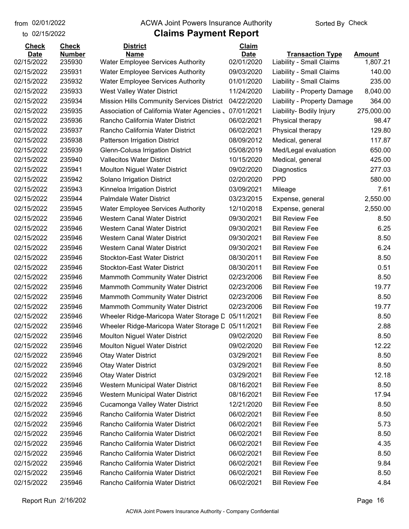to 02/15/2022

#### from 02/01/2022 **The COVA Solic Act Act Authority** Sorted By Check

| <b>Check</b>              | <b>Check</b>            | <b>District</b>                                         | Claim                     |                                                     |                           |
|---------------------------|-------------------------|---------------------------------------------------------|---------------------------|-----------------------------------------------------|---------------------------|
| <b>Date</b><br>02/15/2022 | <b>Number</b><br>235930 | <b>Name</b><br><b>Water Employee Services Authority</b> | <b>Date</b><br>02/01/2020 | <b>Transaction Type</b><br>Liability - Small Claims | <b>Amount</b><br>1,807.21 |
| 02/15/2022                | 235931                  | <b>Water Employee Services Authority</b>                | 09/03/2020                | Liability - Small Claims                            | 140.00                    |
| 02/15/2022                | 235932                  | <b>Water Employee Services Authority</b>                | 01/01/2020                | Liability - Small Claims                            | 235.00                    |
| 02/15/2022                | 235933                  | West Valley Water District                              | 11/24/2020                | Liability - Property Damage                         | 8,040.00                  |
| 02/15/2022                | 235934                  | Mission Hills Community Services District               | 04/22/2020                | Liability - Property Damage                         | 364.00                    |
| 02/15/2022                | 235935                  | Association of California Water Agencies.               | 07/01/2021                | Liability- Bodily Injury                            | 275,000.00                |
| 02/15/2022                | 235936                  | Rancho California Water District                        | 06/02/2021                | Physical therapy                                    | 98.47                     |
| 02/15/2022                | 235937                  | Rancho California Water District                        | 06/02/2021                | Physical therapy                                    | 129.80                    |
| 02/15/2022                | 235938                  | <b>Patterson Irrigation District</b>                    | 08/09/2012                | Medical, general                                    | 117.87                    |
| 02/15/2022                | 235939                  | Glenn-Colusa Irrigation District                        | 05/08/2019                | Med/Legal evaluation                                | 650.00                    |
| 02/15/2022                | 235940                  | <b>Vallecitos Water District</b>                        | 10/15/2020                | Medical, general                                    | 425.00                    |
| 02/15/2022                | 235941                  | <b>Moulton Niguel Water District</b>                    | 09/02/2020                | Diagnostics                                         | 277.03                    |
| 02/15/2022                | 235942                  | Solano Irrigation District                              | 02/20/2020                | <b>PPD</b>                                          | 580.00                    |
| 02/15/2022                | 235943                  | Kinneloa Irrigation District                            | 03/09/2021                | Mileage                                             | 7.61                      |
| 02/15/2022                | 235944                  | <b>Palmdale Water District</b>                          | 03/23/2015                | Expense, general                                    | 2,550.00                  |
| 02/15/2022                | 235945                  | <b>Water Employee Services Authority</b>                | 12/10/2018                | Expense, general                                    | 2,550.00                  |
| 02/15/2022                | 235946                  | Western Canal Water District                            | 09/30/2021                | <b>Bill Review Fee</b>                              | 8.50                      |
| 02/15/2022                | 235946                  | Western Canal Water District                            | 09/30/2021                | <b>Bill Review Fee</b>                              | 6.25                      |
| 02/15/2022                | 235946                  | Western Canal Water District                            | 09/30/2021                | <b>Bill Review Fee</b>                              | 8.50                      |
| 02/15/2022                | 235946                  | Western Canal Water District                            | 09/30/2021                | <b>Bill Review Fee</b>                              | 6.24                      |
| 02/15/2022                | 235946                  | <b>Stockton-East Water District</b>                     | 08/30/2011                | <b>Bill Review Fee</b>                              | 8.50                      |
| 02/15/2022                | 235946                  | <b>Stockton-East Water District</b>                     | 08/30/2011                | <b>Bill Review Fee</b>                              | 0.51                      |
| 02/15/2022                | 235946                  | <b>Mammoth Community Water District</b>                 | 02/23/2006                | <b>Bill Review Fee</b>                              | 8.50                      |
| 02/15/2022                | 235946                  | <b>Mammoth Community Water District</b>                 | 02/23/2006                | <b>Bill Review Fee</b>                              | 19.77                     |
| 02/15/2022                | 235946                  | <b>Mammoth Community Water District</b>                 | 02/23/2006                | <b>Bill Review Fee</b>                              | 8.50                      |
| 02/15/2022                | 235946                  | Mammoth Community Water District                        | 02/23/2006                | <b>Bill Review Fee</b>                              | 19.77                     |
| 02/15/2022                | 235946                  | Wheeler Ridge-Maricopa Water Storage D                  | 05/11/2021                | <b>Bill Review Fee</b>                              | 8.50                      |
| 02/15/2022                | 235946                  | Wheeler Ridge-Maricopa Water Storage D                  | 05/11/2021                | <b>Bill Review Fee</b>                              | 2.88                      |
| 02/15/2022                | 235946                  | Moulton Niguel Water District                           | 09/02/2020                | <b>Bill Review Fee</b>                              | 8.50                      |
| 02/15/2022                | 235946                  | <b>Moulton Niguel Water District</b>                    | 09/02/2020                | <b>Bill Review Fee</b>                              | 12.22                     |
| 02/15/2022                | 235946                  | <b>Otay Water District</b>                              | 03/29/2021                | <b>Bill Review Fee</b>                              | 8.50                      |
| 02/15/2022                | 235946                  | <b>Otay Water District</b>                              | 03/29/2021                | <b>Bill Review Fee</b>                              | 8.50                      |
| 02/15/2022                | 235946                  | <b>Otay Water District</b>                              | 03/29/2021                | <b>Bill Review Fee</b>                              | 12.18                     |
| 02/15/2022                | 235946                  | Western Municipal Water District                        | 08/16/2021                | <b>Bill Review Fee</b>                              | 8.50                      |
| 02/15/2022                | 235946                  | Western Municipal Water District                        | 08/16/2021                | <b>Bill Review Fee</b>                              | 17.94                     |
| 02/15/2022                | 235946                  | Cucamonga Valley Water District                         | 12/21/2020                | <b>Bill Review Fee</b>                              | 8.50                      |
| 02/15/2022                | 235946                  | Rancho California Water District                        | 06/02/2021                | <b>Bill Review Fee</b>                              | 8.50                      |
| 02/15/2022                | 235946                  | Rancho California Water District                        | 06/02/2021                | <b>Bill Review Fee</b>                              | 5.73                      |
| 02/15/2022                | 235946                  | Rancho California Water District                        | 06/02/2021                | <b>Bill Review Fee</b>                              | 8.50                      |
| 02/15/2022                | 235946                  | Rancho California Water District                        | 06/02/2021                | <b>Bill Review Fee</b>                              | 4.35                      |
| 02/15/2022                | 235946                  | Rancho California Water District                        | 06/02/2021                | <b>Bill Review Fee</b>                              | 8.50                      |
| 02/15/2022                | 235946                  | Rancho California Water District                        | 06/02/2021                | <b>Bill Review Fee</b>                              | 9.84                      |
| 02/15/2022                | 235946                  | Rancho California Water District                        | 06/02/2021                | <b>Bill Review Fee</b>                              | 8.50                      |
| 02/15/2022                | 235946                  | Rancho California Water District                        | 06/02/2021                | <b>Bill Review Fee</b>                              | 4.84                      |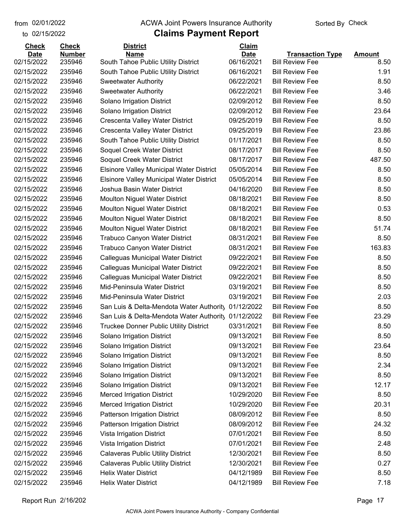to 02/15/2022 02/01/2022

#### from 02/01/2022 **The COVA Solic Act Act Authority** Sorted By Check

| <b>Check</b> | <b>Check</b>  | <b>District</b>                                     | Claim       |                         |               |
|--------------|---------------|-----------------------------------------------------|-------------|-------------------------|---------------|
| <b>Date</b>  | <b>Number</b> | <b>Name</b>                                         | <b>Date</b> | <b>Transaction Type</b> | <b>Amount</b> |
| 02/15/2022   | 235946        | South Tahoe Public Utility District                 | 06/16/2021  | <b>Bill Review Fee</b>  | 8.50          |
| 02/15/2022   | 235946        | South Tahoe Public Utility District                 | 06/16/2021  | <b>Bill Review Fee</b>  | 1.91          |
| 02/15/2022   | 235946        | <b>Sweetwater Authority</b>                         | 06/22/2021  | <b>Bill Review Fee</b>  | 8.50          |
| 02/15/2022   | 235946        | <b>Sweetwater Authority</b>                         | 06/22/2021  | <b>Bill Review Fee</b>  | 3.46          |
| 02/15/2022   | 235946        | Solano Irrigation District                          | 02/09/2012  | <b>Bill Review Fee</b>  | 8.50          |
| 02/15/2022   | 235946        | Solano Irrigation District                          | 02/09/2012  | <b>Bill Review Fee</b>  | 23.64         |
| 02/15/2022   | 235946        | Crescenta Valley Water District                     | 09/25/2019  | <b>Bill Review Fee</b>  | 8.50          |
| 02/15/2022   | 235946        | Crescenta Valley Water District                     | 09/25/2019  | <b>Bill Review Fee</b>  | 23.86         |
| 02/15/2022   | 235946        | South Tahoe Public Utility District                 | 01/17/2021  | <b>Bill Review Fee</b>  | 8.50          |
| 02/15/2022   | 235946        | Soquel Creek Water District                         | 08/17/2017  | <b>Bill Review Fee</b>  | 8.50          |
| 02/15/2022   | 235946        | Soquel Creek Water District                         | 08/17/2017  | <b>Bill Review Fee</b>  | 487.50        |
| 02/15/2022   | 235946        | <b>Elsinore Valley Municipal Water District</b>     | 05/05/2014  | <b>Bill Review Fee</b>  | 8.50          |
| 02/15/2022   | 235946        | <b>Elsinore Valley Municipal Water District</b>     | 05/05/2014  | <b>Bill Review Fee</b>  | 8.50          |
| 02/15/2022   | 235946        | Joshua Basin Water District                         | 04/16/2020  | <b>Bill Review Fee</b>  | 8.50          |
| 02/15/2022   | 235946        | <b>Moulton Niguel Water District</b>                | 08/18/2021  | <b>Bill Review Fee</b>  | 8.50          |
| 02/15/2022   | 235946        | <b>Moulton Niguel Water District</b>                | 08/18/2021  | <b>Bill Review Fee</b>  | 0.53          |
| 02/15/2022   | 235946        | <b>Moulton Niguel Water District</b>                | 08/18/2021  | <b>Bill Review Fee</b>  | 8.50          |
| 02/15/2022   | 235946        | <b>Moulton Niguel Water District</b>                | 08/18/2021  | <b>Bill Review Fee</b>  | 51.74         |
| 02/15/2022   | 235946        | Trabuco Canyon Water District                       | 08/31/2021  | <b>Bill Review Fee</b>  | 8.50          |
| 02/15/2022   | 235946        | Trabuco Canyon Water District                       | 08/31/2021  | <b>Bill Review Fee</b>  | 163.83        |
| 02/15/2022   | 235946        | Calleguas Municipal Water District                  | 09/22/2021  | <b>Bill Review Fee</b>  | 8.50          |
| 02/15/2022   | 235946        | Calleguas Municipal Water District                  | 09/22/2021  | <b>Bill Review Fee</b>  | 8.50          |
| 02/15/2022   | 235946        | Calleguas Municipal Water District                  | 09/22/2021  | <b>Bill Review Fee</b>  | 8.50          |
| 02/15/2022   | 235946        | Mid-Peninsula Water District                        | 03/19/2021  | <b>Bill Review Fee</b>  | 8.50          |
| 02/15/2022   | 235946        | Mid-Peninsula Water District                        | 03/19/2021  | <b>Bill Review Fee</b>  | 2.03          |
| 02/15/2022   | 235946        | San Luis & Delta-Mendota Water Authority            | 01/12/2022  | <b>Bill Review Fee</b>  | 8.50          |
| 02/15/2022   | 235946        | San Luis & Delta-Mendota Water Authority 01/12/2022 |             | <b>Bill Review Fee</b>  | 23.29         |
| 02/15/2022   | 235946        | <b>Truckee Donner Public Utility District</b>       | 03/31/2021  | <b>Bill Review Fee</b>  | 8.50          |
| 02/15/2022   | 235946        | Solano Irrigation District                          | 09/13/2021  | <b>Bill Review Fee</b>  | 8.50          |
| 02/15/2022   | 235946        | Solano Irrigation District                          | 09/13/2021  | <b>Bill Review Fee</b>  | 23.64         |
| 02/15/2022   | 235946        | Solano Irrigation District                          | 09/13/2021  | <b>Bill Review Fee</b>  | 8.50          |
| 02/15/2022   | 235946        | Solano Irrigation District                          | 09/13/2021  | <b>Bill Review Fee</b>  | 2.34          |
| 02/15/2022   | 235946        | Solano Irrigation District                          | 09/13/2021  | <b>Bill Review Fee</b>  | 8.50          |
| 02/15/2022   | 235946        | Solano Irrigation District                          | 09/13/2021  | <b>Bill Review Fee</b>  | 12.17         |
| 02/15/2022   | 235946        | <b>Merced Irrigation District</b>                   | 10/29/2020  | <b>Bill Review Fee</b>  | 8.50          |
| 02/15/2022   | 235946        | <b>Merced Irrigation District</b>                   | 10/29/2020  | <b>Bill Review Fee</b>  | 20.31         |
| 02/15/2022   | 235946        | Patterson Irrigation District                       | 08/09/2012  | <b>Bill Review Fee</b>  | 8.50          |
| 02/15/2022   | 235946        | Patterson Irrigation District                       | 08/09/2012  | <b>Bill Review Fee</b>  | 24.32         |
| 02/15/2022   | 235946        | Vista Irrigation District                           | 07/01/2021  | <b>Bill Review Fee</b>  | 8.50          |
| 02/15/2022   | 235946        | Vista Irrigation District                           | 07/01/2021  | <b>Bill Review Fee</b>  | 2.48          |
| 02/15/2022   | 235946        | <b>Calaveras Public Utility District</b>            | 12/30/2021  | <b>Bill Review Fee</b>  | 8.50          |
| 02/15/2022   | 235946        | <b>Calaveras Public Utility District</b>            | 12/30/2021  | <b>Bill Review Fee</b>  | 0.27          |
| 02/15/2022   | 235946        | <b>Helix Water District</b>                         | 04/12/1989  | <b>Bill Review Fee</b>  | 8.50          |
| 02/15/2022   | 235946        | <b>Helix Water District</b>                         | 04/12/1989  | <b>Bill Review Fee</b>  | 7.18          |
|              |               |                                                     |             |                         |               |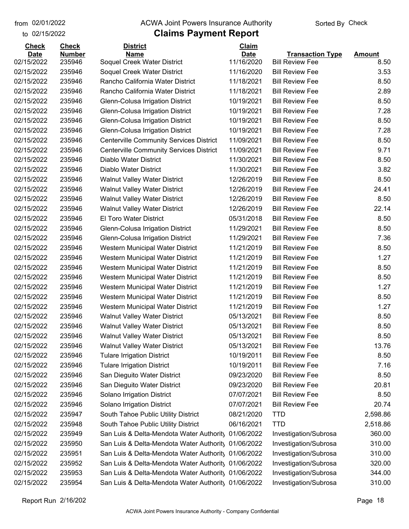to 02/15/2022 02/01/2022

#### from 02/01/2022 **The COVA Solic Act Act Authority** Sorted By Check

| <b>Check</b><br><b>Date</b> | <b>Check</b><br><b>Number</b> | <b>District</b><br><b>Name</b>                      | <b>Claim</b><br><b>Date</b> | <b>Transaction Type</b> | <b>Amount</b> |
|-----------------------------|-------------------------------|-----------------------------------------------------|-----------------------------|-------------------------|---------------|
| 02/15/2022                  | 235946                        | Soquel Creek Water District                         | 11/16/2020                  | <b>Bill Review Fee</b>  | 8.50          |
| 02/15/2022                  | 235946                        | Soquel Creek Water District                         | 11/16/2020                  | <b>Bill Review Fee</b>  | 3.53          |
| 02/15/2022                  | 235946                        | Rancho California Water District                    | 11/18/2021                  | <b>Bill Review Fee</b>  | 8.50          |
| 02/15/2022                  | 235946                        | Rancho California Water District                    | 11/18/2021                  | <b>Bill Review Fee</b>  | 2.89          |
| 02/15/2022                  | 235946                        | Glenn-Colusa Irrigation District                    | 10/19/2021                  | <b>Bill Review Fee</b>  | 8.50          |
| 02/15/2022                  | 235946                        | Glenn-Colusa Irrigation District                    | 10/19/2021                  | <b>Bill Review Fee</b>  | 7.28          |
| 02/15/2022                  | 235946                        | Glenn-Colusa Irrigation District                    | 10/19/2021                  | <b>Bill Review Fee</b>  | 8.50          |
| 02/15/2022                  | 235946                        | Glenn-Colusa Irrigation District                    | 10/19/2021                  | <b>Bill Review Fee</b>  | 7.28          |
| 02/15/2022                  | 235946                        | <b>Centerville Community Services District</b>      | 11/09/2021                  | <b>Bill Review Fee</b>  | 8.50          |
| 02/15/2022                  | 235946                        | <b>Centerville Community Services District</b>      | 11/09/2021                  | <b>Bill Review Fee</b>  | 9.71          |
| 02/15/2022                  | 235946                        | Diablo Water District                               | 11/30/2021                  | <b>Bill Review Fee</b>  | 8.50          |
| 02/15/2022                  | 235946                        | Diablo Water District                               | 11/30/2021                  | <b>Bill Review Fee</b>  | 3.82          |
| 02/15/2022                  | 235946                        | <b>Walnut Valley Water District</b>                 | 12/26/2019                  | <b>Bill Review Fee</b>  | 8.50          |
| 02/15/2022                  | 235946                        | <b>Walnut Valley Water District</b>                 | 12/26/2019                  | <b>Bill Review Fee</b>  | 24.41         |
| 02/15/2022                  | 235946                        | <b>Walnut Valley Water District</b>                 | 12/26/2019                  | <b>Bill Review Fee</b>  | 8.50          |
| 02/15/2022                  | 235946                        | <b>Walnut Valley Water District</b>                 | 12/26/2019                  | <b>Bill Review Fee</b>  | 22.14         |
| 02/15/2022                  | 235946                        | El Toro Water District                              | 05/31/2018                  | <b>Bill Review Fee</b>  | 8.50          |
| 02/15/2022                  | 235946                        | Glenn-Colusa Irrigation District                    | 11/29/2021                  | <b>Bill Review Fee</b>  | 8.50          |
| 02/15/2022                  | 235946                        | Glenn-Colusa Irrigation District                    | 11/29/2021                  | <b>Bill Review Fee</b>  | 7.36          |
| 02/15/2022                  | 235946                        | Western Municipal Water District                    | 11/21/2019                  | <b>Bill Review Fee</b>  | 8.50          |
| 02/15/2022                  | 235946                        | Western Municipal Water District                    | 11/21/2019                  | <b>Bill Review Fee</b>  | 1.27          |
| 02/15/2022                  | 235946                        | Western Municipal Water District                    | 11/21/2019                  | <b>Bill Review Fee</b>  | 8.50          |
| 02/15/2022                  | 235946                        | Western Municipal Water District                    | 11/21/2019                  | <b>Bill Review Fee</b>  | 8.50          |
| 02/15/2022                  | 235946                        | Western Municipal Water District                    | 11/21/2019                  | <b>Bill Review Fee</b>  | 1.27          |
| 02/15/2022                  | 235946                        | Western Municipal Water District                    | 11/21/2019                  | <b>Bill Review Fee</b>  | 8.50          |
| 02/15/2022                  | 235946                        | Western Municipal Water District                    | 11/21/2019                  | <b>Bill Review Fee</b>  | 1.27          |
| 02/15/2022                  | 235946                        | <b>Walnut Valley Water District</b>                 | 05/13/2021                  | <b>Bill Review Fee</b>  | 8.50          |
| 02/15/2022                  | 235946                        | <b>Walnut Valley Water District</b>                 | 05/13/2021                  | <b>Bill Review Fee</b>  | 8.50          |
| 02/15/2022                  | 235946                        | <b>Walnut Valley Water District</b>                 | 05/13/2021                  | <b>Bill Review Fee</b>  | 8.50          |
| 02/15/2022                  | 235946                        | <b>Walnut Valley Water District</b>                 | 05/13/2021                  | <b>Bill Review Fee</b>  | 13.76         |
| 02/15/2022                  | 235946                        | <b>Tulare Irrigation District</b>                   | 10/19/2011                  | <b>Bill Review Fee</b>  | 8.50          |
| 02/15/2022                  | 235946                        | <b>Tulare Irrigation District</b>                   | 10/19/2011                  | <b>Bill Review Fee</b>  | 7.16          |
| 02/15/2022                  | 235946                        | San Dieguito Water District                         | 09/23/2020                  | <b>Bill Review Fee</b>  | 8.50          |
| 02/15/2022                  | 235946                        | San Dieguito Water District                         | 09/23/2020                  | <b>Bill Review Fee</b>  | 20.81         |
| 02/15/2022                  | 235946                        | Solano Irrigation District                          | 07/07/2021                  | <b>Bill Review Fee</b>  | 8.50          |
| 02/15/2022                  | 235946                        | Solano Irrigation District                          | 07/07/2021                  | <b>Bill Review Fee</b>  | 20.74         |
| 02/15/2022                  | 235947                        | South Tahoe Public Utility District                 | 08/21/2020                  | <b>TTD</b>              | 2,598.86      |
| 02/15/2022                  | 235948                        | South Tahoe Public Utility District                 | 06/16/2021                  | <b>TTD</b>              | 2,518.86      |
| 02/15/2022                  | 235949                        | San Luis & Delta-Mendota Water Authority            | 01/06/2022                  | Investigation/Subrosa   | 360.00        |
| 02/15/2022                  | 235950                        | San Luis & Delta-Mendota Water Authority            | 01/06/2022                  | Investigation/Subrosa   | 310.00        |
| 02/15/2022                  | 235951                        | San Luis & Delta-Mendota Water Authority 01/06/2022 |                             | Investigation/Subrosa   | 310.00        |
| 02/15/2022                  | 235952                        | San Luis & Delta-Mendota Water Authority 01/06/2022 |                             | Investigation/Subrosa   | 320.00        |
| 02/15/2022                  | 235953                        | San Luis & Delta-Mendota Water Authority 01/06/2022 |                             | Investigation/Subrosa   | 344.00        |
| 02/15/2022                  | 235954                        | San Luis & Delta-Mendota Water Authority 01/06/2022 |                             | Investigation/Subrosa   | 310.00        |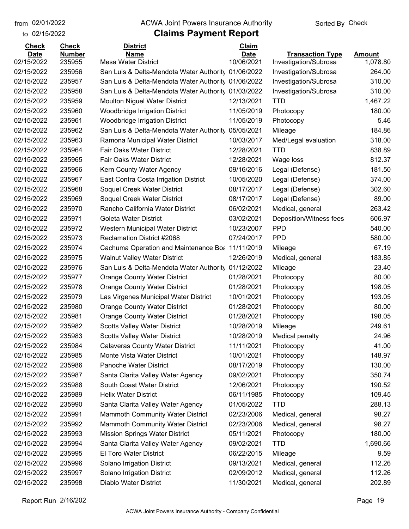to 02/15/2022

#### from 02/01/2022 **The COVA Solic Act Act Authority** Sorted By Check

### **Claims Payment Report**

| <b>Check</b> | <b>Check</b>  | <b>District</b>                                    | Claim       |                         |               |
|--------------|---------------|----------------------------------------------------|-------------|-------------------------|---------------|
| Date         | <b>Number</b> | <b>Name</b>                                        | <b>Date</b> | <b>Transaction Type</b> | <b>Amount</b> |
| 02/15/2022   | 235955        | <b>Mesa Water District</b>                         | 10/06/2021  | Investigation/Subrosa   | 1,078.80      |
| 02/15/2022   | 235956        | San Luis & Delta-Mendota Water Authority           | 01/06/2022  | Investigation/Subrosa   | 264.00        |
| 02/15/2022   | 235957        | San Luis & Delta-Mendota Water Authorit 01/06/2022 |             | Investigation/Subrosa   | 310.00        |
| 02/15/2022   | 235958        | San Luis & Delta-Mendota Water Authority           | 01/03/2022  | Investigation/Subrosa   | 310.00        |
| 02/15/2022   | 235959        | <b>Moulton Niguel Water District</b>               | 12/13/2021  | <b>TTD</b>              | 1,467.22      |
| 02/15/2022   | 235960        | <b>Woodbridge Irrigation District</b>              | 11/05/2019  | Photocopy               | 180.00        |
| 02/15/2022   | 235961        | <b>Woodbridge Irrigation District</b>              | 11/05/2019  | Photocopy               | 5.46          |
| 02/15/2022   | 235962        | San Luis & Delta-Mendota Water Authority           | 05/05/2021  | Mileage                 | 184.86        |
| 02/15/2022   | 235963        | Ramona Municipal Water District                    | 10/03/2017  | Med/Legal evaluation    | 318.00        |
| 02/15/2022   | 235964        | <b>Fair Oaks Water District</b>                    | 12/28/2021  | <b>TTD</b>              | 838.89        |
| 02/15/2022   | 235965        | <b>Fair Oaks Water District</b>                    | 12/28/2021  | Wage loss               | 812.37        |
| 02/15/2022   | 235966        | Kern County Water Agency                           | 09/16/2016  | Legal (Defense)         | 181.50        |
| 02/15/2022   | 235967        | East Contra Costa Irrigation District              | 10/05/2020  | Legal (Defense)         | 374.00        |
| 02/15/2022   | 235968        | Soquel Creek Water District                        | 08/17/2017  | Legal (Defense)         | 302.60        |
| 02/15/2022   | 235969        | Soquel Creek Water District                        | 08/17/2017  | Legal (Defense)         | 89.00         |
| 02/15/2022   | 235970        | Rancho California Water District                   | 06/02/2021  | Medical, general        | 263.42        |
| 02/15/2022   | 235971        | <b>Goleta Water District</b>                       | 03/02/2021  | Deposition/Witness fees | 606.97        |
| 02/15/2022   | 235972        | Western Municipal Water District                   | 10/23/2007  | <b>PPD</b>              | 540.00        |
| 02/15/2022   | 235973        | Reclamation District #2068                         | 07/24/2017  | <b>PPD</b>              | 580.00        |
| 02/15/2022   | 235974        | Cachuma Operation and Maintenance Bot              | 11/11/2019  | Mileage                 | 67.19         |
| 02/15/2022   | 235975        | <b>Walnut Valley Water District</b>                | 12/26/2019  | Medical, general        | 183.85        |
| 02/15/2022   | 235976        | San Luis & Delta-Mendota Water Authority           | 01/12/2022  | Mileage                 | 23.40         |
| 02/15/2022   | 235977        | <b>Orange County Water District</b>                | 01/28/2021  | Photocopy               | 80.00         |
| 02/15/2022   | 235978        | <b>Orange County Water District</b>                | 01/28/2021  | Photocopy               | 198.05        |
| 02/15/2022   | 235979        | Las Virgenes Municipal Water District              | 10/01/2021  | Photocopy               | 193.05        |
| 02/15/2022   | 235980        | <b>Orange County Water District</b>                | 01/28/2021  | Photocopy               | 80.00         |
| 02/15/2022   | 235981        | <b>Orange County Water District</b>                | 01/28/2021  | Photocopy               | 198.05        |
| 02/15/2022   | 235982        | <b>Scotts Valley Water District</b>                | 10/28/2019  | Mileage                 | 249.61        |
| 02/15/2022   | 235983        | <b>Scotts Valley Water District</b>                | 10/28/2019  | Medical penalty         | 24.96         |
| 02/15/2022   | 235984        | <b>Calaveras County Water District</b>             | 11/11/2021  | Photocopy               | 41.00         |
| 02/15/2022   | 235985        | Monte Vista Water District                         | 10/01/2021  | Photocopy               | 148.97        |
| 02/15/2022   | 235986        | Panoche Water District                             | 08/17/2019  | Photocopy               | 130.00        |
| 02/15/2022   | 235987        | Santa Clarita Valley Water Agency                  | 09/02/2021  | Photocopy               | 350.74        |
| 02/15/2022   | 235988        | South Coast Water District                         | 12/06/2021  | Photocopy               | 190.52        |
| 02/15/2022   | 235989        | <b>Helix Water District</b>                        | 06/11/1985  | Photocopy               | 109.45        |
| 02/15/2022   | 235990        | Santa Clarita Valley Water Agency                  | 01/05/2022  | <b>TTD</b>              | 288.13        |
| 02/15/2022   | 235991        | Mammoth Community Water District                   | 02/23/2006  | Medical, general        | 98.27         |
| 02/15/2022   | 235992        | Mammoth Community Water District                   | 02/23/2006  | Medical, general        | 98.27         |
| 02/15/2022   | 235993        | <b>Mission Springs Water District</b>              | 05/11/2021  | Photocopy               | 180.00        |
| 02/15/2022   | 235994        | Santa Clarita Valley Water Agency                  | 09/02/2021  | <b>TTD</b>              | 1,690.66      |
| 02/15/2022   | 235995        | El Toro Water District                             | 06/22/2015  | Mileage                 | 9.59          |
| 02/15/2022   | 235996        | Solano Irrigation District                         | 09/13/2021  | Medical, general        | 112.26        |
| 02/15/2022   | 235997        | Solano Irrigation District                         | 02/09/2012  | Medical, general        | 112.26        |
| 02/15/2022   | 235998        | Diablo Water District                              | 11/30/2021  | Medical, general        | 202.89        |
|              |               |                                                    |             |                         |               |

Report Run 2/16/202 Page 19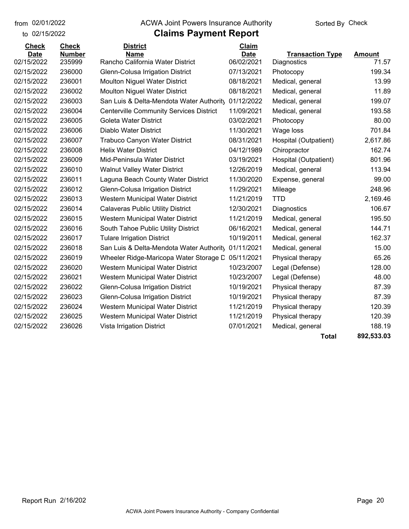to 02/15/2022

#### from 02/01/2022 **The COVA Solic Act Act Authority** Sorted By Check

### **Claims Payment Report**

| <b>Check</b> | <b>Check</b>  | <b>District</b>                                | Claim       |                         |               |
|--------------|---------------|------------------------------------------------|-------------|-------------------------|---------------|
| <b>Date</b>  | <b>Number</b> | <b>Name</b>                                    | <b>Date</b> | <b>Transaction Type</b> | <b>Amount</b> |
| 02/15/2022   | 235999        | Rancho California Water District               | 06/02/2021  | Diagnostics             | 71.57         |
| 02/15/2022   | 236000        | Glenn-Colusa Irrigation District               | 07/13/2021  | Photocopy               | 199.34        |
| 02/15/2022   | 236001        | <b>Moulton Niguel Water District</b>           | 08/18/2021  | Medical, general        | 13.99         |
| 02/15/2022   | 236002        | <b>Moulton Niguel Water District</b>           | 08/18/2021  | Medical, general        | 11.89         |
| 02/15/2022   | 236003        | San Luis & Delta-Mendota Water Authority       | 01/12/2022  | Medical, general        | 199.07        |
| 02/15/2022   | 236004        | <b>Centerville Community Services District</b> | 11/09/2021  | Medical, general        | 193.58        |
| 02/15/2022   | 236005        | <b>Goleta Water District</b>                   | 03/02/2021  | Photocopy               | 80.00         |
| 02/15/2022   | 236006        | Diablo Water District                          | 11/30/2021  | Wage loss               | 701.84        |
| 02/15/2022   | 236007        | <b>Trabuco Canyon Water District</b>           | 08/31/2021  | Hospital (Outpatient)   | 2,617.86      |
| 02/15/2022   | 236008        | <b>Helix Water District</b>                    | 04/12/1989  | Chiropractor            | 162.74        |
| 02/15/2022   | 236009        | Mid-Peninsula Water District                   | 03/19/2021  | Hospital (Outpatient)   | 801.96        |
| 02/15/2022   | 236010        | <b>Walnut Valley Water District</b>            | 12/26/2019  | Medical, general        | 113.94        |
| 02/15/2022   | 236011        | Laguna Beach County Water District             | 11/30/2020  | Expense, general        | 99.00         |
| 02/15/2022   | 236012        | Glenn-Colusa Irrigation District               | 11/29/2021  | Mileage                 | 248.96        |
| 02/15/2022   | 236013        | Western Municipal Water District               | 11/21/2019  | <b>TTD</b>              | 2,169.46      |
| 02/15/2022   | 236014        | <b>Calaveras Public Utility District</b>       | 12/30/2021  | Diagnostics             | 106.67        |
| 02/15/2022   | 236015        | Western Municipal Water District               | 11/21/2019  | Medical, general        | 195.50        |
| 02/15/2022   | 236016        | South Tahoe Public Utility District            | 06/16/2021  | Medical, general        | 144.71        |
| 02/15/2022   | 236017        | <b>Tulare Irrigation District</b>              | 10/19/2011  | Medical, general        | 162.37        |
| 02/15/2022   | 236018        | San Luis & Delta-Mendota Water Authority       | 01/11/2021  | Medical, general        | 15.00         |
| 02/15/2022   | 236019        | Wheeler Ridge-Maricopa Water Storage D         | 05/11/2021  | Physical therapy        | 65.26         |
| 02/15/2022   | 236020        | Western Municipal Water District               | 10/23/2007  | Legal (Defense)         | 128.00        |
| 02/15/2022   | 236021        | Western Municipal Water District               | 10/23/2007  | Legal (Defense)         | 48.00         |
| 02/15/2022   | 236022        | Glenn-Colusa Irrigation District               | 10/19/2021  | Physical therapy        | 87.39         |
| 02/15/2022   | 236023        | Glenn-Colusa Irrigation District               | 10/19/2021  | Physical therapy        | 87.39         |
| 02/15/2022   | 236024        | Western Municipal Water District               | 11/21/2019  | Physical therapy        | 120.39        |
| 02/15/2022   | 236025        | Western Municipal Water District               | 11/21/2019  | Physical therapy        | 120.39        |
| 02/15/2022   | 236026        | Vista Irrigation District                      | 07/01/2021  | Medical, general        | 188.19        |
|              |               |                                                |             |                         |               |

**Total 892,533.03**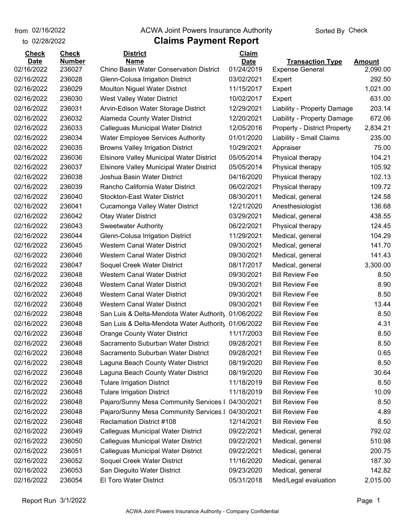from 02/16/2022

### to 02/28/2022

#### **Claims Payment Report** from 02/16/2022 **The COVA Solic Act Act Authority** Check

| <b>Check</b>              | <b>Check</b>            | <b>District</b>                                 | <b>Claim</b>       |                                                   |                           |
|---------------------------|-------------------------|-------------------------------------------------|--------------------|---------------------------------------------------|---------------------------|
| <u>Date</u><br>02/16/2022 | <b>Number</b><br>236027 | Name<br>Chino Basin Water Conservation District | Date<br>01/24/2019 | <b>Transaction Type</b><br><b>Expense General</b> | <b>Amount</b><br>2,090.00 |
| 02/16/2022                | 236028                  | Glenn-Colusa Irrigation District                | 03/02/2021         | Expert                                            | 292.50                    |
| 02/16/2022                | 236029                  | <b>Moulton Niguel Water District</b>            | 11/15/2017         | Expert                                            | 1,021.00                  |
| 02/16/2022                | 236030                  | West Valley Water District                      | 10/02/2017         | Expert                                            | 631.00                    |
| 02/16/2022                | 236031                  | Arvin-Edison Water Storage District             | 12/29/2021         | Liability - Property Damage                       | 203.14                    |
| 02/16/2022                | 236032                  | Alameda County Water District                   | 12/20/2021         | Liability - Property Damage                       | 672.06                    |
| 02/16/2022                | 236033                  | Calleguas Municipal Water District              | 12/05/2016         | <b>Property - District Property</b>               | 2,834.21                  |
| 02/16/2022                | 236034                  | <b>Water Employee Services Authority</b>        | 01/01/2020         | Liability - Small Claims                          | 235.00                    |
| 02/16/2022                | 236035                  | <b>Browns Valley Irrigation District</b>        | 10/29/2021         | Appraiser                                         | 75.00                     |
| 02/16/2022                | 236036                  | <b>Elsinore Valley Municipal Water District</b> | 05/05/2014         | Physical therapy                                  | 104.21                    |
| 02/16/2022                | 236037                  | <b>Elsinore Valley Municipal Water District</b> | 05/05/2014         | Physical therapy                                  | 105.92                    |
| 02/16/2022                | 236038                  | Joshua Basin Water District                     | 04/16/2020         | Physical therapy                                  | 102.13                    |
| 02/16/2022                | 236039                  | Rancho California Water District                | 06/02/2021         | Physical therapy                                  | 109.72                    |
| 02/16/2022                | 236040                  | <b>Stockton-East Water District</b>             | 08/30/2011         | Medical, general                                  | 124.58                    |
| 02/16/2022                | 236041                  | Cucamonga Valley Water District                 | 12/21/2020         | Anesthesiologist                                  | 136.68                    |
| 02/16/2022                | 236042                  | <b>Otay Water District</b>                      | 03/29/2021         | Medical, general                                  | 438.55                    |
| 02/16/2022                | 236043                  | <b>Sweetwater Authority</b>                     | 06/22/2021         | Physical therapy                                  | 124.45                    |
| 02/16/2022                | 236044                  | <b>Glenn-Colusa Irrigation District</b>         | 11/29/2021         | Medical, general                                  | 104.29                    |
| 02/16/2022                | 236045                  | <b>Western Canal Water District</b>             | 09/30/2021         | Medical, general                                  | 141.70                    |
| 02/16/2022                | 236046                  | <b>Western Canal Water District</b>             | 09/30/2021         | Medical, general                                  | 141.43                    |
| 02/16/2022                | 236047                  | Soquel Creek Water District                     | 08/17/2017         | Medical, general                                  | 3,300.00                  |
| 02/16/2022                | 236048                  | <b>Western Canal Water District</b>             | 09/30/2021         | <b>Bill Review Fee</b>                            | 8.50                      |
| 02/16/2022                | 236048                  | Western Canal Water District                    | 09/30/2021         | <b>Bill Review Fee</b>                            | 8.90                      |
| 02/16/2022                | 236048                  | Western Canal Water District                    | 09/30/2021         | <b>Bill Review Fee</b>                            | 8.50                      |
| 02/16/2022                | 236048                  | Western Canal Water District                    | 09/30/2021         | <b>Bill Review Fee</b>                            | 13.44                     |
| 02/16/2022                | 236048                  | San Luis & Delta-Mendota Water Authority        | 01/06/2022         | <b>Bill Review Fee</b>                            | 8.50                      |
| 02/16/2022                | 236048                  | San Luis & Delta-Mendota Water Authority        | 01/06/2022         | <b>Bill Review Fee</b>                            | 4.31                      |
| 02/16/2022                | 236048                  | <b>Orange County Water District</b>             | 11/17/2003         | <b>Bill Review Fee</b>                            | 8.50                      |
| 02/16/2022                | 236048                  | Sacramento Suburban Water District              | 09/28/2021         | <b>Bill Review Fee</b>                            | 8.50                      |
| 02/16/2022                | 236048                  | Sacramento Suburban Water District              | 09/28/2021         | <b>Bill Review Fee</b>                            | 0.65                      |
| 02/16/2022                | 236048                  | Laguna Beach County Water District              | 08/19/2020         | <b>Bill Review Fee</b>                            | 8.50                      |
| 02/16/2022                | 236048                  | Laguna Beach County Water District              | 08/19/2020         | <b>Bill Review Fee</b>                            | 30.64                     |
| 02/16/2022                | 236048                  | <b>Tulare Irrigation District</b>               | 11/18/2019         | <b>Bill Review Fee</b>                            | 8.50                      |
| 02/16/2022                | 236048                  | <b>Tulare Irrigation District</b>               | 11/18/2019         | <b>Bill Review Fee</b>                            | 10.09                     |
| 02/16/2022                | 236048                  | Pajaro/Sunny Mesa Community Services I          | 04/30/2021         | <b>Bill Review Fee</b>                            | 8.50                      |
| 02/16/2022                | 236048                  | Pajaro/Sunny Mesa Community Services I          | 04/30/2021         | <b>Bill Review Fee</b>                            | 4.89                      |
| 02/16/2022                | 236048                  | <b>Reclamation District #108</b>                | 12/14/2021         | <b>Bill Review Fee</b>                            | 8.50                      |
| 02/16/2022                | 236049                  | Calleguas Municipal Water District              | 09/22/2021         | Medical, general                                  | 792.02                    |
| 02/16/2022                | 236050                  | Calleguas Municipal Water District              | 09/22/2021         | Medical, general                                  | 510.98                    |
| 02/16/2022                | 236051                  | Calleguas Municipal Water District              | 09/22/2021         | Medical, general                                  | 200.75                    |
| 02/16/2022                | 236052                  | Soquel Creek Water District                     | 11/16/2020         | Medical, general                                  | 187.30                    |
| 02/16/2022                | 236053                  | San Dieguito Water District                     | 09/23/2020         | Medical, general                                  | 142.82                    |
| 02/16/2022                | 236054                  | El Toro Water District                          | 05/31/2018         | Med/Legal evaluation                              | 2,015.00                  |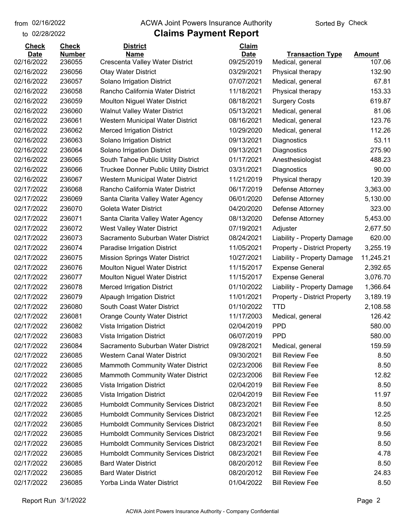to 02/28/2022 02/16/2022

#### from 02/16/2022 **The COVA Solic Act Act Authority** Sorted By Check

| <b>Check</b> | <b>Check</b>  | <b>District</b>                               | Claim       |                                     |               |
|--------------|---------------|-----------------------------------------------|-------------|-------------------------------------|---------------|
| <b>Date</b>  | <b>Number</b> | <b>Name</b>                                   | <b>Date</b> | <b>Transaction Type</b>             | <b>Amount</b> |
| 02/16/2022   | 236055        | Crescenta Valley Water District               | 09/25/2019  | Medical, general                    | 107.06        |
| 02/16/2022   | 236056        | <b>Otay Water District</b>                    | 03/29/2021  | Physical therapy                    | 132.90        |
| 02/16/2022   | 236057        | Solano Irrigation District                    | 07/07/2021  | Medical, general                    | 67.81         |
| 02/16/2022   | 236058        | Rancho California Water District              | 11/18/2021  | Physical therapy                    | 153.33        |
| 02/16/2022   | 236059        | Moulton Niguel Water District                 | 08/18/2021  | <b>Surgery Costs</b>                | 619.87        |
| 02/16/2022   | 236060        | <b>Walnut Valley Water District</b>           | 05/13/2021  | Medical, general                    | 81.06         |
| 02/16/2022   | 236061        | Western Municipal Water District              | 08/16/2021  | Medical, general                    | 123.76        |
| 02/16/2022   | 236062        | <b>Merced Irrigation District</b>             | 10/29/2020  | Medical, general                    | 112.26        |
| 02/16/2022   | 236063        | Solano Irrigation District                    | 09/13/2021  | Diagnostics                         | 53.11         |
| 02/16/2022   | 236064        | Solano Irrigation District                    | 09/13/2021  | Diagnostics                         | 275.90        |
| 02/16/2022   | 236065        | South Tahoe Public Utility District           | 01/17/2021  | Anesthesiologist                    | 488.23        |
| 02/16/2022   | 236066        | <b>Truckee Donner Public Utility District</b> | 03/31/2021  | Diagnostics                         | 90.00         |
| 02/16/2022   | 236067        | Western Municipal Water District              | 11/21/2019  | Physical therapy                    | 120.39        |
| 02/17/2022   | 236068        | Rancho California Water District              | 06/17/2019  | Defense Attorney                    | 3,363.00      |
| 02/17/2022   | 236069        | Santa Clarita Valley Water Agency             | 06/01/2020  | Defense Attorney                    | 5,130.00      |
| 02/17/2022   | 236070        | <b>Goleta Water District</b>                  | 04/20/2020  | Defense Attorney                    | 323.00        |
| 02/17/2022   | 236071        | Santa Clarita Valley Water Agency             | 08/13/2020  | Defense Attorney                    | 5,453.00      |
| 02/17/2022   | 236072        | West Valley Water District                    | 07/19/2021  | Adjuster                            | 2,677.50      |
| 02/17/2022   | 236073        | Sacramento Suburban Water District            | 08/24/2021  | Liability - Property Damage         | 620.00        |
| 02/17/2022   | 236074        | Paradise Irrigation District                  | 11/05/2021  | <b>Property - District Property</b> | 3,255.19      |
| 02/17/2022   | 236075        | <b>Mission Springs Water District</b>         | 10/27/2021  | Liability - Property Damage         | 11,245.21     |
| 02/17/2022   | 236076        | <b>Moulton Niguel Water District</b>          | 11/15/2017  | <b>Expense General</b>              | 2,392.65      |
| 02/17/2022   | 236077        | Moulton Niguel Water District                 | 11/15/2017  | <b>Expense General</b>              | 3,076.70      |
| 02/17/2022   | 236078        | <b>Merced Irrigation District</b>             | 01/10/2022  | Liability - Property Damage         | 1,366.64      |
| 02/17/2022   | 236079        | <b>Alpaugh Irrigation District</b>            | 11/01/2021  | <b>Property - District Property</b> | 3,189.19      |
| 02/17/2022   | 236080        | South Coast Water District                    | 01/10/2022  | <b>TTD</b>                          | 2,108.58      |
| 02/17/2022   | 236081        | <b>Orange County Water District</b>           | 11/17/2003  | Medical, general                    | 126.42        |
| 02/17/2022   | 236082        | Vista Irrigation District                     | 02/04/2019  | <b>PPD</b>                          | 580.00        |
| 02/17/2022   | 236083        | Vista Irrigation District                     | 06/07/2019  | <b>PPD</b>                          | 580.00        |
| 02/17/2022   | 236084        | Sacramento Suburban Water District            | 09/28/2021  | Medical, general                    | 159.59        |
| 02/17/2022   | 236085        | <b>Western Canal Water District</b>           | 09/30/2021  | <b>Bill Review Fee</b>              | 8.50          |
| 02/17/2022   | 236085        | Mammoth Community Water District              | 02/23/2006  | <b>Bill Review Fee</b>              | 8.50          |
| 02/17/2022   | 236085        | Mammoth Community Water District              | 02/23/2006  | <b>Bill Review Fee</b>              | 12.82         |
| 02/17/2022   | 236085        | Vista Irrigation District                     | 02/04/2019  | <b>Bill Review Fee</b>              | 8.50          |
| 02/17/2022   | 236085        | Vista Irrigation District                     | 02/04/2019  | <b>Bill Review Fee</b>              | 11.97         |
| 02/17/2022   | 236085        | <b>Humboldt Community Services District</b>   | 08/23/2021  | <b>Bill Review Fee</b>              | 8.50          |
| 02/17/2022   | 236085        | <b>Humboldt Community Services District</b>   | 08/23/2021  | <b>Bill Review Fee</b>              | 12.25         |
| 02/17/2022   | 236085        | <b>Humboldt Community Services District</b>   | 08/23/2021  | <b>Bill Review Fee</b>              | 8.50          |
| 02/17/2022   | 236085        | <b>Humboldt Community Services District</b>   | 08/23/2021  | <b>Bill Review Fee</b>              | 9.56          |
| 02/17/2022   | 236085        | <b>Humboldt Community Services District</b>   | 08/23/2021  | <b>Bill Review Fee</b>              | 8.50          |
| 02/17/2022   | 236085        | <b>Humboldt Community Services District</b>   | 08/23/2021  | <b>Bill Review Fee</b>              | 4.78          |
| 02/17/2022   | 236085        | <b>Bard Water District</b>                    | 08/20/2012  | <b>Bill Review Fee</b>              | 8.50          |
| 02/17/2022   | 236085        | <b>Bard Water District</b>                    | 08/20/2012  | <b>Bill Review Fee</b>              | 24.83         |
| 02/17/2022   | 236085        | Yorba Linda Water District                    | 01/04/2022  | <b>Bill Review Fee</b>              | 8.50          |
|              |               |                                               |             |                                     |               |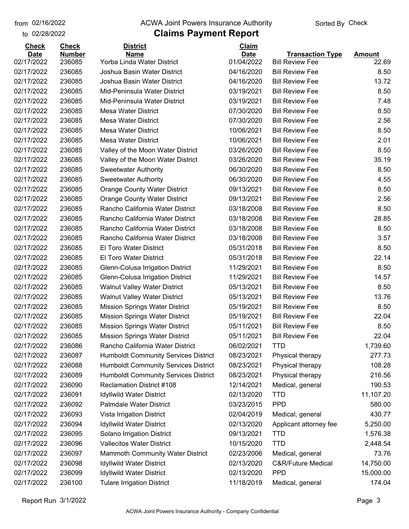02/16/2022

#### from 02/16/2022 **The COVA Solic Act Act Authority** Sorted By Check

#### to 02/28/2022

| <b>Check</b><br><b>Date</b> | <b>Check</b><br><b>Number</b> | <b>District</b><br><b>Name</b>              | Claim<br><b>Date</b> | <b>Transaction Type</b> | Amount    |
|-----------------------------|-------------------------------|---------------------------------------------|----------------------|-------------------------|-----------|
| 02/17/2022                  | 236085                        | Yorba Linda Water District                  | 01/04/2022           | <b>Bill Review Fee</b>  | 22.69     |
| 02/17/2022                  | 236085                        | Joshua Basin Water District                 | 04/16/2020           | <b>Bill Review Fee</b>  | 8.50      |
| 02/17/2022                  | 236085                        | Joshua Basin Water District                 | 04/16/2020           | <b>Bill Review Fee</b>  | 13.72     |
| 02/17/2022                  | 236085                        | Mid-Peninsula Water District                | 03/19/2021           | <b>Bill Review Fee</b>  | 8.50      |
| 02/17/2022                  | 236085                        | Mid-Peninsula Water District                | 03/19/2021           | <b>Bill Review Fee</b>  | 7.48      |
| 02/17/2022                  | 236085                        | <b>Mesa Water District</b>                  | 07/30/2020           | <b>Bill Review Fee</b>  | 8.50      |
| 02/17/2022                  | 236085                        | <b>Mesa Water District</b>                  | 07/30/2020           | <b>Bill Review Fee</b>  | 2.56      |
| 02/17/2022                  | 236085                        | <b>Mesa Water District</b>                  | 10/06/2021           | <b>Bill Review Fee</b>  | 8.50      |
| 02/17/2022                  | 236085                        | <b>Mesa Water District</b>                  | 10/06/2021           | <b>Bill Review Fee</b>  | 2.01      |
| 02/17/2022                  | 236085                        | Valley of the Moon Water District           | 03/26/2020           | <b>Bill Review Fee</b>  | 8.50      |
| 02/17/2022                  | 236085                        | Valley of the Moon Water District           | 03/26/2020           | <b>Bill Review Fee</b>  | 35.19     |
| 02/17/2022                  | 236085                        | <b>Sweetwater Authority</b>                 | 06/30/2020           | <b>Bill Review Fee</b>  | 8.50      |
| 02/17/2022                  | 236085                        | <b>Sweetwater Authority</b>                 | 06/30/2020           | <b>Bill Review Fee</b>  | 4.55      |
| 02/17/2022                  | 236085                        | <b>Orange County Water District</b>         | 09/13/2021           | <b>Bill Review Fee</b>  | 8.50      |
| 02/17/2022                  | 236085                        | <b>Orange County Water District</b>         | 09/13/2021           | <b>Bill Review Fee</b>  | 2.56      |
| 02/17/2022                  | 236085                        | Rancho California Water District            | 03/18/2008           | <b>Bill Review Fee</b>  | 8.50      |
| 02/17/2022                  | 236085                        | Rancho California Water District            | 03/18/2008           | <b>Bill Review Fee</b>  | 28.85     |
| 02/17/2022                  | 236085                        | Rancho California Water District            | 03/18/2008           | <b>Bill Review Fee</b>  | 8.50      |
| 02/17/2022                  | 236085                        | Rancho California Water District            | 03/18/2008           | <b>Bill Review Fee</b>  | 3.57      |
| 02/17/2022                  | 236085                        | El Toro Water District                      | 05/31/2018           | <b>Bill Review Fee</b>  | 8.50      |
| 02/17/2022                  | 236085                        | El Toro Water District                      | 05/31/2018           | <b>Bill Review Fee</b>  | 22.14     |
| 02/17/2022                  | 236085                        | Glenn-Colusa Irrigation District            | 11/29/2021           | <b>Bill Review Fee</b>  | 8.50      |
| 02/17/2022                  | 236085                        | Glenn-Colusa Irrigation District            | 11/29/2021           | <b>Bill Review Fee</b>  | 14.57     |
| 02/17/2022                  | 236085                        | <b>Walnut Valley Water District</b>         | 05/13/2021           | <b>Bill Review Fee</b>  | 8.50      |
| 02/17/2022                  | 236085                        | <b>Walnut Valley Water District</b>         | 05/13/2021           | <b>Bill Review Fee</b>  | 13.76     |
| 02/17/2022                  | 236085                        | <b>Mission Springs Water District</b>       | 05/19/2021           | <b>Bill Review Fee</b>  | 8.50      |
| 02/17/2022                  | 236085                        | <b>Mission Springs Water District</b>       | 05/19/2021           | <b>Bill Review Fee</b>  | 22.04     |
| 02/17/2022                  | 236085                        | <b>Mission Springs Water District</b>       | 05/11/2021           | <b>Bill Review Fee</b>  | 8.50      |
| 02/17/2022                  | 236085                        | <b>Mission Springs Water District</b>       | 05/11/2021           | <b>Bill Review Fee</b>  | 22.04     |
| 02/17/2022                  | 236086                        | Rancho California Water District            | 06/02/2021           | <b>TTD</b>              | 1,739.60  |
| 02/17/2022                  | 236087                        | <b>Humboldt Community Services District</b> | 08/23/2021           | Physical therapy        | 277.73    |
| 02/17/2022                  | 236088                        | <b>Humboldt Community Services District</b> | 08/23/2021           | Physical therapy        | 108.28    |
| 02/17/2022                  | 236089                        | <b>Humboldt Community Services District</b> | 08/23/2021           | Physical therapy        | 216.56    |
| 02/17/2022                  | 236090                        | <b>Reclamation District #108</b>            | 12/14/2021           | Medical, general        | 190.53    |
| 02/17/2022                  | 236091                        | <b>Idyllwild Water District</b>             | 02/13/2020           | <b>TTD</b>              | 11,107.20 |
| 02/17/2022                  | 236092                        | Palmdale Water District                     | 03/23/2015           | <b>PPD</b>              | 580.00    |
| 02/17/2022                  | 236093                        | Vista Irrigation District                   | 02/04/2019           | Medical, general        | 430.77    |
| 02/17/2022                  | 236094                        | <b>Idyllwild Water District</b>             | 02/13/2020           | Applicant attorney fee  | 5,250.00  |
| 02/17/2022                  | 236095                        | Solano Irrigation District                  | 09/13/2021           | <b>TTD</b>              | 1,576.38  |
| 02/17/2022                  | 236096                        | <b>Vallecitos Water District</b>            | 10/15/2020           | <b>TTD</b>              | 2,448.54  |
| 02/17/2022                  | 236097                        | Mammoth Community Water District            | 02/23/2006           | Medical, general        | 73.76     |
| 02/17/2022                  | 236098                        | <b>Idyllwild Water District</b>             | 02/13/2020           | C&R/Future Medical      | 14,750.00 |
| 02/17/2022                  | 236099                        | <b>Idyllwild Water District</b>             | 02/13/2020           | <b>PPD</b>              | 15,000.00 |
| 02/17/2022                  | 236100                        | <b>Tulare Irrigation District</b>           | 11/18/2019           | Medical, general        | 174.04    |
|                             |                               |                                             |                      |                         |           |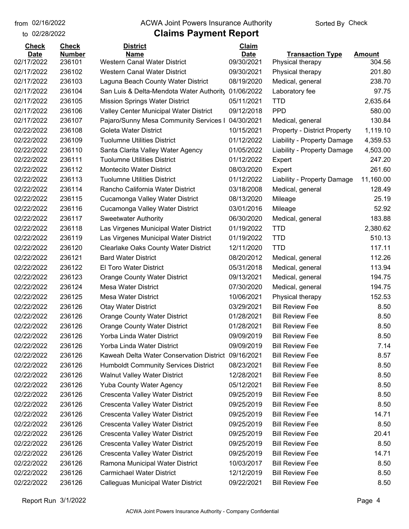02/16/2022

to 02/28/2022

#### from 02/16/2022 **The COVA Solic Act Act Authority** Sorted By Check

| <b>Check</b> | <b>Check</b>  | <b>District</b>                                     | Claim       |                                     |               |
|--------------|---------------|-----------------------------------------------------|-------------|-------------------------------------|---------------|
| <b>Date</b>  | <b>Number</b> | <b>Name</b>                                         | <b>Date</b> | <b>Transaction Type</b>             | <b>Amount</b> |
| 02/17/2022   | 236101        | Western Canal Water District                        | 09/30/2021  | Physical therapy                    | 304.56        |
| 02/17/2022   | 236102        | <b>Western Canal Water District</b>                 | 09/30/2021  | Physical therapy                    | 201.80        |
| 02/17/2022   | 236103        | Laguna Beach County Water District                  | 08/19/2020  | Medical, general                    | 238.70        |
| 02/17/2022   | 236104        | San Luis & Delta-Mendota Water Authority            | 01/06/2022  | Laboratory fee                      | 97.75         |
| 02/17/2022   | 236105        | <b>Mission Springs Water District</b>               | 05/11/2021  | <b>TTD</b>                          | 2,635.64      |
| 02/17/2022   | 236106        | Valley Center Municipal Water District              | 09/12/2018  | <b>PPD</b>                          | 580.00        |
| 02/17/2022   | 236107        | Pajaro/Sunny Mesa Community Services I              | 04/30/2021  | Medical, general                    | 130.84        |
| 02/22/2022   | 236108        | Goleta Water District                               | 10/15/2021  | <b>Property - District Property</b> | 1,119.10      |
| 02/22/2022   | 236109        | <b>Tuolumne Utilities District</b>                  | 01/12/2022  | Liability - Property Damage         | 4,359.53      |
| 02/22/2022   | 236110        | Santa Clarita Valley Water Agency                   | 01/05/2022  | Liability - Property Damage         | 4,503.00      |
| 02/22/2022   | 236111        | <b>Tuolumne Utilities District</b>                  | 01/12/2022  | Expert                              | 247.20        |
| 02/22/2022   | 236112        | <b>Montecito Water District</b>                     | 08/03/2020  | Expert                              | 261.60        |
| 02/22/2022   | 236113        | <b>Tuolumne Utilities District</b>                  | 01/12/2022  | Liability - Property Damage         | 11,160.00     |
| 02/22/2022   | 236114        | Rancho California Water District                    | 03/18/2008  | Medical, general                    | 128.49        |
| 02/22/2022   | 236115        | Cucamonga Valley Water District                     | 08/13/2020  | Mileage                             | 25.19         |
| 02/22/2022   | 236116        | Cucamonga Valley Water District                     | 03/01/2016  | Mileage                             | 52.92         |
| 02/22/2022   | 236117        | <b>Sweetwater Authority</b>                         | 06/30/2020  | Medical, general                    | 183.88        |
| 02/22/2022   | 236118        | Las Virgenes Municipal Water District               | 01/19/2022  | <b>TTD</b>                          | 2,380.62      |
| 02/22/2022   | 236119        | Las Virgenes Municipal Water District               | 01/19/2022  | <b>TTD</b>                          | 510.13        |
| 02/22/2022   | 236120        | <b>Clearlake Oaks County Water District</b>         | 12/11/2020  | <b>TTD</b>                          | 117.11        |
| 02/22/2022   | 236121        | <b>Bard Water District</b>                          | 08/20/2012  | Medical, general                    | 112.26        |
| 02/22/2022   | 236122        | El Toro Water District                              | 05/31/2018  | Medical, general                    | 113.94        |
| 02/22/2022   | 236123        | <b>Orange County Water District</b>                 | 09/13/2021  | Medical, general                    | 194.75        |
| 02/22/2022   | 236124        | <b>Mesa Water District</b>                          | 07/30/2020  | Medical, general                    | 194.75        |
| 02/22/2022   | 236125        | <b>Mesa Water District</b>                          | 10/06/2021  | Physical therapy                    | 152.53        |
| 02/22/2022   | 236126        | <b>Otay Water District</b>                          | 03/29/2021  | <b>Bill Review Fee</b>              | 8.50          |
| 02/22/2022   | 236126        | <b>Orange County Water District</b>                 | 01/28/2021  | <b>Bill Review Fee</b>              | 8.50          |
| 02/22/2022   | 236126        | <b>Orange County Water District</b>                 | 01/28/2021  | <b>Bill Review Fee</b>              | 8.50          |
| 02/22/2022   | 236126        | Yorba Linda Water District                          | 09/09/2019  | <b>Bill Review Fee</b>              | 8.50          |
| 02/22/2022   | 236126        | Yorba Linda Water District                          | 09/09/2019  | <b>Bill Review Fee</b>              | 7.14          |
| 02/22/2022   | 236126        | Kaweah Delta Water Conservation District 09/16/2021 |             | <b>Bill Review Fee</b>              | 8.57          |
| 02/22/2022   | 236126        | <b>Humboldt Community Services District</b>         | 08/23/2021  | <b>Bill Review Fee</b>              | 8.50          |
| 02/22/2022   | 236126        | <b>Walnut Valley Water District</b>                 | 12/28/2021  | <b>Bill Review Fee</b>              | 8.50          |
| 02/22/2022   | 236126        | <b>Yuba County Water Agency</b>                     | 05/12/2021  | <b>Bill Review Fee</b>              | 8.50          |
| 02/22/2022   | 236126        | Crescenta Valley Water District                     | 09/25/2019  | <b>Bill Review Fee</b>              | 8.50          |
| 02/22/2022   | 236126        | Crescenta Valley Water District                     | 09/25/2019  | <b>Bill Review Fee</b>              | 8.50          |
| 02/22/2022   | 236126        | Crescenta Valley Water District                     | 09/25/2019  | <b>Bill Review Fee</b>              | 14.71         |
| 02/22/2022   | 236126        | Crescenta Valley Water District                     | 09/25/2019  | <b>Bill Review Fee</b>              | 8.50          |
| 02/22/2022   | 236126        | Crescenta Valley Water District                     | 09/25/2019  | <b>Bill Review Fee</b>              | 20.41         |
| 02/22/2022   | 236126        | Crescenta Valley Water District                     | 09/25/2019  | <b>Bill Review Fee</b>              | 8.50          |
| 02/22/2022   | 236126        | Crescenta Valley Water District                     | 09/25/2019  | <b>Bill Review Fee</b>              | 14.71         |
| 02/22/2022   | 236126        | Ramona Municipal Water District                     | 10/03/2017  | <b>Bill Review Fee</b>              | 8.50          |
| 02/22/2022   | 236126        | <b>Carmichael Water District</b>                    | 12/12/2019  | <b>Bill Review Fee</b>              | 8.50          |
| 02/22/2022   | 236126        | Calleguas Municipal Water District                  | 09/22/2021  | <b>Bill Review Fee</b>              | 8.50          |
|              |               |                                                     |             |                                     |               |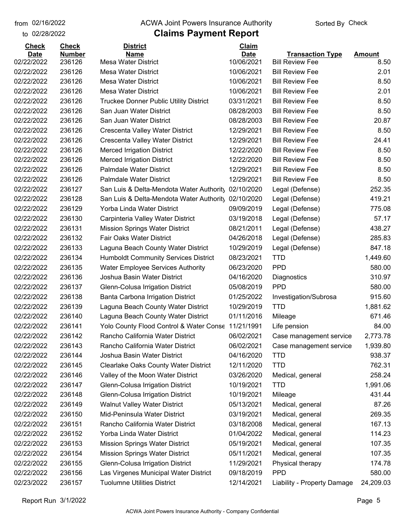to 02/28/2022 02/16/2022

#### from 02/16/2022 **The COVA Solic Act Act Authority** Sorted By Check

### **Claims Payment Report**

| <b>Check</b> | <b>Check</b>  | <b>District</b>                               | Claim       |                             |               |
|--------------|---------------|-----------------------------------------------|-------------|-----------------------------|---------------|
| <b>Date</b>  | <b>Number</b> | <b>Name</b>                                   | <b>Date</b> | <b>Transaction Type</b>     | <b>Amount</b> |
| 02/22/2022   | 236126        | <b>Mesa Water District</b>                    | 10/06/2021  | <b>Bill Review Fee</b>      | 8.50          |
| 02/22/2022   | 236126        | <b>Mesa Water District</b>                    | 10/06/2021  | <b>Bill Review Fee</b>      | 2.01          |
| 02/22/2022   | 236126        | <b>Mesa Water District</b>                    | 10/06/2021  | <b>Bill Review Fee</b>      | 8.50          |
| 02/22/2022   | 236126        | <b>Mesa Water District</b>                    | 10/06/2021  | <b>Bill Review Fee</b>      | 2.01          |
| 02/22/2022   | 236126        | <b>Truckee Donner Public Utility District</b> | 03/31/2021  | <b>Bill Review Fee</b>      | 8.50          |
| 02/22/2022   | 236126        | San Juan Water District                       | 08/28/2003  | <b>Bill Review Fee</b>      | 8.50          |
| 02/22/2022   | 236126        | San Juan Water District                       | 08/28/2003  | <b>Bill Review Fee</b>      | 20.87         |
| 02/22/2022   | 236126        | Crescenta Valley Water District               | 12/29/2021  | <b>Bill Review Fee</b>      | 8.50          |
| 02/22/2022   | 236126        | Crescenta Valley Water District               | 12/29/2021  | <b>Bill Review Fee</b>      | 24.41         |
| 02/22/2022   | 236126        | <b>Merced Irrigation District</b>             | 12/22/2020  | <b>Bill Review Fee</b>      | 8.50          |
| 02/22/2022   | 236126        | <b>Merced Irrigation District</b>             | 12/22/2020  | <b>Bill Review Fee</b>      | 8.50          |
| 02/22/2022   | 236126        | <b>Palmdale Water District</b>                | 12/29/2021  | <b>Bill Review Fee</b>      | 8.50          |
| 02/22/2022   | 236126        | <b>Palmdale Water District</b>                | 12/29/2021  | <b>Bill Review Fee</b>      | 8.50          |
| 02/22/2022   | 236127        | San Luis & Delta-Mendota Water Authority      | 02/10/2020  | Legal (Defense)             | 252.35        |
| 02/22/2022   | 236128        | San Luis & Delta-Mendota Water Authority      | 02/10/2020  | Legal (Defense)             | 419.21        |
| 02/22/2022   | 236129        | Yorba Linda Water District                    | 09/09/2019  | Legal (Defense)             | 775.08        |
| 02/22/2022   | 236130        | Carpinteria Valley Water District             | 03/19/2018  | Legal (Defense)             | 57.17         |
| 02/22/2022   | 236131        | <b>Mission Springs Water District</b>         | 08/21/2011  | Legal (Defense)             | 438.27        |
| 02/22/2022   | 236132        | <b>Fair Oaks Water District</b>               | 04/26/2018  | Legal (Defense)             | 285.83        |
| 02/22/2022   | 236133        | Laguna Beach County Water District            | 10/29/2019  | Legal (Defense)             | 847.18        |
| 02/22/2022   | 236134        | <b>Humboldt Community Services District</b>   | 08/23/2021  | <b>TTD</b>                  | 1,449.60      |
| 02/22/2022   | 236135        | <b>Water Employee Services Authority</b>      | 06/23/2020  | <b>PPD</b>                  | 580.00        |
| 02/22/2022   | 236136        | Joshua Basin Water District                   | 04/16/2020  | Diagnostics                 | 310.97        |
| 02/22/2022   | 236137        | Glenn-Colusa Irrigation District              | 05/08/2019  | <b>PPD</b>                  | 580.00        |
| 02/22/2022   | 236138        | Banta Carbona Irrigation District             | 01/25/2022  | Investigation/Subrosa       | 915.60        |
| 02/22/2022   | 236139        | Laguna Beach County Water District            | 10/29/2019  | <b>TTD</b>                  | 1,881.62      |
| 02/22/2022   | 236140        | Laguna Beach County Water District            | 01/11/2016  | Mileage                     | 671.46        |
| 02/22/2022   | 236141        | Yolo County Flood Control & Water Conse       | 11/21/1991  | Life pension                | 84.00         |
| 02/22/2022   | 236142        | Rancho California Water District              | 06/02/2021  | Case management service     | 2,773.78      |
| 02/22/2022   | 236143        | Rancho California Water District              | 06/02/2021  | Case management service     | 1,939.80      |
| 02/22/2022   | 236144        | Joshua Basin Water District                   | 04/16/2020  | <b>TTD</b>                  | 938.37        |
| 02/22/2022   | 236145        | <b>Clearlake Oaks County Water District</b>   | 12/11/2020  | <b>TTD</b>                  | 762.31        |
| 02/22/2022   | 236146        | Valley of the Moon Water District             | 03/26/2020  | Medical, general            | 258.24        |
| 02/22/2022   | 236147        | Glenn-Colusa Irrigation District              | 10/19/2021  | <b>TTD</b>                  | 1,991.06      |
| 02/22/2022   | 236148        | Glenn-Colusa Irrigation District              | 10/19/2021  | Mileage                     | 431.44        |
| 02/22/2022   | 236149        | <b>Walnut Valley Water District</b>           | 05/13/2021  | Medical, general            | 87.26         |
| 02/22/2022   | 236150        | Mid-Peninsula Water District                  | 03/19/2021  | Medical, general            | 269.35        |
| 02/22/2022   | 236151        | Rancho California Water District              | 03/18/2008  | Medical, general            | 167.13        |
| 02/22/2022   | 236152        | Yorba Linda Water District                    | 01/04/2022  | Medical, general            | 114.23        |
| 02/22/2022   | 236153        | <b>Mission Springs Water District</b>         | 05/19/2021  | Medical, general            | 107.35        |
| 02/22/2022   | 236154        | <b>Mission Springs Water District</b>         | 05/11/2021  | Medical, general            | 107.35        |
| 02/22/2022   | 236155        | Glenn-Colusa Irrigation District              | 11/29/2021  | Physical therapy            | 174.78        |
| 02/22/2022   | 236156        | Las Virgenes Municipal Water District         | 09/18/2019  | <b>PPD</b>                  | 580.00        |
| 02/23/2022   | 236157        | <b>Tuolumne Utilities District</b>            | 12/14/2021  | Liability - Property Damage | 24,209.03     |
|              |               |                                               |             |                             |               |

Report Run 3/1/2022 Page 5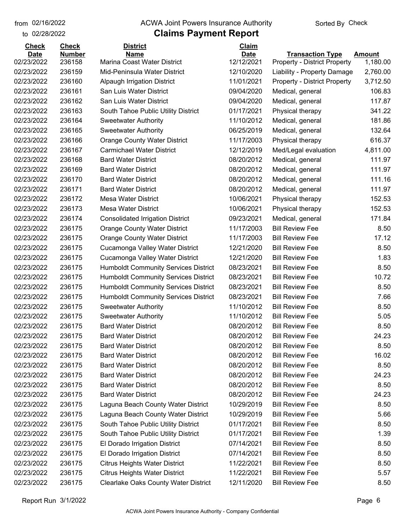to 02/28/2022 02/16/2022

#### from 02/16/2022 **The COVA Solic Act Act Authority** Sorted By Check

# **Claims Payment Report**

| <b>Check</b> | <b>Check</b>  | <b>District</b>                             | <b>Claim</b> |                                     |          |
|--------------|---------------|---------------------------------------------|--------------|-------------------------------------|----------|
| <b>Date</b>  | <b>Number</b> | <b>Name</b>                                 | <b>Date</b>  | <b>Transaction Type</b>             | Amount   |
| 02/23/2022   | 236158        | Marina Coast Water District                 | 12/12/2021   | <b>Property - District Property</b> | 1,180.00 |
| 02/23/2022   | 236159        | Mid-Peninsula Water District                | 12/10/2020   | Liability - Property Damage         | 2,760.00 |
| 02/23/2022   | 236160        | <b>Alpaugh Irrigation District</b>          | 11/01/2021   | <b>Property - District Property</b> | 3,712.50 |
| 02/23/2022   | 236161        | San Luis Water District                     | 09/04/2020   | Medical, general                    | 106.83   |
| 02/23/2022   | 236162        | San Luis Water District                     | 09/04/2020   | Medical, general                    | 117.87   |
| 02/23/2022   | 236163        | South Tahoe Public Utility District         | 01/17/2021   | Physical therapy                    | 341.22   |
| 02/23/2022   | 236164        | <b>Sweetwater Authority</b>                 | 11/10/2012   | Medical, general                    | 181.86   |
| 02/23/2022   | 236165        | <b>Sweetwater Authority</b>                 | 06/25/2019   | Medical, general                    | 132.64   |
| 02/23/2022   | 236166        | <b>Orange County Water District</b>         | 11/17/2003   | Physical therapy                    | 616.37   |
| 02/23/2022   | 236167        | <b>Carmichael Water District</b>            | 12/12/2019   | Med/Legal evaluation                | 4,811.00 |
| 02/23/2022   | 236168        | <b>Bard Water District</b>                  | 08/20/2012   | Medical, general                    | 111.97   |
| 02/23/2022   | 236169        | <b>Bard Water District</b>                  | 08/20/2012   | Medical, general                    | 111.97   |
| 02/23/2022   | 236170        | <b>Bard Water District</b>                  | 08/20/2012   | Medical, general                    | 111.16   |
| 02/23/2022   | 236171        | <b>Bard Water District</b>                  | 08/20/2012   | Medical, general                    | 111.97   |
| 02/23/2022   | 236172        | <b>Mesa Water District</b>                  | 10/06/2021   | Physical therapy                    | 152.53   |
| 02/23/2022   | 236173        | <b>Mesa Water District</b>                  | 10/06/2021   | Physical therapy                    | 152.53   |
| 02/23/2022   | 236174        | <b>Consolidated Irrigation District</b>     | 09/23/2021   | Medical, general                    | 171.84   |
| 02/23/2022   | 236175        | <b>Orange County Water District</b>         | 11/17/2003   | <b>Bill Review Fee</b>              | 8.50     |
| 02/23/2022   | 236175        | <b>Orange County Water District</b>         | 11/17/2003   | <b>Bill Review Fee</b>              | 17.12    |
| 02/23/2022   | 236175        | Cucamonga Valley Water District             | 12/21/2020   | <b>Bill Review Fee</b>              | 8.50     |
| 02/23/2022   | 236175        | Cucamonga Valley Water District             | 12/21/2020   | <b>Bill Review Fee</b>              | 1.83     |
| 02/23/2022   | 236175        | <b>Humboldt Community Services District</b> | 08/23/2021   | <b>Bill Review Fee</b>              | 8.50     |
| 02/23/2022   | 236175        | <b>Humboldt Community Services District</b> | 08/23/2021   | <b>Bill Review Fee</b>              | 10.72    |
| 02/23/2022   | 236175        | <b>Humboldt Community Services District</b> | 08/23/2021   | <b>Bill Review Fee</b>              | 8.50     |
| 02/23/2022   | 236175        | <b>Humboldt Community Services District</b> | 08/23/2021   | <b>Bill Review Fee</b>              | 7.66     |
| 02/23/2022   | 236175        | <b>Sweetwater Authority</b>                 | 11/10/2012   | <b>Bill Review Fee</b>              | 8.50     |
| 02/23/2022   | 236175        | <b>Sweetwater Authority</b>                 | 11/10/2012   | <b>Bill Review Fee</b>              | 5.05     |
| 02/23/2022   | 236175        | <b>Bard Water District</b>                  | 08/20/2012   | <b>Bill Review Fee</b>              | 8.50     |
| 02/23/2022   | 236175        | <b>Bard Water District</b>                  | 08/20/2012   | <b>Bill Review Fee</b>              | 24.23    |
| 02/23/2022   | 236175        | <b>Bard Water District</b>                  | 08/20/2012   | <b>Bill Review Fee</b>              | 8.50     |
| 02/23/2022   | 236175        | <b>Bard Water District</b>                  | 08/20/2012   | <b>Bill Review Fee</b>              | 16.02    |
| 02/23/2022   | 236175        | <b>Bard Water District</b>                  | 08/20/2012   | <b>Bill Review Fee</b>              | 8.50     |
| 02/23/2022   | 236175        | <b>Bard Water District</b>                  | 08/20/2012   | <b>Bill Review Fee</b>              | 24.23    |
| 02/23/2022   | 236175        | <b>Bard Water District</b>                  | 08/20/2012   | <b>Bill Review Fee</b>              | 8.50     |
| 02/23/2022   | 236175        | <b>Bard Water District</b>                  | 08/20/2012   | <b>Bill Review Fee</b>              | 24.23    |
| 02/23/2022   | 236175        | Laguna Beach County Water District          | 10/29/2019   | <b>Bill Review Fee</b>              | 8.50     |
| 02/23/2022   | 236175        | Laguna Beach County Water District          | 10/29/2019   | <b>Bill Review Fee</b>              | 5.66     |
| 02/23/2022   | 236175        | South Tahoe Public Utility District         | 01/17/2021   | <b>Bill Review Fee</b>              | 8.50     |
| 02/23/2022   | 236175        | South Tahoe Public Utility District         | 01/17/2021   | <b>Bill Review Fee</b>              | 1.39     |
| 02/23/2022   | 236175        | El Dorado Irrigation District               | 07/14/2021   | <b>Bill Review Fee</b>              | 8.50     |
| 02/23/2022   | 236175        | El Dorado Irrigation District               | 07/14/2021   | <b>Bill Review Fee</b>              | 8.50     |
| 02/23/2022   | 236175        | <b>Citrus Heights Water District</b>        | 11/22/2021   | <b>Bill Review Fee</b>              | 8.50     |
| 02/23/2022   | 236175        | <b>Citrus Heights Water District</b>        | 11/22/2021   | <b>Bill Review Fee</b>              | 5.57     |
| 02/23/2022   | 236175        | <b>Clearlake Oaks County Water District</b> | 12/11/2020   | <b>Bill Review Fee</b>              | 8.50     |
|              |               |                                             |              |                                     |          |

Report Run 3/1/2022 Page 6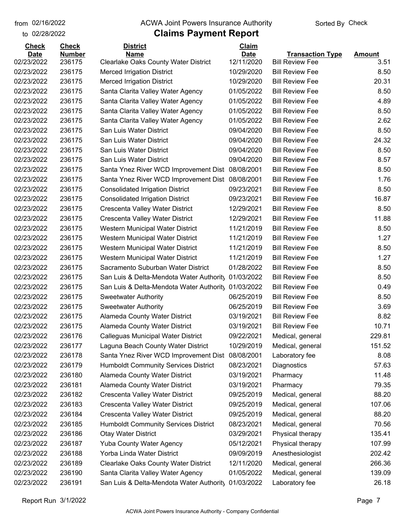#### from 02/16/2022 **The COVA Solic Act Act Authority** Sorted By Check

### to 02/28/2022

| <b>Check</b>             | <b>Check</b>     | <b>District</b>                                                                  | <b>Claim</b>             |                                                  |               |
|--------------------------|------------------|----------------------------------------------------------------------------------|--------------------------|--------------------------------------------------|---------------|
| <b>Date</b>              | <b>Number</b>    | <b>Name</b>                                                                      | <b>Date</b>              | <b>Transaction Type</b>                          | <b>Amount</b> |
| 02/23/2022<br>02/23/2022 | 236175<br>236175 | <b>Clearlake Oaks County Water District</b><br><b>Merced Irrigation District</b> | 12/11/2020<br>10/29/2020 | <b>Bill Review Fee</b><br><b>Bill Review Fee</b> | 3.51<br>8.50  |
|                          | 236175           |                                                                                  | 10/29/2020               |                                                  | 20.31         |
| 02/23/2022               |                  | <b>Merced Irrigation District</b>                                                |                          | <b>Bill Review Fee</b>                           |               |
| 02/23/2022               | 236175           | Santa Clarita Valley Water Agency                                                | 01/05/2022               | <b>Bill Review Fee</b>                           | 8.50          |
| 02/23/2022               | 236175           | Santa Clarita Valley Water Agency                                                | 01/05/2022               | <b>Bill Review Fee</b>                           | 4.89          |
| 02/23/2022               | 236175           | Santa Clarita Valley Water Agency                                                | 01/05/2022               | <b>Bill Review Fee</b>                           | 8.50          |
| 02/23/2022               | 236175           | Santa Clarita Valley Water Agency                                                | 01/05/2022               | <b>Bill Review Fee</b>                           | 2.62          |
| 02/23/2022               | 236175           | San Luis Water District                                                          | 09/04/2020               | <b>Bill Review Fee</b>                           | 8.50          |
| 02/23/2022               | 236175           | San Luis Water District                                                          | 09/04/2020               | <b>Bill Review Fee</b>                           | 24.32         |
| 02/23/2022               | 236175           | San Luis Water District                                                          | 09/04/2020               | <b>Bill Review Fee</b>                           | 8.50          |
| 02/23/2022               | 236175           | San Luis Water District                                                          | 09/04/2020               | <b>Bill Review Fee</b>                           | 8.57          |
| 02/23/2022               | 236175           | Santa Ynez River WCD Improvement Dist                                            | 08/08/2001               | <b>Bill Review Fee</b>                           | 8.50          |
| 02/23/2022               | 236175           | Santa Ynez River WCD Improvement Dist                                            | 08/08/2001               | <b>Bill Review Fee</b>                           | 1.76          |
| 02/23/2022               | 236175           | <b>Consolidated Irrigation District</b>                                          | 09/23/2021               | <b>Bill Review Fee</b>                           | 8.50          |
| 02/23/2022               | 236175           | <b>Consolidated Irrigation District</b>                                          | 09/23/2021               | <b>Bill Review Fee</b>                           | 16.87         |
| 02/23/2022               | 236175           | Crescenta Valley Water District                                                  | 12/29/2021               | <b>Bill Review Fee</b>                           | 8.50          |
| 02/23/2022               | 236175           | Crescenta Valley Water District                                                  | 12/29/2021               | <b>Bill Review Fee</b>                           | 11.88         |
| 02/23/2022               | 236175           | Western Municipal Water District                                                 | 11/21/2019               | <b>Bill Review Fee</b>                           | 8.50          |
| 02/23/2022               | 236175           | Western Municipal Water District                                                 | 11/21/2019               | <b>Bill Review Fee</b>                           | 1.27          |
| 02/23/2022               | 236175           | Western Municipal Water District                                                 | 11/21/2019               | <b>Bill Review Fee</b>                           | 8.50          |
| 02/23/2022               | 236175           | Western Municipal Water District                                                 | 11/21/2019               | <b>Bill Review Fee</b>                           | 1.27          |
| 02/23/2022               | 236175           | Sacramento Suburban Water District                                               | 01/28/2022               | <b>Bill Review Fee</b>                           | 8.50          |
| 02/23/2022               | 236175           | San Luis & Delta-Mendota Water Authority                                         | 01/03/2022               | <b>Bill Review Fee</b>                           | 8.50          |
| 02/23/2022               | 236175           | San Luis & Delta-Mendota Water Authority                                         | 01/03/2022               | <b>Bill Review Fee</b>                           | 0.49          |
| 02/23/2022               | 236175           | <b>Sweetwater Authority</b>                                                      | 06/25/2019               | <b>Bill Review Fee</b>                           | 8.50          |
| 02/23/2022               | 236175           | <b>Sweetwater Authority</b>                                                      | 06/25/2019               | <b>Bill Review Fee</b>                           | 3.69          |
| 02/23/2022               | 236175           | <b>Alameda County Water District</b>                                             | 03/19/2021               | <b>Bill Review Fee</b>                           | 8.82          |
| 02/23/2022               | 236175           | Alameda County Water District                                                    | 03/19/2021               | <b>Bill Review Fee</b>                           | 10.71         |
| 02/23/2022               | 236176           | Calleguas Municipal Water District                                               | 09/22/2021               | Medical, general                                 | 229.81        |
| 02/23/2022               | 236177           | Laguna Beach County Water District                                               | 10/29/2019               | Medical, general                                 | 151.52        |
| 02/23/2022               | 236178           | Santa Ynez River WCD Improvement Dist                                            | 08/08/2001               | Laboratory fee                                   | 8.08          |
| 02/23/2022               | 236179           | <b>Humboldt Community Services District</b>                                      | 08/23/2021               | Diagnostics                                      | 57.63         |
| 02/23/2022               | 236180           | Alameda County Water District                                                    | 03/19/2021               | Pharmacy                                         | 11.48         |
| 02/23/2022               | 236181           | Alameda County Water District                                                    | 03/19/2021               | Pharmacy                                         | 79.35         |
| 02/23/2022               | 236182           | Crescenta Valley Water District                                                  | 09/25/2019               | Medical, general                                 | 88.20         |
| 02/23/2022               | 236183           | Crescenta Valley Water District                                                  | 09/25/2019               | Medical, general                                 | 107.06        |
| 02/23/2022               | 236184           | Crescenta Valley Water District                                                  | 09/25/2019               | Medical, general                                 | 88.20         |
| 02/23/2022               | 236185           | <b>Humboldt Community Services District</b>                                      | 08/23/2021               | Medical, general                                 | 70.56         |
| 02/23/2022               | 236186           | <b>Otay Water District</b>                                                       | 03/29/2021               | Physical therapy                                 | 135.41        |
| 02/23/2022               | 236187           | <b>Yuba County Water Agency</b>                                                  | 05/12/2021               | Physical therapy                                 | 107.99        |
| 02/23/2022               | 236188           | Yorba Linda Water District                                                       | 09/09/2019               | Anesthesiologist                                 | 202.42        |
| 02/23/2022               | 236189           |                                                                                  | 12/11/2020               |                                                  | 266.36        |
|                          |                  | <b>Clearlake Oaks County Water District</b>                                      |                          | Medical, general                                 |               |
| 02/23/2022               | 236190           | Santa Clarita Valley Water Agency                                                | 01/05/2022               | Medical, general                                 | 139.09        |
| 02/23/2022               | 236191           | San Luis & Delta-Mendota Water Authority                                         | 01/03/2022               | Laboratory fee                                   | 26.18         |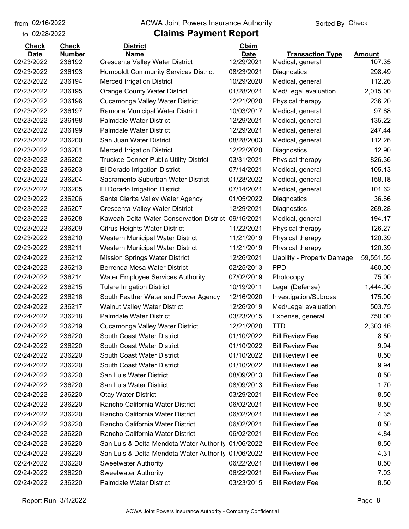### from 02/16/2022 **The COVA Solic Act Act Authority** Sorted By Check

### to 02/28/2022

| <b>Check</b> | <b>Check</b>  | <b>District</b>                             | Claim       |                             |               |
|--------------|---------------|---------------------------------------------|-------------|-----------------------------|---------------|
| <b>Date</b>  | <b>Number</b> | <b>Name</b>                                 | <b>Date</b> | <b>Transaction Type</b>     | <b>Amount</b> |
| 02/23/2022   | 236192        | Crescenta Valley Water District             | 12/29/2021  | Medical, general            | 107.35        |
| 02/23/2022   | 236193        | <b>Humboldt Community Services District</b> | 08/23/2021  | Diagnostics                 | 298.49        |
| 02/23/2022   | 236194        | <b>Merced Irrigation District</b>           | 10/29/2020  | Medical, general            | 112.26        |
| 02/23/2022   | 236195        | <b>Orange County Water District</b>         | 01/28/2021  | Med/Legal evaluation        | 2,015.00      |
| 02/23/2022   | 236196        | Cucamonga Valley Water District             | 12/21/2020  | Physical therapy            | 236.20        |
| 02/23/2022   | 236197        | Ramona Municipal Water District             | 10/03/2017  | Medical, general            | 97.68         |
| 02/23/2022   | 236198        | <b>Palmdale Water District</b>              | 12/29/2021  | Medical, general            | 135.22        |
| 02/23/2022   | 236199        | <b>Palmdale Water District</b>              | 12/29/2021  | Medical, general            | 247.44        |
| 02/23/2022   | 236200        | San Juan Water District                     | 08/28/2003  | Medical, general            | 112.26        |
| 02/23/2022   | 236201        | <b>Merced Irrigation District</b>           | 12/22/2020  | Diagnostics                 | 12.90         |
| 02/23/2022   | 236202        | Truckee Donner Public Utility District      | 03/31/2021  | Physical therapy            | 826.36        |
| 02/23/2022   | 236203        | El Dorado Irrigation District               | 07/14/2021  | Medical, general            | 105.13        |
| 02/23/2022   | 236204        | Sacramento Suburban Water District          | 01/28/2022  | Medical, general            | 158.18        |
| 02/23/2022   | 236205        | El Dorado Irrigation District               | 07/14/2021  | Medical, general            | 101.62        |
| 02/23/2022   | 236206        | Santa Clarita Valley Water Agency           | 01/05/2022  | Diagnostics                 | 36.66         |
| 02/23/2022   | 236207        | Crescenta Valley Water District             | 12/29/2021  | Diagnostics                 | 269.28        |
| 02/23/2022   | 236208        | Kaweah Delta Water Conservation District    | 09/16/2021  | Medical, general            | 194.17        |
| 02/23/2022   | 236209        | <b>Citrus Heights Water District</b>        | 11/22/2021  | Physical therapy            | 126.27        |
| 02/23/2022   | 236210        | Western Municipal Water District            | 11/21/2019  | Physical therapy            | 120.39        |
| 02/23/2022   | 236211        | Western Municipal Water District            | 11/21/2019  | Physical therapy            | 120.39        |
| 02/24/2022   | 236212        | <b>Mission Springs Water District</b>       | 12/26/2021  | Liability - Property Damage | 59,551.55     |
| 02/24/2022   | 236213        | Berrenda Mesa Water District                | 02/25/2013  | <b>PPD</b>                  | 460.00        |
| 02/24/2022   | 236214        | <b>Water Employee Services Authority</b>    | 07/02/2019  | Photocopy                   | 75.00         |
| 02/24/2022   | 236215        | <b>Tulare Irrigation District</b>           | 10/19/2011  | Legal (Defense)             | 1,444.00      |
| 02/24/2022   | 236216        | South Feather Water and Power Agency        | 12/16/2020  | Investigation/Subrosa       | 175.00        |
| 02/24/2022   | 236217        | <b>Walnut Valley Water District</b>         | 12/26/2019  | Med/Legal evaluation        | 503.75        |
| 02/24/2022   | 236218        | Palmdale Water District                     | 03/23/2015  | Expense, general            | 750.00        |
| 02/24/2022   | 236219        | Cucamonga Valley Water District             | 12/21/2020  | TTD                         | 2,303.46      |
| 02/24/2022   | 236220        | South Coast Water District                  | 01/10/2022  | <b>Bill Review Fee</b>      | 8.50          |
| 02/24/2022   | 236220        | South Coast Water District                  | 01/10/2022  | <b>Bill Review Fee</b>      | 9.94          |
| 02/24/2022   | 236220        | South Coast Water District                  | 01/10/2022  | <b>Bill Review Fee</b>      | 8.50          |
| 02/24/2022   | 236220        | South Coast Water District                  | 01/10/2022  | <b>Bill Review Fee</b>      | 9.94          |
| 02/24/2022   | 236220        | San Luis Water District                     | 08/09/2013  | <b>Bill Review Fee</b>      | 8.50          |
| 02/24/2022   | 236220        | San Luis Water District                     | 08/09/2013  | <b>Bill Review Fee</b>      | 1.70          |
| 02/24/2022   | 236220        | <b>Otay Water District</b>                  | 03/29/2021  | <b>Bill Review Fee</b>      | 8.50          |
| 02/24/2022   | 236220        | Rancho California Water District            | 06/02/2021  | <b>Bill Review Fee</b>      | 8.50          |
| 02/24/2022   | 236220        | Rancho California Water District            | 06/02/2021  | <b>Bill Review Fee</b>      | 4.35          |
| 02/24/2022   | 236220        | Rancho California Water District            | 06/02/2021  | <b>Bill Review Fee</b>      | 8.50          |
| 02/24/2022   | 236220        | Rancho California Water District            | 06/02/2021  | <b>Bill Review Fee</b>      | 4.84          |
| 02/24/2022   | 236220        | San Luis & Delta-Mendota Water Authority    | 01/06/2022  | <b>Bill Review Fee</b>      | 8.50          |
| 02/24/2022   | 236220        | San Luis & Delta-Mendota Water Authority    | 01/06/2022  | <b>Bill Review Fee</b>      | 4.31          |
| 02/24/2022   | 236220        | <b>Sweetwater Authority</b>                 | 06/22/2021  | <b>Bill Review Fee</b>      | 8.50          |
| 02/24/2022   | 236220        | <b>Sweetwater Authority</b>                 | 06/22/2021  | <b>Bill Review Fee</b>      | 7.03          |
| 02/24/2022   | 236220        | Palmdale Water District                     | 03/23/2015  | <b>Bill Review Fee</b>      | 8.50          |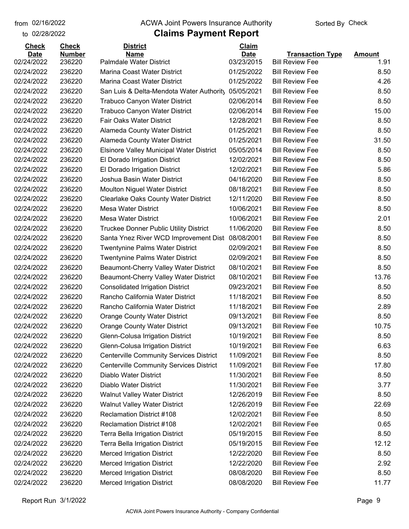to 02/28/2022

#### from 02/16/2022 **The COVA Solic Act Act Authority** Sorted By Check

| <b>Check</b> | <b>Check</b>  | <b>District</b>                                 | Claim       |                         |               |
|--------------|---------------|-------------------------------------------------|-------------|-------------------------|---------------|
| <b>Date</b>  | <b>Number</b> | <b>Name</b>                                     | <b>Date</b> | <b>Transaction Type</b> | <b>Amount</b> |
| 02/24/2022   | 236220        | <b>Palmdale Water District</b>                  | 03/23/2015  | <b>Bill Review Fee</b>  | 1.91          |
| 02/24/2022   | 236220        | Marina Coast Water District                     | 01/25/2022  | <b>Bill Review Fee</b>  | 8.50          |
| 02/24/2022   | 236220        | Marina Coast Water District                     | 01/25/2022  | <b>Bill Review Fee</b>  | 4.26          |
| 02/24/2022   | 236220        | San Luis & Delta-Mendota Water Authority        | 05/05/2021  | <b>Bill Review Fee</b>  | 8.50          |
| 02/24/2022   | 236220        | <b>Trabuco Canyon Water District</b>            | 02/06/2014  | <b>Bill Review Fee</b>  | 8.50          |
| 02/24/2022   | 236220        | Trabuco Canyon Water District                   | 02/06/2014  | <b>Bill Review Fee</b>  | 15.00         |
| 02/24/2022   | 236220        | Fair Oaks Water District                        | 12/28/2021  | <b>Bill Review Fee</b>  | 8.50          |
| 02/24/2022   | 236220        | Alameda County Water District                   | 01/25/2021  | <b>Bill Review Fee</b>  | 8.50          |
| 02/24/2022   | 236220        | Alameda County Water District                   | 01/25/2021  | <b>Bill Review Fee</b>  | 31.50         |
| 02/24/2022   | 236220        | <b>Elsinore Valley Municipal Water District</b> | 05/05/2014  | <b>Bill Review Fee</b>  | 8.50          |
| 02/24/2022   | 236220        | El Dorado Irrigation District                   | 12/02/2021  | <b>Bill Review Fee</b>  | 8.50          |
| 02/24/2022   | 236220        | El Dorado Irrigation District                   | 12/02/2021  | <b>Bill Review Fee</b>  | 5.86          |
| 02/24/2022   | 236220        | Joshua Basin Water District                     | 04/16/2020  | <b>Bill Review Fee</b>  | 8.50          |
| 02/24/2022   | 236220        | <b>Moulton Niguel Water District</b>            | 08/18/2021  | <b>Bill Review Fee</b>  | 8.50          |
| 02/24/2022   | 236220        | <b>Clearlake Oaks County Water District</b>     | 12/11/2020  | <b>Bill Review Fee</b>  | 8.50          |
| 02/24/2022   | 236220        | Mesa Water District                             | 10/06/2021  | <b>Bill Review Fee</b>  | 8.50          |
| 02/24/2022   | 236220        | <b>Mesa Water District</b>                      | 10/06/2021  | <b>Bill Review Fee</b>  | 2.01          |
| 02/24/2022   | 236220        | <b>Truckee Donner Public Utility District</b>   | 11/06/2020  | <b>Bill Review Fee</b>  | 8.50          |
| 02/24/2022   | 236220        | Santa Ynez River WCD Improvement Dist           | 08/08/2001  | <b>Bill Review Fee</b>  | 8.50          |
| 02/24/2022   | 236220        | <b>Twentynine Palms Water District</b>          | 02/09/2021  | <b>Bill Review Fee</b>  | 8.50          |
| 02/24/2022   | 236220        | <b>Twentynine Palms Water District</b>          | 02/09/2021  | <b>Bill Review Fee</b>  | 8.50          |
| 02/24/2022   | 236220        | Beaumont-Cherry Valley Water District           | 08/10/2021  | <b>Bill Review Fee</b>  | 8.50          |
| 02/24/2022   | 236220        | Beaumont-Cherry Valley Water District           | 08/10/2021  | <b>Bill Review Fee</b>  | 13.76         |
| 02/24/2022   | 236220        | <b>Consolidated Irrigation District</b>         | 09/23/2021  | <b>Bill Review Fee</b>  | 8.50          |
| 02/24/2022   | 236220        | Rancho California Water District                | 11/18/2021  | <b>Bill Review Fee</b>  | 8.50          |
| 02/24/2022   | 236220        | Rancho California Water District                | 11/18/2021  | <b>Bill Review Fee</b>  | 2.89          |
| 02/24/2022   | 236220        | <b>Orange County Water District</b>             | 09/13/2021  | <b>Bill Review Fee</b>  | 8.50          |
| 02/24/2022   | 236220        | <b>Orange County Water District</b>             | 09/13/2021  | <b>Bill Review Fee</b>  | 10.75         |
| 02/24/2022   | 236220        | Glenn-Colusa Irrigation District                | 10/19/2021  | <b>Bill Review Fee</b>  | 8.50          |
| 02/24/2022   | 236220        | Glenn-Colusa Irrigation District                | 10/19/2021  | <b>Bill Review Fee</b>  | 6.63          |
| 02/24/2022   | 236220        | <b>Centerville Community Services District</b>  | 11/09/2021  | <b>Bill Review Fee</b>  | 8.50          |
| 02/24/2022   | 236220        | <b>Centerville Community Services District</b>  | 11/09/2021  | <b>Bill Review Fee</b>  | 17.80         |
| 02/24/2022   | 236220        | Diablo Water District                           | 11/30/2021  | <b>Bill Review Fee</b>  | 8.50          |
| 02/24/2022   | 236220        | Diablo Water District                           | 11/30/2021  | <b>Bill Review Fee</b>  | 3.77          |
| 02/24/2022   | 236220        | <b>Walnut Valley Water District</b>             | 12/26/2019  | <b>Bill Review Fee</b>  | 8.50          |
| 02/24/2022   | 236220        | <b>Walnut Valley Water District</b>             | 12/26/2019  | <b>Bill Review Fee</b>  | 22.69         |
| 02/24/2022   | 236220        | <b>Reclamation District #108</b>                | 12/02/2021  | <b>Bill Review Fee</b>  | 8.50          |
| 02/24/2022   | 236220        | <b>Reclamation District #108</b>                | 12/02/2021  | <b>Bill Review Fee</b>  | 0.65          |
| 02/24/2022   | 236220        | <b>Terra Bella Irrigation District</b>          | 05/19/2015  | <b>Bill Review Fee</b>  | 8.50          |
| 02/24/2022   | 236220        | Terra Bella Irrigation District                 | 05/19/2015  | <b>Bill Review Fee</b>  | 12.12         |
| 02/24/2022   | 236220        | <b>Merced Irrigation District</b>               | 12/22/2020  | <b>Bill Review Fee</b>  | 8.50          |
| 02/24/2022   | 236220        | <b>Merced Irrigation District</b>               | 12/22/2020  | <b>Bill Review Fee</b>  | 2.92          |
| 02/24/2022   | 236220        | <b>Merced Irrigation District</b>               | 08/08/2020  | <b>Bill Review Fee</b>  | 8.50          |
| 02/24/2022   | 236220        | <b>Merced Irrigation District</b>               | 08/08/2020  | <b>Bill Review Fee</b>  | 11.77         |
|              |               |                                                 |             |                         |               |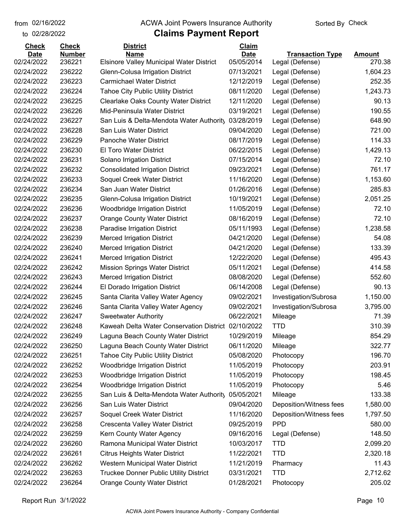to 02/28/2022

#### from 02/16/2022 **The COVA Solic Act Act Authority** Sorted By Check

| <b>Check</b>              | <b>Check</b>            | <b>District</b>                                                | Claim                     |                                            |                         |
|---------------------------|-------------------------|----------------------------------------------------------------|---------------------------|--------------------------------------------|-------------------------|
| <b>Date</b><br>02/24/2022 | <b>Number</b><br>236221 | <b>Name</b><br><b>Elsinore Valley Municipal Water District</b> | <b>Date</b><br>05/05/2014 | <b>Transaction Type</b><br>Legal (Defense) | <b>Amount</b><br>270.38 |
| 02/24/2022                | 236222                  | Glenn-Colusa Irrigation District                               | 07/13/2021                | Legal (Defense)                            | 1,604.23                |
| 02/24/2022                | 236223                  | <b>Carmichael Water District</b>                               | 12/12/2019                | Legal (Defense)                            | 252.35                  |
| 02/24/2022                | 236224                  | <b>Tahoe City Public Utility District</b>                      | 08/11/2020                | Legal (Defense)                            | 1,243.73                |
| 02/24/2022                | 236225                  | <b>Clearlake Oaks County Water District</b>                    | 12/11/2020                | Legal (Defense)                            | 90.13                   |
| 02/24/2022                | 236226                  | Mid-Peninsula Water District                                   | 03/19/2021                | Legal (Defense)                            | 190.55                  |
| 02/24/2022                | 236227                  | San Luis & Delta-Mendota Water Authority                       | 03/28/2019                | Legal (Defense)                            | 648.90                  |
| 02/24/2022                | 236228                  | San Luis Water District                                        | 09/04/2020                | Legal (Defense)                            | 721.00                  |
| 02/24/2022                | 236229                  | <b>Panoche Water District</b>                                  | 08/17/2019                | Legal (Defense)                            | 114.33                  |
| 02/24/2022                | 236230                  | El Toro Water District                                         | 06/22/2015                | Legal (Defense)                            | 1,429.13                |
| 02/24/2022                | 236231                  | Solano Irrigation District                                     | 07/15/2014                | Legal (Defense)                            | 72.10                   |
| 02/24/2022                | 236232                  | <b>Consolidated Irrigation District</b>                        | 09/23/2021                | Legal (Defense)                            | 761.17                  |
| 02/24/2022                | 236233                  | Soquel Creek Water District                                    | 11/16/2020                | Legal (Defense)                            | 1,153.60                |
| 02/24/2022                | 236234                  | San Juan Water District                                        | 01/26/2016                | Legal (Defense)                            | 285.83                  |
| 02/24/2022                | 236235                  | Glenn-Colusa Irrigation District                               | 10/19/2021                | Legal (Defense)                            | 2,051.25                |
| 02/24/2022                | 236236                  | <b>Woodbridge Irrigation District</b>                          | 11/05/2019                | Legal (Defense)                            | 72.10                   |
| 02/24/2022                | 236237                  | <b>Orange County Water District</b>                            | 08/16/2019                | Legal (Defense)                            | 72.10                   |
| 02/24/2022                | 236238                  |                                                                | 05/11/1993                |                                            | 1,238.58                |
| 02/24/2022                | 236239                  | Paradise Irrigation District                                   | 04/21/2020                | Legal (Defense)                            | 54.08                   |
|                           |                         | <b>Merced Irrigation District</b>                              |                           | Legal (Defense)                            |                         |
| 02/24/2022                | 236240                  | <b>Merced Irrigation District</b>                              | 04/21/2020                | Legal (Defense)                            | 133.39                  |
| 02/24/2022                | 236241                  | <b>Merced Irrigation District</b>                              | 12/22/2020                | Legal (Defense)                            | 495.43                  |
| 02/24/2022                | 236242                  | <b>Mission Springs Water District</b>                          | 05/11/2021                | Legal (Defense)                            | 414.58                  |
| 02/24/2022                | 236243                  | <b>Merced Irrigation District</b>                              | 08/08/2020                | Legal (Defense)                            | 552.60                  |
| 02/24/2022                | 236244                  | El Dorado Irrigation District                                  | 06/14/2008                | Legal (Defense)                            | 90.13                   |
| 02/24/2022                | 236245                  | Santa Clarita Valley Water Agency                              | 09/02/2021                | Investigation/Subrosa                      | 1,150.00                |
| 02/24/2022                | 236246                  | Santa Clarita Valley Water Agency                              | 09/02/2021                | Investigation/Subrosa                      | 3,795.00                |
| 02/24/2022                | 236247                  | <b>Sweetwater Authority</b>                                    | 06/22/2021                | Mileage                                    | 71.39                   |
| 02/24/2022                | 236248                  | Kaweah Delta Water Conservation District                       | 02/10/2022                | <b>TTD</b>                                 | 310.39                  |
| 02/24/2022                | 236249                  | Laguna Beach County Water District                             | 10/29/2019                | Mileage                                    | 854.29                  |
| 02/24/2022                | 236250                  | Laguna Beach County Water District                             | 06/11/2020                | Mileage                                    | 322.77                  |
| 02/24/2022                | 236251                  | <b>Tahoe City Public Utility District</b>                      | 05/08/2020                | Photocopy                                  | 196.70                  |
| 02/24/2022                | 236252                  | <b>Woodbridge Irrigation District</b>                          | 11/05/2019                | Photocopy                                  | 203.91                  |
| 02/24/2022                | 236253                  | <b>Woodbridge Irrigation District</b>                          | 11/05/2019                | Photocopy                                  | 198.45                  |
| 02/24/2022                | 236254                  | <b>Woodbridge Irrigation District</b>                          | 11/05/2019                | Photocopy                                  | 5.46                    |
| 02/24/2022                | 236255                  | San Luis & Delta-Mendota Water Authority                       | 05/05/2021                | Mileage                                    | 133.38                  |
| 02/24/2022                | 236256                  | San Luis Water District                                        | 09/04/2020                | Deposition/Witness fees                    | 1,580.00                |
| 02/24/2022                | 236257                  | Soquel Creek Water District                                    | 11/16/2020                | Deposition/Witness fees                    | 1,797.50                |
| 02/24/2022                | 236258                  | Crescenta Valley Water District                                | 09/25/2019                | <b>PPD</b>                                 | 580.00                  |
| 02/24/2022                | 236259                  | Kern County Water Agency                                       | 09/16/2016                | Legal (Defense)                            | 148.50                  |
| 02/24/2022                | 236260                  | Ramona Municipal Water District                                | 10/03/2017                | <b>TTD</b>                                 | 2,099.20                |
| 02/24/2022                | 236261                  | <b>Citrus Heights Water District</b>                           | 11/22/2021                | <b>TTD</b>                                 | 2,320.18                |
| 02/24/2022                | 236262                  | Western Municipal Water District                               | 11/21/2019                | Pharmacy                                   | 11.43                   |
| 02/24/2022                | 236263                  | Truckee Donner Public Utility District                         | 03/31/2021                | <b>TTD</b>                                 | 2,712.62                |
| 02/24/2022                | 236264                  | <b>Orange County Water District</b>                            | 01/28/2021                | Photocopy                                  | 205.02                  |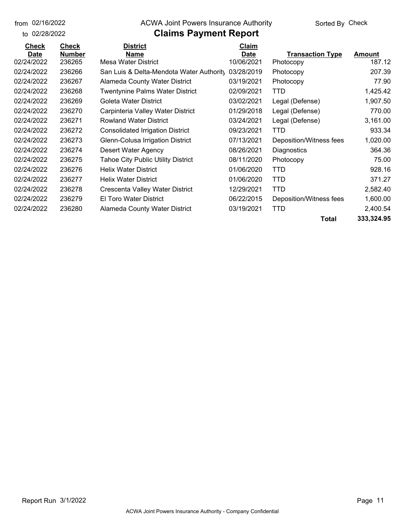to 02/28/2022 02/16/2022

#### from 02/16/2022 **The COVA Solic Act Act Authority** Sorted By Check

| <b>Check</b> | <b>Check</b> | <b>District</b>                           | Claim       |                         |               |
|--------------|--------------|-------------------------------------------|-------------|-------------------------|---------------|
| <b>Date</b>  | Number       | <b>Name</b>                               | <b>Date</b> | <b>Transaction Type</b> | <b>Amount</b> |
| 02/24/2022   | 236265       | Mesa Water District                       | 10/06/2021  | Photocopy               | 187.12        |
| 02/24/2022   | 236266       | San Luis & Delta-Mendota Water Authority  | 03/28/2019  | Photocopy               | 207.39        |
| 02/24/2022   | 236267       | <b>Alameda County Water District</b>      | 03/19/2021  | Photocopy               | 77.90         |
| 02/24/2022   | 236268       | <b>Twentynine Palms Water District</b>    | 02/09/2021  | TTD                     | 1,425.42      |
| 02/24/2022   | 236269       | Goleta Water District                     | 03/02/2021  | Legal (Defense)         | 1,907.50      |
| 02/24/2022   | 236270       | Carpinteria Valley Water District         | 01/29/2018  | Legal (Defense)         | 770.00        |
| 02/24/2022   | 236271       | <b>Rowland Water District</b>             | 03/24/2021  | Legal (Defense)         | 3,161.00      |
| 02/24/2022   | 236272       | <b>Consolidated Irrigation District</b>   | 09/23/2021  | TTD                     | 933.34        |
| 02/24/2022   | 236273       | Glenn-Colusa Irrigation District          | 07/13/2021  | Deposition/Witness fees | 1,020.00      |
| 02/24/2022   | 236274       | Desert Water Agency                       | 08/26/2021  | Diagnostics             | 364.36        |
| 02/24/2022   | 236275       | <b>Tahoe City Public Utility District</b> | 08/11/2020  | Photocopy               | 75.00         |
| 02/24/2022   | 236276       | <b>Helix Water District</b>               | 01/06/2020  | TTD                     | 928.16        |
| 02/24/2022   | 236277       | <b>Helix Water District</b>               | 01/06/2020  | <b>TTD</b>              | 371.27        |
| 02/24/2022   | 236278       | Crescenta Valley Water District           | 12/29/2021  | TTD                     | 2,582.40      |
| 02/24/2022   | 236279       | El Toro Water District                    | 06/22/2015  | Deposition/Witness fees | 1,600.00      |
| 02/24/2022   | 236280       | Alameda County Water District             | 03/19/2021  | TTD                     | 2,400.54      |
|              |              |                                           |             | Total                   | 333,324.95    |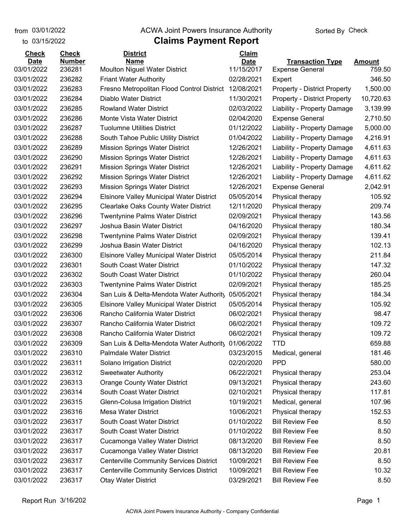from 03/01/2022

### **Claims Payment Report** from 03/01/2022 **The COVA Solic Act Act Authority** From 03/01/2022 **Sorted By Check**

| to 03/15/2022               |                               | <b>Claims Payment Report</b>                    |                             |                                     |               |
|-----------------------------|-------------------------------|-------------------------------------------------|-----------------------------|-------------------------------------|---------------|
| <b>Check</b><br><b>Date</b> | <b>Check</b><br><b>Number</b> | <b>District</b><br><b>Name</b>                  | <b>Claim</b><br><b>Date</b> | <b>Transaction Type</b>             | <b>Amount</b> |
| 03/01/2022                  | 236281                        | Moulton Niguel Water District                   | 11/15/2017                  | <b>Expense General</b>              | 759.50        |
| 03/01/2022                  | 236282                        | <b>Friant Water Authority</b>                   | 02/28/2021                  | Expert                              | 346.50        |
| 03/01/2022                  | 236283                        | Fresno Metropolitan Flood Control District      | 12/08/2021                  | <b>Property - District Property</b> | 1,500.00      |
| 03/01/2022                  | 236284                        | Diablo Water District                           | 11/30/2021                  | <b>Property - District Property</b> | 10,720.63     |
| 03/01/2022                  | 236285                        | <b>Rowland Water District</b>                   | 02/03/2022                  | Liability - Property Damage         | 3,139.99      |
| 03/01/2022                  | 236286                        | Monte Vista Water District                      | 02/04/2020                  | <b>Expense General</b>              | 2,710.50      |
| 03/01/2022                  | 236287                        | <b>Tuolumne Utilities District</b>              | 01/12/2022                  | Liability - Property Damage         | 5,000.00      |
| 03/01/2022                  | 236288                        | South Tahoe Public Utility District             | 01/04/2022                  | Liability - Property Damage         | 4,216.91      |
| 03/01/2022                  | 236289                        | <b>Mission Springs Water District</b>           | 12/26/2021                  | Liability - Property Damage         | 4,611.63      |
| 03/01/2022                  | 236290                        | <b>Mission Springs Water District</b>           | 12/26/2021                  | Liability - Property Damage         | 4,611.63      |
| 03/01/2022                  | 236291                        | <b>Mission Springs Water District</b>           | 12/26/2021                  | Liability - Property Damage         | 4,611.62      |
| 03/01/2022                  | 236292                        | <b>Mission Springs Water District</b>           | 12/26/2021                  | Liability - Property Damage         | 4,611.62      |
| 03/01/2022                  | 236293                        | <b>Mission Springs Water District</b>           | 12/26/2021                  | <b>Expense General</b>              | 2,042.91      |
| 03/01/2022                  | 236294                        | <b>Elsinore Valley Municipal Water District</b> | 05/05/2014                  | Physical therapy                    | 105.92        |
| 03/01/2022                  | 236295                        | <b>Clearlake Oaks County Water District</b>     | 12/11/2020                  | Physical therapy                    | 209.74        |
| 03/01/2022                  | 236296                        | <b>Twentynine Palms Water District</b>          | 02/09/2021                  | Physical therapy                    | 143.56        |
| 03/01/2022                  | 236297                        | Joshua Basin Water District                     | 04/16/2020                  | Physical therapy                    | 180.34        |
| 03/01/2022                  | 236298                        | Twentynine Palms Water District                 | 02/09/2021                  | Physical therapy                    | 139.41        |
| 03/01/2022                  | 236299                        | Joshua Basin Water District                     | 04/16/2020                  | Physical therapy                    | 102.13        |
| 03/01/2022                  | 236300                        | <b>Elsinore Valley Municipal Water District</b> | 05/05/2014                  | Physical therapy                    | 211.84        |
| 03/01/2022                  | 236301                        | South Coast Water District                      | 01/10/2022                  | Physical therapy                    | 147.32        |
| 03/01/2022                  | 236302                        | South Coast Water District                      | 01/10/2022                  | Physical therapy                    | 260.04        |
| 03/01/2022                  | 236303                        | <b>Twentynine Palms Water District</b>          | 02/09/2021                  | Physical therapy                    | 185.25        |
| 03/01/2022                  | 236304                        | San Luis & Delta-Mendota Water Authority        | 05/05/2021                  | Physical therapy                    | 184.34        |
| 03/01/2022                  | 236305                        | <b>Elsinore Valley Municipal Water District</b> | 05/05/2014                  | Physical therapy                    | 105.92        |
| 03/01/2022                  | 236306                        | Rancho California Water District                | 06/02/2021                  | Physical therapy                    | 98.47         |
| 03/01/2022                  | 236307                        | Rancho California Water District                | 06/02/2021                  | Physical therapy                    | 109.72        |
| 03/01/2022                  | 236308                        | Rancho California Water District                | 06/02/2021                  | Physical therapy                    | 109.72        |
| 03/01/2022                  | 236309                        | San Luis & Delta-Mendota Water Authority        | 01/06/2022                  | <b>TTD</b>                          | 659.88        |
| 03/01/2022                  | 236310                        | <b>Palmdale Water District</b>                  | 03/23/2015                  | Medical, general                    | 181.46        |
| 03/01/2022                  | 236311                        | Solano Irrigation District                      | 02/20/2020                  | <b>PPD</b>                          | 580.00        |
| 03/01/2022                  | 236312                        | <b>Sweetwater Authority</b>                     | 06/22/2021                  | Physical therapy                    | 253.04        |
| 03/01/2022                  | 236313                        | <b>Orange County Water District</b>             | 09/13/2021                  | Physical therapy                    | 243.60        |
| 03/01/2022                  | 236314                        | South Coast Water District                      | 02/10/2021                  | Physical therapy                    | 117.81        |
| 03/01/2022                  | 236315                        | Glenn-Colusa Irrigation District                | 10/19/2021                  | Medical, general                    | 107.96        |
| 03/01/2022                  | 236316                        | <b>Mesa Water District</b>                      | 10/06/2021                  | Physical therapy                    | 152.53        |
| 03/01/2022                  | 236317                        | South Coast Water District                      | 01/10/2022                  | <b>Bill Review Fee</b>              | 8.50          |
| 03/01/2022                  | 236317                        | South Coast Water District                      | 01/10/2022                  | <b>Bill Review Fee</b>              | 8.50          |
| 03/01/2022                  | 236317                        | Cucamonga Valley Water District                 | 08/13/2020                  | <b>Bill Review Fee</b>              | 8.50          |
| 03/01/2022                  | 236317                        | Cucamonga Valley Water District                 | 08/13/2020                  | <b>Bill Review Fee</b>              | 20.81         |
| 03/01/2022                  | 236317                        | <b>Centerville Community Services District</b>  | 10/09/2021                  | <b>Bill Review Fee</b>              | 8.50          |
| 03/01/2022                  | 236317                        | <b>Centerville Community Services District</b>  | 10/09/2021                  | <b>Bill Review Fee</b>              | 10.32         |
| 03/01/2022                  | 236317                        | <b>Otay Water District</b>                      | 03/29/2021                  | <b>Bill Review Fee</b>              | 8.50          |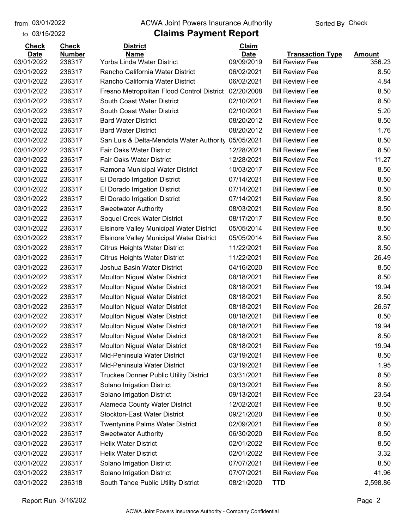to 03/15/2022

#### from 03/01/2022 **The COVA Solic Act Act Authority** Sorted By Check

| <b>Check</b> | <b>Check</b>  | <b>District</b>                                 | Claim       |                         |               |
|--------------|---------------|-------------------------------------------------|-------------|-------------------------|---------------|
| <b>Date</b>  | <b>Number</b> | <b>Name</b>                                     | <b>Date</b> | <b>Transaction Type</b> | <b>Amount</b> |
| 03/01/2022   | 236317        | Yorba Linda Water District                      | 09/09/2019  | <b>Bill Review Fee</b>  | 356.23        |
| 03/01/2022   | 236317        | Rancho California Water District                | 06/02/2021  | <b>Bill Review Fee</b>  | 8.50          |
| 03/01/2022   | 236317        | Rancho California Water District                | 06/02/2021  | <b>Bill Review Fee</b>  | 4.84          |
| 03/01/2022   | 236317        | Fresno Metropolitan Flood Control District      | 02/20/2008  | <b>Bill Review Fee</b>  | 8.50          |
| 03/01/2022   | 236317        | South Coast Water District                      | 02/10/2021  | <b>Bill Review Fee</b>  | 8.50          |
| 03/01/2022   | 236317        | South Coast Water District                      | 02/10/2021  | <b>Bill Review Fee</b>  | 5.20          |
| 03/01/2022   | 236317        | <b>Bard Water District</b>                      | 08/20/2012  | <b>Bill Review Fee</b>  | 8.50          |
| 03/01/2022   | 236317        | <b>Bard Water District</b>                      | 08/20/2012  | <b>Bill Review Fee</b>  | 1.76          |
| 03/01/2022   | 236317        | San Luis & Delta-Mendota Water Authority        | 05/05/2021  | <b>Bill Review Fee</b>  | 8.50          |
| 03/01/2022   | 236317        | <b>Fair Oaks Water District</b>                 | 12/28/2021  | <b>Bill Review Fee</b>  | 8.50          |
| 03/01/2022   | 236317        | <b>Fair Oaks Water District</b>                 | 12/28/2021  | <b>Bill Review Fee</b>  | 11.27         |
| 03/01/2022   | 236317        | Ramona Municipal Water District                 | 10/03/2017  | <b>Bill Review Fee</b>  | 8.50          |
| 03/01/2022   | 236317        | El Dorado Irrigation District                   | 07/14/2021  | <b>Bill Review Fee</b>  | 8.50          |
| 03/01/2022   | 236317        | El Dorado Irrigation District                   | 07/14/2021  | <b>Bill Review Fee</b>  | 8.50          |
| 03/01/2022   | 236317        | El Dorado Irrigation District                   | 07/14/2021  | <b>Bill Review Fee</b>  | 8.50          |
| 03/01/2022   | 236317        | <b>Sweetwater Authority</b>                     | 08/03/2021  | <b>Bill Review Fee</b>  | 8.50          |
| 03/01/2022   | 236317        | Soquel Creek Water District                     | 08/17/2017  | <b>Bill Review Fee</b>  | 8.50          |
| 03/01/2022   | 236317        | <b>Elsinore Valley Municipal Water District</b> | 05/05/2014  | <b>Bill Review Fee</b>  | 8.50          |
| 03/01/2022   | 236317        | <b>Elsinore Valley Municipal Water District</b> | 05/05/2014  | <b>Bill Review Fee</b>  | 8.50          |
| 03/01/2022   | 236317        | <b>Citrus Heights Water District</b>            | 11/22/2021  | <b>Bill Review Fee</b>  | 8.50          |
| 03/01/2022   | 236317        | <b>Citrus Heights Water District</b>            | 11/22/2021  | <b>Bill Review Fee</b>  | 26.49         |
| 03/01/2022   | 236317        | Joshua Basin Water District                     | 04/16/2020  | <b>Bill Review Fee</b>  | 8.50          |
| 03/01/2022   | 236317        | <b>Moulton Niguel Water District</b>            | 08/18/2021  | <b>Bill Review Fee</b>  | 8.50          |
| 03/01/2022   | 236317        | <b>Moulton Niguel Water District</b>            | 08/18/2021  | <b>Bill Review Fee</b>  | 19.94         |
| 03/01/2022   | 236317        | <b>Moulton Niguel Water District</b>            | 08/18/2021  | <b>Bill Review Fee</b>  | 8.50          |
| 03/01/2022   | 236317        | <b>Moulton Niguel Water District</b>            | 08/18/2021  | <b>Bill Review Fee</b>  | 26.67         |
| 03/01/2022   | 236317        | Moulton Niguel Water District                   | 08/18/2021  | <b>Bill Review Fee</b>  | 8.50          |
| 03/01/2022   | 236317        | Moulton Niguel Water District                   | 08/18/2021  | <b>Bill Review Fee</b>  | 19.94         |
| 03/01/2022   | 236317        | <b>Moulton Niguel Water District</b>            | 08/18/2021  | <b>Bill Review Fee</b>  | 8.50          |
| 03/01/2022   | 236317        | Moulton Niguel Water District                   | 08/18/2021  | <b>Bill Review Fee</b>  | 19.94         |
| 03/01/2022   | 236317        | Mid-Peninsula Water District                    | 03/19/2021  | <b>Bill Review Fee</b>  | 8.50          |
| 03/01/2022   | 236317        | Mid-Peninsula Water District                    | 03/19/2021  | <b>Bill Review Fee</b>  | 1.95          |
| 03/01/2022   | 236317        | <b>Truckee Donner Public Utility District</b>   | 03/31/2021  | <b>Bill Review Fee</b>  | 8.50          |
| 03/01/2022   | 236317        | Solano Irrigation District                      | 09/13/2021  | <b>Bill Review Fee</b>  | 8.50          |
| 03/01/2022   | 236317        | Solano Irrigation District                      | 09/13/2021  | <b>Bill Review Fee</b>  | 23.64         |
| 03/01/2022   | 236317        | Alameda County Water District                   | 12/02/2021  | <b>Bill Review Fee</b>  | 8.50          |
| 03/01/2022   | 236317        | <b>Stockton-East Water District</b>             | 09/21/2020  | <b>Bill Review Fee</b>  | 8.50          |
| 03/01/2022   | 236317        | <b>Twentynine Palms Water District</b>          | 02/09/2021  | <b>Bill Review Fee</b>  | 8.50          |
| 03/01/2022   | 236317        | <b>Sweetwater Authority</b>                     | 06/30/2020  | <b>Bill Review Fee</b>  | 8.50          |
| 03/01/2022   | 236317        | <b>Helix Water District</b>                     | 02/01/2022  | <b>Bill Review Fee</b>  | 8.50          |
| 03/01/2022   | 236317        | <b>Helix Water District</b>                     | 02/01/2022  | <b>Bill Review Fee</b>  | 3.32          |
| 03/01/2022   | 236317        | Solano Irrigation District                      | 07/07/2021  | <b>Bill Review Fee</b>  | 8.50          |
| 03/01/2022   | 236317        | Solano Irrigation District                      | 07/07/2021  | <b>Bill Review Fee</b>  | 41.96         |
| 03/01/2022   | 236318        | South Tahoe Public Utility District             | 08/21/2020  | <b>TTD</b>              | 2,598.86      |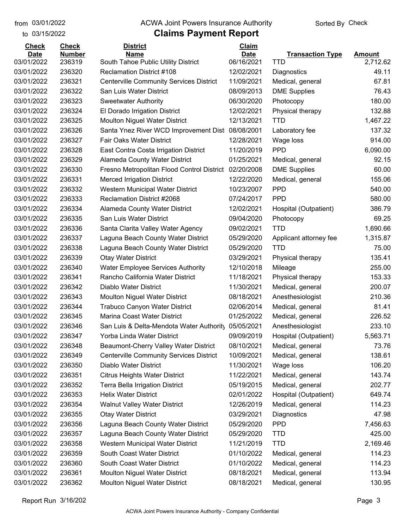to 03/15/2022

#### from 03/01/2022 **The COVA Solic Act Act Authority** Sorted By Check

| <b>Check</b>              | <b>Check</b>            | <b>District</b>                                                         | Claim                     |                                         |                           |
|---------------------------|-------------------------|-------------------------------------------------------------------------|---------------------------|-----------------------------------------|---------------------------|
| <b>Date</b><br>03/01/2022 | <b>Number</b><br>236319 | <b>Name</b>                                                             | <b>Date</b><br>06/16/2021 | <b>Transaction Type</b>                 | <b>Amount</b><br>2,712.62 |
| 03/01/2022                | 236320                  | South Tahoe Public Utility District<br><b>Reclamation District #108</b> | 12/02/2021                | TTD<br>Diagnostics                      | 49.11                     |
| 03/01/2022                | 236321                  | <b>Centerville Community Services District</b>                          | 11/09/2021                |                                         | 67.81                     |
| 03/01/2022                | 236322                  | San Luis Water District                                                 | 08/09/2013                | Medical, general<br><b>DME Supplies</b> | 76.43                     |
| 03/01/2022                | 236323                  |                                                                         | 06/30/2020                |                                         | 180.00                    |
| 03/01/2022                | 236324                  | <b>Sweetwater Authority</b>                                             | 12/02/2021                | Photocopy                               | 132.88                    |
| 03/01/2022                |                         | El Dorado Irrigation District                                           |                           | Physical therapy                        |                           |
|                           | 236325                  | <b>Moulton Niguel Water District</b>                                    | 12/13/2021                | TTD                                     | 1,467.22                  |
| 03/01/2022                | 236326                  | Santa Ynez River WCD Improvement Dist                                   | 08/08/2001                | Laboratory fee                          | 137.32                    |
| 03/01/2022                | 236327                  | Fair Oaks Water District                                                | 12/28/2021                | Wage loss                               | 914.00                    |
| 03/01/2022                | 236328                  | East Contra Costa Irrigation District                                   | 11/20/2019                | <b>PPD</b>                              | 6,090.00                  |
| 03/01/2022                | 236329                  | Alameda County Water District                                           | 01/25/2021                | Medical, general                        | 92.15                     |
| 03/01/2022                | 236330                  | Fresno Metropolitan Flood Control District                              | 02/20/2008                | <b>DME Supplies</b>                     | 60.00                     |
| 03/01/2022                | 236331                  | <b>Merced Irrigation District</b>                                       | 12/22/2020                | Medical, general                        | 155.06                    |
| 03/01/2022                | 236332                  | Western Municipal Water District                                        | 10/23/2007                | <b>PPD</b>                              | 540.00                    |
| 03/01/2022                | 236333                  | Reclamation District #2068                                              | 07/24/2017                | <b>PPD</b>                              | 580.00                    |
| 03/01/2022                | 236334                  | Alameda County Water District                                           | 12/02/2021                | Hospital (Outpatient)                   | 386.79                    |
| 03/01/2022                | 236335                  | San Luis Water District                                                 | 09/04/2020                | Photocopy                               | 69.25                     |
| 03/01/2022                | 236336                  | Santa Clarita Valley Water Agency                                       | 09/02/2021                | TTD                                     | 1,690.66                  |
| 03/01/2022                | 236337                  | Laguna Beach County Water District                                      | 05/29/2020                | Applicant attorney fee                  | 1,315.87                  |
| 03/01/2022                | 236338                  | Laguna Beach County Water District                                      | 05/29/2020                | <b>TTD</b>                              | 75.00                     |
| 03/01/2022                | 236339                  | <b>Otay Water District</b>                                              | 03/29/2021                | Physical therapy                        | 135.41                    |
| 03/01/2022                | 236340                  | <b>Water Employee Services Authority</b>                                | 12/10/2018                | Mileage                                 | 255.00                    |
| 03/01/2022                | 236341                  | Rancho California Water District                                        | 11/18/2021                | Physical therapy                        | 153.33                    |
| 03/01/2022                | 236342                  | Diablo Water District                                                   | 11/30/2021                | Medical, general                        | 200.07                    |
| 03/01/2022                | 236343                  | <b>Moulton Niguel Water District</b>                                    | 08/18/2021                | Anesthesiologist                        | 210.36                    |
| 03/01/2022                | 236344                  | Trabuco Canyon Water District                                           | 02/06/2014                | Medical, general                        | 81.41                     |
| 03/01/2022                | 236345                  | Marina Coast Water District                                             | 01/25/2022                | Medical, general                        | 226.52                    |
| 03/01/2022                | 236346                  | San Luis & Delta-Mendota Water Authority                                | 05/05/2021                | Anesthesiologist                        | 233.10                    |
| 03/01/2022                | 236347                  | Yorba Linda Water District                                              | 09/09/2019                | Hospital (Outpatient)                   | 5,563.71                  |
| 03/01/2022                | 236348                  | Beaumont-Cherry Valley Water District                                   | 08/10/2021                | Medical, general                        | 73.76                     |
| 03/01/2022                | 236349                  | <b>Centerville Community Services District</b>                          | 10/09/2021                | Medical, general                        | 138.61                    |
| 03/01/2022                | 236350                  | Diablo Water District                                                   | 11/30/2021                | Wage loss                               | 106.20                    |
| 03/01/2022                | 236351                  | <b>Citrus Heights Water District</b>                                    | 11/22/2021                | Medical, general                        | 143.74                    |
| 03/01/2022                | 236352                  | <b>Terra Bella Irrigation District</b>                                  | 05/19/2015                | Medical, general                        | 202.77                    |
| 03/01/2022                | 236353                  | <b>Helix Water District</b>                                             | 02/01/2022                | Hospital (Outpatient)                   | 649.74                    |
| 03/01/2022                | 236354                  | <b>Walnut Valley Water District</b>                                     | 12/26/2019                | Medical, general                        | 114.23                    |
| 03/01/2022                | 236355                  | <b>Otay Water District</b>                                              | 03/29/2021                | Diagnostics                             | 47.98                     |
| 03/01/2022                | 236356                  | Laguna Beach County Water District                                      | 05/29/2020                | <b>PPD</b>                              | 7,456.63                  |
| 03/01/2022                | 236357                  | Laguna Beach County Water District                                      | 05/29/2020                | <b>TTD</b>                              | 425.00                    |
| 03/01/2022                | 236358                  | Western Municipal Water District                                        | 11/21/2019                | <b>TTD</b>                              | 2,169.46                  |
| 03/01/2022                | 236359                  | South Coast Water District                                              | 01/10/2022                | Medical, general                        | 114.23                    |
| 03/01/2022                | 236360                  | South Coast Water District                                              | 01/10/2022                | Medical, general                        | 114.23                    |
| 03/01/2022                | 236361                  | Moulton Niguel Water District                                           | 08/18/2021                | Medical, general                        | 113.94                    |
| 03/01/2022                | 236362                  | Moulton Niguel Water District                                           | 08/18/2021                | Medical, general                        | 130.95                    |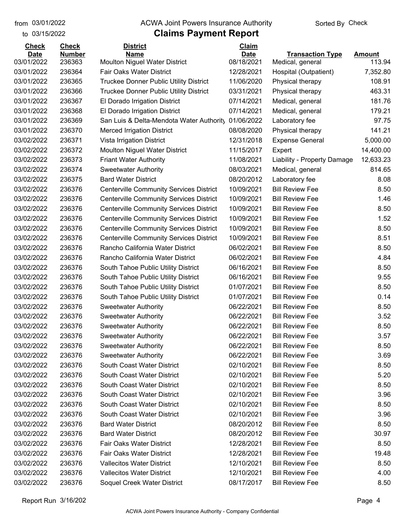to 03/15/2022

#### from 03/01/2022 **The COVA Solic Act Act Authority** Sorted By Check

| <b>Check</b> | <b>Check</b>  | <b>District</b>                                | Claim       |                             |               |
|--------------|---------------|------------------------------------------------|-------------|-----------------------------|---------------|
| <b>Date</b>  | <b>Number</b> | <b>Name</b>                                    | <b>Date</b> | <b>Transaction Type</b>     | <b>Amount</b> |
| 03/01/2022   | 236363        | <b>Moulton Niguel Water District</b>           | 08/18/2021  | Medical, general            | 113.94        |
| 03/01/2022   | 236364        | Fair Oaks Water District                       | 12/28/2021  | Hospital (Outpatient)       | 7,352.80      |
| 03/01/2022   | 236365        | Truckee Donner Public Utility District         | 11/06/2020  | Physical therapy            | 108.91        |
| 03/01/2022   | 236366        | <b>Truckee Donner Public Utility District</b>  | 03/31/2021  | Physical therapy            | 463.31        |
| 03/01/2022   | 236367        | El Dorado Irrigation District                  | 07/14/2021  | Medical, general            | 181.76        |
| 03/01/2022   | 236368        | El Dorado Irrigation District                  | 07/14/2021  | Medical, general            | 179.21        |
| 03/01/2022   | 236369        | San Luis & Delta-Mendota Water Authority       | 01/06/2022  | Laboratory fee              | 97.75         |
| 03/01/2022   | 236370        | <b>Merced Irrigation District</b>              | 08/08/2020  | Physical therapy            | 141.21        |
| 03/02/2022   | 236371        | Vista Irrigation District                      | 12/31/2018  | <b>Expense General</b>      | 5,000.00      |
| 03/02/2022   | 236372        | <b>Moulton Niguel Water District</b>           | 11/15/2017  | Expert                      | 14,400.00     |
| 03/02/2022   | 236373        | <b>Friant Water Authority</b>                  | 11/08/2021  | Liability - Property Damage | 12,633.23     |
| 03/02/2022   | 236374        | <b>Sweetwater Authority</b>                    | 08/03/2021  | Medical, general            | 814.65        |
| 03/02/2022   | 236375        | <b>Bard Water District</b>                     | 08/20/2012  | Laboratory fee              | 8.08          |
| 03/02/2022   | 236376        | <b>Centerville Community Services District</b> | 10/09/2021  | <b>Bill Review Fee</b>      | 8.50          |
| 03/02/2022   | 236376        | <b>Centerville Community Services District</b> | 10/09/2021  | <b>Bill Review Fee</b>      | 1.46          |
| 03/02/2022   | 236376        | <b>Centerville Community Services District</b> | 10/09/2021  | <b>Bill Review Fee</b>      | 8.50          |
| 03/02/2022   | 236376        | <b>Centerville Community Services District</b> | 10/09/2021  | <b>Bill Review Fee</b>      | 1.52          |
| 03/02/2022   | 236376        | <b>Centerville Community Services District</b> | 10/09/2021  | <b>Bill Review Fee</b>      | 8.50          |
| 03/02/2022   | 236376        | <b>Centerville Community Services District</b> | 10/09/2021  | <b>Bill Review Fee</b>      | 8.51          |
| 03/02/2022   | 236376        | Rancho California Water District               | 06/02/2021  | <b>Bill Review Fee</b>      | 8.50          |
| 03/02/2022   | 236376        | Rancho California Water District               | 06/02/2021  | <b>Bill Review Fee</b>      | 4.84          |
| 03/02/2022   | 236376        | South Tahoe Public Utility District            | 06/16/2021  | <b>Bill Review Fee</b>      | 8.50          |
| 03/02/2022   | 236376        | South Tahoe Public Utility District            | 06/16/2021  | <b>Bill Review Fee</b>      | 9.55          |
| 03/02/2022   | 236376        | South Tahoe Public Utility District            | 01/07/2021  | <b>Bill Review Fee</b>      | 8.50          |
| 03/02/2022   | 236376        | South Tahoe Public Utility District            | 01/07/2021  | <b>Bill Review Fee</b>      | 0.14          |
| 03/02/2022   | 236376        | <b>Sweetwater Authority</b>                    | 06/22/2021  | <b>Bill Review Fee</b>      | 8.50          |
| 03/02/2022   | 236376        | <b>Sweetwater Authority</b>                    | 06/22/2021  | <b>Bill Review Fee</b>      | 3.52          |
| 03/02/2022   | 236376        | <b>Sweetwater Authority</b>                    | 06/22/2021  | <b>Bill Review Fee</b>      | 8.50          |
| 03/02/2022   | 236376        | <b>Sweetwater Authority</b>                    | 06/22/2021  | <b>Bill Review Fee</b>      | 3.57          |
| 03/02/2022   | 236376        | <b>Sweetwater Authority</b>                    | 06/22/2021  | <b>Bill Review Fee</b>      | 8.50          |
| 03/02/2022   | 236376        | <b>Sweetwater Authority</b>                    | 06/22/2021  | <b>Bill Review Fee</b>      | 3.69          |
| 03/02/2022   | 236376        | South Coast Water District                     | 02/10/2021  | <b>Bill Review Fee</b>      | 8.50          |
| 03/02/2022   | 236376        | South Coast Water District                     | 02/10/2021  | <b>Bill Review Fee</b>      | 5.20          |
| 03/02/2022   | 236376        | South Coast Water District                     | 02/10/2021  | <b>Bill Review Fee</b>      | 8.50          |
| 03/02/2022   | 236376        | South Coast Water District                     | 02/10/2021  | <b>Bill Review Fee</b>      | 3.96          |
| 03/02/2022   | 236376        | South Coast Water District                     | 02/10/2021  | <b>Bill Review Fee</b>      | 8.50          |
| 03/02/2022   | 236376        | South Coast Water District                     | 02/10/2021  | <b>Bill Review Fee</b>      | 3.96          |
| 03/02/2022   | 236376        | <b>Bard Water District</b>                     | 08/20/2012  | <b>Bill Review Fee</b>      | 8.50          |
| 03/02/2022   | 236376        | <b>Bard Water District</b>                     | 08/20/2012  | <b>Bill Review Fee</b>      | 30.97         |
| 03/02/2022   | 236376        | <b>Fair Oaks Water District</b>                | 12/28/2021  | <b>Bill Review Fee</b>      | 8.50          |
| 03/02/2022   | 236376        | <b>Fair Oaks Water District</b>                | 12/28/2021  | <b>Bill Review Fee</b>      | 19.48         |
| 03/02/2022   | 236376        | <b>Vallecitos Water District</b>               | 12/10/2021  | <b>Bill Review Fee</b>      | 8.50          |
| 03/02/2022   | 236376        | <b>Vallecitos Water District</b>               | 12/10/2021  | <b>Bill Review Fee</b>      | 4.00          |
| 03/02/2022   | 236376        | Soquel Creek Water District                    | 08/17/2017  | <b>Bill Review Fee</b>      | 8.50          |
|              |               |                                                |             |                             |               |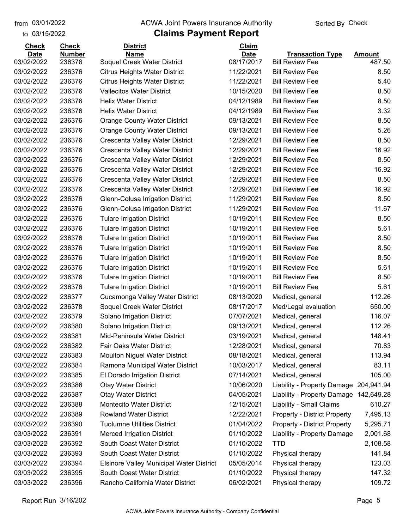to 03/15/2022 03/01/2022

#### from 03/01/2022 **The COVA Solic Act Act Authority** Sorted By Check

| <b>Check</b> | <b>Check</b>  | <b>District</b>                                 | Claim       |                                     |               |
|--------------|---------------|-------------------------------------------------|-------------|-------------------------------------|---------------|
| <b>Date</b>  | <b>Number</b> | <b>Name</b>                                     | <b>Date</b> | <b>Transaction Type</b>             | <b>Amount</b> |
| 03/02/2022   | 236376        | Soquel Creek Water District                     | 08/17/2017  | <b>Bill Review Fee</b>              | 487.50        |
| 03/02/2022   | 236376        | Citrus Heights Water District                   | 11/22/2021  | <b>Bill Review Fee</b>              | 8.50          |
| 03/02/2022   | 236376        | <b>Citrus Heights Water District</b>            | 11/22/2021  | <b>Bill Review Fee</b>              | 5.40          |
| 03/02/2022   | 236376        | <b>Vallecitos Water District</b>                | 10/15/2020  | <b>Bill Review Fee</b>              | 8.50          |
| 03/02/2022   | 236376        | <b>Helix Water District</b>                     | 04/12/1989  | <b>Bill Review Fee</b>              | 8.50          |
| 03/02/2022   | 236376        | <b>Helix Water District</b>                     | 04/12/1989  | <b>Bill Review Fee</b>              | 3.32          |
| 03/02/2022   | 236376        | Orange County Water District                    | 09/13/2021  | <b>Bill Review Fee</b>              | 8.50          |
| 03/02/2022   | 236376        | <b>Orange County Water District</b>             | 09/13/2021  | <b>Bill Review Fee</b>              | 5.26          |
| 03/02/2022   | 236376        | Crescenta Valley Water District                 | 12/29/2021  | <b>Bill Review Fee</b>              | 8.50          |
| 03/02/2022   | 236376        | Crescenta Valley Water District                 | 12/29/2021  | <b>Bill Review Fee</b>              | 16.92         |
| 03/02/2022   | 236376        | Crescenta Valley Water District                 | 12/29/2021  | <b>Bill Review Fee</b>              | 8.50          |
| 03/02/2022   | 236376        | Crescenta Valley Water District                 | 12/29/2021  | <b>Bill Review Fee</b>              | 16.92         |
| 03/02/2022   | 236376        | Crescenta Valley Water District                 | 12/29/2021  | <b>Bill Review Fee</b>              | 8.50          |
| 03/02/2022   | 236376        | Crescenta Valley Water District                 | 12/29/2021  | <b>Bill Review Fee</b>              | 16.92         |
| 03/02/2022   | 236376        | Glenn-Colusa Irrigation District                | 11/29/2021  | <b>Bill Review Fee</b>              | 8.50          |
| 03/02/2022   | 236376        | Glenn-Colusa Irrigation District                | 11/29/2021  | <b>Bill Review Fee</b>              | 11.67         |
| 03/02/2022   | 236376        | <b>Tulare Irrigation District</b>               | 10/19/2011  | <b>Bill Review Fee</b>              | 8.50          |
| 03/02/2022   | 236376        | <b>Tulare Irrigation District</b>               | 10/19/2011  | <b>Bill Review Fee</b>              | 5.61          |
| 03/02/2022   | 236376        | <b>Tulare Irrigation District</b>               | 10/19/2011  | <b>Bill Review Fee</b>              | 8.50          |
| 03/02/2022   | 236376        | <b>Tulare Irrigation District</b>               | 10/19/2011  | <b>Bill Review Fee</b>              | 8.50          |
| 03/02/2022   | 236376        | <b>Tulare Irrigation District</b>               | 10/19/2011  | <b>Bill Review Fee</b>              | 8.50          |
| 03/02/2022   | 236376        | <b>Tulare Irrigation District</b>               | 10/19/2011  | <b>Bill Review Fee</b>              | 5.61          |
| 03/02/2022   | 236376        | <b>Tulare Irrigation District</b>               | 10/19/2011  | <b>Bill Review Fee</b>              | 8.50          |
| 03/02/2022   | 236376        | <b>Tulare Irrigation District</b>               | 10/19/2011  | <b>Bill Review Fee</b>              | 5.61          |
| 03/02/2022   | 236377        | Cucamonga Valley Water District                 | 08/13/2020  | Medical, general                    | 112.26        |
| 03/02/2022   | 236378        | Soquel Creek Water District                     | 08/17/2017  | Med/Legal evaluation                | 650.00        |
| 03/02/2022   | 236379        | Solano Irrigation District                      | 07/07/2021  | Medical, general                    | 116.07        |
| 03/02/2022   | 236380        | Solano Irrigation District                      | 09/13/2021  | Medical, general                    | 112.26        |
| 03/02/2022   | 236381        | Mid-Peninsula Water District                    | 03/19/2021  | Medical, general                    | 148.41        |
| 03/02/2022   | 236382        | <b>Fair Oaks Water District</b>                 | 12/28/2021  | Medical, general                    | 70.83         |
| 03/02/2022   | 236383        | Moulton Niguel Water District                   | 08/18/2021  | Medical, general                    | 113.94        |
| 03/02/2022   | 236384        | Ramona Municipal Water District                 | 10/03/2017  | Medical, general                    | 83.11         |
| 03/02/2022   | 236385        | El Dorado Irrigation District                   | 07/14/2021  | Medical, general                    | 105.00        |
| 03/03/2022   | 236386        | <b>Otay Water District</b>                      | 10/06/2020  | Liability - Property Damage         | 204,941.94    |
| 03/03/2022   | 236387        | <b>Otay Water District</b>                      | 04/05/2021  | Liability - Property Damage         | 142,649.28    |
| 03/03/2022   | 236388        | Montecito Water District                        | 12/15/2021  | Liability - Small Claims            | 610.27        |
| 03/03/2022   | 236389        | <b>Rowland Water District</b>                   | 12/22/2021  | <b>Property - District Property</b> | 7,495.13      |
| 03/03/2022   | 236390        | <b>Tuolumne Utilities District</b>              | 01/04/2022  | <b>Property - District Property</b> | 5,295.71      |
| 03/03/2022   | 236391        | <b>Merced Irrigation District</b>               | 01/10/2022  | Liability - Property Damage         | 2,001.68      |
| 03/03/2022   | 236392        | South Coast Water District                      | 01/10/2022  | <b>TTD</b>                          | 2,108.58      |
| 03/03/2022   | 236393        | South Coast Water District                      | 01/10/2022  | Physical therapy                    | 141.84        |
| 03/03/2022   | 236394        | <b>Elsinore Valley Municipal Water District</b> | 05/05/2014  | Physical therapy                    | 123.03        |
| 03/03/2022   | 236395        | South Coast Water District                      | 01/10/2022  | Physical therapy                    | 147.32        |
| 03/03/2022   | 236396        | Rancho California Water District                | 06/02/2021  | Physical therapy                    | 109.72        |
|              |               |                                                 |             |                                     |               |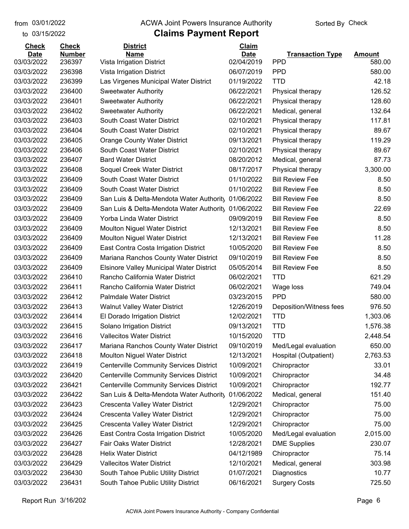to 03/15/2022 03/01/2022

#### from 03/01/2022 **The COVA Solic Act Act Authority** Sorted By Check

| <b>Check</b> | <b>Check</b>  | <b>District</b>                                 | Claim       |                         |          |
|--------------|---------------|-------------------------------------------------|-------------|-------------------------|----------|
| <b>Date</b>  | <b>Number</b> | <b>Name</b>                                     | <b>Date</b> | <b>Transaction Type</b> | Amount   |
| 03/03/2022   | 236397        | Vista Irrigation District                       | 02/04/2019  | <b>PPD</b>              | 580.00   |
| 03/03/2022   | 236398        | Vista Irrigation District                       | 06/07/2019  | <b>PPD</b>              | 580.00   |
| 03/03/2022   | 236399        | Las Virgenes Municipal Water District           | 01/19/2022  | <b>TTD</b>              | 42.18    |
| 03/03/2022   | 236400        | <b>Sweetwater Authority</b>                     | 06/22/2021  | Physical therapy        | 126.52   |
| 03/03/2022   | 236401        | <b>Sweetwater Authority</b>                     | 06/22/2021  | Physical therapy        | 128.60   |
| 03/03/2022   | 236402        | <b>Sweetwater Authority</b>                     | 06/22/2021  | Medical, general        | 132.64   |
| 03/03/2022   | 236403        | South Coast Water District                      | 02/10/2021  | Physical therapy        | 117.81   |
| 03/03/2022   | 236404        | South Coast Water District                      | 02/10/2021  | Physical therapy        | 89.67    |
| 03/03/2022   | 236405        | <b>Orange County Water District</b>             | 09/13/2021  | Physical therapy        | 119.29   |
| 03/03/2022   | 236406        | South Coast Water District                      | 02/10/2021  | Physical therapy        | 89.67    |
| 03/03/2022   | 236407        | <b>Bard Water District</b>                      | 08/20/2012  | Medical, general        | 87.73    |
| 03/03/2022   | 236408        | Soquel Creek Water District                     | 08/17/2017  | Physical therapy        | 3,300.00 |
| 03/03/2022   | 236409        | South Coast Water District                      | 01/10/2022  | <b>Bill Review Fee</b>  | 8.50     |
| 03/03/2022   | 236409        | South Coast Water District                      | 01/10/2022  | <b>Bill Review Fee</b>  | 8.50     |
| 03/03/2022   | 236409        | San Luis & Delta-Mendota Water Authority        | 01/06/2022  | <b>Bill Review Fee</b>  | 8.50     |
| 03/03/2022   | 236409        | San Luis & Delta-Mendota Water Authority        | 01/06/2022  | <b>Bill Review Fee</b>  | 22.69    |
| 03/03/2022   | 236409        | Yorba Linda Water District                      | 09/09/2019  | <b>Bill Review Fee</b>  | 8.50     |
| 03/03/2022   | 236409        | Moulton Niguel Water District                   | 12/13/2021  | <b>Bill Review Fee</b>  | 8.50     |
| 03/03/2022   | 236409        | <b>Moulton Niguel Water District</b>            | 12/13/2021  | <b>Bill Review Fee</b>  | 11.28    |
| 03/03/2022   | 236409        | East Contra Costa Irrigation District           | 10/05/2020  | <b>Bill Review Fee</b>  | 8.50     |
| 03/03/2022   | 236409        | Mariana Ranchos County Water District           | 09/10/2019  | <b>Bill Review Fee</b>  | 8.50     |
| 03/03/2022   | 236409        | <b>Elsinore Valley Municipal Water District</b> | 05/05/2014  | <b>Bill Review Fee</b>  | 8.50     |
| 03/03/2022   | 236410        | Rancho California Water District                | 06/02/2021  | TTD                     | 621.29   |
| 03/03/2022   | 236411        | Rancho California Water District                | 06/02/2021  | Wage loss               | 749.04   |
| 03/03/2022   | 236412        | <b>Palmdale Water District</b>                  | 03/23/2015  | <b>PPD</b>              | 580.00   |
| 03/03/2022   | 236413        | <b>Walnut Valley Water District</b>             | 12/26/2019  | Deposition/Witness fees | 976.50   |
| 03/03/2022   | 236414        | El Dorado Irrigation District                   | 12/02/2021  | <b>TTD</b>              | 1,303.06 |
| 03/03/2022   | 236415        | Solano Irrigation District                      | 09/13/2021  | <b>TTD</b>              | 1,576.38 |
| 03/03/2022   | 236416        | <b>Vallecitos Water District</b>                | 10/15/2020  | <b>TTD</b>              | 2,448.54 |
| 03/03/2022   | 236417        | Mariana Ranchos County Water District           | 09/10/2019  | Med/Legal evaluation    | 650.00   |
| 03/03/2022   | 236418        | <b>Moulton Niguel Water District</b>            | 12/13/2021  | Hospital (Outpatient)   | 2,763.53 |
| 03/03/2022   | 236419        | <b>Centerville Community Services District</b>  | 10/09/2021  | Chiropractor            | 33.01    |
| 03/03/2022   | 236420        | <b>Centerville Community Services District</b>  | 10/09/2021  | Chiropractor            | 34.48    |
| 03/03/2022   | 236421        | <b>Centerville Community Services District</b>  | 10/09/2021  | Chiropractor            | 192.77   |
| 03/03/2022   | 236422        | San Luis & Delta-Mendota Water Authority        | 01/06/2022  | Medical, general        | 151.40   |
| 03/03/2022   | 236423        | Crescenta Valley Water District                 | 12/29/2021  | Chiropractor            | 75.00    |
| 03/03/2022   | 236424        | Crescenta Valley Water District                 | 12/29/2021  | Chiropractor            | 75.00    |
| 03/03/2022   | 236425        | Crescenta Valley Water District                 | 12/29/2021  | Chiropractor            | 75.00    |
| 03/03/2022   | 236426        | East Contra Costa Irrigation District           | 10/05/2020  | Med/Legal evaluation    | 2,015.00 |
| 03/03/2022   | 236427        | Fair Oaks Water District                        | 12/28/2021  | <b>DME Supplies</b>     | 230.07   |
| 03/03/2022   | 236428        | <b>Helix Water District</b>                     | 04/12/1989  | Chiropractor            | 75.14    |
| 03/03/2022   | 236429        | <b>Vallecitos Water District</b>                | 12/10/2021  | Medical, general        | 303.98   |
| 03/03/2022   | 236430        | South Tahoe Public Utility District             | 01/07/2021  | Diagnostics             | 10.77    |
| 03/03/2022   | 236431        | South Tahoe Public Utility District             | 06/16/2021  | <b>Surgery Costs</b>    | 725.50   |
|              |               |                                                 |             |                         |          |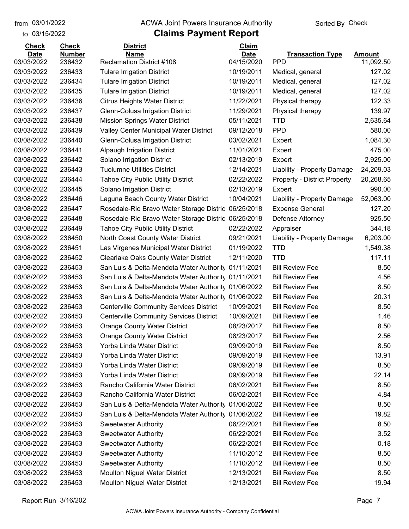#### from 03/01/2022 **The COVA Solic Act Act Authority** Sorted By Check

to 03/15/2022

| <b>Check</b> | <b>Check</b>  | <b>District</b>                                     | Claim       |                                     |               |
|--------------|---------------|-----------------------------------------------------|-------------|-------------------------------------|---------------|
| <b>Date</b>  | <b>Number</b> | <b>Name</b>                                         | <b>Date</b> | <b>Transaction Type</b>             | <b>Amount</b> |
| 03/03/2022   | 236432        | <b>Reclamation District #108</b>                    | 04/15/2020  | <b>PPD</b>                          | 11,092.50     |
| 03/03/2022   | 236433        | <b>Tulare Irrigation District</b>                   | 10/19/2011  | Medical, general                    | 127.02        |
| 03/03/2022   | 236434        | <b>Tulare Irrigation District</b>                   | 10/19/2011  | Medical, general                    | 127.02        |
| 03/03/2022   | 236435        | <b>Tulare Irrigation District</b>                   | 10/19/2011  | Medical, general                    | 127.02        |
| 03/03/2022   | 236436        | <b>Citrus Heights Water District</b>                | 11/22/2021  | Physical therapy                    | 122.33        |
| 03/03/2022   | 236437        | Glenn-Colusa Irrigation District                    | 11/29/2021  | Physical therapy                    | 139.97        |
| 03/03/2022   | 236438        | <b>Mission Springs Water District</b>               | 05/11/2021  | <b>TTD</b>                          | 2,635.64      |
| 03/03/2022   | 236439        | Valley Center Municipal Water District              | 09/12/2018  | <b>PPD</b>                          | 580.00        |
| 03/08/2022   | 236440        | Glenn-Colusa Irrigation District                    | 03/02/2021  | Expert                              | 1,084.30      |
| 03/08/2022   | 236441        | <b>Alpaugh Irrigation District</b>                  | 11/01/2021  | Expert                              | 475.00        |
| 03/08/2022   | 236442        | Solano Irrigation District                          | 02/13/2019  | Expert                              | 2,925.00      |
| 03/08/2022   | 236443        | <b>Tuolumne Utilities District</b>                  | 12/14/2021  | Liability - Property Damage         | 24,209.03     |
| 03/08/2022   | 236444        | <b>Tahoe City Public Utility District</b>           | 02/22/2022  | <b>Property - District Property</b> | 20,268.65     |
| 03/08/2022   | 236445        | Solano Irrigation District                          | 02/13/2019  | Expert                              | 990.00        |
| 03/08/2022   | 236446        | Laguna Beach County Water District                  | 10/04/2021  | Liability - Property Damage         | 52,063.00     |
| 03/08/2022   | 236447        | Rosedale-Rio Bravo Water Storage Distric            | 06/25/2018  | <b>Expense General</b>              | 127.20        |
| 03/08/2022   | 236448        | Rosedale-Rio Bravo Water Storage Distric 06/25/2018 |             | Defense Attorney                    | 925.50        |
| 03/08/2022   | 236449        | <b>Tahoe City Public Utility District</b>           | 02/22/2022  | Appraiser                           | 344.18        |
| 03/08/2022   | 236450        | North Coast County Water District                   | 09/21/2021  | Liability - Property Damage         | 6,203.00      |
| 03/08/2022   | 236451        | Las Virgenes Municipal Water District               | 01/19/2022  | <b>TTD</b>                          | 1,549.38      |
| 03/08/2022   | 236452        | <b>Clearlake Oaks County Water District</b>         | 12/11/2020  | <b>TTD</b>                          | 117.11        |
| 03/08/2022   | 236453        | San Luis & Delta-Mendota Water Authority            | 01/11/2021  | <b>Bill Review Fee</b>              | 8.50          |
| 03/08/2022   | 236453        | San Luis & Delta-Mendota Water Authority 01/11/2021 |             | <b>Bill Review Fee</b>              | 4.56          |
| 03/08/2022   | 236453        | San Luis & Delta-Mendota Water Authority 01/06/2022 |             | <b>Bill Review Fee</b>              | 8.50          |
| 03/08/2022   | 236453        | San Luis & Delta-Mendota Water Authority            | 01/06/2022  | <b>Bill Review Fee</b>              | 20.31         |
| 03/08/2022   | 236453        | <b>Centerville Community Services District</b>      | 10/09/2021  | <b>Bill Review Fee</b>              | 8.50          |
| 03/08/2022   | 236453        | <b>Centerville Community Services District</b>      | 10/09/2021  | <b>Bill Review Fee</b>              | 1.46          |
| 03/08/2022   | 236453        | <b>Orange County Water District</b>                 | 08/23/2017  | <b>Bill Review Fee</b>              | 8.50          |
| 03/08/2022   | 236453        | <b>Orange County Water District</b>                 | 08/23/2017  | <b>Bill Review Fee</b>              | 2.56          |
| 03/08/2022   | 236453        | Yorba Linda Water District                          | 09/09/2019  | <b>Bill Review Fee</b>              | 8.50          |
| 03/08/2022   | 236453        | Yorba Linda Water District                          | 09/09/2019  | <b>Bill Review Fee</b>              | 13.91         |
| 03/08/2022   | 236453        | Yorba Linda Water District                          | 09/09/2019  | <b>Bill Review Fee</b>              | 8.50          |
| 03/08/2022   | 236453        | Yorba Linda Water District                          | 09/09/2019  | <b>Bill Review Fee</b>              | 22.14         |
| 03/08/2022   | 236453        | Rancho California Water District                    | 06/02/2021  | <b>Bill Review Fee</b>              | 8.50          |
| 03/08/2022   | 236453        | Rancho California Water District                    | 06/02/2021  | <b>Bill Review Fee</b>              | 4.84          |
| 03/08/2022   | 236453        | San Luis & Delta-Mendota Water Authority            | 01/06/2022  | <b>Bill Review Fee</b>              | 8.50          |
| 03/08/2022   | 236453        | San Luis & Delta-Mendota Water Authority            | 01/06/2022  | <b>Bill Review Fee</b>              | 19.82         |
| 03/08/2022   | 236453        | <b>Sweetwater Authority</b>                         | 06/22/2021  | <b>Bill Review Fee</b>              | 8.50          |
| 03/08/2022   | 236453        | <b>Sweetwater Authority</b>                         | 06/22/2021  | <b>Bill Review Fee</b>              | 3.52          |
| 03/08/2022   | 236453        | <b>Sweetwater Authority</b>                         | 06/22/2021  | <b>Bill Review Fee</b>              | 0.18          |
| 03/08/2022   | 236453        | <b>Sweetwater Authority</b>                         | 11/10/2012  | <b>Bill Review Fee</b>              | 8.50          |
| 03/08/2022   | 236453        | <b>Sweetwater Authority</b>                         | 11/10/2012  | <b>Bill Review Fee</b>              | 8.50          |
| 03/08/2022   | 236453        | <b>Moulton Niguel Water District</b>                | 12/13/2021  | <b>Bill Review Fee</b>              | 8.50          |
| 03/08/2022   | 236453        | Moulton Niguel Water District                       | 12/13/2021  | <b>Bill Review Fee</b>              | 19.94         |
|              |               |                                                     |             |                                     |               |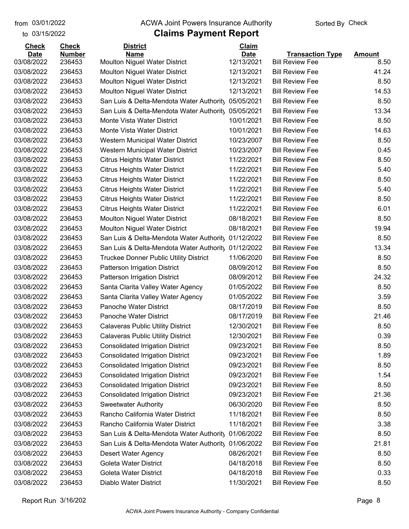to 03/15/2022

#### from 03/01/2022 **The COVA Solic Act Act Authority** Sorted By Check

# **Claims Payment Report**

| <b>Check</b>              | <b>Check</b>            | <b>District</b>                                     | Claim                     |                                                   |                       |
|---------------------------|-------------------------|-----------------------------------------------------|---------------------------|---------------------------------------------------|-----------------------|
| <b>Date</b><br>03/08/2022 | <b>Number</b><br>236453 | <b>Name</b><br><b>Moulton Niguel Water District</b> | <b>Date</b><br>12/13/2021 | <b>Transaction Type</b><br><b>Bill Review Fee</b> | <b>Amount</b><br>8.50 |
|                           | 236453                  |                                                     |                           |                                                   | 41.24                 |
| 03/08/2022                |                         | <b>Moulton Niguel Water District</b>                | 12/13/2021                | <b>Bill Review Fee</b><br><b>Bill Review Fee</b>  |                       |
| 03/08/2022                | 236453                  | <b>Moulton Niguel Water District</b>                | 12/13/2021                |                                                   | 8.50                  |
| 03/08/2022                | 236453                  | <b>Moulton Niguel Water District</b>                | 12/13/2021                | <b>Bill Review Fee</b>                            | 14.53                 |
| 03/08/2022                | 236453                  | San Luis & Delta-Mendota Water Authority            | 05/05/2021                | <b>Bill Review Fee</b>                            | 8.50                  |
| 03/08/2022                | 236453                  | San Luis & Delta-Mendota Water Authority            | 05/05/2021                | <b>Bill Review Fee</b>                            | 13.34                 |
| 03/08/2022                | 236453                  | Monte Vista Water District                          | 10/01/2021                | <b>Bill Review Fee</b>                            | 8.50                  |
| 03/08/2022                | 236453                  | Monte Vista Water District                          | 10/01/2021                | <b>Bill Review Fee</b>                            | 14.63                 |
| 03/08/2022                | 236453                  | Western Municipal Water District                    | 10/23/2007                | <b>Bill Review Fee</b>                            | 8.50                  |
| 03/08/2022                | 236453                  | Western Municipal Water District                    | 10/23/2007                | <b>Bill Review Fee</b>                            | 0.45                  |
| 03/08/2022                | 236453                  | <b>Citrus Heights Water District</b>                | 11/22/2021                | <b>Bill Review Fee</b>                            | 8.50                  |
| 03/08/2022                | 236453                  | <b>Citrus Heights Water District</b>                | 11/22/2021                | <b>Bill Review Fee</b>                            | 5.40                  |
| 03/08/2022                | 236453                  | <b>Citrus Heights Water District</b>                | 11/22/2021                | <b>Bill Review Fee</b>                            | 8.50                  |
| 03/08/2022                | 236453                  | <b>Citrus Heights Water District</b>                | 11/22/2021                | <b>Bill Review Fee</b>                            | 5.40                  |
| 03/08/2022                | 236453                  | <b>Citrus Heights Water District</b>                | 11/22/2021                | <b>Bill Review Fee</b>                            | 8.50                  |
| 03/08/2022                | 236453                  | <b>Citrus Heights Water District</b>                | 11/22/2021                | <b>Bill Review Fee</b>                            | 6.01                  |
| 03/08/2022                | 236453                  | <b>Moulton Niguel Water District</b>                | 08/18/2021                | <b>Bill Review Fee</b>                            | 8.50                  |
| 03/08/2022                | 236453                  | <b>Moulton Niguel Water District</b>                | 08/18/2021                | <b>Bill Review Fee</b>                            | 19.94                 |
| 03/08/2022                | 236453                  | San Luis & Delta-Mendota Water Authority            | 01/12/2022                | <b>Bill Review Fee</b>                            | 8.50                  |
| 03/08/2022                | 236453                  | San Luis & Delta-Mendota Water Authority            | 01/12/2022                | <b>Bill Review Fee</b>                            | 13.34                 |
| 03/08/2022                | 236453                  | <b>Truckee Donner Public Utility District</b>       | 11/06/2020                | <b>Bill Review Fee</b>                            | 8.50                  |
| 03/08/2022                | 236453                  | <b>Patterson Irrigation District</b>                | 08/09/2012                | <b>Bill Review Fee</b>                            | 8.50                  |
| 03/08/2022                | 236453                  | <b>Patterson Irrigation District</b>                | 08/09/2012                | <b>Bill Review Fee</b>                            | 24.32                 |
| 03/08/2022                | 236453                  | Santa Clarita Valley Water Agency                   | 01/05/2022                | <b>Bill Review Fee</b>                            | 8.50                  |
| 03/08/2022                | 236453                  | Santa Clarita Valley Water Agency                   | 01/05/2022                | <b>Bill Review Fee</b>                            | 3.59                  |
| 03/08/2022                | 236453                  | Panoche Water District                              | 08/17/2019                | <b>Bill Review Fee</b>                            | 8.50                  |
| 03/08/2022                | 236453                  | Panoche Water District                              | 08/17/2019                | <b>Bill Review Fee</b>                            | 21.46                 |
| 03/08/2022                | 236453                  | <b>Calaveras Public Utility District</b>            | 12/30/2021                | <b>Bill Review Fee</b>                            | 8.50                  |
| 03/08/2022                | 236453                  | <b>Calaveras Public Utility District</b>            | 12/30/2021                | <b>Bill Review Fee</b>                            | 0.39                  |
| 03/08/2022                | 236453                  | <b>Consolidated Irrigation District</b>             | 09/23/2021                | <b>Bill Review Fee</b>                            | 8.50                  |
| 03/08/2022                | 236453                  | <b>Consolidated Irrigation District</b>             | 09/23/2021                | <b>Bill Review Fee</b>                            | 1.89                  |
| 03/08/2022                | 236453                  | <b>Consolidated Irrigation District</b>             | 09/23/2021                | <b>Bill Review Fee</b>                            | 8.50                  |
| 03/08/2022                | 236453                  | <b>Consolidated Irrigation District</b>             | 09/23/2021                | <b>Bill Review Fee</b>                            | 1.54                  |
| 03/08/2022                | 236453                  | <b>Consolidated Irrigation District</b>             | 09/23/2021                | <b>Bill Review Fee</b>                            | 8.50                  |
| 03/08/2022                | 236453                  | <b>Consolidated Irrigation District</b>             | 09/23/2021                | <b>Bill Review Fee</b>                            | 21.36                 |
| 03/08/2022                | 236453                  | <b>Sweetwater Authority</b>                         | 06/30/2020                | <b>Bill Review Fee</b>                            | 8.50                  |
| 03/08/2022                | 236453                  | Rancho California Water District                    | 11/18/2021                | <b>Bill Review Fee</b>                            | 8.50                  |
| 03/08/2022                | 236453                  | Rancho California Water District                    | 11/18/2021                | <b>Bill Review Fee</b>                            | 3.38                  |
| 03/08/2022                | 236453                  | San Luis & Delta-Mendota Water Authority            | 01/06/2022                | <b>Bill Review Fee</b>                            | 8.50                  |
| 03/08/2022                | 236453                  | San Luis & Delta-Mendota Water Authority            | 01/06/2022                | <b>Bill Review Fee</b>                            | 21.81                 |
| 03/08/2022                | 236453                  | Desert Water Agency                                 | 08/26/2021                | <b>Bill Review Fee</b>                            | 8.50                  |
| 03/08/2022                | 236453                  | <b>Goleta Water District</b>                        | 04/18/2018                | <b>Bill Review Fee</b>                            | 8.50                  |
| 03/08/2022                | 236453                  | <b>Goleta Water District</b>                        | 04/18/2018                | <b>Bill Review Fee</b>                            | 0.33                  |
| 03/08/2022                | 236453                  | Diablo Water District                               | 11/30/2021                | <b>Bill Review Fee</b>                            | 8.50                  |
|                           |                         |                                                     |                           |                                                   |                       |

Report Run 3/16/202 Page 8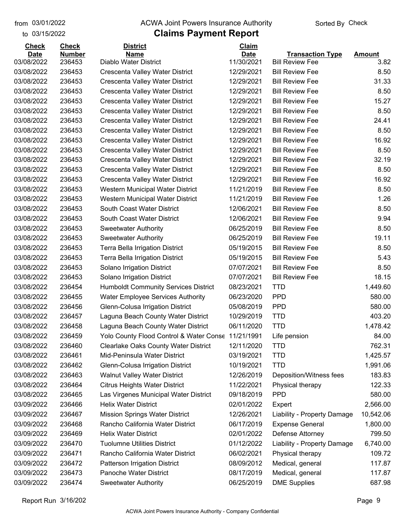to 03/15/2022 03/01/2022

#### from 03/01/2022 **The COVA Solic Act Act Authority** Sorted By Check

| <b>Amount</b><br>11/30/2021<br>03/08/2022<br>236453<br>Diablo Water District<br><b>Bill Review Fee</b><br>3.82<br>12/29/2021<br>03/08/2022<br>236453<br>Crescenta Valley Water District<br><b>Bill Review Fee</b><br>8.50<br>31.33<br>236453<br>12/29/2021<br><b>Bill Review Fee</b><br>03/08/2022<br>Crescenta Valley Water District<br>03/08/2022<br>236453<br>12/29/2021<br><b>Bill Review Fee</b><br>8.50<br>Crescenta Valley Water District<br>15.27<br>03/08/2022<br>236453<br>12/29/2021<br><b>Bill Review Fee</b><br>Crescenta Valley Water District<br>8.50<br>03/08/2022<br>236453<br>Crescenta Valley Water District<br>12/29/2021<br><b>Bill Review Fee</b><br>03/08/2022<br>236453<br>12/29/2021<br><b>Bill Review Fee</b><br>24.41<br>Crescenta Valley Water District<br>03/08/2022<br>236453<br>12/29/2021<br><b>Bill Review Fee</b><br>8.50<br>Crescenta Valley Water District<br>16.92<br>03/08/2022<br>236453<br>12/29/2021<br><b>Bill Review Fee</b><br>Crescenta Valley Water District<br>03/08/2022<br>236453<br>Crescenta Valley Water District<br>12/29/2021<br><b>Bill Review Fee</b><br>8.50<br>32.19<br>03/08/2022<br>236453<br>12/29/2021<br><b>Bill Review Fee</b><br>Crescenta Valley Water District<br>236453<br>12/29/2021<br>8.50<br>03/08/2022<br>Crescenta Valley Water District<br><b>Bill Review Fee</b><br>16.92<br>03/08/2022<br>236453<br>12/29/2021<br><b>Bill Review Fee</b><br>Crescenta Valley Water District<br>03/08/2022<br>236453<br>Western Municipal Water District<br>11/21/2019<br><b>Bill Review Fee</b><br>8.50<br>03/08/2022<br>236453<br>11/21/2019<br><b>Bill Review Fee</b><br>1.26<br>Western Municipal Water District<br>03/08/2022<br>236453<br>South Coast Water District<br>12/06/2021<br><b>Bill Review Fee</b><br>8.50<br>03/08/2022<br>236453<br>South Coast Water District<br>12/06/2021<br><b>Bill Review Fee</b><br>9.94<br>03/08/2022<br>236453<br>06/25/2019<br><b>Bill Review Fee</b><br>8.50<br><b>Sweetwater Authority</b><br>19.11<br>03/08/2022<br>236453<br>06/25/2019<br><b>Bill Review Fee</b><br><b>Sweetwater Authority</b><br>03/08/2022<br>236453<br>05/19/2015<br><b>Bill Review Fee</b><br>8.50<br><b>Terra Bella Irrigation District</b><br>03/08/2022<br>236453<br>05/19/2015<br><b>Bill Review Fee</b><br>5.43<br><b>Terra Bella Irrigation District</b><br>03/08/2022<br>236453<br>07/07/2021<br><b>Bill Review Fee</b><br>8.50<br>Solano Irrigation District<br>18.15<br>03/08/2022<br>236453<br>07/07/2021<br><b>Bill Review Fee</b><br>Solano Irrigation District<br>03/08/2022<br>236454<br><b>Humboldt Community Services District</b><br>08/23/2021<br><b>TTD</b><br>1,449.60<br><b>PPD</b><br>580.00<br>03/08/2022<br>236455<br><b>Water Employee Services Authority</b><br>06/23/2020<br><b>PPD</b><br>03/08/2022<br>236456<br>05/08/2019<br>580.00<br>Glenn-Colusa Irrigation District<br><b>TTD</b><br>403.20<br>03/08/2022<br>Laguna Beach County Water District<br>10/29/2019<br>236457<br><b>TTD</b><br>03/08/2022<br>236458<br>Laguna Beach County Water District<br>06/11/2020<br>1,478.42<br>236459<br>Yolo County Flood Control & Water Conse<br>11/21/1991<br>84.00<br>03/08/2022<br>Life pension<br>236460<br>Clearlake Oaks County Water District<br>03/08/2022<br>12/11/2020<br><b>TTD</b><br>762.31<br>1,425.57<br>03/08/2022<br>236461<br>Mid-Peninsula Water District<br>03/19/2021<br><b>TTD</b><br>03/08/2022<br>Glenn-Colusa Irrigation District<br>10/19/2021<br><b>TTD</b><br>1,991.06<br>236462<br>03/08/2022<br>236463<br><b>Walnut Valley Water District</b><br>12/26/2019<br>183.83<br>Deposition/Witness fees<br>03/08/2022<br>236464<br><b>Citrus Heights Water District</b><br>11/22/2021<br>122.33<br>Physical therapy<br>03/08/2022<br>Las Virgenes Municipal Water District<br><b>PPD</b><br>580.00<br>236465<br>09/18/2019<br>03/09/2022<br>236466<br><b>Helix Water District</b><br>02/01/2022<br>2,566.00<br>Expert<br><b>Mission Springs Water District</b><br>12/26/2021<br>03/09/2022<br>236467<br>Liability - Property Damage<br>10,542.06<br>03/09/2022<br>236468<br>Rancho California Water District<br>06/17/2019<br><b>Expense General</b><br>1,800.00<br>03/09/2022<br><b>Helix Water District</b><br>02/01/2022<br>Defense Attorney<br>799.50<br>236469<br>03/09/2022<br>236470<br><b>Tuolumne Utilities District</b><br>01/12/2022<br>Liability - Property Damage<br>6,740.00<br>03/09/2022<br>236471<br>Rancho California Water District<br>06/02/2021<br>Physical therapy<br>109.72<br>03/09/2022<br>Patterson Irrigation District<br>08/09/2012<br>Medical, general<br>117.87<br>236472<br>03/09/2022<br>Panoche Water District<br>08/17/2019<br>Medical, general<br>117.87<br>236473<br>06/25/2019<br><b>DME Supplies</b><br>687.98<br>03/09/2022<br>236474<br><b>Sweetwater Authority</b> | <b>Check</b> | <b>Check</b>  | <b>District</b> | Claim       |                         |  |
|---------------------------------------------------------------------------------------------------------------------------------------------------------------------------------------------------------------------------------------------------------------------------------------------------------------------------------------------------------------------------------------------------------------------------------------------------------------------------------------------------------------------------------------------------------------------------------------------------------------------------------------------------------------------------------------------------------------------------------------------------------------------------------------------------------------------------------------------------------------------------------------------------------------------------------------------------------------------------------------------------------------------------------------------------------------------------------------------------------------------------------------------------------------------------------------------------------------------------------------------------------------------------------------------------------------------------------------------------------------------------------------------------------------------------------------------------------------------------------------------------------------------------------------------------------------------------------------------------------------------------------------------------------------------------------------------------------------------------------------------------------------------------------------------------------------------------------------------------------------------------------------------------------------------------------------------------------------------------------------------------------------------------------------------------------------------------------------------------------------------------------------------------------------------------------------------------------------------------------------------------------------------------------------------------------------------------------------------------------------------------------------------------------------------------------------------------------------------------------------------------------------------------------------------------------------------------------------------------------------------------------------------------------------------------------------------------------------------------------------------------------------------------------------------------------------------------------------------------------------------------------------------------------------------------------------------------------------------------------------------------------------------------------------------------------------------------------------------------------------------------------------------------------------------------------------------------------------------------------------------------------------------------------------------------------------------------------------------------------------------------------------------------------------------------------------------------------------------------------------------------------------------------------------------------------------------------------------------------------------------------------------------------------------------------------------------------------------------------------------------------------------------------------------------------------------------------------------------------------------------------------------------------------------------------------------------------------------------------------------------------------------------------------------------------------------------------------------------------------------------------------------------------------------------------------------------------------------------------------------------------------------------------------------------------------------------------------------------------------------------------------------------------------------------------------------------------------------------------------------------------------------------------------------------------------------------------------------------------------------------------------------------------------------------------------------------------------------------------------------------------------------------------------------------------------------------------------------------|--------------|---------------|-----------------|-------------|-------------------------|--|
|                                                                                                                                                                                                                                                                                                                                                                                                                                                                                                                                                                                                                                                                                                                                                                                                                                                                                                                                                                                                                                                                                                                                                                                                                                                                                                                                                                                                                                                                                                                                                                                                                                                                                                                                                                                                                                                                                                                                                                                                                                                                                                                                                                                                                                                                                                                                                                                                                                                                                                                                                                                                                                                                                                                                                                                                                                                                                                                                                                                                                                                                                                                                                                                                                                                                                                                                                                                                                                                                                                                                                                                                                                                                                                                                                                                                                                                                                                                                                                                                                                                                                                                                                                                                                                                                                                                                                                                                                                                                                                                                                                                                                                                                                                                                                                                                                                             | <b>Date</b>  | <b>Number</b> | <b>Name</b>     | <b>Date</b> | <b>Transaction Type</b> |  |
|                                                                                                                                                                                                                                                                                                                                                                                                                                                                                                                                                                                                                                                                                                                                                                                                                                                                                                                                                                                                                                                                                                                                                                                                                                                                                                                                                                                                                                                                                                                                                                                                                                                                                                                                                                                                                                                                                                                                                                                                                                                                                                                                                                                                                                                                                                                                                                                                                                                                                                                                                                                                                                                                                                                                                                                                                                                                                                                                                                                                                                                                                                                                                                                                                                                                                                                                                                                                                                                                                                                                                                                                                                                                                                                                                                                                                                                                                                                                                                                                                                                                                                                                                                                                                                                                                                                                                                                                                                                                                                                                                                                                                                                                                                                                                                                                                                             |              |               |                 |             |                         |  |
|                                                                                                                                                                                                                                                                                                                                                                                                                                                                                                                                                                                                                                                                                                                                                                                                                                                                                                                                                                                                                                                                                                                                                                                                                                                                                                                                                                                                                                                                                                                                                                                                                                                                                                                                                                                                                                                                                                                                                                                                                                                                                                                                                                                                                                                                                                                                                                                                                                                                                                                                                                                                                                                                                                                                                                                                                                                                                                                                                                                                                                                                                                                                                                                                                                                                                                                                                                                                                                                                                                                                                                                                                                                                                                                                                                                                                                                                                                                                                                                                                                                                                                                                                                                                                                                                                                                                                                                                                                                                                                                                                                                                                                                                                                                                                                                                                                             |              |               |                 |             |                         |  |
|                                                                                                                                                                                                                                                                                                                                                                                                                                                                                                                                                                                                                                                                                                                                                                                                                                                                                                                                                                                                                                                                                                                                                                                                                                                                                                                                                                                                                                                                                                                                                                                                                                                                                                                                                                                                                                                                                                                                                                                                                                                                                                                                                                                                                                                                                                                                                                                                                                                                                                                                                                                                                                                                                                                                                                                                                                                                                                                                                                                                                                                                                                                                                                                                                                                                                                                                                                                                                                                                                                                                                                                                                                                                                                                                                                                                                                                                                                                                                                                                                                                                                                                                                                                                                                                                                                                                                                                                                                                                                                                                                                                                                                                                                                                                                                                                                                             |              |               |                 |             |                         |  |
|                                                                                                                                                                                                                                                                                                                                                                                                                                                                                                                                                                                                                                                                                                                                                                                                                                                                                                                                                                                                                                                                                                                                                                                                                                                                                                                                                                                                                                                                                                                                                                                                                                                                                                                                                                                                                                                                                                                                                                                                                                                                                                                                                                                                                                                                                                                                                                                                                                                                                                                                                                                                                                                                                                                                                                                                                                                                                                                                                                                                                                                                                                                                                                                                                                                                                                                                                                                                                                                                                                                                                                                                                                                                                                                                                                                                                                                                                                                                                                                                                                                                                                                                                                                                                                                                                                                                                                                                                                                                                                                                                                                                                                                                                                                                                                                                                                             |              |               |                 |             |                         |  |
|                                                                                                                                                                                                                                                                                                                                                                                                                                                                                                                                                                                                                                                                                                                                                                                                                                                                                                                                                                                                                                                                                                                                                                                                                                                                                                                                                                                                                                                                                                                                                                                                                                                                                                                                                                                                                                                                                                                                                                                                                                                                                                                                                                                                                                                                                                                                                                                                                                                                                                                                                                                                                                                                                                                                                                                                                                                                                                                                                                                                                                                                                                                                                                                                                                                                                                                                                                                                                                                                                                                                                                                                                                                                                                                                                                                                                                                                                                                                                                                                                                                                                                                                                                                                                                                                                                                                                                                                                                                                                                                                                                                                                                                                                                                                                                                                                                             |              |               |                 |             |                         |  |
|                                                                                                                                                                                                                                                                                                                                                                                                                                                                                                                                                                                                                                                                                                                                                                                                                                                                                                                                                                                                                                                                                                                                                                                                                                                                                                                                                                                                                                                                                                                                                                                                                                                                                                                                                                                                                                                                                                                                                                                                                                                                                                                                                                                                                                                                                                                                                                                                                                                                                                                                                                                                                                                                                                                                                                                                                                                                                                                                                                                                                                                                                                                                                                                                                                                                                                                                                                                                                                                                                                                                                                                                                                                                                                                                                                                                                                                                                                                                                                                                                                                                                                                                                                                                                                                                                                                                                                                                                                                                                                                                                                                                                                                                                                                                                                                                                                             |              |               |                 |             |                         |  |
|                                                                                                                                                                                                                                                                                                                                                                                                                                                                                                                                                                                                                                                                                                                                                                                                                                                                                                                                                                                                                                                                                                                                                                                                                                                                                                                                                                                                                                                                                                                                                                                                                                                                                                                                                                                                                                                                                                                                                                                                                                                                                                                                                                                                                                                                                                                                                                                                                                                                                                                                                                                                                                                                                                                                                                                                                                                                                                                                                                                                                                                                                                                                                                                                                                                                                                                                                                                                                                                                                                                                                                                                                                                                                                                                                                                                                                                                                                                                                                                                                                                                                                                                                                                                                                                                                                                                                                                                                                                                                                                                                                                                                                                                                                                                                                                                                                             |              |               |                 |             |                         |  |
|                                                                                                                                                                                                                                                                                                                                                                                                                                                                                                                                                                                                                                                                                                                                                                                                                                                                                                                                                                                                                                                                                                                                                                                                                                                                                                                                                                                                                                                                                                                                                                                                                                                                                                                                                                                                                                                                                                                                                                                                                                                                                                                                                                                                                                                                                                                                                                                                                                                                                                                                                                                                                                                                                                                                                                                                                                                                                                                                                                                                                                                                                                                                                                                                                                                                                                                                                                                                                                                                                                                                                                                                                                                                                                                                                                                                                                                                                                                                                                                                                                                                                                                                                                                                                                                                                                                                                                                                                                                                                                                                                                                                                                                                                                                                                                                                                                             |              |               |                 |             |                         |  |
|                                                                                                                                                                                                                                                                                                                                                                                                                                                                                                                                                                                                                                                                                                                                                                                                                                                                                                                                                                                                                                                                                                                                                                                                                                                                                                                                                                                                                                                                                                                                                                                                                                                                                                                                                                                                                                                                                                                                                                                                                                                                                                                                                                                                                                                                                                                                                                                                                                                                                                                                                                                                                                                                                                                                                                                                                                                                                                                                                                                                                                                                                                                                                                                                                                                                                                                                                                                                                                                                                                                                                                                                                                                                                                                                                                                                                                                                                                                                                                                                                                                                                                                                                                                                                                                                                                                                                                                                                                                                                                                                                                                                                                                                                                                                                                                                                                             |              |               |                 |             |                         |  |
|                                                                                                                                                                                                                                                                                                                                                                                                                                                                                                                                                                                                                                                                                                                                                                                                                                                                                                                                                                                                                                                                                                                                                                                                                                                                                                                                                                                                                                                                                                                                                                                                                                                                                                                                                                                                                                                                                                                                                                                                                                                                                                                                                                                                                                                                                                                                                                                                                                                                                                                                                                                                                                                                                                                                                                                                                                                                                                                                                                                                                                                                                                                                                                                                                                                                                                                                                                                                                                                                                                                                                                                                                                                                                                                                                                                                                                                                                                                                                                                                                                                                                                                                                                                                                                                                                                                                                                                                                                                                                                                                                                                                                                                                                                                                                                                                                                             |              |               |                 |             |                         |  |
|                                                                                                                                                                                                                                                                                                                                                                                                                                                                                                                                                                                                                                                                                                                                                                                                                                                                                                                                                                                                                                                                                                                                                                                                                                                                                                                                                                                                                                                                                                                                                                                                                                                                                                                                                                                                                                                                                                                                                                                                                                                                                                                                                                                                                                                                                                                                                                                                                                                                                                                                                                                                                                                                                                                                                                                                                                                                                                                                                                                                                                                                                                                                                                                                                                                                                                                                                                                                                                                                                                                                                                                                                                                                                                                                                                                                                                                                                                                                                                                                                                                                                                                                                                                                                                                                                                                                                                                                                                                                                                                                                                                                                                                                                                                                                                                                                                             |              |               |                 |             |                         |  |
|                                                                                                                                                                                                                                                                                                                                                                                                                                                                                                                                                                                                                                                                                                                                                                                                                                                                                                                                                                                                                                                                                                                                                                                                                                                                                                                                                                                                                                                                                                                                                                                                                                                                                                                                                                                                                                                                                                                                                                                                                                                                                                                                                                                                                                                                                                                                                                                                                                                                                                                                                                                                                                                                                                                                                                                                                                                                                                                                                                                                                                                                                                                                                                                                                                                                                                                                                                                                                                                                                                                                                                                                                                                                                                                                                                                                                                                                                                                                                                                                                                                                                                                                                                                                                                                                                                                                                                                                                                                                                                                                                                                                                                                                                                                                                                                                                                             |              |               |                 |             |                         |  |
|                                                                                                                                                                                                                                                                                                                                                                                                                                                                                                                                                                                                                                                                                                                                                                                                                                                                                                                                                                                                                                                                                                                                                                                                                                                                                                                                                                                                                                                                                                                                                                                                                                                                                                                                                                                                                                                                                                                                                                                                                                                                                                                                                                                                                                                                                                                                                                                                                                                                                                                                                                                                                                                                                                                                                                                                                                                                                                                                                                                                                                                                                                                                                                                                                                                                                                                                                                                                                                                                                                                                                                                                                                                                                                                                                                                                                                                                                                                                                                                                                                                                                                                                                                                                                                                                                                                                                                                                                                                                                                                                                                                                                                                                                                                                                                                                                                             |              |               |                 |             |                         |  |
|                                                                                                                                                                                                                                                                                                                                                                                                                                                                                                                                                                                                                                                                                                                                                                                                                                                                                                                                                                                                                                                                                                                                                                                                                                                                                                                                                                                                                                                                                                                                                                                                                                                                                                                                                                                                                                                                                                                                                                                                                                                                                                                                                                                                                                                                                                                                                                                                                                                                                                                                                                                                                                                                                                                                                                                                                                                                                                                                                                                                                                                                                                                                                                                                                                                                                                                                                                                                                                                                                                                                                                                                                                                                                                                                                                                                                                                                                                                                                                                                                                                                                                                                                                                                                                                                                                                                                                                                                                                                                                                                                                                                                                                                                                                                                                                                                                             |              |               |                 |             |                         |  |
|                                                                                                                                                                                                                                                                                                                                                                                                                                                                                                                                                                                                                                                                                                                                                                                                                                                                                                                                                                                                                                                                                                                                                                                                                                                                                                                                                                                                                                                                                                                                                                                                                                                                                                                                                                                                                                                                                                                                                                                                                                                                                                                                                                                                                                                                                                                                                                                                                                                                                                                                                                                                                                                                                                                                                                                                                                                                                                                                                                                                                                                                                                                                                                                                                                                                                                                                                                                                                                                                                                                                                                                                                                                                                                                                                                                                                                                                                                                                                                                                                                                                                                                                                                                                                                                                                                                                                                                                                                                                                                                                                                                                                                                                                                                                                                                                                                             |              |               |                 |             |                         |  |
|                                                                                                                                                                                                                                                                                                                                                                                                                                                                                                                                                                                                                                                                                                                                                                                                                                                                                                                                                                                                                                                                                                                                                                                                                                                                                                                                                                                                                                                                                                                                                                                                                                                                                                                                                                                                                                                                                                                                                                                                                                                                                                                                                                                                                                                                                                                                                                                                                                                                                                                                                                                                                                                                                                                                                                                                                                                                                                                                                                                                                                                                                                                                                                                                                                                                                                                                                                                                                                                                                                                                                                                                                                                                                                                                                                                                                                                                                                                                                                                                                                                                                                                                                                                                                                                                                                                                                                                                                                                                                                                                                                                                                                                                                                                                                                                                                                             |              |               |                 |             |                         |  |
|                                                                                                                                                                                                                                                                                                                                                                                                                                                                                                                                                                                                                                                                                                                                                                                                                                                                                                                                                                                                                                                                                                                                                                                                                                                                                                                                                                                                                                                                                                                                                                                                                                                                                                                                                                                                                                                                                                                                                                                                                                                                                                                                                                                                                                                                                                                                                                                                                                                                                                                                                                                                                                                                                                                                                                                                                                                                                                                                                                                                                                                                                                                                                                                                                                                                                                                                                                                                                                                                                                                                                                                                                                                                                                                                                                                                                                                                                                                                                                                                                                                                                                                                                                                                                                                                                                                                                                                                                                                                                                                                                                                                                                                                                                                                                                                                                                             |              |               |                 |             |                         |  |
|                                                                                                                                                                                                                                                                                                                                                                                                                                                                                                                                                                                                                                                                                                                                                                                                                                                                                                                                                                                                                                                                                                                                                                                                                                                                                                                                                                                                                                                                                                                                                                                                                                                                                                                                                                                                                                                                                                                                                                                                                                                                                                                                                                                                                                                                                                                                                                                                                                                                                                                                                                                                                                                                                                                                                                                                                                                                                                                                                                                                                                                                                                                                                                                                                                                                                                                                                                                                                                                                                                                                                                                                                                                                                                                                                                                                                                                                                                                                                                                                                                                                                                                                                                                                                                                                                                                                                                                                                                                                                                                                                                                                                                                                                                                                                                                                                                             |              |               |                 |             |                         |  |
|                                                                                                                                                                                                                                                                                                                                                                                                                                                                                                                                                                                                                                                                                                                                                                                                                                                                                                                                                                                                                                                                                                                                                                                                                                                                                                                                                                                                                                                                                                                                                                                                                                                                                                                                                                                                                                                                                                                                                                                                                                                                                                                                                                                                                                                                                                                                                                                                                                                                                                                                                                                                                                                                                                                                                                                                                                                                                                                                                                                                                                                                                                                                                                                                                                                                                                                                                                                                                                                                                                                                                                                                                                                                                                                                                                                                                                                                                                                                                                                                                                                                                                                                                                                                                                                                                                                                                                                                                                                                                                                                                                                                                                                                                                                                                                                                                                             |              |               |                 |             |                         |  |
|                                                                                                                                                                                                                                                                                                                                                                                                                                                                                                                                                                                                                                                                                                                                                                                                                                                                                                                                                                                                                                                                                                                                                                                                                                                                                                                                                                                                                                                                                                                                                                                                                                                                                                                                                                                                                                                                                                                                                                                                                                                                                                                                                                                                                                                                                                                                                                                                                                                                                                                                                                                                                                                                                                                                                                                                                                                                                                                                                                                                                                                                                                                                                                                                                                                                                                                                                                                                                                                                                                                                                                                                                                                                                                                                                                                                                                                                                                                                                                                                                                                                                                                                                                                                                                                                                                                                                                                                                                                                                                                                                                                                                                                                                                                                                                                                                                             |              |               |                 |             |                         |  |
|                                                                                                                                                                                                                                                                                                                                                                                                                                                                                                                                                                                                                                                                                                                                                                                                                                                                                                                                                                                                                                                                                                                                                                                                                                                                                                                                                                                                                                                                                                                                                                                                                                                                                                                                                                                                                                                                                                                                                                                                                                                                                                                                                                                                                                                                                                                                                                                                                                                                                                                                                                                                                                                                                                                                                                                                                                                                                                                                                                                                                                                                                                                                                                                                                                                                                                                                                                                                                                                                                                                                                                                                                                                                                                                                                                                                                                                                                                                                                                                                                                                                                                                                                                                                                                                                                                                                                                                                                                                                                                                                                                                                                                                                                                                                                                                                                                             |              |               |                 |             |                         |  |
|                                                                                                                                                                                                                                                                                                                                                                                                                                                                                                                                                                                                                                                                                                                                                                                                                                                                                                                                                                                                                                                                                                                                                                                                                                                                                                                                                                                                                                                                                                                                                                                                                                                                                                                                                                                                                                                                                                                                                                                                                                                                                                                                                                                                                                                                                                                                                                                                                                                                                                                                                                                                                                                                                                                                                                                                                                                                                                                                                                                                                                                                                                                                                                                                                                                                                                                                                                                                                                                                                                                                                                                                                                                                                                                                                                                                                                                                                                                                                                                                                                                                                                                                                                                                                                                                                                                                                                                                                                                                                                                                                                                                                                                                                                                                                                                                                                             |              |               |                 |             |                         |  |
|                                                                                                                                                                                                                                                                                                                                                                                                                                                                                                                                                                                                                                                                                                                                                                                                                                                                                                                                                                                                                                                                                                                                                                                                                                                                                                                                                                                                                                                                                                                                                                                                                                                                                                                                                                                                                                                                                                                                                                                                                                                                                                                                                                                                                                                                                                                                                                                                                                                                                                                                                                                                                                                                                                                                                                                                                                                                                                                                                                                                                                                                                                                                                                                                                                                                                                                                                                                                                                                                                                                                                                                                                                                                                                                                                                                                                                                                                                                                                                                                                                                                                                                                                                                                                                                                                                                                                                                                                                                                                                                                                                                                                                                                                                                                                                                                                                             |              |               |                 |             |                         |  |
|                                                                                                                                                                                                                                                                                                                                                                                                                                                                                                                                                                                                                                                                                                                                                                                                                                                                                                                                                                                                                                                                                                                                                                                                                                                                                                                                                                                                                                                                                                                                                                                                                                                                                                                                                                                                                                                                                                                                                                                                                                                                                                                                                                                                                                                                                                                                                                                                                                                                                                                                                                                                                                                                                                                                                                                                                                                                                                                                                                                                                                                                                                                                                                                                                                                                                                                                                                                                                                                                                                                                                                                                                                                                                                                                                                                                                                                                                                                                                                                                                                                                                                                                                                                                                                                                                                                                                                                                                                                                                                                                                                                                                                                                                                                                                                                                                                             |              |               |                 |             |                         |  |
|                                                                                                                                                                                                                                                                                                                                                                                                                                                                                                                                                                                                                                                                                                                                                                                                                                                                                                                                                                                                                                                                                                                                                                                                                                                                                                                                                                                                                                                                                                                                                                                                                                                                                                                                                                                                                                                                                                                                                                                                                                                                                                                                                                                                                                                                                                                                                                                                                                                                                                                                                                                                                                                                                                                                                                                                                                                                                                                                                                                                                                                                                                                                                                                                                                                                                                                                                                                                                                                                                                                                                                                                                                                                                                                                                                                                                                                                                                                                                                                                                                                                                                                                                                                                                                                                                                                                                                                                                                                                                                                                                                                                                                                                                                                                                                                                                                             |              |               |                 |             |                         |  |
|                                                                                                                                                                                                                                                                                                                                                                                                                                                                                                                                                                                                                                                                                                                                                                                                                                                                                                                                                                                                                                                                                                                                                                                                                                                                                                                                                                                                                                                                                                                                                                                                                                                                                                                                                                                                                                                                                                                                                                                                                                                                                                                                                                                                                                                                                                                                                                                                                                                                                                                                                                                                                                                                                                                                                                                                                                                                                                                                                                                                                                                                                                                                                                                                                                                                                                                                                                                                                                                                                                                                                                                                                                                                                                                                                                                                                                                                                                                                                                                                                                                                                                                                                                                                                                                                                                                                                                                                                                                                                                                                                                                                                                                                                                                                                                                                                                             |              |               |                 |             |                         |  |
|                                                                                                                                                                                                                                                                                                                                                                                                                                                                                                                                                                                                                                                                                                                                                                                                                                                                                                                                                                                                                                                                                                                                                                                                                                                                                                                                                                                                                                                                                                                                                                                                                                                                                                                                                                                                                                                                                                                                                                                                                                                                                                                                                                                                                                                                                                                                                                                                                                                                                                                                                                                                                                                                                                                                                                                                                                                                                                                                                                                                                                                                                                                                                                                                                                                                                                                                                                                                                                                                                                                                                                                                                                                                                                                                                                                                                                                                                                                                                                                                                                                                                                                                                                                                                                                                                                                                                                                                                                                                                                                                                                                                                                                                                                                                                                                                                                             |              |               |                 |             |                         |  |
|                                                                                                                                                                                                                                                                                                                                                                                                                                                                                                                                                                                                                                                                                                                                                                                                                                                                                                                                                                                                                                                                                                                                                                                                                                                                                                                                                                                                                                                                                                                                                                                                                                                                                                                                                                                                                                                                                                                                                                                                                                                                                                                                                                                                                                                                                                                                                                                                                                                                                                                                                                                                                                                                                                                                                                                                                                                                                                                                                                                                                                                                                                                                                                                                                                                                                                                                                                                                                                                                                                                                                                                                                                                                                                                                                                                                                                                                                                                                                                                                                                                                                                                                                                                                                                                                                                                                                                                                                                                                                                                                                                                                                                                                                                                                                                                                                                             |              |               |                 |             |                         |  |
|                                                                                                                                                                                                                                                                                                                                                                                                                                                                                                                                                                                                                                                                                                                                                                                                                                                                                                                                                                                                                                                                                                                                                                                                                                                                                                                                                                                                                                                                                                                                                                                                                                                                                                                                                                                                                                                                                                                                                                                                                                                                                                                                                                                                                                                                                                                                                                                                                                                                                                                                                                                                                                                                                                                                                                                                                                                                                                                                                                                                                                                                                                                                                                                                                                                                                                                                                                                                                                                                                                                                                                                                                                                                                                                                                                                                                                                                                                                                                                                                                                                                                                                                                                                                                                                                                                                                                                                                                                                                                                                                                                                                                                                                                                                                                                                                                                             |              |               |                 |             |                         |  |
|                                                                                                                                                                                                                                                                                                                                                                                                                                                                                                                                                                                                                                                                                                                                                                                                                                                                                                                                                                                                                                                                                                                                                                                                                                                                                                                                                                                                                                                                                                                                                                                                                                                                                                                                                                                                                                                                                                                                                                                                                                                                                                                                                                                                                                                                                                                                                                                                                                                                                                                                                                                                                                                                                                                                                                                                                                                                                                                                                                                                                                                                                                                                                                                                                                                                                                                                                                                                                                                                                                                                                                                                                                                                                                                                                                                                                                                                                                                                                                                                                                                                                                                                                                                                                                                                                                                                                                                                                                                                                                                                                                                                                                                                                                                                                                                                                                             |              |               |                 |             |                         |  |
|                                                                                                                                                                                                                                                                                                                                                                                                                                                                                                                                                                                                                                                                                                                                                                                                                                                                                                                                                                                                                                                                                                                                                                                                                                                                                                                                                                                                                                                                                                                                                                                                                                                                                                                                                                                                                                                                                                                                                                                                                                                                                                                                                                                                                                                                                                                                                                                                                                                                                                                                                                                                                                                                                                                                                                                                                                                                                                                                                                                                                                                                                                                                                                                                                                                                                                                                                                                                                                                                                                                                                                                                                                                                                                                                                                                                                                                                                                                                                                                                                                                                                                                                                                                                                                                                                                                                                                                                                                                                                                                                                                                                                                                                                                                                                                                                                                             |              |               |                 |             |                         |  |
|                                                                                                                                                                                                                                                                                                                                                                                                                                                                                                                                                                                                                                                                                                                                                                                                                                                                                                                                                                                                                                                                                                                                                                                                                                                                                                                                                                                                                                                                                                                                                                                                                                                                                                                                                                                                                                                                                                                                                                                                                                                                                                                                                                                                                                                                                                                                                                                                                                                                                                                                                                                                                                                                                                                                                                                                                                                                                                                                                                                                                                                                                                                                                                                                                                                                                                                                                                                                                                                                                                                                                                                                                                                                                                                                                                                                                                                                                                                                                                                                                                                                                                                                                                                                                                                                                                                                                                                                                                                                                                                                                                                                                                                                                                                                                                                                                                             |              |               |                 |             |                         |  |
|                                                                                                                                                                                                                                                                                                                                                                                                                                                                                                                                                                                                                                                                                                                                                                                                                                                                                                                                                                                                                                                                                                                                                                                                                                                                                                                                                                                                                                                                                                                                                                                                                                                                                                                                                                                                                                                                                                                                                                                                                                                                                                                                                                                                                                                                                                                                                                                                                                                                                                                                                                                                                                                                                                                                                                                                                                                                                                                                                                                                                                                                                                                                                                                                                                                                                                                                                                                                                                                                                                                                                                                                                                                                                                                                                                                                                                                                                                                                                                                                                                                                                                                                                                                                                                                                                                                                                                                                                                                                                                                                                                                                                                                                                                                                                                                                                                             |              |               |                 |             |                         |  |
|                                                                                                                                                                                                                                                                                                                                                                                                                                                                                                                                                                                                                                                                                                                                                                                                                                                                                                                                                                                                                                                                                                                                                                                                                                                                                                                                                                                                                                                                                                                                                                                                                                                                                                                                                                                                                                                                                                                                                                                                                                                                                                                                                                                                                                                                                                                                                                                                                                                                                                                                                                                                                                                                                                                                                                                                                                                                                                                                                                                                                                                                                                                                                                                                                                                                                                                                                                                                                                                                                                                                                                                                                                                                                                                                                                                                                                                                                                                                                                                                                                                                                                                                                                                                                                                                                                                                                                                                                                                                                                                                                                                                                                                                                                                                                                                                                                             |              |               |                 |             |                         |  |
|                                                                                                                                                                                                                                                                                                                                                                                                                                                                                                                                                                                                                                                                                                                                                                                                                                                                                                                                                                                                                                                                                                                                                                                                                                                                                                                                                                                                                                                                                                                                                                                                                                                                                                                                                                                                                                                                                                                                                                                                                                                                                                                                                                                                                                                                                                                                                                                                                                                                                                                                                                                                                                                                                                                                                                                                                                                                                                                                                                                                                                                                                                                                                                                                                                                                                                                                                                                                                                                                                                                                                                                                                                                                                                                                                                                                                                                                                                                                                                                                                                                                                                                                                                                                                                                                                                                                                                                                                                                                                                                                                                                                                                                                                                                                                                                                                                             |              |               |                 |             |                         |  |
|                                                                                                                                                                                                                                                                                                                                                                                                                                                                                                                                                                                                                                                                                                                                                                                                                                                                                                                                                                                                                                                                                                                                                                                                                                                                                                                                                                                                                                                                                                                                                                                                                                                                                                                                                                                                                                                                                                                                                                                                                                                                                                                                                                                                                                                                                                                                                                                                                                                                                                                                                                                                                                                                                                                                                                                                                                                                                                                                                                                                                                                                                                                                                                                                                                                                                                                                                                                                                                                                                                                                                                                                                                                                                                                                                                                                                                                                                                                                                                                                                                                                                                                                                                                                                                                                                                                                                                                                                                                                                                                                                                                                                                                                                                                                                                                                                                             |              |               |                 |             |                         |  |
|                                                                                                                                                                                                                                                                                                                                                                                                                                                                                                                                                                                                                                                                                                                                                                                                                                                                                                                                                                                                                                                                                                                                                                                                                                                                                                                                                                                                                                                                                                                                                                                                                                                                                                                                                                                                                                                                                                                                                                                                                                                                                                                                                                                                                                                                                                                                                                                                                                                                                                                                                                                                                                                                                                                                                                                                                                                                                                                                                                                                                                                                                                                                                                                                                                                                                                                                                                                                                                                                                                                                                                                                                                                                                                                                                                                                                                                                                                                                                                                                                                                                                                                                                                                                                                                                                                                                                                                                                                                                                                                                                                                                                                                                                                                                                                                                                                             |              |               |                 |             |                         |  |
|                                                                                                                                                                                                                                                                                                                                                                                                                                                                                                                                                                                                                                                                                                                                                                                                                                                                                                                                                                                                                                                                                                                                                                                                                                                                                                                                                                                                                                                                                                                                                                                                                                                                                                                                                                                                                                                                                                                                                                                                                                                                                                                                                                                                                                                                                                                                                                                                                                                                                                                                                                                                                                                                                                                                                                                                                                                                                                                                                                                                                                                                                                                                                                                                                                                                                                                                                                                                                                                                                                                                                                                                                                                                                                                                                                                                                                                                                                                                                                                                                                                                                                                                                                                                                                                                                                                                                                                                                                                                                                                                                                                                                                                                                                                                                                                                                                             |              |               |                 |             |                         |  |
|                                                                                                                                                                                                                                                                                                                                                                                                                                                                                                                                                                                                                                                                                                                                                                                                                                                                                                                                                                                                                                                                                                                                                                                                                                                                                                                                                                                                                                                                                                                                                                                                                                                                                                                                                                                                                                                                                                                                                                                                                                                                                                                                                                                                                                                                                                                                                                                                                                                                                                                                                                                                                                                                                                                                                                                                                                                                                                                                                                                                                                                                                                                                                                                                                                                                                                                                                                                                                                                                                                                                                                                                                                                                                                                                                                                                                                                                                                                                                                                                                                                                                                                                                                                                                                                                                                                                                                                                                                                                                                                                                                                                                                                                                                                                                                                                                                             |              |               |                 |             |                         |  |
|                                                                                                                                                                                                                                                                                                                                                                                                                                                                                                                                                                                                                                                                                                                                                                                                                                                                                                                                                                                                                                                                                                                                                                                                                                                                                                                                                                                                                                                                                                                                                                                                                                                                                                                                                                                                                                                                                                                                                                                                                                                                                                                                                                                                                                                                                                                                                                                                                                                                                                                                                                                                                                                                                                                                                                                                                                                                                                                                                                                                                                                                                                                                                                                                                                                                                                                                                                                                                                                                                                                                                                                                                                                                                                                                                                                                                                                                                                                                                                                                                                                                                                                                                                                                                                                                                                                                                                                                                                                                                                                                                                                                                                                                                                                                                                                                                                             |              |               |                 |             |                         |  |
|                                                                                                                                                                                                                                                                                                                                                                                                                                                                                                                                                                                                                                                                                                                                                                                                                                                                                                                                                                                                                                                                                                                                                                                                                                                                                                                                                                                                                                                                                                                                                                                                                                                                                                                                                                                                                                                                                                                                                                                                                                                                                                                                                                                                                                                                                                                                                                                                                                                                                                                                                                                                                                                                                                                                                                                                                                                                                                                                                                                                                                                                                                                                                                                                                                                                                                                                                                                                                                                                                                                                                                                                                                                                                                                                                                                                                                                                                                                                                                                                                                                                                                                                                                                                                                                                                                                                                                                                                                                                                                                                                                                                                                                                                                                                                                                                                                             |              |               |                 |             |                         |  |
|                                                                                                                                                                                                                                                                                                                                                                                                                                                                                                                                                                                                                                                                                                                                                                                                                                                                                                                                                                                                                                                                                                                                                                                                                                                                                                                                                                                                                                                                                                                                                                                                                                                                                                                                                                                                                                                                                                                                                                                                                                                                                                                                                                                                                                                                                                                                                                                                                                                                                                                                                                                                                                                                                                                                                                                                                                                                                                                                                                                                                                                                                                                                                                                                                                                                                                                                                                                                                                                                                                                                                                                                                                                                                                                                                                                                                                                                                                                                                                                                                                                                                                                                                                                                                                                                                                                                                                                                                                                                                                                                                                                                                                                                                                                                                                                                                                             |              |               |                 |             |                         |  |
|                                                                                                                                                                                                                                                                                                                                                                                                                                                                                                                                                                                                                                                                                                                                                                                                                                                                                                                                                                                                                                                                                                                                                                                                                                                                                                                                                                                                                                                                                                                                                                                                                                                                                                                                                                                                                                                                                                                                                                                                                                                                                                                                                                                                                                                                                                                                                                                                                                                                                                                                                                                                                                                                                                                                                                                                                                                                                                                                                                                                                                                                                                                                                                                                                                                                                                                                                                                                                                                                                                                                                                                                                                                                                                                                                                                                                                                                                                                                                                                                                                                                                                                                                                                                                                                                                                                                                                                                                                                                                                                                                                                                                                                                                                                                                                                                                                             |              |               |                 |             |                         |  |
|                                                                                                                                                                                                                                                                                                                                                                                                                                                                                                                                                                                                                                                                                                                                                                                                                                                                                                                                                                                                                                                                                                                                                                                                                                                                                                                                                                                                                                                                                                                                                                                                                                                                                                                                                                                                                                                                                                                                                                                                                                                                                                                                                                                                                                                                                                                                                                                                                                                                                                                                                                                                                                                                                                                                                                                                                                                                                                                                                                                                                                                                                                                                                                                                                                                                                                                                                                                                                                                                                                                                                                                                                                                                                                                                                                                                                                                                                                                                                                                                                                                                                                                                                                                                                                                                                                                                                                                                                                                                                                                                                                                                                                                                                                                                                                                                                                             |              |               |                 |             |                         |  |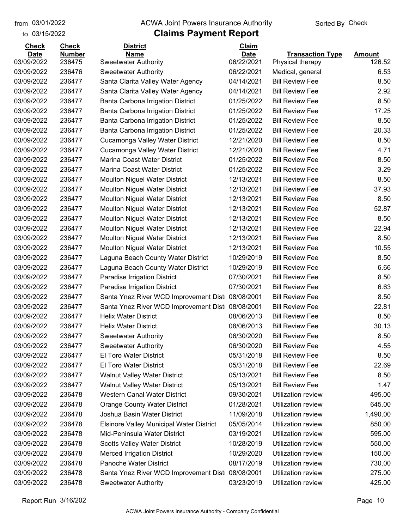to 03/15/2022 03/01/2022

#### from 03/01/2022 **The COVA Solic Act Act Authority** Sorted By Check

# **Claims Payment Report**

| <b>Check</b>              | <b>Check</b>            | <b>District</b>                                                        | Claim                     |                                             |                         |
|---------------------------|-------------------------|------------------------------------------------------------------------|---------------------------|---------------------------------------------|-------------------------|
| <b>Date</b><br>03/09/2022 | <b>Number</b><br>236475 | <b>Name</b><br><b>Sweetwater Authority</b>                             | <b>Date</b><br>06/22/2021 | <b>Transaction Type</b><br>Physical therapy | <b>Amount</b><br>126.52 |
| 03/09/2022                | 236476                  | <b>Sweetwater Authority</b>                                            | 06/22/2021                | Medical, general                            | 6.53                    |
| 03/09/2022                | 236477                  | Santa Clarita Valley Water Agency                                      | 04/14/2021                | <b>Bill Review Fee</b>                      | 8.50                    |
| 03/09/2022                | 236477                  | Santa Clarita Valley Water Agency                                      | 04/14/2021                | <b>Bill Review Fee</b>                      | 2.92                    |
| 03/09/2022                | 236477                  | Banta Carbona Irrigation District                                      | 01/25/2022                | <b>Bill Review Fee</b>                      | 8.50                    |
| 03/09/2022                | 236477                  | Banta Carbona Irrigation District                                      | 01/25/2022                | <b>Bill Review Fee</b>                      | 17.25                   |
| 03/09/2022                | 236477                  |                                                                        | 01/25/2022                | <b>Bill Review Fee</b>                      | 8.50                    |
| 03/09/2022                | 236477                  | Banta Carbona Irrigation District<br>Banta Carbona Irrigation District | 01/25/2022                | <b>Bill Review Fee</b>                      | 20.33                   |
| 03/09/2022                | 236477                  | Cucamonga Valley Water District                                        | 12/21/2020                | <b>Bill Review Fee</b>                      | 8.50                    |
| 03/09/2022                | 236477                  | Cucamonga Valley Water District                                        | 12/21/2020                | <b>Bill Review Fee</b>                      | 4.71                    |
| 03/09/2022                | 236477                  | Marina Coast Water District                                            | 01/25/2022                | <b>Bill Review Fee</b>                      | 8.50                    |
| 03/09/2022                | 236477                  | Marina Coast Water District                                            | 01/25/2022                | <b>Bill Review Fee</b>                      | 3.29                    |
| 03/09/2022                | 236477                  | <b>Moulton Niguel Water District</b>                                   | 12/13/2021                | <b>Bill Review Fee</b>                      | 8.50                    |
| 03/09/2022                | 236477                  |                                                                        | 12/13/2021                | <b>Bill Review Fee</b>                      | 37.93                   |
| 03/09/2022                | 236477                  | <b>Moulton Niguel Water District</b>                                   | 12/13/2021                | <b>Bill Review Fee</b>                      | 8.50                    |
| 03/09/2022                | 236477                  | <b>Moulton Niguel Water District</b>                                   |                           | <b>Bill Review Fee</b>                      | 52.87                   |
|                           |                         | <b>Moulton Niguel Water District</b>                                   | 12/13/2021                |                                             |                         |
| 03/09/2022                | 236477<br>236477        | <b>Moulton Niguel Water District</b>                                   | 12/13/2021                | <b>Bill Review Fee</b>                      | 8.50                    |
| 03/09/2022                |                         | <b>Moulton Niguel Water District</b>                                   | 12/13/2021                | <b>Bill Review Fee</b>                      | 22.94                   |
| 03/09/2022                | 236477                  | <b>Moulton Niguel Water District</b>                                   | 12/13/2021                | <b>Bill Review Fee</b>                      | 8.50                    |
| 03/09/2022                | 236477                  | <b>Moulton Niguel Water District</b>                                   | 12/13/2021                | <b>Bill Review Fee</b>                      | 10.55                   |
| 03/09/2022                | 236477                  | Laguna Beach County Water District                                     | 10/29/2019                | <b>Bill Review Fee</b>                      | 8.50                    |
| 03/09/2022                | 236477                  | Laguna Beach County Water District                                     | 10/29/2019                | <b>Bill Review Fee</b>                      | 6.66                    |
| 03/09/2022                | 236477                  | Paradise Irrigation District                                           | 07/30/2021                | <b>Bill Review Fee</b>                      | 8.50                    |
| 03/09/2022                | 236477                  | Paradise Irrigation District                                           | 07/30/2021                | <b>Bill Review Fee</b>                      | 6.63                    |
| 03/09/2022                | 236477                  | Santa Ynez River WCD Improvement Dist                                  | 08/08/2001                | <b>Bill Review Fee</b>                      | 8.50                    |
| 03/09/2022                | 236477                  | Santa Ynez River WCD Improvement Dist                                  | 08/08/2001                | <b>Bill Review Fee</b>                      | 22.81                   |
| 03/09/2022                | 236477                  | <b>Helix Water District</b>                                            | 08/06/2013                | <b>Bill Review Fee</b>                      | 8.50                    |
| 03/09/2022                | 236477                  | <b>Helix Water District</b>                                            | 08/06/2013                | <b>Bill Review Fee</b>                      | 30.13                   |
| 03/09/2022                | 236477                  | <b>Sweetwater Authority</b>                                            | 06/30/2020                | <b>Bill Review Fee</b>                      | 8.50                    |
| 03/09/2022                | 236477                  | <b>Sweetwater Authority</b>                                            | 06/30/2020                | <b>Bill Review Fee</b>                      | 4.55                    |
| 03/09/2022                | 236477                  | El Toro Water District                                                 | 05/31/2018                | <b>Bill Review Fee</b>                      | 8.50                    |
| 03/09/2022                | 236477                  | El Toro Water District                                                 | 05/31/2018                | <b>Bill Review Fee</b>                      | 22.69                   |
| 03/09/2022                | 236477                  | <b>Walnut Valley Water District</b>                                    | 05/13/2021                | <b>Bill Review Fee</b>                      | 8.50                    |
| 03/09/2022                | 236477                  | <b>Walnut Valley Water District</b>                                    | 05/13/2021                | <b>Bill Review Fee</b>                      | 1.47                    |
| 03/09/2022                | 236478                  | Western Canal Water District                                           | 09/30/2021                | Utilization review                          | 495.00                  |
| 03/09/2022                | 236478                  | <b>Orange County Water District</b>                                    | 01/28/2021                | Utilization review                          | 645.00                  |
| 03/09/2022                | 236478                  | Joshua Basin Water District                                            | 11/09/2018                | Utilization review                          | 1,490.00                |
| 03/09/2022                | 236478                  | Elsinore Valley Municipal Water District                               | 05/05/2014                | Utilization review                          | 850.00                  |
| 03/09/2022                | 236478                  | Mid-Peninsula Water District                                           | 03/19/2021                | Utilization review                          | 595.00                  |
| 03/09/2022                | 236478                  | <b>Scotts Valley Water District</b>                                    | 10/28/2019                | Utilization review                          | 550.00                  |
| 03/09/2022                | 236478                  | <b>Merced Irrigation District</b>                                      | 10/29/2020                | Utilization review                          | 150.00                  |
| 03/09/2022                | 236478                  | Panoche Water District                                                 | 08/17/2019                | Utilization review                          | 730.00                  |
| 03/09/2022                | 236478                  | Santa Ynez River WCD Improvement Dist                                  | 08/08/2001                | Utilization review                          | 275.00                  |
| 03/09/2022                | 236478                  | <b>Sweetwater Authority</b>                                            | 03/23/2019                | Utilization review                          | 425.00                  |

Report Run 3/16/202 Page 10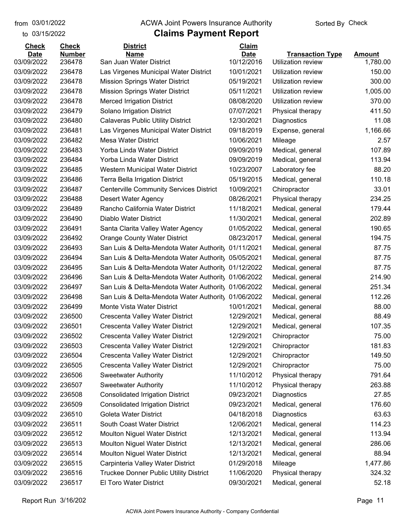to 03/15/2022

#### from 03/01/2022 **The COVA Solic Act Act Authority** Sorted By Check

# **Claims Payment Report**

| <b>Check</b> | <b>Check</b>  | <b>District</b>                                     | Claim       |                           |               |
|--------------|---------------|-----------------------------------------------------|-------------|---------------------------|---------------|
| <b>Date</b>  | <b>Number</b> | <b>Name</b>                                         | <b>Date</b> | <b>Transaction Type</b>   | <b>Amount</b> |
| 03/09/2022   | 236478        | San Juan Water District                             | 10/12/2016  | <b>Utilization review</b> | 1,780.00      |
| 03/09/2022   | 236478        | Las Virgenes Municipal Water District               | 10/01/2021  | <b>Utilization review</b> | 150.00        |
| 03/09/2022   | 236478        | <b>Mission Springs Water District</b>               | 05/19/2021  | <b>Utilization review</b> | 300.00        |
| 03/09/2022   | 236478        | <b>Mission Springs Water District</b>               | 05/11/2021  | Utilization review        | 1,005.00      |
| 03/09/2022   | 236478        | <b>Merced Irrigation District</b>                   | 08/08/2020  | Utilization review        | 370.00        |
| 03/09/2022   | 236479        | Solano Irrigation District                          | 07/07/2021  | Physical therapy          | 411.50        |
| 03/09/2022   | 236480        | <b>Calaveras Public Utility District</b>            | 12/30/2021  | Diagnostics               | 11.08         |
| 03/09/2022   | 236481        | Las Virgenes Municipal Water District               | 09/18/2019  | Expense, general          | 1,166.66      |
| 03/09/2022   | 236482        | <b>Mesa Water District</b>                          | 10/06/2021  | Mileage                   | 2.57          |
| 03/09/2022   | 236483        | Yorba Linda Water District                          | 09/09/2019  | Medical, general          | 107.89        |
| 03/09/2022   | 236484        | Yorba Linda Water District                          | 09/09/2019  | Medical, general          | 113.94        |
| 03/09/2022   | 236485        | Western Municipal Water District                    | 10/23/2007  | Laboratory fee            | 88.20         |
| 03/09/2022   | 236486        | <b>Terra Bella Irrigation District</b>              | 05/19/2015  | Medical, general          | 110.18        |
| 03/09/2022   | 236487        | <b>Centerville Community Services District</b>      | 10/09/2021  | Chiropractor              | 33.01         |
| 03/09/2022   | 236488        | <b>Desert Water Agency</b>                          | 08/26/2021  | Physical therapy          | 234.25        |
| 03/09/2022   | 236489        | Rancho California Water District                    | 11/18/2021  | Medical, general          | 179.44        |
| 03/09/2022   | 236490        | Diablo Water District                               | 11/30/2021  | Medical, general          | 202.89        |
| 03/09/2022   | 236491        | Santa Clarita Valley Water Agency                   | 01/05/2022  | Medical, general          | 190.65        |
| 03/09/2022   | 236492        | <b>Orange County Water District</b>                 | 08/23/2017  | Medical, general          | 194.75        |
| 03/09/2022   | 236493        | San Luis & Delta-Mendota Water Authority            | 01/11/2021  | Medical, general          | 87.75         |
| 03/09/2022   | 236494        | San Luis & Delta-Mendota Water Authority            | 05/05/2021  | Medical, general          | 87.75         |
| 03/09/2022   | 236495        | San Luis & Delta-Mendota Water Authority            | 01/12/2022  | Medical, general          | 87.75         |
| 03/09/2022   | 236496        | San Luis & Delta-Mendota Water Authorit, 01/06/2022 |             | Medical, general          | 214.90        |
| 03/09/2022   | 236497        | San Luis & Delta-Mendota Water Authorit, 01/06/2022 |             | Medical, general          | 251.34        |
| 03/09/2022   | 236498        | San Luis & Delta-Mendota Water Authority            | 01/06/2022  | Medical, general          | 112.26        |
| 03/09/2022   | 236499        | Monte Vista Water District                          | 10/01/2021  | Medical, general          | 88.00         |
| 03/09/2022   | 236500        | <b>Crescenta Valley Water District</b>              | 12/29/2021  | Medical, general          | 88.49         |
| 03/09/2022   | 236501        | Crescenta Valley Water District                     | 12/29/2021  | Medical, general          | 107.35        |
| 03/09/2022   | 236502        | Crescenta Valley Water District                     | 12/29/2021  | Chiropractor              | 75.00         |
| 03/09/2022   | 236503        | Crescenta Valley Water District                     | 12/29/2021  | Chiropractor              | 181.83        |
| 03/09/2022   | 236504        | Crescenta Valley Water District                     | 12/29/2021  | Chiropractor              | 149.50        |
| 03/09/2022   | 236505        | Crescenta Valley Water District                     | 12/29/2021  | Chiropractor              | 75.00         |
| 03/09/2022   | 236506        | <b>Sweetwater Authority</b>                         | 11/10/2012  | Physical therapy          | 791.64        |
| 03/09/2022   | 236507        | <b>Sweetwater Authority</b>                         | 11/10/2012  | Physical therapy          | 263.88        |
| 03/09/2022   | 236508        | <b>Consolidated Irrigation District</b>             | 09/23/2021  | Diagnostics               | 27.85         |
| 03/09/2022   | 236509        | <b>Consolidated Irrigation District</b>             | 09/23/2021  | Medical, general          | 176.60        |
| 03/09/2022   | 236510        | Goleta Water District                               | 04/18/2018  | Diagnostics               | 63.63         |
| 03/09/2022   | 236511        | South Coast Water District                          | 12/06/2021  | Medical, general          | 114.23        |
| 03/09/2022   | 236512        | <b>Moulton Niguel Water District</b>                | 12/13/2021  | Medical, general          | 113.94        |
| 03/09/2022   | 236513        | Moulton Niguel Water District                       | 12/13/2021  | Medical, general          | 286.06        |
| 03/09/2022   | 236514        | <b>Moulton Niguel Water District</b>                | 12/13/2021  | Medical, general          | 88.94         |
| 03/09/2022   | 236515        | Carpinteria Valley Water District                   | 01/29/2018  | Mileage                   | 1,477.86      |
| 03/09/2022   | 236516        | <b>Truckee Donner Public Utility District</b>       | 11/06/2020  | Physical therapy          | 324.32        |
| 03/09/2022   | 236517        | El Toro Water District                              | 09/30/2021  | Medical, general          | 52.18         |
|              |               |                                                     |             |                           |               |

Report Run 3/16/202 **Page 11**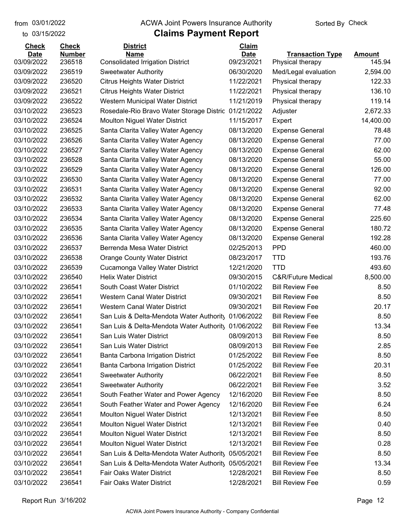to 03/15/2022

#### from 03/01/2022 **The COVA Solic Act Act Authority** Sorted By Check

| <b>Number</b><br><b>Date</b><br><b>Name</b><br><b>Date</b><br><b>Transaction Type</b><br><b>Amount</b><br>03/09/2022<br>236518<br>09/23/2021<br>145.94<br><b>Consolidated Irrigation District</b><br>Physical therapy<br>03/09/2022<br>236519<br>06/30/2020<br>2,594.00<br><b>Sweetwater Authority</b><br>Med/Legal evaluation<br>11/22/2021<br>122.33<br>03/09/2022<br>236520<br><b>Citrus Heights Water District</b><br>Physical therapy<br>136.10<br>03/09/2022<br>236521<br>11/22/2021<br><b>Citrus Heights Water District</b><br>Physical therapy<br>119.14<br>03/09/2022<br>236522<br>11/21/2019<br>Western Municipal Water District<br>Physical therapy<br>236523<br>2,672.33<br>03/10/2022<br>Rosedale-Rio Bravo Water Storage Distric 01/21/2022<br>Adjuster<br>14,400.00<br>03/10/2022<br>236524<br>11/15/2017<br><b>Moulton Niguel Water District</b><br>Expert<br>03/10/2022<br>236525<br>08/13/2020<br>78.48<br>Santa Clarita Valley Water Agency<br><b>Expense General</b><br>03/10/2022<br>236526<br>08/13/2020<br>77.00<br>Santa Clarita Valley Water Agency<br><b>Expense General</b><br>03/10/2022<br>236527<br>08/13/2020<br><b>Expense General</b><br>62.00<br>Santa Clarita Valley Water Agency<br>55.00<br>03/10/2022<br>236528<br>08/13/2020<br>Santa Clarita Valley Water Agency<br><b>Expense General</b><br>126.00<br>03/10/2022<br>236529<br>Santa Clarita Valley Water Agency<br>08/13/2020<br><b>Expense General</b><br>03/10/2022<br>236530<br>08/13/2020<br>77.00<br>Santa Clarita Valley Water Agency<br><b>Expense General</b><br>03/10/2022<br>236531<br>08/13/2020<br>92.00<br>Santa Clarita Valley Water Agency<br><b>Expense General</b><br>62.00<br>03/10/2022<br>236532<br>08/13/2020<br>Santa Clarita Valley Water Agency<br><b>Expense General</b><br>03/10/2022<br>236533<br>08/13/2020<br>77.48<br>Santa Clarita Valley Water Agency<br><b>Expense General</b><br>03/10/2022<br>236534<br>08/13/2020<br>225.60<br>Santa Clarita Valley Water Agency<br><b>Expense General</b><br>180.72<br>03/10/2022<br>236535<br>08/13/2020<br>Santa Clarita Valley Water Agency<br><b>Expense General</b><br>03/10/2022<br>236536<br>08/13/2020<br>192.28<br>Santa Clarita Valley Water Agency<br><b>Expense General</b><br><b>PPD</b><br>03/10/2022<br>236537<br>Berrenda Mesa Water District<br>02/25/2013<br>460.00<br>03/10/2022<br>236538<br><b>Orange County Water District</b><br><b>TTD</b><br>193.76<br>08/23/2017<br>493.60<br>03/10/2022<br>236539<br>12/21/2020<br><b>TTD</b><br>Cucamonga Valley Water District<br>8,500.00<br>03/10/2022<br>236540<br><b>Helix Water District</b><br>09/30/2015<br><b>C&amp;R/Future Medical</b><br>03/10/2022<br>236541<br>South Coast Water District<br>01/10/2022<br><b>Bill Review Fee</b><br>8.50<br>236541<br>03/10/2022<br><b>Western Canal Water District</b><br>09/30/2021<br><b>Bill Review Fee</b><br>8.50 |
|---------------------------------------------------------------------------------------------------------------------------------------------------------------------------------------------------------------------------------------------------------------------------------------------------------------------------------------------------------------------------------------------------------------------------------------------------------------------------------------------------------------------------------------------------------------------------------------------------------------------------------------------------------------------------------------------------------------------------------------------------------------------------------------------------------------------------------------------------------------------------------------------------------------------------------------------------------------------------------------------------------------------------------------------------------------------------------------------------------------------------------------------------------------------------------------------------------------------------------------------------------------------------------------------------------------------------------------------------------------------------------------------------------------------------------------------------------------------------------------------------------------------------------------------------------------------------------------------------------------------------------------------------------------------------------------------------------------------------------------------------------------------------------------------------------------------------------------------------------------------------------------------------------------------------------------------------------------------------------------------------------------------------------------------------------------------------------------------------------------------------------------------------------------------------------------------------------------------------------------------------------------------------------------------------------------------------------------------------------------------------------------------------------------------------------------------------------------------------------------------------------------------------------------------------------------------------------------------------------------------------------------------------------------------------------------------------------------------------------------------------------------------------------------------------------------------------------------------------------------------------------------------------|
|                                                                                                                                                                                                                                                                                                                                                                                                                                                                                                                                                                                                                                                                                                                                                                                                                                                                                                                                                                                                                                                                                                                                                                                                                                                                                                                                                                                                                                                                                                                                                                                                                                                                                                                                                                                                                                                                                                                                                                                                                                                                                                                                                                                                                                                                                                                                                                                                                                                                                                                                                                                                                                                                                                                                                                                                                                                                                                   |
|                                                                                                                                                                                                                                                                                                                                                                                                                                                                                                                                                                                                                                                                                                                                                                                                                                                                                                                                                                                                                                                                                                                                                                                                                                                                                                                                                                                                                                                                                                                                                                                                                                                                                                                                                                                                                                                                                                                                                                                                                                                                                                                                                                                                                                                                                                                                                                                                                                                                                                                                                                                                                                                                                                                                                                                                                                                                                                   |
|                                                                                                                                                                                                                                                                                                                                                                                                                                                                                                                                                                                                                                                                                                                                                                                                                                                                                                                                                                                                                                                                                                                                                                                                                                                                                                                                                                                                                                                                                                                                                                                                                                                                                                                                                                                                                                                                                                                                                                                                                                                                                                                                                                                                                                                                                                                                                                                                                                                                                                                                                                                                                                                                                                                                                                                                                                                                                                   |
|                                                                                                                                                                                                                                                                                                                                                                                                                                                                                                                                                                                                                                                                                                                                                                                                                                                                                                                                                                                                                                                                                                                                                                                                                                                                                                                                                                                                                                                                                                                                                                                                                                                                                                                                                                                                                                                                                                                                                                                                                                                                                                                                                                                                                                                                                                                                                                                                                                                                                                                                                                                                                                                                                                                                                                                                                                                                                                   |
|                                                                                                                                                                                                                                                                                                                                                                                                                                                                                                                                                                                                                                                                                                                                                                                                                                                                                                                                                                                                                                                                                                                                                                                                                                                                                                                                                                                                                                                                                                                                                                                                                                                                                                                                                                                                                                                                                                                                                                                                                                                                                                                                                                                                                                                                                                                                                                                                                                                                                                                                                                                                                                                                                                                                                                                                                                                                                                   |
|                                                                                                                                                                                                                                                                                                                                                                                                                                                                                                                                                                                                                                                                                                                                                                                                                                                                                                                                                                                                                                                                                                                                                                                                                                                                                                                                                                                                                                                                                                                                                                                                                                                                                                                                                                                                                                                                                                                                                                                                                                                                                                                                                                                                                                                                                                                                                                                                                                                                                                                                                                                                                                                                                                                                                                                                                                                                                                   |
|                                                                                                                                                                                                                                                                                                                                                                                                                                                                                                                                                                                                                                                                                                                                                                                                                                                                                                                                                                                                                                                                                                                                                                                                                                                                                                                                                                                                                                                                                                                                                                                                                                                                                                                                                                                                                                                                                                                                                                                                                                                                                                                                                                                                                                                                                                                                                                                                                                                                                                                                                                                                                                                                                                                                                                                                                                                                                                   |
|                                                                                                                                                                                                                                                                                                                                                                                                                                                                                                                                                                                                                                                                                                                                                                                                                                                                                                                                                                                                                                                                                                                                                                                                                                                                                                                                                                                                                                                                                                                                                                                                                                                                                                                                                                                                                                                                                                                                                                                                                                                                                                                                                                                                                                                                                                                                                                                                                                                                                                                                                                                                                                                                                                                                                                                                                                                                                                   |
|                                                                                                                                                                                                                                                                                                                                                                                                                                                                                                                                                                                                                                                                                                                                                                                                                                                                                                                                                                                                                                                                                                                                                                                                                                                                                                                                                                                                                                                                                                                                                                                                                                                                                                                                                                                                                                                                                                                                                                                                                                                                                                                                                                                                                                                                                                                                                                                                                                                                                                                                                                                                                                                                                                                                                                                                                                                                                                   |
|                                                                                                                                                                                                                                                                                                                                                                                                                                                                                                                                                                                                                                                                                                                                                                                                                                                                                                                                                                                                                                                                                                                                                                                                                                                                                                                                                                                                                                                                                                                                                                                                                                                                                                                                                                                                                                                                                                                                                                                                                                                                                                                                                                                                                                                                                                                                                                                                                                                                                                                                                                                                                                                                                                                                                                                                                                                                                                   |
|                                                                                                                                                                                                                                                                                                                                                                                                                                                                                                                                                                                                                                                                                                                                                                                                                                                                                                                                                                                                                                                                                                                                                                                                                                                                                                                                                                                                                                                                                                                                                                                                                                                                                                                                                                                                                                                                                                                                                                                                                                                                                                                                                                                                                                                                                                                                                                                                                                                                                                                                                                                                                                                                                                                                                                                                                                                                                                   |
|                                                                                                                                                                                                                                                                                                                                                                                                                                                                                                                                                                                                                                                                                                                                                                                                                                                                                                                                                                                                                                                                                                                                                                                                                                                                                                                                                                                                                                                                                                                                                                                                                                                                                                                                                                                                                                                                                                                                                                                                                                                                                                                                                                                                                                                                                                                                                                                                                                                                                                                                                                                                                                                                                                                                                                                                                                                                                                   |
|                                                                                                                                                                                                                                                                                                                                                                                                                                                                                                                                                                                                                                                                                                                                                                                                                                                                                                                                                                                                                                                                                                                                                                                                                                                                                                                                                                                                                                                                                                                                                                                                                                                                                                                                                                                                                                                                                                                                                                                                                                                                                                                                                                                                                                                                                                                                                                                                                                                                                                                                                                                                                                                                                                                                                                                                                                                                                                   |
|                                                                                                                                                                                                                                                                                                                                                                                                                                                                                                                                                                                                                                                                                                                                                                                                                                                                                                                                                                                                                                                                                                                                                                                                                                                                                                                                                                                                                                                                                                                                                                                                                                                                                                                                                                                                                                                                                                                                                                                                                                                                                                                                                                                                                                                                                                                                                                                                                                                                                                                                                                                                                                                                                                                                                                                                                                                                                                   |
|                                                                                                                                                                                                                                                                                                                                                                                                                                                                                                                                                                                                                                                                                                                                                                                                                                                                                                                                                                                                                                                                                                                                                                                                                                                                                                                                                                                                                                                                                                                                                                                                                                                                                                                                                                                                                                                                                                                                                                                                                                                                                                                                                                                                                                                                                                                                                                                                                                                                                                                                                                                                                                                                                                                                                                                                                                                                                                   |
|                                                                                                                                                                                                                                                                                                                                                                                                                                                                                                                                                                                                                                                                                                                                                                                                                                                                                                                                                                                                                                                                                                                                                                                                                                                                                                                                                                                                                                                                                                                                                                                                                                                                                                                                                                                                                                                                                                                                                                                                                                                                                                                                                                                                                                                                                                                                                                                                                                                                                                                                                                                                                                                                                                                                                                                                                                                                                                   |
|                                                                                                                                                                                                                                                                                                                                                                                                                                                                                                                                                                                                                                                                                                                                                                                                                                                                                                                                                                                                                                                                                                                                                                                                                                                                                                                                                                                                                                                                                                                                                                                                                                                                                                                                                                                                                                                                                                                                                                                                                                                                                                                                                                                                                                                                                                                                                                                                                                                                                                                                                                                                                                                                                                                                                                                                                                                                                                   |
|                                                                                                                                                                                                                                                                                                                                                                                                                                                                                                                                                                                                                                                                                                                                                                                                                                                                                                                                                                                                                                                                                                                                                                                                                                                                                                                                                                                                                                                                                                                                                                                                                                                                                                                                                                                                                                                                                                                                                                                                                                                                                                                                                                                                                                                                                                                                                                                                                                                                                                                                                                                                                                                                                                                                                                                                                                                                                                   |
|                                                                                                                                                                                                                                                                                                                                                                                                                                                                                                                                                                                                                                                                                                                                                                                                                                                                                                                                                                                                                                                                                                                                                                                                                                                                                                                                                                                                                                                                                                                                                                                                                                                                                                                                                                                                                                                                                                                                                                                                                                                                                                                                                                                                                                                                                                                                                                                                                                                                                                                                                                                                                                                                                                                                                                                                                                                                                                   |
|                                                                                                                                                                                                                                                                                                                                                                                                                                                                                                                                                                                                                                                                                                                                                                                                                                                                                                                                                                                                                                                                                                                                                                                                                                                                                                                                                                                                                                                                                                                                                                                                                                                                                                                                                                                                                                                                                                                                                                                                                                                                                                                                                                                                                                                                                                                                                                                                                                                                                                                                                                                                                                                                                                                                                                                                                                                                                                   |
|                                                                                                                                                                                                                                                                                                                                                                                                                                                                                                                                                                                                                                                                                                                                                                                                                                                                                                                                                                                                                                                                                                                                                                                                                                                                                                                                                                                                                                                                                                                                                                                                                                                                                                                                                                                                                                                                                                                                                                                                                                                                                                                                                                                                                                                                                                                                                                                                                                                                                                                                                                                                                                                                                                                                                                                                                                                                                                   |
|                                                                                                                                                                                                                                                                                                                                                                                                                                                                                                                                                                                                                                                                                                                                                                                                                                                                                                                                                                                                                                                                                                                                                                                                                                                                                                                                                                                                                                                                                                                                                                                                                                                                                                                                                                                                                                                                                                                                                                                                                                                                                                                                                                                                                                                                                                                                                                                                                                                                                                                                                                                                                                                                                                                                                                                                                                                                                                   |
|                                                                                                                                                                                                                                                                                                                                                                                                                                                                                                                                                                                                                                                                                                                                                                                                                                                                                                                                                                                                                                                                                                                                                                                                                                                                                                                                                                                                                                                                                                                                                                                                                                                                                                                                                                                                                                                                                                                                                                                                                                                                                                                                                                                                                                                                                                                                                                                                                                                                                                                                                                                                                                                                                                                                                                                                                                                                                                   |
|                                                                                                                                                                                                                                                                                                                                                                                                                                                                                                                                                                                                                                                                                                                                                                                                                                                                                                                                                                                                                                                                                                                                                                                                                                                                                                                                                                                                                                                                                                                                                                                                                                                                                                                                                                                                                                                                                                                                                                                                                                                                                                                                                                                                                                                                                                                                                                                                                                                                                                                                                                                                                                                                                                                                                                                                                                                                                                   |
|                                                                                                                                                                                                                                                                                                                                                                                                                                                                                                                                                                                                                                                                                                                                                                                                                                                                                                                                                                                                                                                                                                                                                                                                                                                                                                                                                                                                                                                                                                                                                                                                                                                                                                                                                                                                                                                                                                                                                                                                                                                                                                                                                                                                                                                                                                                                                                                                                                                                                                                                                                                                                                                                                                                                                                                                                                                                                                   |
|                                                                                                                                                                                                                                                                                                                                                                                                                                                                                                                                                                                                                                                                                                                                                                                                                                                                                                                                                                                                                                                                                                                                                                                                                                                                                                                                                                                                                                                                                                                                                                                                                                                                                                                                                                                                                                                                                                                                                                                                                                                                                                                                                                                                                                                                                                                                                                                                                                                                                                                                                                                                                                                                                                                                                                                                                                                                                                   |
| 03/10/2022<br>236541<br><b>Western Canal Water District</b><br>09/30/2021<br><b>Bill Review Fee</b><br>20.17                                                                                                                                                                                                                                                                                                                                                                                                                                                                                                                                                                                                                                                                                                                                                                                                                                                                                                                                                                                                                                                                                                                                                                                                                                                                                                                                                                                                                                                                                                                                                                                                                                                                                                                                                                                                                                                                                                                                                                                                                                                                                                                                                                                                                                                                                                                                                                                                                                                                                                                                                                                                                                                                                                                                                                                      |
| 03/10/2022<br>236541<br>01/06/2022<br><b>Bill Review Fee</b><br>8.50<br>San Luis & Delta-Mendota Water Authority                                                                                                                                                                                                                                                                                                                                                                                                                                                                                                                                                                                                                                                                                                                                                                                                                                                                                                                                                                                                                                                                                                                                                                                                                                                                                                                                                                                                                                                                                                                                                                                                                                                                                                                                                                                                                                                                                                                                                                                                                                                                                                                                                                                                                                                                                                                                                                                                                                                                                                                                                                                                                                                                                                                                                                                  |
| 03/10/2022<br>236541<br>01/06/2022<br><b>Bill Review Fee</b><br>13.34<br>San Luis & Delta-Mendota Water Authority                                                                                                                                                                                                                                                                                                                                                                                                                                                                                                                                                                                                                                                                                                                                                                                                                                                                                                                                                                                                                                                                                                                                                                                                                                                                                                                                                                                                                                                                                                                                                                                                                                                                                                                                                                                                                                                                                                                                                                                                                                                                                                                                                                                                                                                                                                                                                                                                                                                                                                                                                                                                                                                                                                                                                                                 |
| 03/10/2022<br>236541<br>08/09/2013<br><b>Bill Review Fee</b><br>8.50<br>San Luis Water District                                                                                                                                                                                                                                                                                                                                                                                                                                                                                                                                                                                                                                                                                                                                                                                                                                                                                                                                                                                                                                                                                                                                                                                                                                                                                                                                                                                                                                                                                                                                                                                                                                                                                                                                                                                                                                                                                                                                                                                                                                                                                                                                                                                                                                                                                                                                                                                                                                                                                                                                                                                                                                                                                                                                                                                                   |
| 03/10/2022<br>236541<br>08/09/2013<br><b>Bill Review Fee</b><br>San Luis Water District<br>2.85                                                                                                                                                                                                                                                                                                                                                                                                                                                                                                                                                                                                                                                                                                                                                                                                                                                                                                                                                                                                                                                                                                                                                                                                                                                                                                                                                                                                                                                                                                                                                                                                                                                                                                                                                                                                                                                                                                                                                                                                                                                                                                                                                                                                                                                                                                                                                                                                                                                                                                                                                                                                                                                                                                                                                                                                   |
| 03/10/2022<br>236541<br>Banta Carbona Irrigation District<br>01/25/2022<br><b>Bill Review Fee</b><br>8.50                                                                                                                                                                                                                                                                                                                                                                                                                                                                                                                                                                                                                                                                                                                                                                                                                                                                                                                                                                                                                                                                                                                                                                                                                                                                                                                                                                                                                                                                                                                                                                                                                                                                                                                                                                                                                                                                                                                                                                                                                                                                                                                                                                                                                                                                                                                                                                                                                                                                                                                                                                                                                                                                                                                                                                                         |
| <b>Bill Review Fee</b><br>20.31<br>03/10/2022<br>236541<br>Banta Carbona Irrigation District<br>01/25/2022                                                                                                                                                                                                                                                                                                                                                                                                                                                                                                                                                                                                                                                                                                                                                                                                                                                                                                                                                                                                                                                                                                                                                                                                                                                                                                                                                                                                                                                                                                                                                                                                                                                                                                                                                                                                                                                                                                                                                                                                                                                                                                                                                                                                                                                                                                                                                                                                                                                                                                                                                                                                                                                                                                                                                                                        |
| 03/10/2022<br>06/22/2021<br><b>Bill Review Fee</b><br>8.50<br>236541<br><b>Sweetwater Authority</b>                                                                                                                                                                                                                                                                                                                                                                                                                                                                                                                                                                                                                                                                                                                                                                                                                                                                                                                                                                                                                                                                                                                                                                                                                                                                                                                                                                                                                                                                                                                                                                                                                                                                                                                                                                                                                                                                                                                                                                                                                                                                                                                                                                                                                                                                                                                                                                                                                                                                                                                                                                                                                                                                                                                                                                                               |
| 03/10/2022<br>06/22/2021<br><b>Bill Review Fee</b><br>3.52<br>236541<br><b>Sweetwater Authority</b>                                                                                                                                                                                                                                                                                                                                                                                                                                                                                                                                                                                                                                                                                                                                                                                                                                                                                                                                                                                                                                                                                                                                                                                                                                                                                                                                                                                                                                                                                                                                                                                                                                                                                                                                                                                                                                                                                                                                                                                                                                                                                                                                                                                                                                                                                                                                                                                                                                                                                                                                                                                                                                                                                                                                                                                               |
| 03/10/2022<br>12/16/2020<br><b>Bill Review Fee</b><br>8.50<br>236541<br>South Feather Water and Power Agency                                                                                                                                                                                                                                                                                                                                                                                                                                                                                                                                                                                                                                                                                                                                                                                                                                                                                                                                                                                                                                                                                                                                                                                                                                                                                                                                                                                                                                                                                                                                                                                                                                                                                                                                                                                                                                                                                                                                                                                                                                                                                                                                                                                                                                                                                                                                                                                                                                                                                                                                                                                                                                                                                                                                                                                      |
| 03/10/2022<br>South Feather Water and Power Agency<br>12/16/2020<br><b>Bill Review Fee</b><br>6.24<br>236541                                                                                                                                                                                                                                                                                                                                                                                                                                                                                                                                                                                                                                                                                                                                                                                                                                                                                                                                                                                                                                                                                                                                                                                                                                                                                                                                                                                                                                                                                                                                                                                                                                                                                                                                                                                                                                                                                                                                                                                                                                                                                                                                                                                                                                                                                                                                                                                                                                                                                                                                                                                                                                                                                                                                                                                      |
| 03/10/2022<br>236541<br><b>Moulton Niguel Water District</b><br>12/13/2021<br><b>Bill Review Fee</b><br>8.50                                                                                                                                                                                                                                                                                                                                                                                                                                                                                                                                                                                                                                                                                                                                                                                                                                                                                                                                                                                                                                                                                                                                                                                                                                                                                                                                                                                                                                                                                                                                                                                                                                                                                                                                                                                                                                                                                                                                                                                                                                                                                                                                                                                                                                                                                                                                                                                                                                                                                                                                                                                                                                                                                                                                                                                      |
| 03/10/2022<br>Moulton Niguel Water District<br>12/13/2021<br><b>Bill Review Fee</b><br>0.40<br>236541                                                                                                                                                                                                                                                                                                                                                                                                                                                                                                                                                                                                                                                                                                                                                                                                                                                                                                                                                                                                                                                                                                                                                                                                                                                                                                                                                                                                                                                                                                                                                                                                                                                                                                                                                                                                                                                                                                                                                                                                                                                                                                                                                                                                                                                                                                                                                                                                                                                                                                                                                                                                                                                                                                                                                                                             |
| 03/10/2022<br><b>Moulton Niguel Water District</b><br><b>Bill Review Fee</b><br>236541<br>12/13/2021<br>8.50                                                                                                                                                                                                                                                                                                                                                                                                                                                                                                                                                                                                                                                                                                                                                                                                                                                                                                                                                                                                                                                                                                                                                                                                                                                                                                                                                                                                                                                                                                                                                                                                                                                                                                                                                                                                                                                                                                                                                                                                                                                                                                                                                                                                                                                                                                                                                                                                                                                                                                                                                                                                                                                                                                                                                                                      |
| 03/10/2022<br><b>Moulton Niguel Water District</b><br>12/13/2021<br><b>Bill Review Fee</b><br>0.28<br>236541                                                                                                                                                                                                                                                                                                                                                                                                                                                                                                                                                                                                                                                                                                                                                                                                                                                                                                                                                                                                                                                                                                                                                                                                                                                                                                                                                                                                                                                                                                                                                                                                                                                                                                                                                                                                                                                                                                                                                                                                                                                                                                                                                                                                                                                                                                                                                                                                                                                                                                                                                                                                                                                                                                                                                                                      |
| 03/10/2022<br>236541<br>San Luis & Delta-Mendota Water Authority<br><b>Bill Review Fee</b><br>05/05/2021<br>8.50                                                                                                                                                                                                                                                                                                                                                                                                                                                                                                                                                                                                                                                                                                                                                                                                                                                                                                                                                                                                                                                                                                                                                                                                                                                                                                                                                                                                                                                                                                                                                                                                                                                                                                                                                                                                                                                                                                                                                                                                                                                                                                                                                                                                                                                                                                                                                                                                                                                                                                                                                                                                                                                                                                                                                                                  |
| 03/10/2022<br><b>Bill Review Fee</b><br>13.34<br>236541<br>San Luis & Delta-Mendota Water Authority<br>05/05/2021                                                                                                                                                                                                                                                                                                                                                                                                                                                                                                                                                                                                                                                                                                                                                                                                                                                                                                                                                                                                                                                                                                                                                                                                                                                                                                                                                                                                                                                                                                                                                                                                                                                                                                                                                                                                                                                                                                                                                                                                                                                                                                                                                                                                                                                                                                                                                                                                                                                                                                                                                                                                                                                                                                                                                                                 |
| 03/10/2022<br>Fair Oaks Water District<br>12/28/2021<br><b>Bill Review Fee</b><br>8.50<br>236541                                                                                                                                                                                                                                                                                                                                                                                                                                                                                                                                                                                                                                                                                                                                                                                                                                                                                                                                                                                                                                                                                                                                                                                                                                                                                                                                                                                                                                                                                                                                                                                                                                                                                                                                                                                                                                                                                                                                                                                                                                                                                                                                                                                                                                                                                                                                                                                                                                                                                                                                                                                                                                                                                                                                                                                                  |
| 03/10/2022<br>Fair Oaks Water District<br><b>Bill Review Fee</b><br>0.59<br>236541<br>12/28/2021                                                                                                                                                                                                                                                                                                                                                                                                                                                                                                                                                                                                                                                                                                                                                                                                                                                                                                                                                                                                                                                                                                                                                                                                                                                                                                                                                                                                                                                                                                                                                                                                                                                                                                                                                                                                                                                                                                                                                                                                                                                                                                                                                                                                                                                                                                                                                                                                                                                                                                                                                                                                                                                                                                                                                                                                  |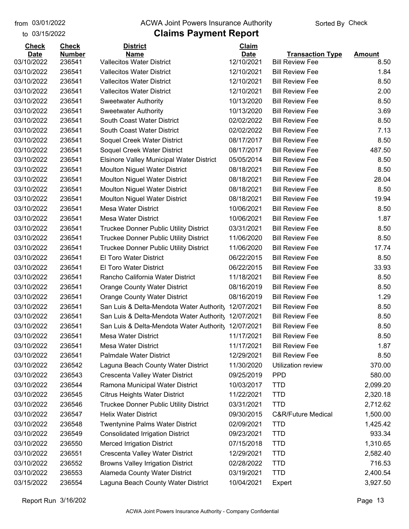#### from 03/01/2022 **The COVA Solic Act Act Authority** Sorted By Check

#### to 03/15/2022

| <b>Check</b> | <b>Check</b>  | <b>District</b>                                 | Claim       |                               |               |
|--------------|---------------|-------------------------------------------------|-------------|-------------------------------|---------------|
| <b>Date</b>  | <b>Number</b> | <b>Name</b>                                     | <b>Date</b> | <b>Transaction Type</b>       | <b>Amount</b> |
| 03/10/2022   | 236541        | <b>Vallecitos Water District</b>                | 12/10/2021  | <b>Bill Review Fee</b>        | 8.50          |
| 03/10/2022   | 236541        | <b>Vallecitos Water District</b>                | 12/10/2021  | <b>Bill Review Fee</b>        | 1.84          |
| 03/10/2022   | 236541        | <b>Vallecitos Water District</b>                | 12/10/2021  | <b>Bill Review Fee</b>        | 8.50          |
| 03/10/2022   | 236541        | <b>Vallecitos Water District</b>                | 12/10/2021  | <b>Bill Review Fee</b>        | 2.00          |
| 03/10/2022   | 236541        | <b>Sweetwater Authority</b>                     | 10/13/2020  | <b>Bill Review Fee</b>        | 8.50          |
| 03/10/2022   | 236541        | <b>Sweetwater Authority</b>                     | 10/13/2020  | <b>Bill Review Fee</b>        | 3.69          |
| 03/10/2022   | 236541        | South Coast Water District                      | 02/02/2022  | <b>Bill Review Fee</b>        | 8.50          |
| 03/10/2022   | 236541        | South Coast Water District                      | 02/02/2022  | <b>Bill Review Fee</b>        | 7.13          |
| 03/10/2022   | 236541        | Soquel Creek Water District                     | 08/17/2017  | <b>Bill Review Fee</b>        | 8.50          |
| 03/10/2022   | 236541        | Soquel Creek Water District                     | 08/17/2017  | <b>Bill Review Fee</b>        | 487.50        |
| 03/10/2022   | 236541        | <b>Elsinore Valley Municipal Water District</b> | 05/05/2014  | <b>Bill Review Fee</b>        | 8.50          |
| 03/10/2022   | 236541        | <b>Moulton Niguel Water District</b>            | 08/18/2021  | <b>Bill Review Fee</b>        | 8.50          |
| 03/10/2022   | 236541        | <b>Moulton Niguel Water District</b>            | 08/18/2021  | <b>Bill Review Fee</b>        | 28.04         |
| 03/10/2022   | 236541        | <b>Moulton Niguel Water District</b>            | 08/18/2021  | <b>Bill Review Fee</b>        | 8.50          |
| 03/10/2022   | 236541        | <b>Moulton Niguel Water District</b>            | 08/18/2021  | <b>Bill Review Fee</b>        | 19.94         |
| 03/10/2022   | 236541        | Mesa Water District                             | 10/06/2021  | <b>Bill Review Fee</b>        | 8.50          |
| 03/10/2022   | 236541        | <b>Mesa Water District</b>                      | 10/06/2021  | <b>Bill Review Fee</b>        | 1.87          |
| 03/10/2022   | 236541        | <b>Truckee Donner Public Utility District</b>   | 03/31/2021  | <b>Bill Review Fee</b>        | 8.50          |
| 03/10/2022   | 236541        | Truckee Donner Public Utility District          | 11/06/2020  | <b>Bill Review Fee</b>        | 8.50          |
| 03/10/2022   | 236541        | Truckee Donner Public Utility District          | 11/06/2020  | <b>Bill Review Fee</b>        | 17.74         |
| 03/10/2022   | 236541        | El Toro Water District                          | 06/22/2015  | <b>Bill Review Fee</b>        | 8.50          |
| 03/10/2022   | 236541        | El Toro Water District                          | 06/22/2015  | <b>Bill Review Fee</b>        | 33.93         |
| 03/10/2022   | 236541        | Rancho California Water District                | 11/18/2021  | <b>Bill Review Fee</b>        | 8.50          |
| 03/10/2022   | 236541        | <b>Orange County Water District</b>             | 08/16/2019  | <b>Bill Review Fee</b>        | 8.50          |
| 03/10/2022   | 236541        | <b>Orange County Water District</b>             | 08/16/2019  | <b>Bill Review Fee</b>        | 1.29          |
| 03/10/2022   | 236541        | San Luis & Delta-Mendota Water Authority        | 12/07/2021  | <b>Bill Review Fee</b>        | 8.50          |
| 03/10/2022   | 236541        | San Luis & Delta-Mendota Water Authority        | 12/07/2021  | <b>Bill Review Fee</b>        | 8.50          |
| 03/10/2022   | 236541        | San Luis & Delta-Mendota Water Authority        | 12/07/2021  | <b>Bill Review Fee</b>        | 8.50          |
| 03/10/2022   | 236541        | <b>Mesa Water District</b>                      | 11/17/2021  | <b>Bill Review Fee</b>        | 8.50          |
| 03/10/2022   | 236541        | <b>Mesa Water District</b>                      | 11/17/2021  | <b>Bill Review Fee</b>        | 1.87          |
| 03/10/2022   | 236541        | <b>Palmdale Water District</b>                  | 12/29/2021  | <b>Bill Review Fee</b>        | 8.50          |
| 03/10/2022   | 236542        | Laguna Beach County Water District              | 11/30/2020  | Utilization review            | 370.00        |
| 03/10/2022   | 236543        | Crescenta Valley Water District                 | 09/25/2019  | <b>PPD</b>                    | 580.00        |
| 03/10/2022   | 236544        | Ramona Municipal Water District                 | 10/03/2017  | <b>TTD</b>                    | 2,099.20      |
| 03/10/2022   | 236545        | <b>Citrus Heights Water District</b>            | 11/22/2021  | <b>TTD</b>                    | 2,320.18      |
| 03/10/2022   | 236546        | Truckee Donner Public Utility District          | 03/31/2021  | <b>TTD</b>                    | 2,712.62      |
| 03/10/2022   | 236547        | <b>Helix Water District</b>                     | 09/30/2015  | <b>C&amp;R/Future Medical</b> | 1,500.00      |
| 03/10/2022   | 236548        | Twentynine Palms Water District                 | 02/09/2021  | <b>TTD</b>                    | 1,425.42      |
| 03/10/2022   | 236549        | <b>Consolidated Irrigation District</b>         | 09/23/2021  | <b>TTD</b>                    | 933.34        |
| 03/10/2022   | 236550        | <b>Merced Irrigation District</b>               | 07/15/2018  | <b>TTD</b>                    | 1,310.65      |
| 03/10/2022   | 236551        | Crescenta Valley Water District                 | 12/29/2021  | <b>TTD</b>                    | 2,582.40      |
| 03/10/2022   | 236552        | <b>Browns Valley Irrigation District</b>        | 02/28/2022  | <b>TTD</b>                    | 716.53        |
| 03/10/2022   | 236553        | Alameda County Water District                   | 03/19/2021  | <b>TTD</b>                    | 2,400.54      |
| 03/15/2022   | 236554        | Laguna Beach County Water District              | 10/04/2021  | Expert                        | 3,927.50      |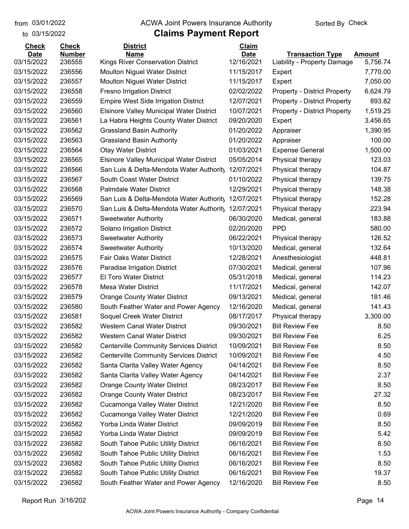to 03/15/2022

#### from 03/01/2022 **The COVA Solic Act Act Authority** Sorted By Check

| <b>Check</b>              | <b>Check</b>            | <b>District</b>                                  | Claim                     |                                                        |                           |
|---------------------------|-------------------------|--------------------------------------------------|---------------------------|--------------------------------------------------------|---------------------------|
| <b>Date</b><br>03/15/2022 | <b>Number</b><br>236555 | <b>Name</b><br>Kings River Conservation District | <b>Date</b><br>12/16/2021 | <b>Transaction Type</b><br>Liability - Property Damage | <b>Amount</b><br>5,756.74 |
| 03/15/2022                | 236556                  | <b>Moulton Niguel Water District</b>             | 11/15/2017                |                                                        | 7,770.00                  |
| 03/15/2022                | 236557                  | Moulton Niguel Water District                    | 11/15/2017                | Expert<br>Expert                                       | 7,050.00                  |
| 03/15/2022                | 236558                  | <b>Fresno Irrigation District</b>                | 02/02/2022                | <b>Property - District Property</b>                    | 6,624.79                  |
| 03/15/2022                | 236559                  | <b>Empire West Side Irrigation District</b>      | 12/07/2021                | <b>Property - District Property</b>                    | 893.82                    |
| 03/15/2022                | 236560                  | <b>Elsinore Valley Municipal Water District</b>  | 10/07/2021                | <b>Property - District Property</b>                    | 1,519.25                  |
| 03/15/2022                | 236561                  | La Habra Heights County Water District           | 09/20/2020                | Expert                                                 | 3,456.65                  |
| 03/15/2022                | 236562                  | <b>Grassland Basin Authority</b>                 | 01/20/2022                | Appraiser                                              | 1,390.95                  |
| 03/15/2022                | 236563                  | <b>Grassland Basin Authority</b>                 | 01/20/2022                | Appraiser                                              | 100.00                    |
| 03/15/2022                | 236564                  | <b>Otay Water District</b>                       | 01/03/2021                | <b>Expense General</b>                                 | 1,500.00                  |
| 03/15/2022                | 236565                  | <b>Elsinore Valley Municipal Water District</b>  | 05/05/2014                | Physical therapy                                       | 123.03                    |
| 03/15/2022                | 236566                  | San Luis & Delta-Mendota Water Authority         | 12/07/2021                | Physical therapy                                       | 104.87                    |
| 03/15/2022                | 236567                  | South Coast Water District                       | 01/10/2022                | Physical therapy                                       | 139.75                    |
| 03/15/2022                | 236568                  | <b>Palmdale Water District</b>                   | 12/29/2021                | Physical therapy                                       | 148.38                    |
| 03/15/2022                | 236569                  | San Luis & Delta-Mendota Water Authority         | 12/07/2021                | Physical therapy                                       | 152.28                    |
| 03/15/2022                | 236570                  | San Luis & Delta-Mendota Water Authority         | 12/07/2021                | Physical therapy                                       | 223.94                    |
| 03/15/2022                | 236571                  | <b>Sweetwater Authority</b>                      | 06/30/2020                | Medical, general                                       | 183.88                    |
| 03/15/2022                | 236572                  | Solano Irrigation District                       | 02/20/2020                | <b>PPD</b>                                             | 580.00                    |
| 03/15/2022                | 236573                  | <b>Sweetwater Authority</b>                      | 06/22/2021                | Physical therapy                                       | 126.52                    |
| 03/15/2022                | 236574                  | <b>Sweetwater Authority</b>                      | 10/13/2020                | Medical, general                                       | 132.64                    |
| 03/15/2022                | 236575                  | Fair Oaks Water District                         | 12/28/2021                | Anesthesiologist                                       | 448.81                    |
| 03/15/2022                | 236576                  | Paradise Irrigation District                     | 07/30/2021                | Medical, general                                       | 107.96                    |
| 03/15/2022                | 236577                  | El Toro Water District                           | 05/31/2018                | Medical, general                                       | 114.23                    |
| 03/15/2022                | 236578                  | <b>Mesa Water District</b>                       | 11/17/2021                | Medical, general                                       | 142.07                    |
| 03/15/2022                | 236579                  | <b>Orange County Water District</b>              | 09/13/2021                | Medical, general                                       | 181.46                    |
| 03/15/2022                | 236580                  | South Feather Water and Power Agency             | 12/16/2020                | Medical, general                                       | 141.43                    |
| 03/15/2022                | 236581                  | Soquel Creek Water District                      | 08/17/2017                | Physical therapy                                       | 3,300.00                  |
| 03/15/2022                | 236582                  | <b>Western Canal Water District</b>              | 09/30/2021                | <b>Bill Review Fee</b>                                 | 8.50                      |
| 03/15/2022                | 236582                  | Western Canal Water District                     | 09/30/2021                | <b>Bill Review Fee</b>                                 | 6.25                      |
| 03/15/2022                | 236582                  | <b>Centerville Community Services District</b>   | 10/09/2021                | <b>Bill Review Fee</b>                                 | 8.50                      |
| 03/15/2022                | 236582                  | <b>Centerville Community Services District</b>   | 10/09/2021                | <b>Bill Review Fee</b>                                 | 4.50                      |
| 03/15/2022                | 236582                  | Santa Clarita Valley Water Agency                | 04/14/2021                | <b>Bill Review Fee</b>                                 | 8.50                      |
| 03/15/2022                | 236582                  | Santa Clarita Valley Water Agency                | 04/14/2021                | <b>Bill Review Fee</b>                                 | 2.37                      |
| 03/15/2022                | 236582                  | <b>Orange County Water District</b>              | 08/23/2017                | <b>Bill Review Fee</b>                                 | 8.50                      |
| 03/15/2022                | 236582                  | <b>Orange County Water District</b>              | 08/23/2017                | <b>Bill Review Fee</b>                                 | 27.32                     |
| 03/15/2022                | 236582                  | Cucamonga Valley Water District                  | 12/21/2020                | <b>Bill Review Fee</b>                                 | 8.50                      |
| 03/15/2022                | 236582                  | Cucamonga Valley Water District                  | 12/21/2020                | <b>Bill Review Fee</b>                                 | 0.69                      |
| 03/15/2022                | 236582                  | Yorba Linda Water District                       | 09/09/2019                | <b>Bill Review Fee</b>                                 | 8.50                      |
| 03/15/2022                | 236582                  | Yorba Linda Water District                       | 09/09/2019                | <b>Bill Review Fee</b>                                 | 5.42                      |
| 03/15/2022                | 236582                  | South Tahoe Public Utility District              | 06/16/2021                | <b>Bill Review Fee</b>                                 | 8.50                      |
| 03/15/2022                | 236582                  | South Tahoe Public Utility District              | 06/16/2021                | <b>Bill Review Fee</b>                                 | 1.53                      |
| 03/15/2022                | 236582                  | South Tahoe Public Utility District              | 06/16/2021                | <b>Bill Review Fee</b>                                 | 8.50                      |
| 03/15/2022                | 236582                  | South Tahoe Public Utility District              | 06/16/2021                | <b>Bill Review Fee</b>                                 | 19.37                     |
| 03/15/2022                | 236582                  | South Feather Water and Power Agency             | 12/16/2020                | <b>Bill Review Fee</b>                                 | 8.50                      |
|                           |                         |                                                  |                           |                                                        |                           |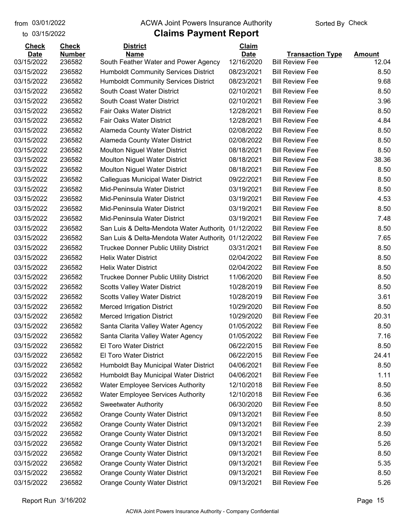to 03/15/2022

#### from 03/01/2022 **The COVA Solic Act Act Authority** Sorted By Check

| <b>Check</b>              | <b>Check</b>            | <b>District</b>                                                                      | Claim                     |                                                   |                        |
|---------------------------|-------------------------|--------------------------------------------------------------------------------------|---------------------------|---------------------------------------------------|------------------------|
| <b>Date</b><br>03/15/2022 | <b>Number</b><br>236582 | <b>Name</b><br>South Feather Water and Power Agency                                  | <b>Date</b><br>12/16/2020 | <b>Transaction Type</b><br><b>Bill Review Fee</b> | <b>Amount</b><br>12.04 |
| 03/15/2022                | 236582                  | <b>Humboldt Community Services District</b>                                          | 08/23/2021                | <b>Bill Review Fee</b>                            | 8.50                   |
| 03/15/2022                | 236582                  | <b>Humboldt Community Services District</b>                                          | 08/23/2021                | <b>Bill Review Fee</b>                            | 9.68                   |
| 03/15/2022                | 236582                  | South Coast Water District                                                           | 02/10/2021                | <b>Bill Review Fee</b>                            | 8.50                   |
| 03/15/2022                | 236582                  | South Coast Water District                                                           | 02/10/2021                | <b>Bill Review Fee</b>                            | 3.96                   |
| 03/15/2022                | 236582                  | Fair Oaks Water District                                                             | 12/28/2021                | <b>Bill Review Fee</b>                            | 8.50                   |
| 03/15/2022                | 236582                  | Fair Oaks Water District                                                             | 12/28/2021                | <b>Bill Review Fee</b>                            | 4.84                   |
| 03/15/2022                | 236582                  | Alameda County Water District                                                        | 02/08/2022                | <b>Bill Review Fee</b>                            | 8.50                   |
| 03/15/2022                | 236582                  |                                                                                      | 02/08/2022                | <b>Bill Review Fee</b>                            | 8.50                   |
| 03/15/2022                | 236582                  | <b>Alameda County Water District</b>                                                 | 08/18/2021                | <b>Bill Review Fee</b>                            | 8.50                   |
|                           |                         | <b>Moulton Niguel Water District</b>                                                 |                           |                                                   | 38.36                  |
| 03/15/2022                | 236582                  | <b>Moulton Niguel Water District</b>                                                 | 08/18/2021                | <b>Bill Review Fee</b>                            |                        |
| 03/15/2022                | 236582                  | <b>Moulton Niguel Water District</b>                                                 | 08/18/2021                | <b>Bill Review Fee</b>                            | 8.50                   |
| 03/15/2022                | 236582                  | Calleguas Municipal Water District                                                   | 09/22/2021                | <b>Bill Review Fee</b>                            | 8.50                   |
| 03/15/2022                | 236582                  | Mid-Peninsula Water District                                                         | 03/19/2021                | <b>Bill Review Fee</b>                            | 8.50                   |
| 03/15/2022                | 236582                  | Mid-Peninsula Water District                                                         | 03/19/2021                | <b>Bill Review Fee</b>                            | 4.53                   |
| 03/15/2022                | 236582                  | Mid-Peninsula Water District                                                         | 03/19/2021                | <b>Bill Review Fee</b>                            | 8.50                   |
| 03/15/2022                | 236582                  | Mid-Peninsula Water District                                                         | 03/19/2021                | <b>Bill Review Fee</b>                            | 7.48                   |
| 03/15/2022                | 236582                  | San Luis & Delta-Mendota Water Authority                                             | 01/12/2022                | <b>Bill Review Fee</b>                            | 8.50                   |
| 03/15/2022                | 236582                  | San Luis & Delta-Mendota Water Authority                                             | 01/12/2022                | <b>Bill Review Fee</b>                            | 7.65                   |
| 03/15/2022                | 236582                  | <b>Truckee Donner Public Utility District</b>                                        | 03/31/2021                | <b>Bill Review Fee</b>                            | 8.50                   |
| 03/15/2022                | 236582                  | <b>Helix Water District</b>                                                          | 02/04/2022                | <b>Bill Review Fee</b>                            | 8.50                   |
| 03/15/2022<br>03/15/2022  | 236582<br>236582        | <b>Helix Water District</b>                                                          | 02/04/2022                | <b>Bill Review Fee</b><br><b>Bill Review Fee</b>  | 8.50<br>8.50           |
| 03/15/2022                | 236582                  | <b>Truckee Donner Public Utility District</b><br><b>Scotts Valley Water District</b> | 11/06/2020<br>10/28/2019  | <b>Bill Review Fee</b>                            | 8.50                   |
| 03/15/2022                | 236582                  |                                                                                      | 10/28/2019                | <b>Bill Review Fee</b>                            | 3.61                   |
|                           |                         | <b>Scotts Valley Water District</b>                                                  |                           | <b>Bill Review Fee</b>                            |                        |
| 03/15/2022                | 236582<br>236582        | <b>Merced Irrigation District</b>                                                    | 10/29/2020<br>10/29/2020  | <b>Bill Review Fee</b>                            | 8.50                   |
| 03/15/2022                |                         | <b>Merced Irrigation District</b>                                                    |                           |                                                   | 20.31                  |
| 03/15/2022                | 236582                  | Santa Clarita Valley Water Agency                                                    | 01/05/2022                | <b>Bill Review Fee</b>                            | 8.50                   |
| 03/15/2022                | 236582                  | Santa Clarita Valley Water Agency                                                    | 01/05/2022                | <b>Bill Review Fee</b>                            | 7.16                   |
| 03/15/2022                | 236582                  | El Toro Water District                                                               | 06/22/2015                | <b>Bill Review Fee</b>                            | 8.50                   |
| 03/15/2022                | 236582                  | El Toro Water District                                                               | 06/22/2015                | <b>Bill Review Fee</b>                            | 24.41                  |
| 03/15/2022                | 236582                  | Humboldt Bay Municipal Water District                                                | 04/06/2021                | <b>Bill Review Fee</b><br><b>Bill Review Fee</b>  | 8.50                   |
| 03/15/2022                | 236582                  | Humboldt Bay Municipal Water District                                                | 04/06/2021                |                                                   | 1.11                   |
| 03/15/2022                | 236582                  | <b>Water Employee Services Authority</b>                                             | 12/10/2018                | <b>Bill Review Fee</b>                            | 8.50                   |
| 03/15/2022                | 236582                  | <b>Water Employee Services Authority</b>                                             | 12/10/2018                | <b>Bill Review Fee</b><br><b>Bill Review Fee</b>  | 6.36                   |
| 03/15/2022                | 236582                  | <b>Sweetwater Authority</b>                                                          | 06/30/2020                |                                                   | 8.50                   |
| 03/15/2022                | 236582                  | <b>Orange County Water District</b>                                                  | 09/13/2021<br>09/13/2021  | <b>Bill Review Fee</b>                            | 8.50                   |
| 03/15/2022                | 236582                  | <b>Orange County Water District</b>                                                  |                           | <b>Bill Review Fee</b>                            | 2.39                   |
| 03/15/2022                | 236582                  | <b>Orange County Water District</b>                                                  | 09/13/2021                | <b>Bill Review Fee</b>                            | 8.50                   |
| 03/15/2022                | 236582                  | <b>Orange County Water District</b>                                                  | 09/13/2021                | <b>Bill Review Fee</b>                            | 5.26                   |
| 03/15/2022                | 236582                  | <b>Orange County Water District</b>                                                  | 09/13/2021                | <b>Bill Review Fee</b>                            | 8.50                   |
| 03/15/2022                | 236582                  | <b>Orange County Water District</b>                                                  | 09/13/2021                | <b>Bill Review Fee</b>                            | 5.35                   |
| 03/15/2022                | 236582                  | <b>Orange County Water District</b>                                                  | 09/13/2021                | <b>Bill Review Fee</b>                            | 8.50                   |
| 03/15/2022                | 236582                  | <b>Orange County Water District</b>                                                  | 09/13/2021                | <b>Bill Review Fee</b>                            | 5.26                   |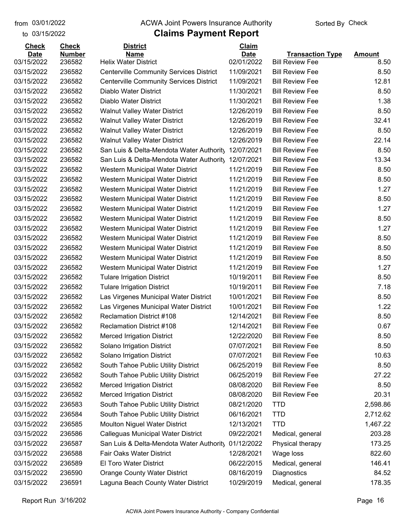to 03/15/2022

#### from 03/01/2022 **The COVA Solic Act Act Authority** Sorted By Check

# **Claims Payment Report**

| <b>Check</b> | <b>Check</b>  | <b>District</b>                                | <b>Claim</b> |                         |               |
|--------------|---------------|------------------------------------------------|--------------|-------------------------|---------------|
| <b>Date</b>  | <b>Number</b> | <b>Name</b>                                    | <b>Date</b>  | <b>Transaction Type</b> | <u>Amount</u> |
| 03/15/2022   | 236582        | <b>Helix Water District</b>                    | 02/01/2022   | <b>Bill Review Fee</b>  | 8.50          |
| 03/15/2022   | 236582        | <b>Centerville Community Services District</b> | 11/09/2021   | <b>Bill Review Fee</b>  | 8.50          |
| 03/15/2022   | 236582        | <b>Centerville Community Services District</b> | 11/09/2021   | <b>Bill Review Fee</b>  | 12.81         |
| 03/15/2022   | 236582        | Diablo Water District                          | 11/30/2021   | <b>Bill Review Fee</b>  | 8.50          |
| 03/15/2022   | 236582        | Diablo Water District                          | 11/30/2021   | <b>Bill Review Fee</b>  | 1.38          |
| 03/15/2022   | 236582        | <b>Walnut Valley Water District</b>            | 12/26/2019   | <b>Bill Review Fee</b>  | 8.50          |
| 03/15/2022   | 236582        | <b>Walnut Valley Water District</b>            | 12/26/2019   | <b>Bill Review Fee</b>  | 32.41         |
| 03/15/2022   | 236582        | <b>Walnut Valley Water District</b>            | 12/26/2019   | <b>Bill Review Fee</b>  | 8.50          |
| 03/15/2022   | 236582        | <b>Walnut Valley Water District</b>            | 12/26/2019   | <b>Bill Review Fee</b>  | 22.14         |
| 03/15/2022   | 236582        | San Luis & Delta-Mendota Water Authority       | 12/07/2021   | <b>Bill Review Fee</b>  | 8.50          |
| 03/15/2022   | 236582        | San Luis & Delta-Mendota Water Authority       | 12/07/2021   | <b>Bill Review Fee</b>  | 13.34         |
| 03/15/2022   | 236582        | Western Municipal Water District               | 11/21/2019   | <b>Bill Review Fee</b>  | 8.50          |
| 03/15/2022   | 236582        | Western Municipal Water District               | 11/21/2019   | <b>Bill Review Fee</b>  | 8.50          |
| 03/15/2022   | 236582        | Western Municipal Water District               | 11/21/2019   | <b>Bill Review Fee</b>  | 1.27          |
| 03/15/2022   | 236582        | Western Municipal Water District               | 11/21/2019   | <b>Bill Review Fee</b>  | 8.50          |
| 03/15/2022   | 236582        | Western Municipal Water District               | 11/21/2019   | <b>Bill Review Fee</b>  | 1.27          |
| 03/15/2022   | 236582        | Western Municipal Water District               | 11/21/2019   | <b>Bill Review Fee</b>  | 8.50          |
| 03/15/2022   | 236582        | Western Municipal Water District               | 11/21/2019   | <b>Bill Review Fee</b>  | 1.27          |
| 03/15/2022   | 236582        | Western Municipal Water District               | 11/21/2019   | <b>Bill Review Fee</b>  | 8.50          |
| 03/15/2022   | 236582        | Western Municipal Water District               | 11/21/2019   | <b>Bill Review Fee</b>  | 8.50          |
| 03/15/2022   | 236582        | Western Municipal Water District               | 11/21/2019   | <b>Bill Review Fee</b>  | 8.50          |
| 03/15/2022   | 236582        | Western Municipal Water District               | 11/21/2019   | <b>Bill Review Fee</b>  | 1.27          |
| 03/15/2022   | 236582        | <b>Tulare Irrigation District</b>              | 10/19/2011   | <b>Bill Review Fee</b>  | 8.50          |
| 03/15/2022   | 236582        | <b>Tulare Irrigation District</b>              | 10/19/2011   | <b>Bill Review Fee</b>  | 7.18          |
| 03/15/2022   | 236582        | Las Virgenes Municipal Water District          | 10/01/2021   | <b>Bill Review Fee</b>  | 8.50          |
| 03/15/2022   | 236582        | Las Virgenes Municipal Water District          | 10/01/2021   | <b>Bill Review Fee</b>  | 1.22          |
| 03/15/2022   | 236582        | <b>Reclamation District #108</b>               | 12/14/2021   | <b>Bill Review Fee</b>  | 8.50          |
| 03/15/2022   | 236582        | <b>Reclamation District #108</b>               | 12/14/2021   | <b>Bill Review Fee</b>  | 0.67          |
| 03/15/2022   | 236582        | <b>Merced Irrigation District</b>              | 12/22/2020   | <b>Bill Review Fee</b>  | 8.50          |
| 03/15/2022   | 236582        | Solano Irrigation District                     | 07/07/2021   | <b>Bill Review Fee</b>  | 8.50          |
| 03/15/2022   | 236582        | Solano Irrigation District                     | 07/07/2021   | <b>Bill Review Fee</b>  | 10.63         |
| 03/15/2022   | 236582        | South Tahoe Public Utility District            | 06/25/2019   | <b>Bill Review Fee</b>  | 8.50          |
| 03/15/2022   | 236582        | South Tahoe Public Utility District            | 06/25/2019   | <b>Bill Review Fee</b>  | 27.22         |
| 03/15/2022   | 236582        | <b>Merced Irrigation District</b>              | 08/08/2020   | <b>Bill Review Fee</b>  | 8.50          |
| 03/15/2022   | 236582        | <b>Merced Irrigation District</b>              | 08/08/2020   | <b>Bill Review Fee</b>  | 20.31         |
| 03/15/2022   | 236583        | South Tahoe Public Utility District            | 08/21/2020   | <b>TTD</b>              | 2,598.86      |
| 03/15/2022   | 236584        | South Tahoe Public Utility District            | 06/16/2021   | <b>TTD</b>              | 2,712.62      |
| 03/15/2022   | 236585        | Moulton Niguel Water District                  | 12/13/2021   | <b>TTD</b>              | 1,467.22      |
| 03/15/2022   | 236586        | Calleguas Municipal Water District             | 09/22/2021   | Medical, general        | 203.28        |
| 03/15/2022   | 236587        | San Luis & Delta-Mendota Water Authority       | 01/12/2022   | Physical therapy        | 173.25        |
| 03/15/2022   | 236588        | Fair Oaks Water District                       | 12/28/2021   | Wage loss               | 822.60        |
| 03/15/2022   | 236589        | El Toro Water District                         | 06/22/2015   | Medical, general        | 146.41        |
| 03/15/2022   | 236590        | <b>Orange County Water District</b>            | 08/16/2019   | Diagnostics             | 84.52         |
| 03/15/2022   | 236591        | Laguna Beach County Water District             | 10/29/2019   | Medical, general        | 178.35        |

Report Run 3/16/202 Page 16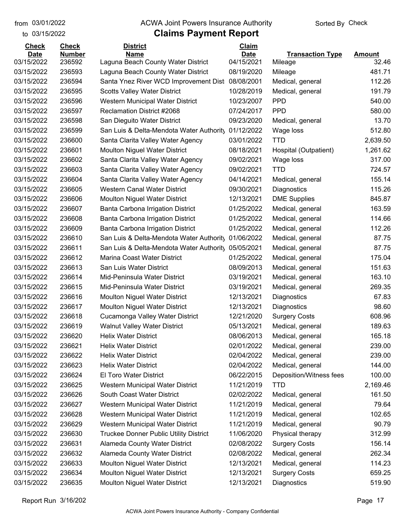to 03/15/2022

#### from 03/01/2022 **The COVA Solic Act Act Authority** Sorted By Check

| <b>Check</b> | <b>Check</b>  | <b>District</b>                               | Claim       |                         |               |
|--------------|---------------|-----------------------------------------------|-------------|-------------------------|---------------|
| <b>Date</b>  | <b>Number</b> | <b>Name</b>                                   | <b>Date</b> | <b>Transaction Type</b> | <b>Amount</b> |
| 03/15/2022   | 236592        | Laguna Beach County Water District            | 04/15/2021  | Mileage                 | 32.46         |
| 03/15/2022   | 236593        | Laguna Beach County Water District            | 08/19/2020  | Mileage                 | 481.71        |
| 03/15/2022   | 236594        | Santa Ynez River WCD Improvement Dist         | 08/08/2001  | Medical, general        | 112.26        |
| 03/15/2022   | 236595        | <b>Scotts Valley Water District</b>           | 10/28/2019  | Medical, general        | 191.79        |
| 03/15/2022   | 236596        | Western Municipal Water District              | 10/23/2007  | <b>PPD</b>              | 540.00        |
| 03/15/2022   | 236597        | Reclamation District #2068                    | 07/24/2017  | <b>PPD</b>              | 580.00        |
| 03/15/2022   | 236598        | San Dieguito Water District                   | 09/23/2020  | Medical, general        | 13.70         |
| 03/15/2022   | 236599        | San Luis & Delta-Mendota Water Authority      | 01/12/2022  | Wage loss               | 512.80        |
| 03/15/2022   | 236600        | Santa Clarita Valley Water Agency             | 03/01/2022  | <b>TTD</b>              | 2,639.50      |
| 03/15/2022   | 236601        | Moulton Niguel Water District                 | 08/18/2021  | Hospital (Outpatient)   | 1,261.62      |
| 03/15/2022   | 236602        | Santa Clarita Valley Water Agency             | 09/02/2021  | Wage loss               | 317.00        |
| 03/15/2022   | 236603        | Santa Clarita Valley Water Agency             | 09/02/2021  | <b>TTD</b>              | 724.57        |
| 03/15/2022   | 236604        | Santa Clarita Valley Water Agency             | 04/14/2021  | Medical, general        | 155.14        |
| 03/15/2022   | 236605        | <b>Western Canal Water District</b>           | 09/30/2021  | Diagnostics             | 115.26        |
| 03/15/2022   | 236606        | Moulton Niguel Water District                 | 12/13/2021  | <b>DME Supplies</b>     | 845.87        |
| 03/15/2022   | 236607        | Banta Carbona Irrigation District             | 01/25/2022  | Medical, general        | 163.59        |
| 03/15/2022   | 236608        | Banta Carbona Irrigation District             | 01/25/2022  | Medical, general        | 114.66        |
| 03/15/2022   | 236609        | Banta Carbona Irrigation District             | 01/25/2022  | Medical, general        | 112.26        |
| 03/15/2022   | 236610        | San Luis & Delta-Mendota Water Authority      | 01/06/2022  | Medical, general        | 87.75         |
| 03/15/2022   | 236611        | San Luis & Delta-Mendota Water Authority      | 05/05/2021  | Medical, general        | 87.75         |
| 03/15/2022   | 236612        | Marina Coast Water District                   | 01/25/2022  | Medical, general        | 175.04        |
| 03/15/2022   | 236613        | San Luis Water District                       | 08/09/2013  | Medical, general        | 151.63        |
| 03/15/2022   | 236614        | Mid-Peninsula Water District                  | 03/19/2021  | Medical, general        | 163.10        |
| 03/15/2022   | 236615        | Mid-Peninsula Water District                  | 03/19/2021  | Medical, general        | 269.35        |
| 03/15/2022   | 236616        | <b>Moulton Niguel Water District</b>          | 12/13/2021  | Diagnostics             | 67.83         |
| 03/15/2022   | 236617        | Moulton Niguel Water District                 | 12/13/2021  | Diagnostics             | 98.60         |
| 03/15/2022   | 236618        | Cucamonga Valley Water District               | 12/21/2020  | <b>Surgery Costs</b>    | 608.96        |
| 03/15/2022   | 236619        | <b>Walnut Valley Water District</b>           | 05/13/2021  | Medical, general        | 189.63        |
| 03/15/2022   | 236620        | <b>Helix Water District</b>                   | 08/06/2013  | Medical, general        | 165.18        |
| 03/15/2022   | 236621        | <b>Helix Water District</b>                   | 02/01/2022  | Medical, general        | 239.00        |
| 03/15/2022   | 236622        | <b>Helix Water District</b>                   | 02/04/2022  | Medical, general        | 239.00        |
| 03/15/2022   | 236623        | <b>Helix Water District</b>                   | 02/04/2022  | Medical, general        | 144.00        |
| 03/15/2022   | 236624        | El Toro Water District                        | 06/22/2015  | Deposition/Witness fees | 100.00        |
| 03/15/2022   | 236625        | Western Municipal Water District              | 11/21/2019  | <b>TTD</b>              | 2,169.46      |
| 03/15/2022   | 236626        | South Coast Water District                    | 02/02/2022  | Medical, general        | 161.50        |
| 03/15/2022   | 236627        | Western Municipal Water District              | 11/21/2019  | Medical, general        | 79.64         |
| 03/15/2022   | 236628        | Western Municipal Water District              | 11/21/2019  | Medical, general        | 102.65        |
| 03/15/2022   | 236629        | Western Municipal Water District              | 11/21/2019  | Medical, general        | 90.79         |
| 03/15/2022   | 236630        | <b>Truckee Donner Public Utility District</b> | 11/06/2020  | Physical therapy        | 312.99        |
| 03/15/2022   | 236631        | Alameda County Water District                 | 02/08/2022  | <b>Surgery Costs</b>    | 156.14        |
| 03/15/2022   | 236632        | Alameda County Water District                 | 02/08/2022  | Medical, general        | 262.34        |
| 03/15/2022   | 236633        | Moulton Niguel Water District                 | 12/13/2021  | Medical, general        | 114.23        |
| 03/15/2022   | 236634        | Moulton Niguel Water District                 | 12/13/2021  | <b>Surgery Costs</b>    | 659.25        |
| 03/15/2022   | 236635        | Moulton Niguel Water District                 | 12/13/2021  | Diagnostics             | 519.90        |
|              |               |                                               |             |                         |               |